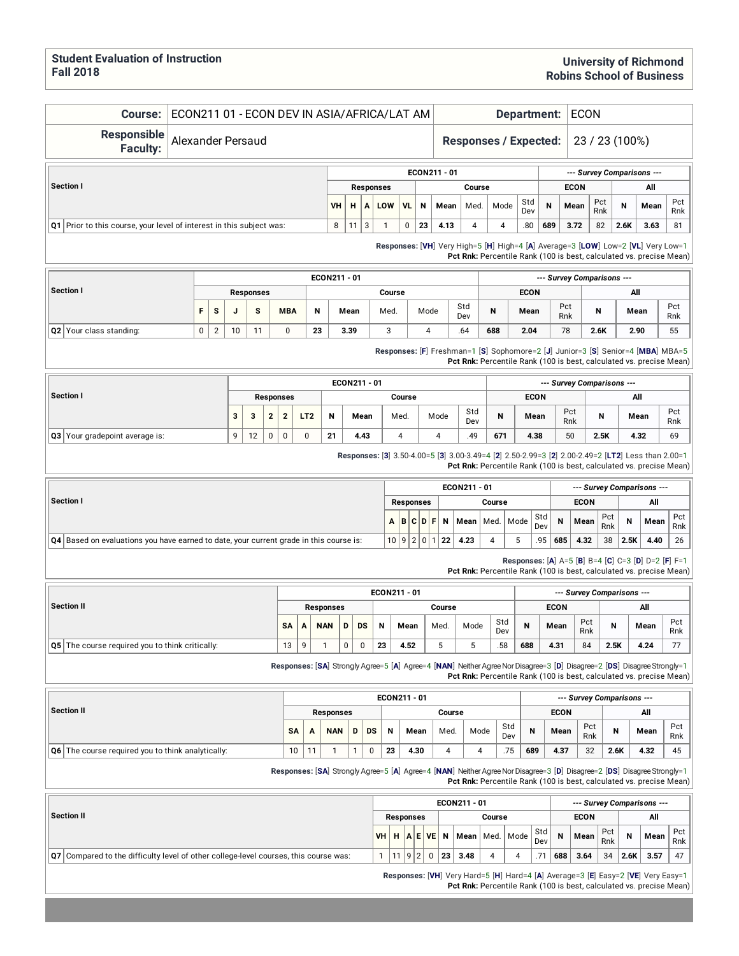Pct Rnk

#### **Course:** ECON211 01 - ECON DEV IN ASIA/AFRICA/LAT AM **Department:** ECON

**Responsible Faculty:**

#### Alexander Persaud **Responses / Expected:** 23 / 23 (100%)

| .                                                                      |           |    |                  |           |    |              |        |      |            |     |             |            |      |                            |            |
|------------------------------------------------------------------------|-----------|----|------------------|-----------|----|--------------|--------|------|------------|-----|-------------|------------|------|----------------------------|------------|
|                                                                        |           |    |                  |           |    | ECON211 - 01 |        |      |            |     |             |            |      | --- Survey Comparisons --- |            |
| Section I                                                              |           |    | <b>Responses</b> |           |    |              | Course |      |            |     | <b>ECON</b> |            |      | All                        |            |
|                                                                        | <b>VH</b> | н. | LOW              | <b>VL</b> | N  | Mean         | Med.   | Mode | Std<br>Dev | N   | Mean        | Pct<br>Rnk | N    | Mean                       | Pct<br>Rnk |
| Q1   Prior to this course, your level of interest in this subject was: | 8         | 11 |                  | 0         | 23 | 4.13         | 4      |      | .80        | 689 | 3.72        | 82         | 2.6K | 3.63                       | 81         |

**Responses:** [**VH**] Very High=5 [**H**] High=4 [**A**] Average=3 [**LOW**] Low=2 [**VL**] Very Low=1 **Pct Rnk:** Percentile Rank (100 is best, calculated vs. precise Mean)

|                                |    |        |    |                  |            |    | ECON211 - 01 |        |      |            |     |             |            | --- Survey Comparisons --- |      |            |
|--------------------------------|----|--------|----|------------------|------------|----|--------------|--------|------|------------|-----|-------------|------------|----------------------------|------|------------|
| Section I                      |    |        |    | <b>Responses</b> |            |    |              | Course |      |            |     | <b>ECON</b> |            |                            | All  |            |
|                                | F. | s      |    | s                | <b>MBA</b> | N  | Mean         | Med.   | Mode | Std<br>Dev | N   | Mean        | Pct<br>Rnk | N                          | Mean | Pct<br>Rnk |
| <b>Q2</b> Your class standing: | 0  | $\sim$ | 10 | $\sim$           | 0          | 23 | 3.39         |        | 4    | .64        | 688 | 2.04        | 78         | 2.6K                       | 2.90 | 55         |

**Responses:** [**F**] Freshman=1 [**S**] Sophomore=2 [**J**] Junior=3 [**S**] Senior=4 [**MBA**] MBA=5 **Pct Rnk:** Percentile Rank (100 is best, calculated vs. precise Mean)

|                                |                 |         |   |                  |     |    | ECON211 - 01 |        |      |            |     |             |            | --- Survey Comparisons --- |      |            |
|--------------------------------|-----------------|---------|---|------------------|-----|----|--------------|--------|------|------------|-----|-------------|------------|----------------------------|------|------------|
| Section I                      |                 |         |   | <b>Responses</b> |     |    |              | Course |      |            |     | <b>ECON</b> |            |                            | All  |            |
|                                | $\bullet$<br>-3 | -<br>۰J | ໍ |                  | LT2 | N  | Mean         | Med.   | Mode | Std<br>Dev | N   | Mean        | Pct<br>Rnk | N                          | Mean | Pct<br>Rnk |
| Q3 Your gradepoint average is: | 9               | 12      | 0 | 0                | 0   | 21 | 4.43         |        |      | .49        | 671 | 4.38        | 50         | 2.5K                       | 4.32 | 69         |

**Responses:** [**3**] 3.50-4.00=5 [**3**] 3.00-3.49=4 [**2**] 2.50-2.99=3 [**2**] 2.00-2.49=2 [**LT2**] Less than 2.00=1 **Pct Rnk:** Percentile Rank (100 is best, calculated vs. precise Mean)

|                                                                                               |                     |                  |  |             | ECON211 - 01 |        |                    |            |             |             |            |      | --- Survey Comparisons --- |            |
|-----------------------------------------------------------------------------------------------|---------------------|------------------|--|-------------|--------------|--------|--------------------|------------|-------------|-------------|------------|------|----------------------------|------------|
| Section I                                                                                     |                     | <b>Responses</b> |  |             |              | Course |                    |            |             | <b>ECON</b> |            |      | All                        |            |
|                                                                                               | $A$ $B$ $C$ $D$ $F$ |                  |  | $\mathbf N$ |              |        | Mean   Med.   Mode | Std<br>Dev | $\mathbf N$ | Mean        | Pct<br>Rnk | N    | Mean                       | Pct<br>Rnk |
| <b>Q4</b> Based on evaluations you have earned to date, your current grade in this course is: | 10 9 2 0            |                  |  | 22          | 4.23         |        |                    | .95        | 685         | 4.32        | 38         | 2.5K | 4.40                       | 26         |

**Responses:** [**A**] A=5 [**B**] B=4 [**C**] C=3 [**D**] D=2 [**F**] F=1 **Pct Rnk:** Percentile Rank (100 is best, calculated vs. precise Mean)

|                                                 |    |   |            |   |           |    | ECON211 - 01 |        |      |            |     |             |            | --- Survey Comparisons --- |      |            |
|-------------------------------------------------|----|---|------------|---|-----------|----|--------------|--------|------|------------|-----|-------------|------------|----------------------------|------|------------|
| <b>Section II</b>                               |    |   | Responses  |   |           |    |              | Course |      |            |     | <b>ECON</b> |            |                            | All  |            |
|                                                 | SA | A | <b>NAN</b> | D | <b>DS</b> | N  | Mean         | Med.   | Mode | Std<br>Dev | N   | Mean        | Pct<br>Rnk | N                          | Mean | Pct<br>Rnk |
| Q5 The course required you to think critically: | 13 | a |            | 0 |           | 23 | 4.52         | J      |      | .58        | 688 | 4.31        | 84         | 2.5K                       | 4.24 | 77         |

**Responses:** [SA] Strongly Agree=5 [A] Agree=4 [NAN] Neither Agree Nor Disagree=3 [D] Disagree=2 [DS] Disagree Strongly=1 **Pct Rnk:** Percentile Rank (100 is best, calculated vs. precise Mean)

|                                                       |           |            |   |           |    | ECON211 - 01 |        |      |            |     |             |            | --- Survey Comparisons --- |      |            |
|-------------------------------------------------------|-----------|------------|---|-----------|----|--------------|--------|------|------------|-----|-------------|------------|----------------------------|------|------------|
| Section II                                            |           | Responses  |   |           |    |              | Course |      |            |     | <b>ECON</b> |            |                            | All  |            |
|                                                       | <b>SA</b> | <b>NAN</b> | D | <b>DS</b> | N  | Mean         | Med.   | Mode | Std<br>Dev | N   | Mean        | Pct<br>Rnk | N                          | Mean | Pct<br>Rnk |
| $ Q6 $ The course required you to think analytically: | 10        |            |   |           | 23 | 4.30         |        |      | .75        | 689 | 4.37        | 32         | 2.6K                       | 4.32 | 45         |

**Responses:** [**SA**] Strongly Agree=5 [**A**] Agree=4 [**NAN**] NeitherAgreeNorDisagree=3 [**D**] Disagree=2 [**DS**] DisagreeStrongly=1 **Pct Rnk:** Percentile Rank (100 is best, calculated vs. precise Mean)

**Section II ECON211 - 01** *--- Survey Comparisons ---* **Responses Course ECON All VH H A E VE N Mean** Med. Mode Std Dev **N Mean** Pct Rnk **N Mean** Pct Rnk **Q7** Compared to the difficulty level of other college-level courses, this course was: 1 11 9 2 0 **23 3.48** 4 4 .71 **688 3.64** 34 **2.6K 3.57** 47

**Responses:** [**VH**] Very Hard=5 [**H**] Hard=4 [**A**] Average=3 [**E**] Easy=2 [**VE**] Very Easy=1 **Pct Rnk:** Percentile Rank (100 is best, calculated vs. precise Mean)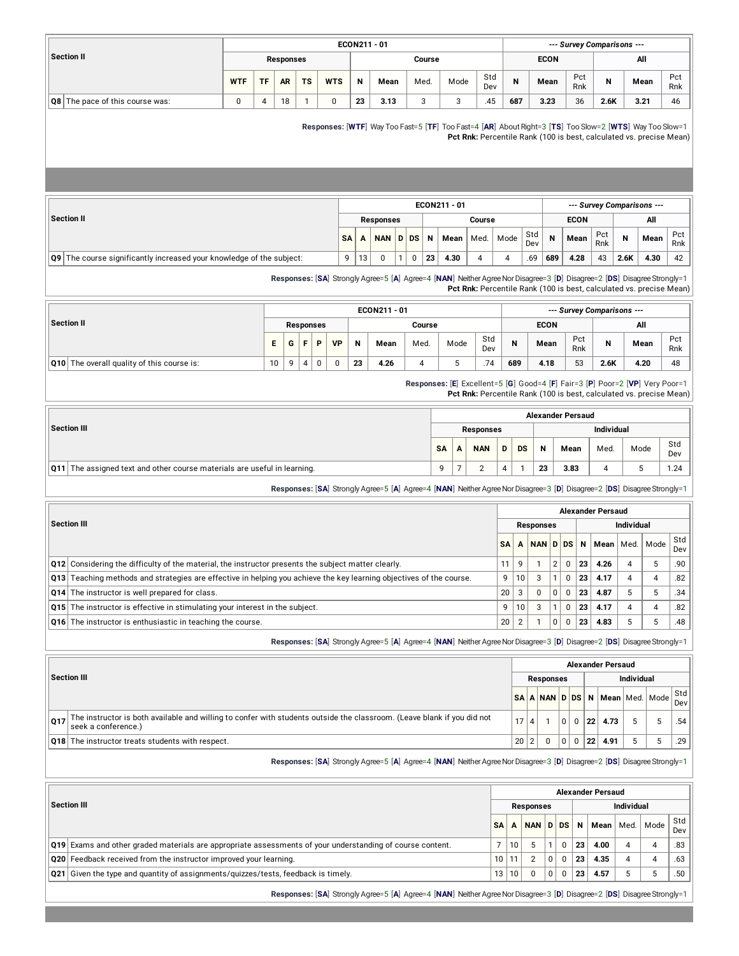|                                                                          |             |           |                  |                  |             |             |    | ECON211 - 01     |                             |                         |                     |                  |                |              |             | --- Survey Comparisons --- |                   |                                                                                                                                                                                |            |
|--------------------------------------------------------------------------|-------------|-----------|------------------|------------------|-------------|-------------|----|------------------|-----------------------------|-------------------------|---------------------|------------------|----------------|--------------|-------------|----------------------------|-------------------|--------------------------------------------------------------------------------------------------------------------------------------------------------------------------------|------------|
| <b>Section II</b>                                                        |             |           | <b>Responses</b> |                  |             |             |    |                  |                             | Course                  |                     |                  |                |              | <b>ECON</b> |                            |                   | All                                                                                                                                                                            |            |
|                                                                          | <b>WTF</b>  | <b>TF</b> | AR               | <b>TS</b>        |             | <b>WTS</b>  | N  | Mean             |                             | Med.                    | Mode                | Std<br>Dev       | N              |              | Mean        | Pct<br>Rnk                 | N                 | Mean                                                                                                                                                                           | Pct<br>Rnk |
| Q8 The pace of this course was:                                          | $\mathbf 0$ | $\pmb{4}$ | 18               | $\mathbf{1}$     |             | $\mathbf 0$ | 23 | 3.13             |                             | 3                       | 3                   | .45              | 687            |              | 3.23        | 36                         | 2.6K              | 3.21                                                                                                                                                                           | 46         |
|                                                                          |             |           |                  |                  |             |             |    |                  |                             |                         |                     |                  |                |              |             |                            |                   | Responses: [WTF] Way Too Fast=5 [TF] Too Fast=4 [AR] About Right=3 [TS] Too Slow=2 [WTS] Way Too Slow=1<br>Pct Rnk: Percentile Rank (100 is best, calculated vs. precise Mean) |            |
|                                                                          |             |           |                  |                  |             |             |    |                  |                             |                         | ECON211 - 01        |                  |                |              |             |                            |                   | --- Survey Comparisons ---                                                                                                                                                     |            |
| <b>Section II</b>                                                        |             |           |                  |                  |             |             |    | <b>Responses</b> |                             |                         |                     | Course           |                |              |             | <b>ECON</b>                |                   | All                                                                                                                                                                            |            |
|                                                                          |             |           |                  |                  |             | <b>SA</b>   | Α  | <b>NAN</b>       | D DS                        | N                       | Mean                | Med.             | Mode           | Std<br>Dev   | N           | Mean                       | Pct<br>Rnk        | N<br>Mean                                                                                                                                                                      | Pct<br>Rnk |
| Q9 The course significantly increased your knowledge of the subject:     |             |           |                  |                  |             | 9           | 13 | $\mathbf 0$      | $\mathbf{1}$<br>$\mathbf 0$ | 23                      | 4.30                | $\overline{4}$   | 4              | .69          | 689         | 4.28                       | 43                | 2.6K<br>4.30                                                                                                                                                                   | 42         |
|                                                                          |             |           |                  |                  |             |             |    | ECON211 - 01     |                             |                         |                     |                  |                |              |             | --- Survey Comparisons --- |                   | Pct Rnk: Percentile Rank (100 is best, calculated vs. precise Mean)                                                                                                            |            |
| <b>Section II</b>                                                        |             |           |                  | <b>Responses</b> |             |             |    |                  |                             | Course                  |                     |                  |                |              | <b>ECON</b> |                            |                   | All                                                                                                                                                                            |            |
|                                                                          |             | E         | G                | F                | P           | <b>VP</b>   | N  | Mean             |                             | Med.                    | Mode                | Std<br>Dev       | N              |              | Mean        | Pct<br>Rnk                 | N                 | Mean                                                                                                                                                                           | Pct<br>Rnk |
| Q10 The overall quality of this course is:                               |             | 10        | 9                | $\overline{4}$   | $\mathbf 0$ | 0           | 23 | 4.26             |                             | $\overline{\mathbf{4}}$ | 5                   | .74              | 689            |              | 4.18        | 53                         | 2.6K              | 4.20                                                                                                                                                                           | 48         |
|                                                                          |             |           |                  |                  |             |             |    |                  |                             |                         |                     |                  |                |              |             |                            |                   | Responses: [E] Excellent=5 [G] Good=4 [F] Fair=3 [P] Poor=2 [VP] Very Poor=1<br>Pct Rnk: Percentile Rank (100 is best, calculated vs. precise Mean)                            |            |
|                                                                          |             |           |                  |                  |             |             |    |                  |                             |                         |                     |                  |                |              |             | <b>Alexander Persaud</b>   |                   |                                                                                                                                                                                |            |
| <b>Section III</b>                                                       |             |           |                  |                  |             |             |    |                  |                             |                         |                     | <b>Responses</b> |                |              |             |                            | <b>Individual</b> |                                                                                                                                                                                |            |
|                                                                          |             |           |                  |                  |             |             |    |                  |                             |                         | <b>SA</b><br>A      | <b>NAN</b>       | D              | <b>DS</b>    | N           | Mean                       | Med.              | Mode                                                                                                                                                                           | Std<br>Dev |
|                                                                          |             |           |                  |                  |             |             |    |                  |                             |                         |                     |                  |                |              |             |                            |                   |                                                                                                                                                                                |            |
| Q11 The assigned text and other course materials are useful in learning. |             |           |                  |                  |             |             |    |                  |                             |                         | $\overline{7}$<br>9 | $\overline{2}$   | $\overline{4}$ | $\mathbf{1}$ | 23          | 3.83                       | 4                 | 5                                                                                                                                                                              |            |
|                                                                          |             |           |                  |                  |             |             |    |                  |                             |                         |                     |                  |                |              |             |                            |                   | Responses: [SA] Strongly Agree=5 [A] Agree=4 [NAN] Neither Agree Nor Disagree=3 [D] Disagree=2 [DS] Disagree Strongly=1                                                        | 1.24       |
|                                                                          |             |           |                  |                  |             |             |    |                  |                             |                         |                     |                  |                |              |             | <b>Alexander Persaud</b>   |                   |                                                                                                                                                                                |            |

|                                                                                                                            | <b>SA</b> |                 | NAN D DS |   |    | N   Mean   Med. | Mode | ow<br>Dev |
|----------------------------------------------------------------------------------------------------------------------------|-----------|-----------------|----------|---|----|-----------------|------|-----------|
| $\vert$ Q12 Considering the difficulty of the material, the instructor presents the subject matter clearly.                |           |                 |          |   | 23 | 4.26            |      | .90       |
| <b>Q13</b> Teaching methods and strategies are effective in helping you achieve the key learning objectives of the course. | q         | 10 <sub>1</sub> |          |   | 23 | 4.17            |      | .82       |
| <b>Q14</b> The instructor is well prepared for class.                                                                      | 20        |                 |          | 0 | 23 | 4.87            |      | 34        |
| <b>Q15</b> The instructor is effective in stimulating your interest in the subject.                                        | 9         | 10              |          |   | 23 | 4.17            |      | 82        |
| <b>Q16</b> The instructor is enthusiastic in teaching the course.                                                          | 20        |                 |          |   | 23 | 4.83            |      | 48        |

**Responses:** [SA] Strongly Agree=5 [A] Agree=4 [NAN] Neither Agree Nor Disagree=3 [D] Disagree=2 [DS] Disagree Strongly=1

|                                                                                                                                                       |      |                  |          |          |    | <b>Alexander Persaud</b> |                   |                                |            |
|-------------------------------------------------------------------------------------------------------------------------------------------------------|------|------------------|----------|----------|----|--------------------------|-------------------|--------------------------------|------------|
| Section III                                                                                                                                           |      | <b>Responses</b> |          |          |    |                          | <b>Individual</b> |                                |            |
|                                                                                                                                                       |      |                  |          |          |    |                          |                   | SA A NAN D DS N Mean Med. Mode | Std<br>Dev |
| The instructor is both available and willing to confer with students outside the classroom. (Leave blank if you did not<br>017<br>seek a conference.) | 17 4 |                  | $\Omega$ | $\Omega$ | 22 | 4.73                     |                   |                                | .54        |
| Q18 The instructor treats students with respect.                                                                                                      | 20 2 |                  | $\Omega$ | $\Omega$ | 22 | 4.91                     |                   |                                | .29        |

**Responses:** [**SA**] Strongly Agree=5 [**A**] Agree=4 [**NAN**] NeitherAgreeNorDisagree=3 [**D**] Disagree=2 [**DS**] DisagreeStrongly=1

|                                                                                                           |       |       |           |          |          |                 | <b>Alexander Persaud</b> |            |           |            |
|-----------------------------------------------------------------------------------------------------------|-------|-------|-----------|----------|----------|-----------------|--------------------------|------------|-----------|------------|
| <b>Section III</b>                                                                                        |       |       | Responses |          |          |                 |                          | Individual |           |            |
|                                                                                                           | SΔ    |       |           |          |          |                 | NAN D DS N Mean          |            | Med. Mode | Std<br>Dev |
| Q19 Exams and other graded materials are appropriate assessments of your understanding of course content. |       | 10    |           |          | $\Omega$ | 23              | 4.00                     | 4          | 4         | .83        |
| Q20 Feedback received from the instructor improved your learning.                                         | 10 11 |       | $\Omega$  | 0        | $\Omega$ | 23 <sup>1</sup> | 4.35                     | 4          | 4         | .63        |
| $\vert$ Q21 Given the type and quantity of assignments/quizzes/tests, feedback is timely.                 |       | 13 10 | $\Omega$  | $\Omega$ | $\Omega$ | 23              | 4.57                     |            |           | .50        |

**Responses:** [SA] Strongly Agree=5 [A] Agree=4 [NAN] Neither Agree Nor Disagree=3 [D] Disagree=2 [DS] Disagree Strongly=1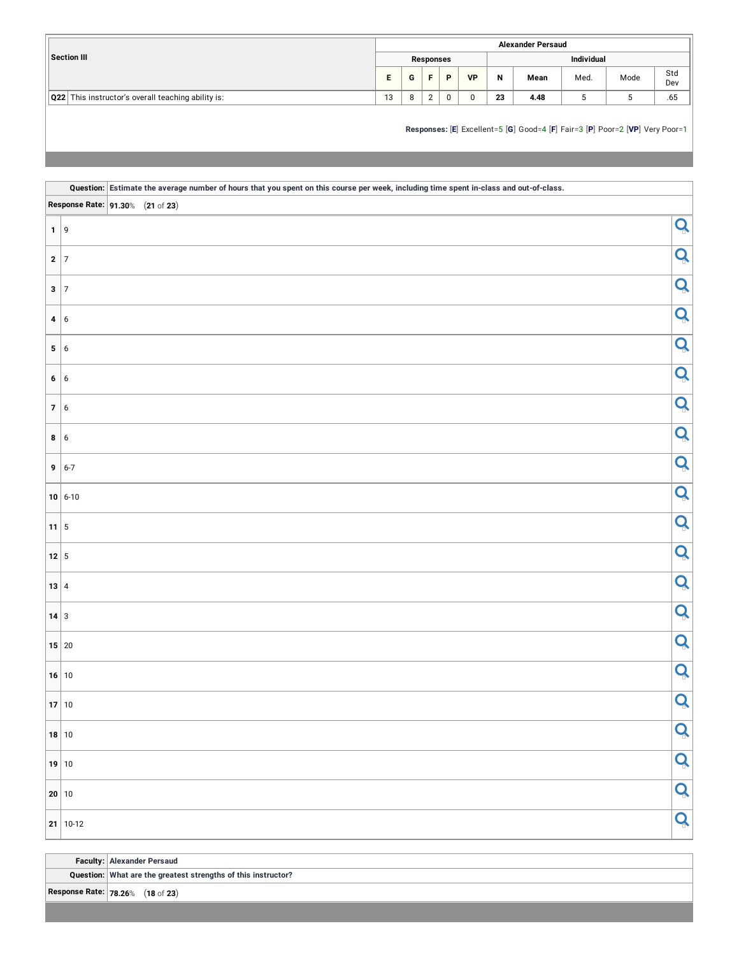|                                                    |    |   |            |   |           |    | <b>Alexander Persaud</b> |                   |      |            |
|----------------------------------------------------|----|---|------------|---|-----------|----|--------------------------|-------------------|------|------------|
| <b>Section III</b>                                 |    |   | Responses  |   |           |    |                          | <b>Individual</b> |      |            |
|                                                    |    | G |            | D | <b>VP</b> | N  | Mean                     | Med.              | Mode | Std<br>Dev |
| Q22 This instructor's overall teaching ability is: | 13 |   | $\sqrt{2}$ | 0 |           | 23 | 4.48                     |                   |      | .65        |

#### **Responses:** [**E**] Excellent=5 [**G**] Good=4 [**F**] Fair=3 [**P**] Poor=2 [**VP**] Very Poor=1

|                       |                                  | Question: Estimate the average number of hours that you spent on this course per week, including time spent in-class and out-of-class. |   |
|-----------------------|----------------------------------|----------------------------------------------------------------------------------------------------------------------------------------|---|
|                       | Response Rate: 91.30% (21 of 23) |                                                                                                                                        |   |
| 1 9                   |                                  |                                                                                                                                        | Q |
| $2 \mid 7$            |                                  |                                                                                                                                        | Q |
| $3 \mid 7$            |                                  |                                                                                                                                        | Q |
| 4 6                   |                                  |                                                                                                                                        | Q |
| 5 6                   |                                  |                                                                                                                                        | Q |
| 6 6                   |                                  |                                                                                                                                        | Q |
| 7 6                   |                                  |                                                                                                                                        | Q |
| 8 6                   |                                  |                                                                                                                                        | Q |
|                       | $9   6-7$                        |                                                                                                                                        | Q |
|                       | $10 6-10$                        |                                                                                                                                        | Q |
| $11 \mid 5$           |                                  |                                                                                                                                        | Q |
| $12 \mid 5$           |                                  |                                                                                                                                        | Q |
| $13 \mid 4$           |                                  |                                                                                                                                        | Q |
| $14 \mid 3$           |                                  |                                                                                                                                        | Q |
| 15 20                 |                                  |                                                                                                                                        | Q |
| 16 10                 |                                  |                                                                                                                                        | Q |
| 17 10                 |                                  |                                                                                                                                        | Q |
| $18$ 10               |                                  |                                                                                                                                        | Q |
| 19 10                 |                                  |                                                                                                                                        | Q |
| $\vert$ 20 $\vert$ 10 |                                  |                                                                                                                                        | Q |
|                       | $21   10-12$                     |                                                                                                                                        | Q |

**Faculty: Alexander Persaud**

**Question: What are the greatest strengths of this instructor?**

**Response Rate: 78.26**% (**18** of **23**)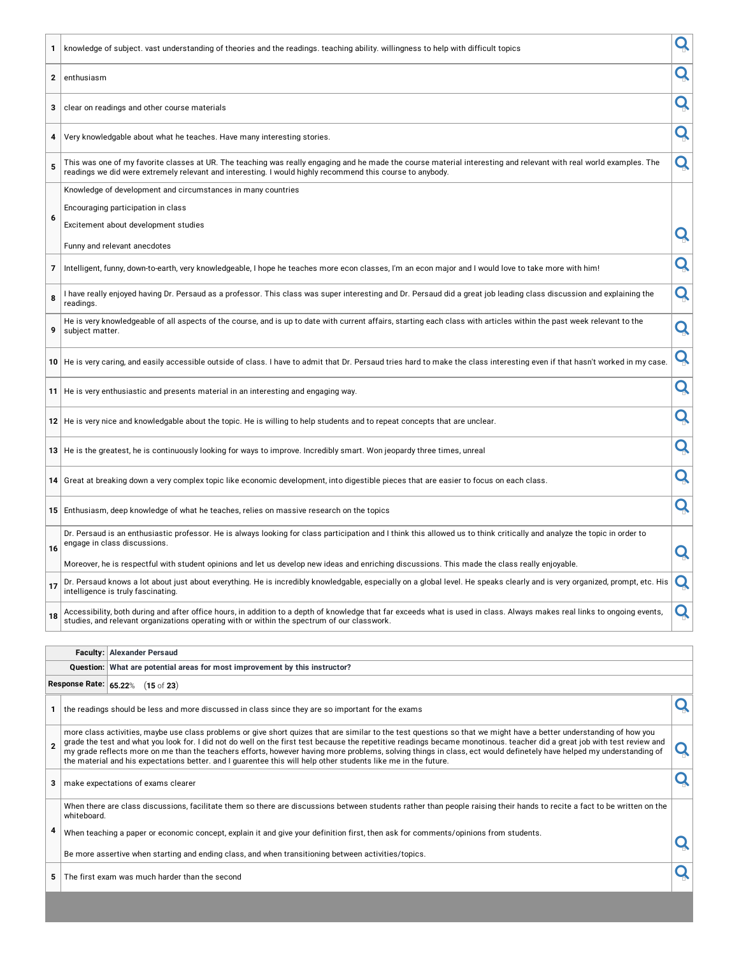| 1            | knowledge of subject. vast understanding of theories and the readings. teaching ability. willingness to help with difficult topics                                                                                                                                                                                                                                                                                                                                                                                                                                                                                                        | Q |
|--------------|-------------------------------------------------------------------------------------------------------------------------------------------------------------------------------------------------------------------------------------------------------------------------------------------------------------------------------------------------------------------------------------------------------------------------------------------------------------------------------------------------------------------------------------------------------------------------------------------------------------------------------------------|---|
| $\mathbf{2}$ | enthusiasm                                                                                                                                                                                                                                                                                                                                                                                                                                                                                                                                                                                                                                | Q |
| 3            | clear on readings and other course materials                                                                                                                                                                                                                                                                                                                                                                                                                                                                                                                                                                                              | Q |
| 4            | Very knowledgable about what he teaches. Have many interesting stories.                                                                                                                                                                                                                                                                                                                                                                                                                                                                                                                                                                   | Q |
| 5            | This was one of my favorite classes at UR. The teaching was really engaging and he made the course material interesting and relevant with real world examples. The<br>readings we did were extremely relevant and interesting. I would highly recommend this course to anybody.                                                                                                                                                                                                                                                                                                                                                           | Q |
|              | Knowledge of development and circumstances in many countries                                                                                                                                                                                                                                                                                                                                                                                                                                                                                                                                                                              |   |
|              | Encouraging participation in class                                                                                                                                                                                                                                                                                                                                                                                                                                                                                                                                                                                                        |   |
| 6            | Excitement about development studies                                                                                                                                                                                                                                                                                                                                                                                                                                                                                                                                                                                                      |   |
|              | Funny and relevant anecdotes                                                                                                                                                                                                                                                                                                                                                                                                                                                                                                                                                                                                              | Q |
| 7            | Intelligent, funny, down-to-earth, very knowledgeable, I hope he teaches more econ classes, I'm an econ major and I would love to take more with him!                                                                                                                                                                                                                                                                                                                                                                                                                                                                                     | Q |
| 8            | I have really enjoyed having Dr. Persaud as a professor. This class was super interesting and Dr. Persaud did a great job leading class discussion and explaining the<br>readings.                                                                                                                                                                                                                                                                                                                                                                                                                                                        | Q |
| 9            | He is very knowledgeable of all aspects of the course, and is up to date with current affairs, starting each class with articles within the past week relevant to the<br>subject matter.                                                                                                                                                                                                                                                                                                                                                                                                                                                  | Q |
|              | 10 He is very caring, and easily accessible outside of class. I have to admit that Dr. Persaud tries hard to make the class interesting even if that hasn't worked in my case.                                                                                                                                                                                                                                                                                                                                                                                                                                                            | Q |
|              |                                                                                                                                                                                                                                                                                                                                                                                                                                                                                                                                                                                                                                           |   |
|              | 11   He is very enthusiastic and presents material in an interesting and engaging way.                                                                                                                                                                                                                                                                                                                                                                                                                                                                                                                                                    | Q |
|              | $12$ $\mid$ He is very nice and knowledgable about the topic. He is willing to help students and to repeat concepts that are unclear.                                                                                                                                                                                                                                                                                                                                                                                                                                                                                                     | Q |
|              | $13$ $\mid$ He is the greatest, he is continuously looking for ways to improve. Incredibly smart. Won jeopardy three times, unreal                                                                                                                                                                                                                                                                                                                                                                                                                                                                                                        | Q |
|              | 14 Great at breaking down a very complex topic like economic development, into digestible pieces that are easier to focus on each class.                                                                                                                                                                                                                                                                                                                                                                                                                                                                                                  | Q |
|              | <b>15</b> Enthusiasm, deep knowledge of what he teaches, relies on massive research on the topics                                                                                                                                                                                                                                                                                                                                                                                                                                                                                                                                         | Q |
| 16           | Dr. Persaud is an enthusiastic professor. He is always looking for class participation and I think this allowed us to think critically and analyze the topic in order to<br>engage in class discussions.                                                                                                                                                                                                                                                                                                                                                                                                                                  | Q |
|              | Moreover, he is respectful with student opinions and let us develop new ideas and enriching discussions. This made the class really enjoyable.                                                                                                                                                                                                                                                                                                                                                                                                                                                                                            |   |
| 17           | Dr. Persaud knows a lot about just about everything. He is incredibly knowledgable, especially on a global level. He speaks clearly and is very organized, prompt, etc. His<br>intelligence is truly fascinating.                                                                                                                                                                                                                                                                                                                                                                                                                         |   |
| 18           | Accessibility, both during and after office hours, in addition to a depth of knowledge that far exceeds what is used in class. Always makes real links to ongoing events,<br>studies, and relevant organizations operating with or within the spectrum of our classwork.                                                                                                                                                                                                                                                                                                                                                                  | Q |
|              |                                                                                                                                                                                                                                                                                                                                                                                                                                                                                                                                                                                                                                           |   |
|              | <b>Alexander Persaud</b><br>Faculty:                                                                                                                                                                                                                                                                                                                                                                                                                                                                                                                                                                                                      |   |
|              | What are potential areas for most improvement by this instructor?<br><b>Question:</b>                                                                                                                                                                                                                                                                                                                                                                                                                                                                                                                                                     |   |
|              | Response Rate: 65.22% (15 of 23)                                                                                                                                                                                                                                                                                                                                                                                                                                                                                                                                                                                                          |   |
|              | 1 the readings should be less and more discussed in class since they are so important for the exams                                                                                                                                                                                                                                                                                                                                                                                                                                                                                                                                       | Q |
| $\mathbf{2}$ | more class activities, maybe use class problems or give short quizes that are similar to the test questions so that we might have a better understanding of how you<br>grade the test and what you look for. I did not do well on the first test because the repetitive readings became monotinous. teacher did a great job with test review and<br>my grade reflects more on me than the teachers efforts, however having more problems, solving things in class, ect would definetely have helped my understanding of<br>the material and his expectations better, and I guarentee this will help other students like me in the future. | Q |
| з            | make expectations of exams clearer                                                                                                                                                                                                                                                                                                                                                                                                                                                                                                                                                                                                        | Q |
|              | When there are class discussions, facilitate them so there are discussions between students rather than people raising their hands to recite a fact to be written on the<br>whiteboard.                                                                                                                                                                                                                                                                                                                                                                                                                                                   |   |
| 4            | When teaching a paper or economic concept, explain it and give your definition first, then ask for comments/opinions from students.                                                                                                                                                                                                                                                                                                                                                                                                                                                                                                       | Q |
|              | Be more assertive when starting and ending class, and when transitioning between activities/topics.                                                                                                                                                                                                                                                                                                                                                                                                                                                                                                                                       |   |
| 5            | The first exam was much harder than the second                                                                                                                                                                                                                                                                                                                                                                                                                                                                                                                                                                                            | Q |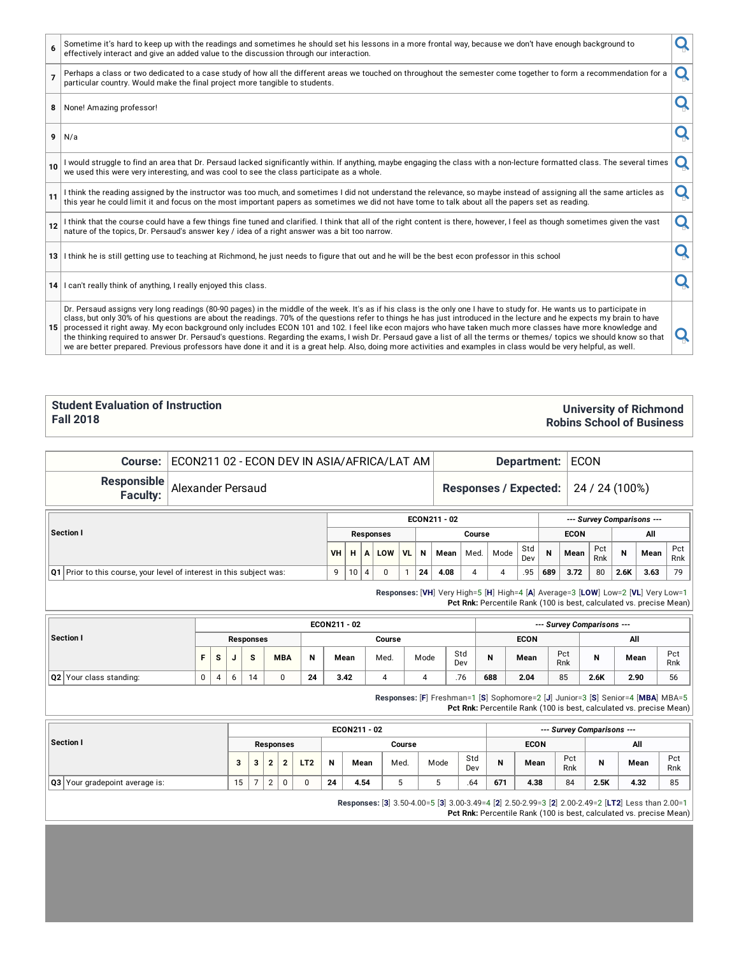|                | Dr. Persaud assigns very long readings (80-90 pages) in the middle of the week. It's as if his class is the only one I have to study for. He wants us to participate in<br>class, but only 30% of his questions are about the readings. 70% of the questions refer to things he has just introduced in the lecture and he expects my brain to have<br>15 processed it right away. My econ background only includes ECON 101 and 102. I feel like econ majors who have taken much more classes have more knowledge and<br>the thinking required to answer Dr. Persaud's questions. Regarding the exams, I wish Dr. Persaud gave a list of all the terms or themes/ topics we should know so that<br>we are better prepared. Previous professors have done it and it is a great help. Also, doing more activities and examples in class would be very helpful, as well. |   |
|----------------|-----------------------------------------------------------------------------------------------------------------------------------------------------------------------------------------------------------------------------------------------------------------------------------------------------------------------------------------------------------------------------------------------------------------------------------------------------------------------------------------------------------------------------------------------------------------------------------------------------------------------------------------------------------------------------------------------------------------------------------------------------------------------------------------------------------------------------------------------------------------------|---|
|                | 14 I can't really think of anything, I really enjoyed this class.                                                                                                                                                                                                                                                                                                                                                                                                                                                                                                                                                                                                                                                                                                                                                                                                     |   |
|                | 13 I think he is still getting use to teaching at Richmond, he just needs to figure that out and he will be the best econ professor in this school                                                                                                                                                                                                                                                                                                                                                                                                                                                                                                                                                                                                                                                                                                                    |   |
| 12             | I think that the course could have a few things fine tuned and clarified. I think that all of the right content is there, however, I feel as though sometimes given the vast<br>nature of the topics, Dr. Persaud's answer key / idea of a right answer was a bit too narrow.                                                                                                                                                                                                                                                                                                                                                                                                                                                                                                                                                                                         | Q |
| 11             | I think the reading assigned by the instructor was too much, and sometimes I did not understand the relevance, so maybe instead of assigning all the same articles as<br>this year he could limit it and focus on the most important papers as sometimes we did not have tome to talk about all the papers set as reading.                                                                                                                                                                                                                                                                                                                                                                                                                                                                                                                                            | O |
| 10             | I would struggle to find an area that Dr. Persaud lacked significantly within. If anything, maybe engaging the class with a non-lecture formatted class. The several times<br>we used this were very interesting, and was cool to see the class participate as a whole.                                                                                                                                                                                                                                                                                                                                                                                                                                                                                                                                                                                               | Q |
|                | $9$ N/a                                                                                                                                                                                                                                                                                                                                                                                                                                                                                                                                                                                                                                                                                                                                                                                                                                                               |   |
| 8              | None! Amazing professor!                                                                                                                                                                                                                                                                                                                                                                                                                                                                                                                                                                                                                                                                                                                                                                                                                                              |   |
| $\overline{7}$ | Perhaps a class or two dedicated to a case study of how all the different areas we touched on throughout the semester come together to form a recommendation for a<br>particular country. Would make the final project more tangible to students.                                                                                                                                                                                                                                                                                                                                                                                                                                                                                                                                                                                                                     | O |
|                | Sometime it's hard to keep up with the readings and sometimes he should set his lessons in a more frontal way, because we don't have enough background to<br>effectively interact and give an added value to the discussion through our interaction.                                                                                                                                                                                                                                                                                                                                                                                                                                                                                                                                                                                                                  |   |

#### **Student Evaluation of Instruction Fall 2018**

#### **University of Richmond Robins School of Business**

**Course:** ECON211 02 - ECON DEV IN ASIA/AFRICA/LAT AM **Department:** ECON

**Responsible**

Alexander Persaud **Responses / Expected:** 24 / 24 (100%)

**Faculty:**

**Section I ECON211 - 02** *--- Survey Comparisons ---* **Responses Course ECON All VH H A LOW VL N Mean** Med. Mode Std Dev **N Mean** Pct Rnk **N Mean** Pct Rnk **Q1** Prior to this course, your level of interest in this subject was: 9 10 4 0 1 **24 4.08** 4 4 .95 **689 3.72** 80 **2.6K 3.63** 79

**Responses:** [**VH**] Very High=5 [**H**] High=4 [**A**] Average=3 [**LOW**] Low=2 [**VL**] Very Low=1 **Pct Rnk:** Percentile Rank (100 is best, calculated vs. precise Mean)

|                         |    |              |                |            |    | ECON211 - 02 |        |      |            |     |             |            | --- Survey Comparisons --- |      |            |
|-------------------------|----|--------------|----------------|------------|----|--------------|--------|------|------------|-----|-------------|------------|----------------------------|------|------------|
| Section I               |    |              | Responses      |            |    |              | Course |      |            |     | <b>ECON</b> |            |                            | All  |            |
|                         | Е. | <sub>S</sub> | $\bullet$<br>ъ | <b>MBA</b> | N  | Mean         | Med.   | Mode | Std<br>Dev | N   | Mean        | Pct<br>Rnk | N                          | Mean | Pct<br>Rnk |
| Q2 Your class standing: | 0  | 4            | 14             | 0          | 24 | 3.42         | 4      |      | .76        | 688 | 2.04        | 85         | 2.6K                       | 2.90 | 56         |

**Responses:** [**F**] Freshman=1 [**S**] Sophomore=2 [**J**] Junior=3 [**S**] Senior=4 [**MBA**] MBA=5 **Pct Rnk:** Percentile Rank (100 is best, calculated vs. precise Mean)

|                                       |    |   |                  |                 |    | ECON211 - 02 |        |      |            |     |             |            | --- Survey Comparisons --- |      |            |
|---------------------------------------|----|---|------------------|-----------------|----|--------------|--------|------|------------|-----|-------------|------------|----------------------------|------|------------|
| Section I                             |    |   | <b>Responses</b> |                 |    |              | Course |      |            |     | <b>ECON</b> |            |                            | All  |            |
|                                       |    | ີ |                  | LT <sub>2</sub> | N  | Mean         | Med.   | Mode | Std<br>Dev | N   | Mean        | Pct<br>Rnk | N                          | Mean | Pct<br>Rnk |
| <b>Q3</b> Your gradepoint average is: | 15 |   |                  | $\Omega$        | 24 | 4.54         | w      |      | .64        | 671 | 4.38        | 84         | 2.5K                       | 4.32 | 85         |

**Responses:** [**3**] 3.50-4.00=5 [**3**] 3.00-3.49=4 [**2**] 2.50-2.99=3 [**2**] 2.00-2.49=2 [**LT2**] Less than 2.00=1

**Pct Rnk:** Percentile Rank (100 is best, calculated vs. precise Mean)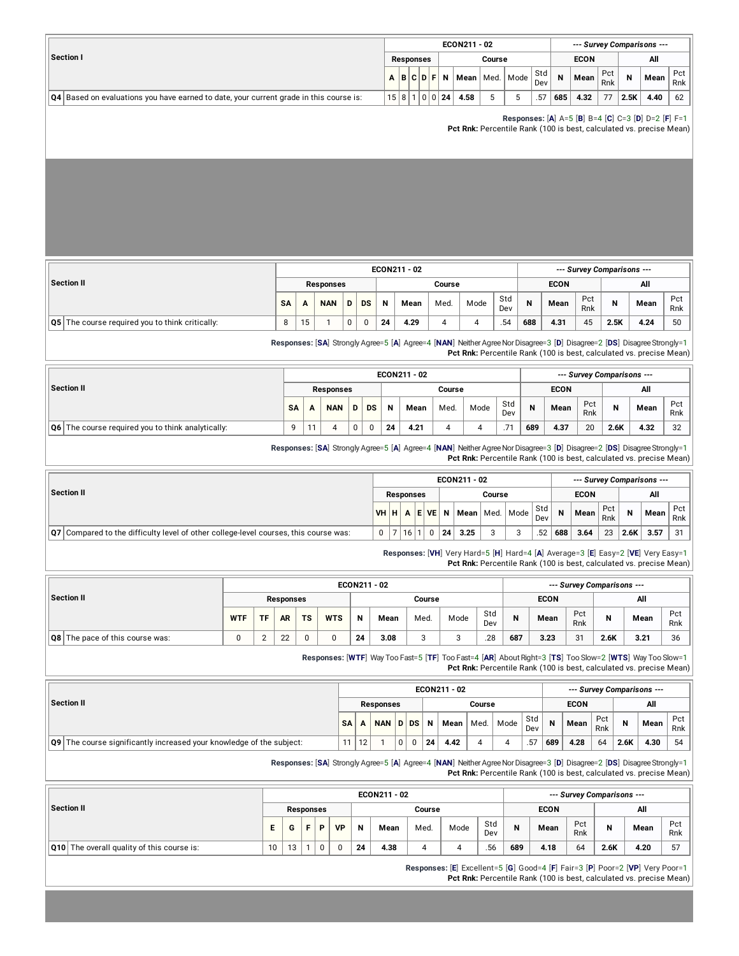|                                                                                        |                     |  |           |      | ECON211 - 02       |        |            |     |             |            |      | --- Survey Comparisons --- |            |
|----------------------------------------------------------------------------------------|---------------------|--|-----------|------|--------------------|--------|------------|-----|-------------|------------|------|----------------------------|------------|
| Section I                                                                              |                     |  | Responses |      |                    | Course |            |     | <b>ECON</b> |            |      | All                        |            |
|                                                                                        | $A$ $B$ $C$ $D$ $F$ |  |           | N    | Mean   Med.   Mode |        | Std<br>Dev | N   | Mean        | Pct<br>Rnk |      | Mean                       | Pct<br>Rnk |
| Q4 Based on evaluations you have earned to date, your current grade in this course is: | 15 8                |  |           | 0024 | 4.58               |        | .57        | 685 | 4.32        | 77         | 2.5K | 4.40                       | 62         |

**Responses:** [**A**] A=5 [**B**] B=4 [**C**] C=3 [**D**] D=2 [**F**] F=1

**Pct Rnk:** Percentile Rank (100 is best, calculated vs. precise Mean)

|                                                        |           |    |                  |   |           |    | ECON211 - 02 |        |      |            |     |             |            | --- Survey Comparisons --- |      |            |
|--------------------------------------------------------|-----------|----|------------------|---|-----------|----|--------------|--------|------|------------|-----|-------------|------------|----------------------------|------|------------|
| <b>Section II</b>                                      |           |    | <b>Responses</b> |   |           |    |              | Course |      |            |     | <b>ECON</b> |            |                            | All  |            |
|                                                        | <b>SA</b> | A  | <b>NAN</b>       | D | <b>DS</b> | N  | Mean         | Med.   | Mode | Std<br>Dev | N   | Mean        | Pct<br>Rnk | N                          | Mean | Pct<br>Rnk |
| <b>Q5</b> The course required you to think critically: | 8         | 15 |                  | 0 | $\Omega$  | 24 | 4.29         | 4      | Δ    | .54        | 688 | 4.31        | 45         | 2.5K                       | 4.24 | 50         |

**Responses:** [**SA**] Strongly Agree=5 [**A**] Agree=4 [**NAN**] NeitherAgreeNorDisagree=3 [**D**] Disagree=2 [**DS**] DisagreeStrongly=1 **Pct Rnk:** Percentile Rank (100 is best, calculated vs. precise Mean)

|                                                        |           |   |                  |   |           |    | ECON211 - 02 |        |      |            |     |             |            | --- Survey Comparisons --- |      |            |
|--------------------------------------------------------|-----------|---|------------------|---|-----------|----|--------------|--------|------|------------|-----|-------------|------------|----------------------------|------|------------|
| Section II                                             |           |   | <b>Responses</b> |   |           |    |              | Course |      |            |     | <b>ECON</b> |            |                            | All  |            |
|                                                        | <b>SA</b> | A | <b>NAN</b>       | D | <b>DS</b> | N  | Mean         | Med.   | Mode | Std<br>Dev | N   | Mean        | Pct<br>Rnk | N                          | Mean | Pct<br>Rnk |
| The course required you to think analytically:<br>  06 | $\Omega$  |   |                  |   |           | 24 | 4.21         |        |      | $\cdot$    | 689 | 4.37        | 20         | 2.6K                       | 4.32 | 32         |

**Responses:** [SA] Strongly Agree=5 [A] Agree=4 [NAN] Neither Agree Nor Disagree=3 [D] Disagree=2 [DS] Disagree Strongly=1 **Pct Rnk:** Percentile Rank (100 is best, calculated vs. precise Mean)

|                                                                                        |          |                  |   |    | ECON211 - 02 |        |                    |            |     | --- Survey Comparisons --- |            |      |      |            |
|----------------------------------------------------------------------------------------|----------|------------------|---|----|--------------|--------|--------------------|------------|-----|----------------------------|------------|------|------|------------|
| Section II                                                                             |          | <b>Responses</b> |   |    |              | Course |                    |            |     | <b>ECON</b>                |            |      | All  |            |
|                                                                                        | VHHAEVEN |                  |   |    |              |        | Mean   Med.   Mode | Std<br>Dev | N   | Mean                       | Pct<br>Rnk |      | Mean | Pct<br>Rnk |
| Q7   Compared to the difficulty level of other college-level courses, this course was: |          | 16 <sub>1</sub>  | 0 | 24 | 3.25         | $\sim$ |                    | .52        | 688 | 3.64                       | 23         | 2.6K | 3.57 | 31         |

**Responses:** [**VH**] Very Hard=5 [**H**] Hard=4 [**A**] Average=3 [**E**] Easy=2 [**VE**] Very Easy=1 **Pct Rnk:** Percentile Rank (100 is best, calculated vs. precise Mean)

|                                        |            |           |           |           |            |    | ECON211 - 02 |        |      |            |     |             |            | --- Survey Comparisons --- |      |            |
|----------------------------------------|------------|-----------|-----------|-----------|------------|----|--------------|--------|------|------------|-----|-------------|------------|----------------------------|------|------------|
| Section II                             |            |           | Responses |           |            |    |              | Course |      |            |     | <b>ECON</b> |            |                            | All  |            |
|                                        | <b>WTF</b> | <b>TF</b> | <b>AR</b> | <b>TS</b> | <b>WTS</b> | N  | Mean         | Med.   | Mode | Std<br>Dev | N   | Mean        | Pct<br>Rnk | N                          | Mean | Pct<br>Rnk |
| <b>Q8</b> The pace of this course was: |            |           | ົດ<br>∠∠  |           |            | 24 | 3.08         |        | J    | .28        | 687 | 3.23        | 31         | 2.6K                       | 3.21 | 36         |

**Responses:** [**WTF**] Way Too Fast=5 [**TF**] Too Fast=4 [**AR**] AboutRight=3 [**TS**] Too Slow=2 [**WTS**] Way Too Slow=1 **Pct Rnk:** Percentile Rank (100 is best, calculated vs. precise Mean)

|                                                                          |           |    |                  |                |              |    | ECON211 - 02 |        |      |            |     |             |            |      | --- Survey Comparisons --- |            |
|--------------------------------------------------------------------------|-----------|----|------------------|----------------|--------------|----|--------------|--------|------|------------|-----|-------------|------------|------|----------------------------|------------|
| Section II                                                               |           |    | <b>Responses</b> |                |              |    |              | Course |      |            |     | <b>ECON</b> |            |      | All                        |            |
|                                                                          | <b>SA</b> |    | NAN DDS          |                |              | N  | Mean         | Med.   | Mode | Std<br>Dev | N   | Mean        | Pct<br>Rnk | N    | Mean                       | Pct<br>Rnk |
| $\log$ The course significantly increased your knowledge of the subject: | 11        | 12 |                  | 0 <sup>1</sup> | $\mathbf{0}$ | 24 | 4.42         |        |      | .57        | 689 | 4.28        | 64         | 2.6K | 4.30                       | 54         |

**Responses:** [**SA**] Strongly Agree=5 [**A**] Agree=4 [**NAN**] NeitherAgreeNorDisagree=3 [**D**] Disagree=2 [**DS**] DisagreeStrongly=1 **Pct Rnk:** Percentile Rank (100 is best, calculated vs. precise Mean)

|                                               |    |        |                  |   |           |    | ECON211 - 02 |        |      |            |     |             |            | --- Survey Comparisons --- |      |            |
|-----------------------------------------------|----|--------|------------------|---|-----------|----|--------------|--------|------|------------|-----|-------------|------------|----------------------------|------|------------|
| Section II                                    |    |        | <b>Responses</b> |   |           |    |              | Course |      |            |     | <b>ECON</b> |            |                            | All  |            |
|                                               | Е  | G      |                  | Þ | <b>VP</b> | N  | Mean         | Med.   | Mode | Std<br>Dev | N   | Mean        | Pct<br>Rnk | N                          | Mean | Pct<br>Rnk |
| The overall quality of this course is:<br>Q10 | 10 | $\sim$ |                  | 0 | 0         | 24 | 4.38         |        |      | .56        | 689 | 4.18        | 64         | 2.6K                       | 4.20 | 57         |

**Responses:** [**E**] Excellent=5 [**G**] Good=4 [**F**] Fair=3 [**P**] Poor=2 [**VP**] Very Poor=1 **Pct Rnk:** Percentile Rank (100 is best, calculated vs. precise Mean)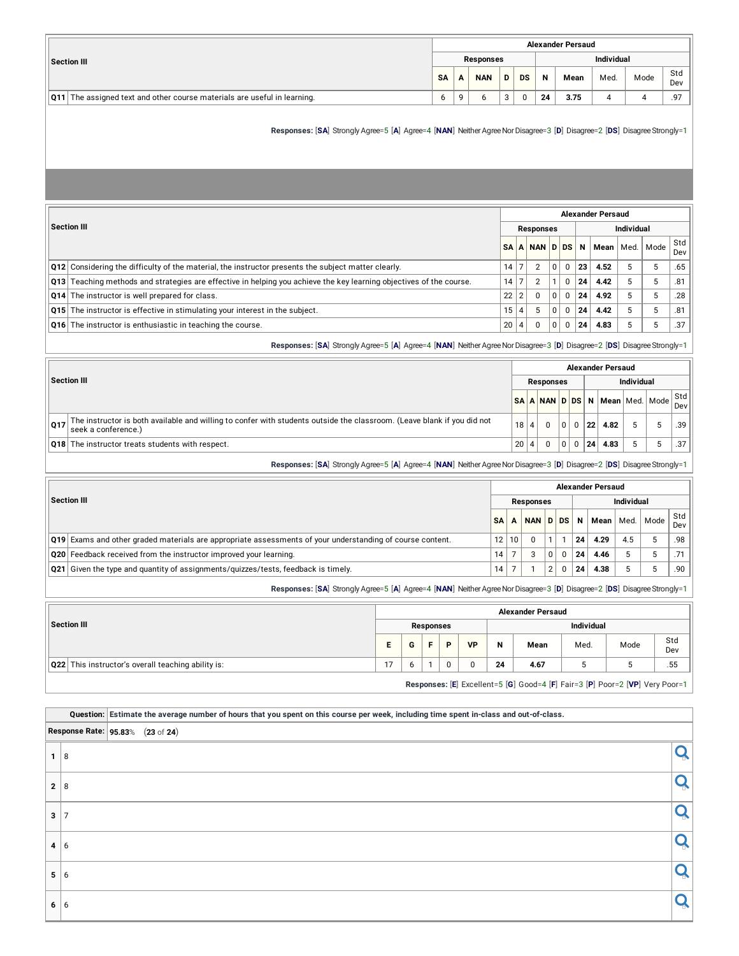|                                                                                 |           |   |                  |   |    |    | <b>Alexander Persaud</b> |                   |      |                |
|---------------------------------------------------------------------------------|-----------|---|------------------|---|----|----|--------------------------|-------------------|------|----------------|
| <b>Section III</b>                                                              |           |   | <b>Responses</b> |   |    |    |                          | <b>Individual</b> |      |                |
|                                                                                 | <b>SA</b> | А | <b>NAN</b>       | D | DS | N  | Mean                     | Med.              | Mode | Std<br>Dev     |
| <b>Q11</b> The assigned text and other course materials are useful in learning. | b         |   | b                | 3 |    | 24 | 3.75                     |                   |      | Q <sub>7</sub> |

**Responses:** [**SA**] Strongly Agree=5 [**A**] Agree=4 [**NAN**] NeitherAgreeNorDisagree=3 [**D**] Disagree=2 [**DS**] DisagreeStrongly=1

|                                                                                                                     | <b>Alexander Persaud</b> |         |                  |   |          |                   |      |      |      |            |  |  |  |  |
|---------------------------------------------------------------------------------------------------------------------|--------------------------|---------|------------------|---|----------|-------------------|------|------|------|------------|--|--|--|--|
| <b>Section III</b>                                                                                                  |                          |         | <b>Responses</b> |   |          | <b>Individual</b> |      |      |      |            |  |  |  |  |
|                                                                                                                     |                          |         | SAANANDDSN       |   |          |                   | Mean | Med. | Mode | Std<br>Dev |  |  |  |  |
| Q12 Considering the difficulty of the material, the instructor presents the subject matter clearly.                 | 14                       | ⇁       | $\overline{2}$   | 0 | $\Omega$ | 23                | 4.52 | 5    | ÷.   | .65        |  |  |  |  |
| Q13 Teaching methods and strategies are effective in helping you achieve the key learning objectives of the course. | 14                       | ⇁       | $\overline{2}$   |   | $\Omega$ | 24                | 4.42 | -5   | 5    | .81        |  |  |  |  |
| Q14 The instructor is well prepared for class.                                                                      | 22                       | 2       | $\Omega$         | 0 | $\Omega$ | 24                | 4.92 | -5   |      | .28        |  |  |  |  |
| Q15 The instructor is effective in stimulating your interest in the subject.                                        | 15                       | $\vert$ | 5                | 0 | $\Omega$ | 24                | 4.42 | -5   | -5   | .81        |  |  |  |  |
| Q16 The instructor is enthusiastic in teaching the course.                                                          | 20                       | 4       | 0                | 0 | 0        | 24                | 4.83 | 5    | C.   | .37        |  |  |  |  |

**Responses:** [**SA**] Strongly Agree=5 [**A**] Agree=4 [**NAN**] NeitherAgreeNorDisagree=3 [**D**] Disagree=2 [**DS**] DisagreeStrongly=1

|     |                                                                                                                                                | <b>Alexander Persaud</b> |  |                  |   |   |                     |      |   |                                |            |  |  |  |  |
|-----|------------------------------------------------------------------------------------------------------------------------------------------------|--------------------------|--|------------------|---|---|---------------------|------|---|--------------------------------|------------|--|--|--|--|
|     | <b>Section III</b>                                                                                                                             |                          |  | <b>Responses</b> |   |   | <b>Individual</b>   |      |   |                                |            |  |  |  |  |
|     |                                                                                                                                                |                          |  |                  |   |   |                     |      |   | SA A NAN D DS N Mean Med. Mode | Std<br>Dev |  |  |  |  |
| 017 | The instructor is both available and willing to confer with students outside the classroom. (Leave blank if you did not<br>seek a conference.) | 18                       |  |                  |   | 0 | $^{\circ}$ 22 $\pm$ | 4.82 | 5 |                                | .39        |  |  |  |  |
|     | Q18 The instructor treats students with respect.                                                                                               | 20                       |  | $\Omega$         | 0 | 0 | 24 <sup>1</sup>     | 4.83 | 5 |                                | .37        |  |  |  |  |
|     |                                                                                                                                                |                          |  |                  |   |   |                     |      |   |                                |            |  |  |  |  |

**Responses:** [SA] Strongly Agree=5 [A] Agree=4 [NAN] Neither Agree Nor Disagree=3 [D] Disagree=2 [DS] Disagree Strongly=1

|                                                                                                                  | <b>Alexander Persaud</b> |       |                  |               |          |    |                        |     |  |              |  |  |  |
|------------------------------------------------------------------------------------------------------------------|--------------------------|-------|------------------|---------------|----------|----|------------------------|-----|--|--------------|--|--|--|
| <b>Section III</b>                                                                                               |                          |       | <b>Responses</b> |               |          |    | <b>Individual</b>      |     |  |              |  |  |  |
|                                                                                                                  | <b>SA</b>                |       | NAN D DS         |               |          |    | N   Mean   Med.   Mode |     |  | Std  <br>Dev |  |  |  |
|                                                                                                                  |                          |       |                  |               |          |    |                        |     |  |              |  |  |  |
| <b>Q19</b> Exams and other graded materials are appropriate assessments of your understanding of course content. |                          | 12 10 | $\Omega$         |               |          | 24 | 4.29                   | 4.5 |  | .98          |  |  |  |
| Q20 Feedback received from the instructor improved your learning.                                                | 14                       |       | 3                |               | $\Omega$ | 24 | 4.46                   |     |  |              |  |  |  |
| Q21 Given the type and quantity of assignments/quizzes/tests, feedback is timely.                                | 14                       |       |                  | $\mathcal{D}$ | $\Omega$ | 24 | 4.38                   |     |  | .90          |  |  |  |

**Responses:** [**SA**] Strongly Agree=5 [**A**] Agree=4 [**NAN**] NeitherAgreeNorDisagree=3 [**D**] Disagree=2 [**DS**] DisagreeStrongly=1

|                                                    |    |   |           |   |           |    | <b>Alexander Persaud</b> |                   |                                                                              |            |
|----------------------------------------------------|----|---|-----------|---|-----------|----|--------------------------|-------------------|------------------------------------------------------------------------------|------------|
| Section III                                        |    |   | Responses |   |           |    |                          | <b>Individual</b> |                                                                              |            |
|                                                    | Е. | G |           | D | <b>VP</b> | N  | Mean                     | Med.              | Mode                                                                         | Std<br>Dev |
| Q22 This instructor's overall teaching ability is: | 17 |   |           |   | 0         | 24 | 4.67                     | 5                 |                                                                              | .55        |
|                                                    |    |   |           |   |           |    |                          |                   | Responses: [E] Excellent=5 [G] Good=4 [F] Fair=3 [P] Poor=2 [VP] Very Poor=1 |            |

Ouestion: Estimate the average number of hours that you spent on this course per week, including time spent in-class and out-of-class.

|   |                                  | depending commercially indirected to mean that you opens on this boarde per mean, morealing three opens in order and out or brade. |  |
|---|----------------------------------|------------------------------------------------------------------------------------------------------------------------------------|--|
|   | Response Rate: 95.83% (23 of 24) |                                                                                                                                    |  |
| 1 | 8                                |                                                                                                                                    |  |
|   | $2 \mid 8$                       |                                                                                                                                    |  |
| 3 | $\overline{7}$                   |                                                                                                                                    |  |
|   | $4 \mid 6$                       |                                                                                                                                    |  |
|   | $5 \mid 6$                       |                                                                                                                                    |  |
|   | $6 \mid 6$                       |                                                                                                                                    |  |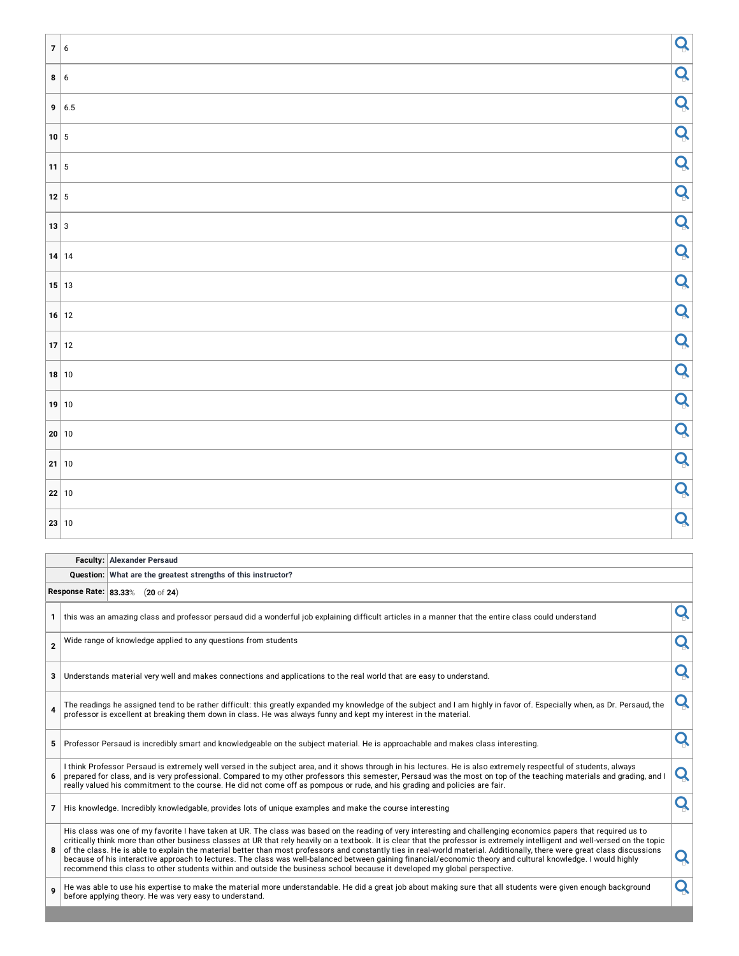| 7 6                        |             | Q |
|----------------------------|-------------|---|
|                            | 8 6         | Q |
|                            | 9   6.5     | Q |
| $\sim$<br>10 5             |             | Q |
| Ξ<br>$11 \mid 5$           |             | Q |
| Ξ                          | $12 \mid 5$ | Q |
|                            | $13 \mid 3$ | Q |
|                            | $14$ 14     | Q |
| $\sim$                     | $15$ 13     | Q |
| $\mathcal{L}(\mathcal{A})$ | $16$ 12     | Q |
|                            | $17$ 12     | Q |
|                            | $18$ 10     | Q |
|                            | $19$ 10     | Q |
| $\sim$                     | 20 10       | Q |
|                            | 21 10       | Q |
|                            | 22 10       | Q |
|                            | 23 10       | Q |

# **Faculty: Alexander Persaud**

|                | Question: What are the greatest strengths of this instructor? |  |                                                                                                                                                                                                                                                                                                                                                                                                                                                                                                                                                                                                                                                                                                                                                                                                                              |   |  |  |  |  |  |  |  |
|----------------|---------------------------------------------------------------|--|------------------------------------------------------------------------------------------------------------------------------------------------------------------------------------------------------------------------------------------------------------------------------------------------------------------------------------------------------------------------------------------------------------------------------------------------------------------------------------------------------------------------------------------------------------------------------------------------------------------------------------------------------------------------------------------------------------------------------------------------------------------------------------------------------------------------------|---|--|--|--|--|--|--|--|
|                | Response Rate: 83.33% (20 of 24)                              |  |                                                                                                                                                                                                                                                                                                                                                                                                                                                                                                                                                                                                                                                                                                                                                                                                                              |   |  |  |  |  |  |  |  |
| $\mathbf{1}$   |                                                               |  | this was an amazing class and professor persaud did a wonderful job explaining difficult articles in a manner that the entire class could understand                                                                                                                                                                                                                                                                                                                                                                                                                                                                                                                                                                                                                                                                         |   |  |  |  |  |  |  |  |
| $\overline{2}$ |                                                               |  | Wide range of knowledge applied to any questions from students                                                                                                                                                                                                                                                                                                                                                                                                                                                                                                                                                                                                                                                                                                                                                               |   |  |  |  |  |  |  |  |
| 3              |                                                               |  | Understands material very well and makes connections and applications to the real world that are easy to understand.                                                                                                                                                                                                                                                                                                                                                                                                                                                                                                                                                                                                                                                                                                         |   |  |  |  |  |  |  |  |
|                |                                                               |  | The readings he assigned tend to be rather difficult: this greatly expanded my knowledge of the subject and I am highly in favor of. Especially when, as Dr. Persaud, the<br>professor is excellent at breaking them down in class. He was always funny and kept my interest in the material.                                                                                                                                                                                                                                                                                                                                                                                                                                                                                                                                |   |  |  |  |  |  |  |  |
| 5              |                                                               |  | Professor Persaud is incredibly smart and knowledgeable on the subject material. He is approachable and makes class interesting.                                                                                                                                                                                                                                                                                                                                                                                                                                                                                                                                                                                                                                                                                             |   |  |  |  |  |  |  |  |
| 6              |                                                               |  | I think Professor Persaud is extremely well versed in the subject area, and it shows through in his lectures. He is also extremely respectful of students, always<br>prepared for class, and is very professional. Compared to my other professors this semester, Persaud was the most on top of the teaching materials and grading, and I<br>really valued his commitment to the course. He did not come off as pompous or rude, and his grading and policies are fair.                                                                                                                                                                                                                                                                                                                                                     | Q |  |  |  |  |  |  |  |
| $\overline{7}$ |                                                               |  | His knowledge. Incredibly knowledgable, provides lots of unique examples and make the course interesting                                                                                                                                                                                                                                                                                                                                                                                                                                                                                                                                                                                                                                                                                                                     |   |  |  |  |  |  |  |  |
| 8              |                                                               |  | His class was one of my favorite I have taken at UR. The class was based on the reading of very interesting and challenging economics papers that required us to<br>critically think more than other business classes at UR that rely heavily on a textbook. It is clear that the professor is extremely intelligent and well-versed on the topic<br>of the class. He is able to explain the material better than most professors and constantly ties in real-world material. Additionally, there were great class discussions<br>because of his interactive approach to lectures. The class was well-balanced between gaining financial/economic theory and cultural knowledge. I would highly<br>recommend this class to other students within and outside the business school because it developed my global perspective. |   |  |  |  |  |  |  |  |
|                |                                                               |  | He was able to use his expertise to make the material more understandable. He did a great job about making sure that all students were given enough background<br>before applying theory. He was very easy to understand.                                                                                                                                                                                                                                                                                                                                                                                                                                                                                                                                                                                                    |   |  |  |  |  |  |  |  |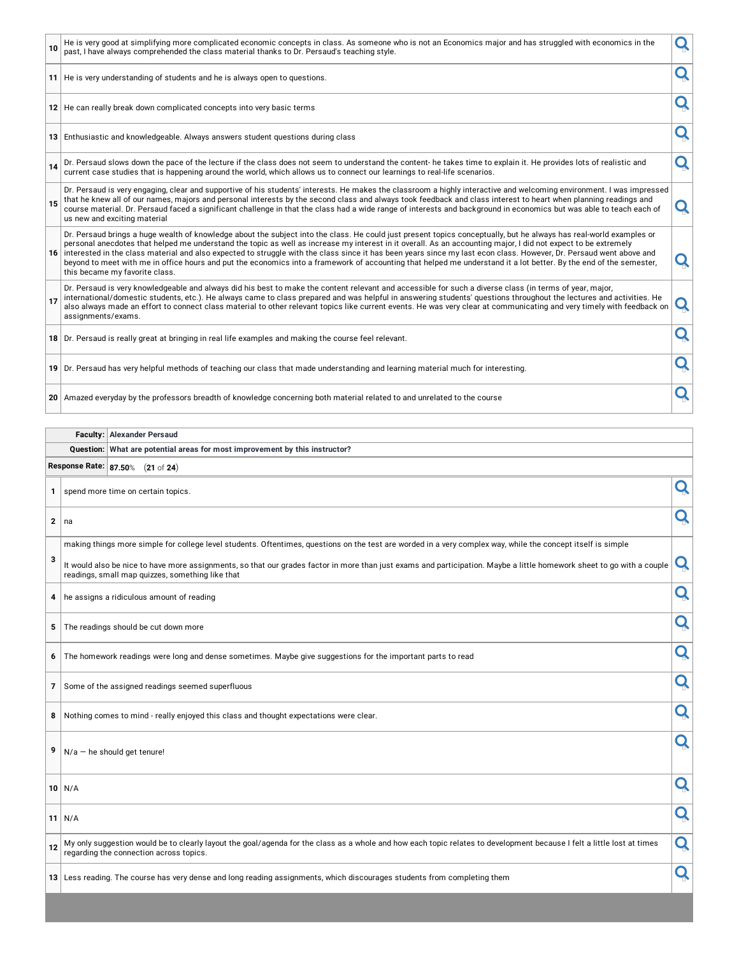| 10           |                       | He is very good at simplifying more complicated economic concepts in class. As someone who is not an Economics major and has struggled with economics in the<br>past, I have always comprehended the class material thanks to Dr. Persaud's teaching style.                                                                                                                                                                                                                                                                                                                                                                                                                                                             | Q |
|--------------|-----------------------|-------------------------------------------------------------------------------------------------------------------------------------------------------------------------------------------------------------------------------------------------------------------------------------------------------------------------------------------------------------------------------------------------------------------------------------------------------------------------------------------------------------------------------------------------------------------------------------------------------------------------------------------------------------------------------------------------------------------------|---|
|              |                       | 11 He is very understanding of students and he is always open to questions.                                                                                                                                                                                                                                                                                                                                                                                                                                                                                                                                                                                                                                             | Q |
|              |                       | 12 He can really break down complicated concepts into very basic terms                                                                                                                                                                                                                                                                                                                                                                                                                                                                                                                                                                                                                                                  | Q |
|              |                       | 13 Enthusiastic and knowledgeable. Always answers student questions during class                                                                                                                                                                                                                                                                                                                                                                                                                                                                                                                                                                                                                                        | Q |
| 14           |                       | Dr. Persaud slows down the pace of the lecture if the class does not seem to understand the content- he takes time to explain it. He provides lots of realistic and<br>current case studies that is happening around the world, which allows us to connect our learnings to real-life scenarios.                                                                                                                                                                                                                                                                                                                                                                                                                        | Q |
| 15           |                       | Dr. Persaud is very engaging, clear and supportive of his students' interests. He makes the classroom a highly interactive and welcoming environment. I was impressed<br>that he knew all of our names, majors and personal interests by the second class and always took feedback and class interest to heart when planning readings and<br>course material. Dr. Persaud faced a significant challenge in that the class had a wide range of interests and background in economics but was able to teach each of<br>us new and exciting material                                                                                                                                                                       | Q |
|              |                       | Dr. Persaud brings a huge wealth of knowledge about the subject into the class. He could just present topics conceptually, but he always has real-world examples or<br>personal anecdotes that helped me understand the topic as well as increase my interest in it overall. As an accounting major, I did not expect to be extremely<br>16 interested in the class material and also expected to struggle with the class since it has been years since my last econ class. However, Dr. Persaud went above and<br>beyond to meet with me in office hours and put the economics into a framework of accounting that helped me understand it a lot better. By the end of the semester,<br>this became my favorite class. | Q |
| 17           | assignments/exams.    | Dr. Persaud is very knowledgeable and always did his best to make the content relevant and accessible for such a diverse class (in terms of year, major,<br>international/domestic students, etc.). He always came to class prepared and was helpful in answering students' questions throughout the lectures and activities. He<br>also always made an effort to connect class material to other relevant topics like current events. He was very clear at communicating and very timely with feedback on                                                                                                                                                                                                              | Q |
|              |                       | 18 Dr. Persaud is really great at bringing in real life examples and making the course feel relevant.                                                                                                                                                                                                                                                                                                                                                                                                                                                                                                                                                                                                                   | Q |
|              |                       | 19 Dr. Persaud has very helpful methods of teaching our class that made understanding and learning material much for interesting.                                                                                                                                                                                                                                                                                                                                                                                                                                                                                                                                                                                       | Q |
|              |                       | 20 Amazed everyday by the professors breadth of knowledge concerning both material related to and unrelated to the course                                                                                                                                                                                                                                                                                                                                                                                                                                                                                                                                                                                               | Q |
|              |                       |                                                                                                                                                                                                                                                                                                                                                                                                                                                                                                                                                                                                                                                                                                                         |   |
|              | Faculty:<br>Question: | <b>Alexander Persaud</b><br>What are potential areas for most improvement by this instructor?                                                                                                                                                                                                                                                                                                                                                                                                                                                                                                                                                                                                                           |   |
|              |                       | Response Rate: 87.50% (21 of 24)                                                                                                                                                                                                                                                                                                                                                                                                                                                                                                                                                                                                                                                                                        |   |
| $\mathbf{1}$ |                       | spend more time on certain topics.                                                                                                                                                                                                                                                                                                                                                                                                                                                                                                                                                                                                                                                                                      | Q |
| $\mathbf{2}$ | na                    |                                                                                                                                                                                                                                                                                                                                                                                                                                                                                                                                                                                                                                                                                                                         | Q |
|              |                       | making things more simple for college level students. Oftentimes, questions on the test are worded in a very complex way, while the concept itself is simple                                                                                                                                                                                                                                                                                                                                                                                                                                                                                                                                                            |   |
| ¢            |                       | It would also be nice to have more assignments, so that our grades factor in more than just exams and participation. Maybe a little homework sheet to go with a couple<br>readings, small map quizzes, something like that                                                                                                                                                                                                                                                                                                                                                                                                                                                                                              |   |
| 4            |                       | he assigns a ridiculous amount of reading                                                                                                                                                                                                                                                                                                                                                                                                                                                                                                                                                                                                                                                                               | Q |
| 5            |                       | The readings should be cut down more                                                                                                                                                                                                                                                                                                                                                                                                                                                                                                                                                                                                                                                                                    | Q |
|              |                       |                                                                                                                                                                                                                                                                                                                                                                                                                                                                                                                                                                                                                                                                                                                         |   |
| 6            |                       | The homework readings were long and dense sometimes. Maybe give suggestions for the important parts to read                                                                                                                                                                                                                                                                                                                                                                                                                                                                                                                                                                                                             | Q |
| 7            |                       | Some of the assigned readings seemed superfluous                                                                                                                                                                                                                                                                                                                                                                                                                                                                                                                                                                                                                                                                        | Q |
| 8            |                       | Nothing comes to mind - really enjoyed this class and thought expectations were clear.                                                                                                                                                                                                                                                                                                                                                                                                                                                                                                                                                                                                                                  | Q |

 $\boxed{9}$  N/a – he should get tenure!

**<sup>10</sup>** N/A

**<sup>11</sup>** N/A

**12** My only suggestion would be to clearly layout the goal/agenda for the class as a whole and how each topic relates to development because I felt a little lost at times **Q** 

**<sup>13</sup>** Less reading. The course has very dense and long reading assignments, which discourages students from completing them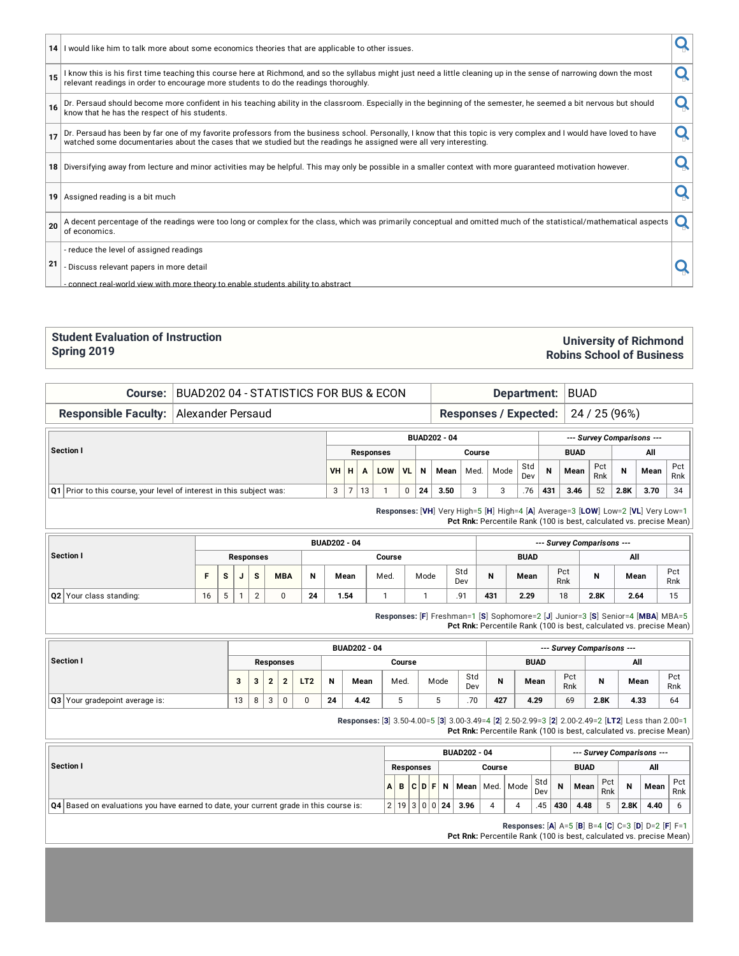|                 | 14 I would like him to talk more about some economics theories that are applicable to other issues.                                                                                                                                                           |  |
|-----------------|---------------------------------------------------------------------------------------------------------------------------------------------------------------------------------------------------------------------------------------------------------------|--|
| (15)            | I know this is his first time teaching this course here at Richmond, and so the syllabus might just need a little cleaning up in the sense of narrowing down the most<br>relevant readings in order to encourage more students to do the readings thoroughly. |  |
|                 | Dr. Persaud should become more confident in his teaching ability in the classroom. Especially in the beginning of the semester, he seemed a bit nervous but should<br>know that he has the respect of his students.                                           |  |
| 17              | Dr. Persaud has been by far one of my favorite professors from the business school. Personally, I know that this topic is very complex and I would have loved to have<br>watched some documentaries about the cases that we studi                             |  |
|                 | 18 Diversifying away from lecture and minor activities may be helpful. This may only be possible in a smaller context with more guaranteed motivation however.                                                                                                |  |
| 19 <sup>1</sup> | Assigned reading is a bit much                                                                                                                                                                                                                                |  |
| 20              | A decent percentage of the readings were too long or complex for the class, which was primarily conceptual and omitted much of the statistical/mathematical aspects  <br>of economics.                                                                        |  |
|                 | - reduce the level of assigned readings                                                                                                                                                                                                                       |  |
| 21              | - Discuss relevant papers in more detail                                                                                                                                                                                                                      |  |
|                 | - connect real-world view with more theory to enable students ability to abstract                                                                                                                                                                             |  |

#### **Student Evaluation of Instruction Spring 2019**

#### **University of Richmond Robins School of Business**

**Responsible Faculty:** Alexander Persaud **Responses** / **Expected:** 24 / 25 (96%)

|                                                                          |                            |       |    |     |           |    | <b>BUAD202 - 04</b> |      | --- Survey Comparisons --- |             |     |      |            |      |      |            |
|--------------------------------------------------------------------------|----------------------------|-------|----|-----|-----------|----|---------------------|------|----------------------------|-------------|-----|------|------------|------|------|------------|
| Section I                                                                | Course<br><b>Responses</b> |       |    |     |           |    |                     |      |                            | <b>BUAD</b> |     |      |            |      |      |            |
|                                                                          | VH <sub>1</sub>            | . H ' |    | LOW | <b>VL</b> | N  | Mean                | Med. | Mode                       | Std<br>Dev  | N   | Mean | Pct<br>Rnk | N    | Mean | Pct<br>Rnk |
| $ Q1 $ Prior to this course, your level of interest in this subject was: | $\mathbf{r}$<br>J          |       | 13 |     | 0         | 24 | 3.50                |      |                            | .76         | 431 | 3.46 | 52         | 2.8K | 3.70 | 34         |

**Course:** BUAD202 04 - STATISTICS FOR BUS & ECON **Department:** BUAD

**Responses:** [**VH**] Very High=5 [**H**] High=4 [**A**] Average=3 [**LOW**] Low=2 [**VL**] Very Low=1 **Pct Rnk:** Percentile Rank (100 is best, calculated vs. precise Mean)

|                                |    |   |   |             |            |    | <b>BUAD202 - 04</b> |        |      |            |     | --- Survey Comparisons --- |            |       |      |            |  |
|--------------------------------|----|---|---|-------------|------------|----|---------------------|--------|------|------------|-----|----------------------------|------------|-------|------|------------|--|
| Section I                      |    |   |   | Responses   |            |    |                     | Course |      |            |     | <b>BUAD</b>                |            | All   |      |            |  |
|                                |    | s | u | s           | <b>MBA</b> | N  | Mean                | Med.   | Mode | Std<br>Dev | N   | Mean                       | Pct<br>Rnk | M<br> | Mean | Pct<br>Rnk |  |
| <b>Q2</b> Your class standing: | 16 | J |   | $\sim$<br>∸ |            | 24 | 1.54                |        |      | .91        | 431 | 2.29                       | 18         | 2.8K  | 2.64 | 15         |  |

**Responses:** [**F**] Freshman=1 [**S**] Sophomore=2 [**J**] Junior=3 [**S**] Senior=4 [**MBA**] MBA=5 **Pct Rnk:** Percentile Rank (100 is best, calculated vs. precise Mean)

|                                       |    |  |   |           |                 |    | <b>BUAD202 - 04</b> |        |      |            | --- Survey Comparisons --- |             |            |      |      |            |  |  |  |  |
|---------------------------------------|----|--|---|-----------|-----------------|----|---------------------|--------|------|------------|----------------------------|-------------|------------|------|------|------------|--|--|--|--|
| Section I                             |    |  |   | Responses |                 |    |                     | Course |      |            |                            | <b>BUAD</b> |            | All  |      |            |  |  |  |  |
|                                       |    |  | ◠ | ົ         | LT <sub>2</sub> | N  | Mean                | Med.   | Mode | Std<br>Dev | N                          | Mean        | Pct<br>Rnk | N    | Mean | Pct<br>Rnk |  |  |  |  |
| <b>Q3</b> Your gradepoint average is: | 13 |  | 3 | 0         |                 | 24 | 4.42                | w      | v    | .70        | 427                        | 4.29        | 69         | 2.8K | 4.33 | 64         |  |  |  |  |

**Responses:** [**3**] 3.50-4.00=5 [**3**] 3.00-3.49=4 [**2**] 2.50-2.99=3 [**2**] 2.00-2.49=2 [**LT2**] Less than 2.00=1 **Pct Rnk:** Percentile Rank (100 is best, calculated vs. precise Mean)

|                                                                                            |  |           |                | <b>BUAD202 - 04</b> |        |                    |            |     | --- Survey Comparisons --- |            |      |      |            |
|--------------------------------------------------------------------------------------------|--|-----------|----------------|---------------------|--------|--------------------|------------|-----|----------------------------|------------|------|------|------------|
| Section I                                                                                  |  | Responses |                |                     | Course |                    |            |     | <b>BUAD</b>                |            |      | All  |            |
|                                                                                            |  | ABCDF     | $\overline{N}$ |                     |        | Mean   Med.   Mode | Std<br>Dev | N   | Mean                       | Pct<br>Rnk | N    | Mean | Pct<br>Rnk |
| $ Q4 $ Based on evaluations you have earned to date, your current grade in this course is: |  |           | 2 19 3 0 0 24  | 3.96                |        |                    | .45        | 430 | 4.48                       |            | 2.8K | 4.40 |            |

**Responses:** [**A**] A=5 [**B**] B=4 [**C**] C=3 [**D**] D=2 [**F**] F=1

**Pct Rnk:** Percentile Rank (100 is best, calculated vs. precise Mean)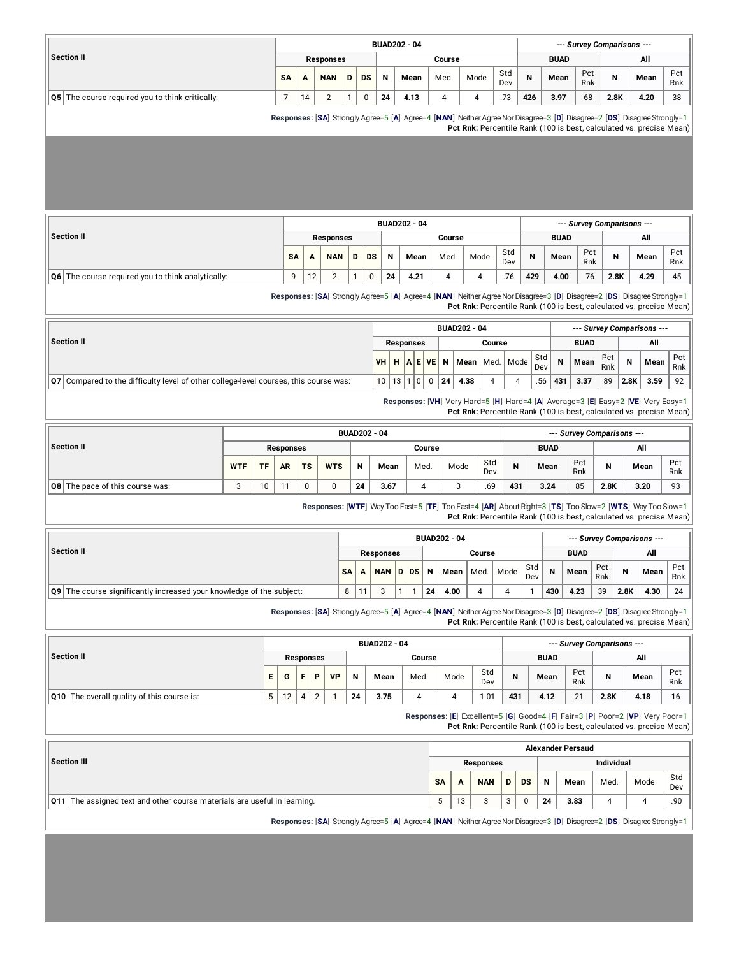|                                                        |           |    |                  |   |          |    | <b>BUAD202 - 04</b> |        |      |            |     |             |            | --- Survey Comparisons --- |      |            |
|--------------------------------------------------------|-----------|----|------------------|---|----------|----|---------------------|--------|------|------------|-----|-------------|------------|----------------------------|------|------------|
| <b>Section II</b>                                      |           |    | <b>Responses</b> |   |          |    |                     | Course |      |            |     | <b>BUAD</b> |            |                            | All  |            |
|                                                        | <b>SA</b> | A  | <b>NAN</b>       | D | DS       | N  | Mean                | Med.   | Mode | Std<br>Dev | N   | Mean        | Pct<br>Rnk | N                          | Mean | Pct<br>Rnk |
| <b>Q5</b> The course required you to think critically: |           | 14 |                  |   | $\Omega$ | 24 | 4.13                |        |      | .73        | 426 | 3.97        | 68         | 2.8K                       | 4.20 | -38        |

**Responses:** [**SA**] Strongly Agree=5 [**A**] Agree=4 [**NAN**] NeitherAgreeNorDisagree=3 [**D**] Disagree=2 [**DS**] DisagreeStrongly=1 **Pct Rnk:** Percentile Rank (100 is best, calculated vs. precise Mean)

|                                                       |           |              |            |   |    |    | <b>BUAD202 - 04</b> |        |      |            |     |             |            | --- Survey Comparisons --- |      |            |
|-------------------------------------------------------|-----------|--------------|------------|---|----|----|---------------------|--------|------|------------|-----|-------------|------------|----------------------------|------|------------|
| Section II                                            |           |              | Responses  |   |    |    |                     | Course |      |            |     | <b>BUAD</b> |            |                            | All  |            |
|                                                       | <b>SA</b> |              | <b>NAN</b> | D | DS | N  | Mean                | Med.   | Mode | Std<br>Dev | N   | Mean        | Pct<br>Rnk | N                          | Mean | Pct<br>Rnk |
| $ Q6 $ The course required you to think analytically: | $\Omega$  | 12<br>$\sim$ | ←          |   |    | 24 | 4.21                |        |      | .76        | 429 | 4.00        | 76         | 2.8K                       | 4.29 | 45         |

**Responses:** [**SA**] Strongly Agree=5 [**A**] Agree=4 [**NAN**] NeitherAgreeNorDisagree=3 [**D**] Disagree=2 [**DS**] DisagreeStrongly=1 **Pct Rnk:** Percentile Rank (100 is best, calculated vs. precise Mean)

|                                                                                             |                     |                  |                            |    | <b>BUAD202 - 04</b> |        |                    |            |     |             |            |      | --- Survey Comparisons --- |            |
|---------------------------------------------------------------------------------------------|---------------------|------------------|----------------------------|----|---------------------|--------|--------------------|------------|-----|-------------|------------|------|----------------------------|------------|
| Section II                                                                                  |                     | <b>Responses</b> |                            |    |                     | Course |                    |            |     | <b>BUAD</b> |            |      | All                        |            |
|                                                                                             | VHHAEVEN            |                  |                            |    |                     |        | Mean   Med.   Mode | Std<br>Dev | N   | Mean        | Pct<br>Rnk | N    | Mean                       | Pct<br>Rnk |
| <b>Q7</b> Compared to the difficulty level of other college-level courses, this course was: | $10 \mid 13 \mid 1$ |                  | $\overline{0}$<br>$\Omega$ | 24 | 4.38                | Δ.     |                    | .56        | 431 | 3.37        | 89         | 2.8K | 3.59                       | 92         |

**Responses:** [**VH**] Very Hard=5 [**H**] Hard=4 [**A**] Average=3 [**E**] Easy=2 [**VE**] Very Easy=1 **Pct Rnk:** Percentile Rank (100 is best, calculated vs. precise Mean)

|                                        |            |           |                  |           |            |    | <b>BUAD202 - 04</b> |        |      |            |     |             |            | --- Survey Comparisons --- |      |            |
|----------------------------------------|------------|-----------|------------------|-----------|------------|----|---------------------|--------|------|------------|-----|-------------|------------|----------------------------|------|------------|
| Section II                             |            |           | <b>Responses</b> |           |            |    |                     | Course |      |            |     | <b>BUAD</b> |            |                            | All  |            |
|                                        | <b>WTF</b> | <b>TF</b> | <b>AR</b>        | <b>TS</b> | <b>WTS</b> | N  | Mean                | Med.   | Mode | Std<br>Dev | N   | Mean        | Pct<br>Rnk | N                          | Mean | Pct<br>Rnk |
| <b>Q8</b> The pace of this course was: | ◠<br>ັ     | 10        | 11               |           | Ο          | 24 | 3.67                | д      |      | .69        | 431 | 3.24        | 85         | 2.8K                       | 3.20 | 93         |

**Responses:** [**WTF**] Way Too Fast=5 [**TF**] Too Fast=4 [**AR**] AboutRight=3 [**TS**] Too Slow=2 [**WTS**] Way Too Slow=1 **Pct Rnk:** Percentile Rank (100 is best, calculated vs. precise Mean)

|                                                                          |                 |    |                  |      |                       | <b>BUAD202 - 04</b> |        |      |            |     |             |            |      | --- Survey Comparisons --- |             |
|--------------------------------------------------------------------------|-----------------|----|------------------|------|-----------------------|---------------------|--------|------|------------|-----|-------------|------------|------|----------------------------|-------------|
| Section II                                                               |                 |    | <b>Responses</b> |      |                       |                     | Course |      |            |     | <b>BUAD</b> |            |      | All                        |             |
|                                                                          | SA <sub>1</sub> | A  | NAN              | D DS | $\cdot$ N $^{\prime}$ | Mean                | Med.   | Mode | Std<br>Dev | N   | Mean        | Pct<br>Rnk | N    | Mean                       | Pct.<br>Rnk |
| $\log$ The course significantly increased your knowledge of the subject: | 8               | 11 |                  |      | 24                    | 4.00                |        |      |            | 430 | 4.23        | 39         | 2.8K | 4.30                       | 24          |

**Responses:** [**SA**] Strongly Agree=5 [**A**] Agree=4 [**NAN**] NeitherAgreeNorDisagree=3 [**D**] Disagree=2 [**DS**] DisagreeStrongly=1

**Pct Rnk:** Percentile Rank (100 is best, calculated vs. precise Mean)

|                                                   |    |    |                  |           |    | <b>BUAD202 - 04</b> |        |      |            |     |             |            | --- Survey Comparisons --- |      |            |
|---------------------------------------------------|----|----|------------------|-----------|----|---------------------|--------|------|------------|-----|-------------|------------|----------------------------|------|------------|
| <b>Section II</b>                                 |    |    | <b>Responses</b> |           |    |                     | Course |      |            |     | <b>BUAD</b> |            |                            | All  |            |
|                                                   | Е. | G  | Þ                | <b>VD</b> | N  | Mean                | Med.   | Mode | Std<br>Dev | N   | Mean        | Pct<br>Rnk |                            | Mean | Pct<br>Rnk |
| <b>Q10</b> The overall quality of this course is: |    | 12 |                  |           | 24 | 3.75                |        |      | 1.01       | 431 | 4.12        | 21         | 2.8K                       | 4.18 | 16         |

**Responses:** [**E**] Excellent=5 [**G**] Good=4 [**F**] Fair=3 [**P**] Poor=2 [**VP**] Very Poor=1 **Pct Rnk:** Percentile Rank (100 is best, calculated vs. precise Mean)

|                                                                                                                         |           |    |                  |   |           |    | <b>Alexander Persaud</b> |                   |      |            |
|-------------------------------------------------------------------------------------------------------------------------|-----------|----|------------------|---|-----------|----|--------------------------|-------------------|------|------------|
| Section III                                                                                                             |           |    | <b>Responses</b> |   |           |    |                          | <b>Individual</b> |      |            |
|                                                                                                                         | <b>SA</b> | A  | <b>NAN</b>       | D | <b>DS</b> | N  | Mean                     | Med.              | Mode | Std<br>Dev |
| <b>Q11</b> The assigned text and other course materials are useful in learning.                                         |           | 13 |                  |   |           | 24 | 3.83                     |                   |      | .90        |
| Responses: [SA] Strongly Agree=5 [A] Agree=4 [NAN] Neither Agree Nor Disagree=3 [D] Disagree=2 [DS] Disagree Strongly=1 |           |    |                  |   |           |    |                          |                   |      |            |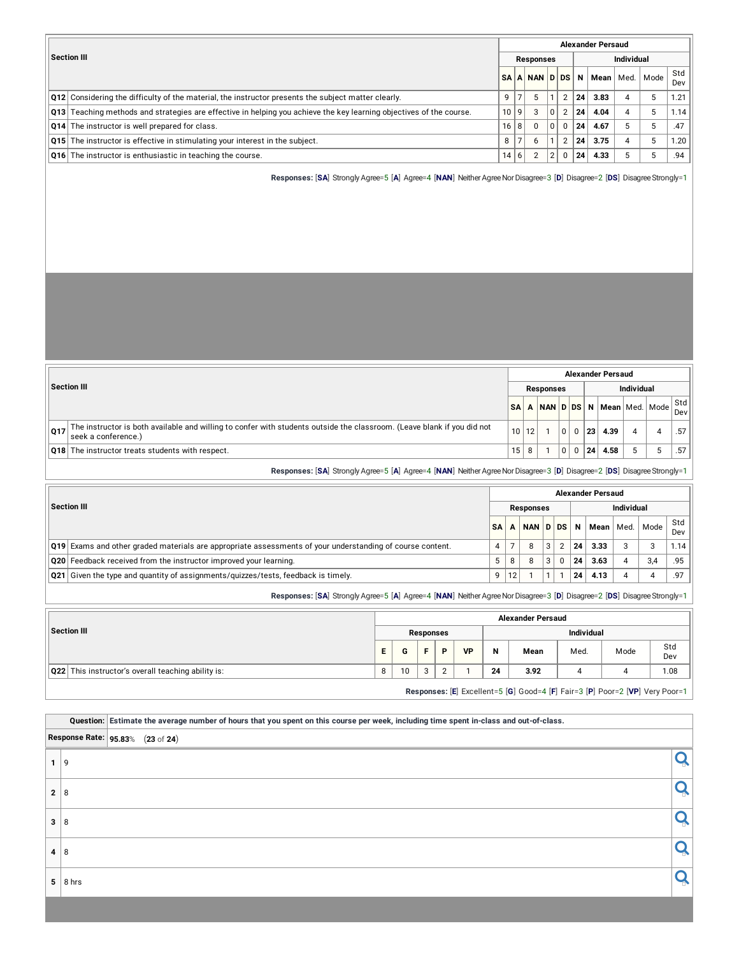|                                                                                                                            |    |                |           |                |                |    | <b>Alexander Persaud</b> |                   |      |                  |
|----------------------------------------------------------------------------------------------------------------------------|----|----------------|-----------|----------------|----------------|----|--------------------------|-------------------|------|------------------|
| Section III                                                                                                                |    |                | Responses |                |                |    |                          | <b>Individual</b> |      |                  |
|                                                                                                                            |    |                | SAANNDDS  |                |                | N  | Mean                     | Med.              | Mode | Std              |
|                                                                                                                            |    |                |           |                |                |    |                          |                   |      | Dev <sub>1</sub> |
| $\vert$ Q12 Considering the difficulty of the material, the instructor presents the subject matter clearly.                | q  | $\overline{7}$ |           |                | $\overline{2}$ | 24 | 3.83                     | $\overline{4}$    | 5    | 1.21             |
| <b>Q13</b> Teaching methods and strategies are effective in helping you achieve the key learning objectives of the course. | 10 | 9              | 3         | $\Omega$       | 2              | 24 | 4.04                     | 4                 | 5    | 1.14             |
| <b>Q14</b> The instructor is well prepared for class.                                                                      | 16 | 8 <sup>1</sup> | $\Omega$  | 0 <sup>1</sup> | $\Omega$       | 24 | 4.67                     | 5                 | 5    | .47              |
| <b>Q15</b> The instructor is effective in stimulating your interest in the subject.                                        | 8  | $\overline{7}$ | h         |                | 2              | 24 | 3.75                     | $\overline{4}$    | 5    | 1.20             |
| <b>Q16</b> The instructor is enthusiastic in teaching the course.                                                          | 14 | $6 \mid$       |           | $\mathcal{D}$  | $\Omega$       | 24 | 4.33                     | 5                 | 5    | .94              |

**Responses:** [**SA**] Strongly Agree=5 [**A**] Agree=4 [**NAN**] NeitherAgreeNorDisagree=3 [**D**] Disagree=2 [**DS**] DisagreeStrongly=1

|     |                                                                                                                                                |                 |    |                  |          |                 | <b>Alexander Persaud</b>  |                   |                       |
|-----|------------------------------------------------------------------------------------------------------------------------------------------------|-----------------|----|------------------|----------|-----------------|---------------------------|-------------------|-----------------------|
|     | Section III                                                                                                                                    |                 |    | <b>Responses</b> |          |                 |                           | <b>Individual</b> |                       |
|     |                                                                                                                                                | <b>SA</b>       |    |                  |          |                 | NAN D DS N Mean Med. Mode |                   | $ \text{Std} $<br>Dev |
| Q17 | The instructor is both available and willing to confer with students outside the classroom. (Leave blank if you did not<br>seek a conference.) | 10 <sub>1</sub> | 12 |                  | $\Omega$ | 23 <sup>1</sup> | 4.39                      |                   | .57 I                 |
|     | <b>Q18</b> The instructor treats students with respect.                                                                                        | 15 <sub>1</sub> | 8  |                  | 0        | 24              | 4.58                      |                   | .57 I                 |

**Responses:** [**SA**] Strongly Agree=5 [**A**] Agree=4 [**NAN**] NeitherAgreeNorDisagree=3 [**D**] Disagree=2 [**DS**] DisagreeStrongly=1

|                                                                                                                   |           |    |           |  |    | <b>Alexander Persaud</b> |                   |      |     |
|-------------------------------------------------------------------------------------------------------------------|-----------|----|-----------|--|----|--------------------------|-------------------|------|-----|
| <b>Section III</b>                                                                                                |           |    | Responses |  |    |                          | <b>Individual</b> |      |     |
|                                                                                                                   | <b>SA</b> |    | NAN D DS  |  | N  | Mean   Med.              |                   | Mode | Std |
|                                                                                                                   |           |    |           |  |    |                          |                   |      | Dev |
| $\vert$ Q19 Exams and other graded materials are appropriate assessments of your understanding of course content. | 4         |    | 8         |  | 24 | 3.33                     |                   | 3    | .14 |
| Q20 Feedback received from the instructor improved your learning.                                                 | 5         | 8  | 8         |  | 24 | 3.63                     |                   | 3,4  | .95 |
| Q21 Given the type and quantity of assignments/quizzes/tests, feedback is timely.                                 | 9         | 12 |           |  | 24 | 4.13                     |                   | 4    | .97 |
|                                                                                                                   |           |    |           |  |    |                          |                   |      |     |

**Responses:** [**SA**] Strongly Agree=5 [**A**] Agree=4 [**NAN**] NeitherAgreeNorDisagree=3 [**D**] Disagree=2 [**DS**] DisagreeStrongly=1

|                                                           |    |    |           |   |           |    | <b>Alexander Persaud</b> |                   |      |            |
|-----------------------------------------------------------|----|----|-----------|---|-----------|----|--------------------------|-------------------|------|------------|
| Section III                                               |    |    | Responses |   |           |    |                          | <b>Individual</b> |      |            |
|                                                           | E. | G  | Е.        | D | <b>VP</b> | N  | Mean                     | Med.              | Mode | Std<br>Dev |
| <b>Q22</b> This instructor's overall teaching ability is: | 8  | 10 | 3         |   |           | 24 | 3.92                     |                   |      | 1.08       |
|                                                           |    |    |           |   |           |    |                          |                   |      |            |

**Responses:** [**E**] Excellent=5 [**G**] Good=4 [**F**] Fair=3 [**P**] Poor=2 [**VP**] Very Poor=1

|              |                         | Question: Estimate the average number of hours that you spent on this course per week, including time spent in-class and out-of-class. |  |
|--------------|-------------------------|----------------------------------------------------------------------------------------------------------------------------------------|--|
|              |                         | Response Rate: 95.83% (23 of 24)                                                                                                       |  |
|              | 9                       |                                                                                                                                        |  |
| $\mathbf{2}$ | 8                       |                                                                                                                                        |  |
| 3            | 8                       |                                                                                                                                        |  |
| 4            | 8                       |                                                                                                                                        |  |
|              | $5 \vert 8 \text{ hrs}$ |                                                                                                                                        |  |
|              |                         |                                                                                                                                        |  |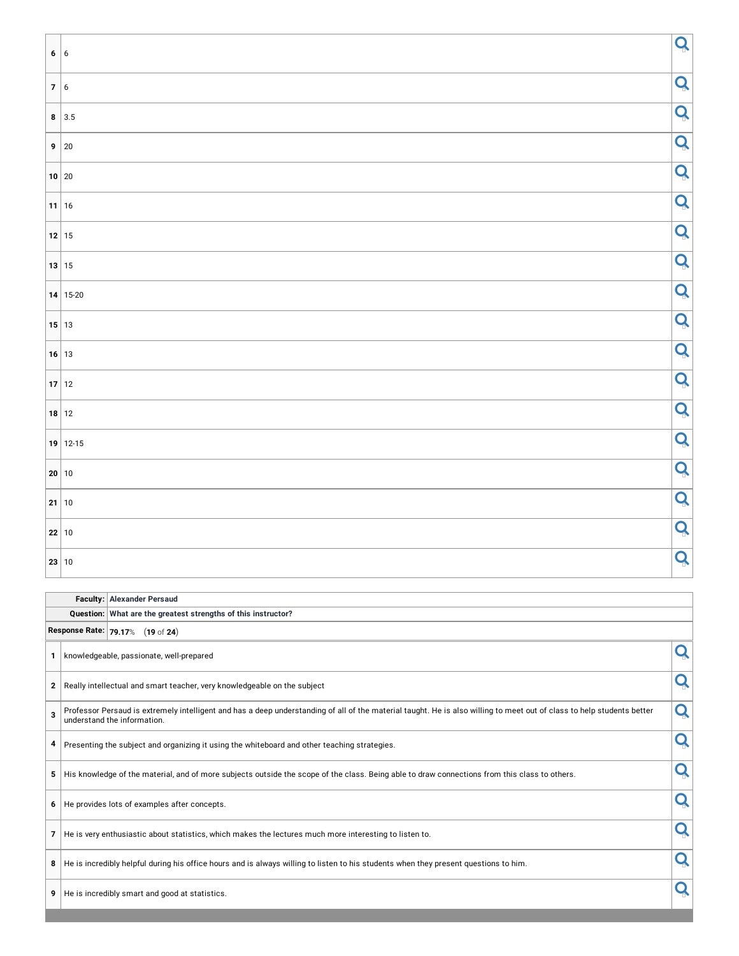|        | 6 6           | $\mathbf{Q}$ |
|--------|---------------|--------------|
|        |               |              |
| 7 6    |               | Q            |
|        | $8 \mid 3.5$  | Q            |
| n d    | $9 \mid 20$   | Q            |
| $\sim$ | $10 \vert 20$ | Q            |
|        | $11$ 16       | Q            |
|        | $12$ 15       | Q            |
|        | 13 15         | Q            |
|        | 14 15-20      | Q            |
|        | $15$ 13       | Q            |
|        | $16$ 13       | Q            |
|        | $17$ 12       | Q            |
|        | $18$ 12       | Q            |
|        | $19$ 12-15    | Q            |
|        | 20 10         | Q            |
|        | $21$ 10       | Q            |
|        | 22 10         | Q            |
|        | 23 10         | Q            |

| <b>Faculty: Alexander Persaud</b> |  |                                                                                                                                                                                                            |   |  |  |  |  |  |  |  |
|-----------------------------------|--|------------------------------------------------------------------------------------------------------------------------------------------------------------------------------------------------------------|---|--|--|--|--|--|--|--|
|                                   |  | Question: What are the greatest strengths of this instructor?                                                                                                                                              |   |  |  |  |  |  |  |  |
|                                   |  | Response Rate: 79.17% (19 of 24)                                                                                                                                                                           |   |  |  |  |  |  |  |  |
| 1                                 |  | knowledgeable, passionate, well-prepared                                                                                                                                                                   |   |  |  |  |  |  |  |  |
| $\mathbf{2}$                      |  | Really intellectual and smart teacher, very knowledgeable on the subject                                                                                                                                   | Q |  |  |  |  |  |  |  |
| 3                                 |  | Q<br>Professor Persaud is extremely intelligent and has a deep understanding of all of the material taught. He is also willing to meet out of class to help students better<br>understand the information. |   |  |  |  |  |  |  |  |
| 4                                 |  | Presenting the subject and organizing it using the whiteboard and other teaching strategies.                                                                                                               |   |  |  |  |  |  |  |  |
| 5                                 |  | His knowledge of the material, and of more subjects outside the scope of the class. Being able to draw connections from this class to others.                                                              |   |  |  |  |  |  |  |  |
| 6                                 |  | He provides lots of examples after concepts.                                                                                                                                                               |   |  |  |  |  |  |  |  |
| $\overline{7}$                    |  | He is very enthusiastic about statistics, which makes the lectures much more interesting to listen to.                                                                                                     |   |  |  |  |  |  |  |  |
| 8                                 |  | Q<br>He is incredibly helpful during his office hours and is always willing to listen to his students when they present questions to him.                                                                  |   |  |  |  |  |  |  |  |
| 9                                 |  | He is incredibly smart and good at statistics.                                                                                                                                                             |   |  |  |  |  |  |  |  |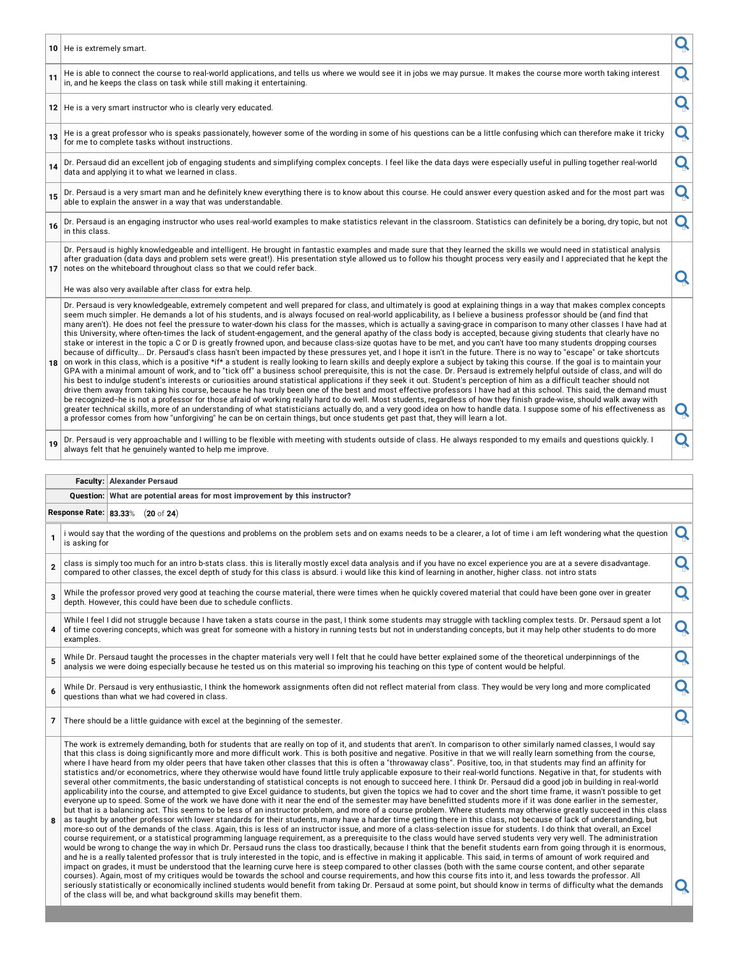|    | 10 He is extremely smart.                                                                                                                                                                                                                                                                                                                                                                                                                                                                                                                                                                                                                                                                                                                                                                                                                                                                                                                                                                                                                                                                                                                                                                                                                                                                                                                                                                                                                                                                                                                                                                                                                                                                                                                                                                                                                                                                                                                                                                                                                                                                                                                                                                                                                                        |   |
|----|------------------------------------------------------------------------------------------------------------------------------------------------------------------------------------------------------------------------------------------------------------------------------------------------------------------------------------------------------------------------------------------------------------------------------------------------------------------------------------------------------------------------------------------------------------------------------------------------------------------------------------------------------------------------------------------------------------------------------------------------------------------------------------------------------------------------------------------------------------------------------------------------------------------------------------------------------------------------------------------------------------------------------------------------------------------------------------------------------------------------------------------------------------------------------------------------------------------------------------------------------------------------------------------------------------------------------------------------------------------------------------------------------------------------------------------------------------------------------------------------------------------------------------------------------------------------------------------------------------------------------------------------------------------------------------------------------------------------------------------------------------------------------------------------------------------------------------------------------------------------------------------------------------------------------------------------------------------------------------------------------------------------------------------------------------------------------------------------------------------------------------------------------------------------------------------------------------------------------------------------------------------|---|
| 11 | He is able to connect the course to real-world applications, and tells us where we would see it in jobs we may pursue. It makes the course more worth taking interest<br>in, and he keeps the class on task while still making it entertaining.                                                                                                                                                                                                                                                                                                                                                                                                                                                                                                                                                                                                                                                                                                                                                                                                                                                                                                                                                                                                                                                                                                                                                                                                                                                                                                                                                                                                                                                                                                                                                                                                                                                                                                                                                                                                                                                                                                                                                                                                                  | Ő |
|    | 12 He is a very smart instructor who is clearly very educated.                                                                                                                                                                                                                                                                                                                                                                                                                                                                                                                                                                                                                                                                                                                                                                                                                                                                                                                                                                                                                                                                                                                                                                                                                                                                                                                                                                                                                                                                                                                                                                                                                                                                                                                                                                                                                                                                                                                                                                                                                                                                                                                                                                                                   | O |
| 13 | He is a great professor who is speaks passionately, however some of the wording in some of his questions can be a little confusing which can therefore make it tricky<br>for me to complete tasks without instructions.                                                                                                                                                                                                                                                                                                                                                                                                                                                                                                                                                                                                                                                                                                                                                                                                                                                                                                                                                                                                                                                                                                                                                                                                                                                                                                                                                                                                                                                                                                                                                                                                                                                                                                                                                                                                                                                                                                                                                                                                                                          | Q |
| 14 | Dr. Persaud did an excellent job of engaging students and simplifying complex concepts. I feel like the data days were especially useful in pulling together real-world<br>data and applying it to what we learned in class.                                                                                                                                                                                                                                                                                                                                                                                                                                                                                                                                                                                                                                                                                                                                                                                                                                                                                                                                                                                                                                                                                                                                                                                                                                                                                                                                                                                                                                                                                                                                                                                                                                                                                                                                                                                                                                                                                                                                                                                                                                     | Q |
| 15 | Dr. Persaud is a very smart man and he definitely knew everything there is to know about this course. He could answer every question asked and for the most part was<br>able to explain the answer in a way that was understandable.                                                                                                                                                                                                                                                                                                                                                                                                                                                                                                                                                                                                                                                                                                                                                                                                                                                                                                                                                                                                                                                                                                                                                                                                                                                                                                                                                                                                                                                                                                                                                                                                                                                                                                                                                                                                                                                                                                                                                                                                                             | Q |
| 16 | Dr. Persaud is an engaging instructor who uses real-world examples to make statistics relevant in the classroom. Statistics can definitely be a boring, dry topic, but not<br>in this class.                                                                                                                                                                                                                                                                                                                                                                                                                                                                                                                                                                                                                                                                                                                                                                                                                                                                                                                                                                                                                                                                                                                                                                                                                                                                                                                                                                                                                                                                                                                                                                                                                                                                                                                                                                                                                                                                                                                                                                                                                                                                     | Q |
|    | Dr. Persaud is highly knowledgeable and intelligent. He brought in fantastic examples and made sure that they learned the skills we would need in statistical analysis<br>after graduation (data days and problem sets were great!). His presentation style allowed us to follow his thought process very easily and I appreciated that he kept the<br>17 notes on the whiteboard throughout class so that we could refer back.                                                                                                                                                                                                                                                                                                                                                                                                                                                                                                                                                                                                                                                                                                                                                                                                                                                                                                                                                                                                                                                                                                                                                                                                                                                                                                                                                                                                                                                                                                                                                                                                                                                                                                                                                                                                                                  |   |
|    | He was also very available after class for extra help.                                                                                                                                                                                                                                                                                                                                                                                                                                                                                                                                                                                                                                                                                                                                                                                                                                                                                                                                                                                                                                                                                                                                                                                                                                                                                                                                                                                                                                                                                                                                                                                                                                                                                                                                                                                                                                                                                                                                                                                                                                                                                                                                                                                                           |   |
|    | Dr. Persaud is very knowledgeable, extremely competent and well prepared for class, and ultimately is good at explaining things in a way that makes complex concepts<br>seem much simpler. He demands a lot of his students, and is always focused on real-world applicability, as I believe a business professor should be (and find that<br>many aren't). He does not feel the pressure to water-down his class for the masses, which is actually a saving-grace in comparison to many other classes I have had at<br>this University, where often-times the lack of student-engagement, and the general apathy of the class body is accepted, because giving students that clearly have no<br>stake or interest in the topic a C or D is greatly frowned upon, and because class-size quotas have to be met, and you can't have too many students dropping courses<br>because of difficulty Dr. Persaud's class hasn't been impacted by these pressures yet, and I hope it isn't in the future. There is no way to "escape" or take shortcuts<br>18 on work in this class, which is a positive *if* a student is really looking to learn skills and deeply explore a subject by taking this course. If the goal is to maintain your<br>GPA with a minimal amount of work, and to "tick off" a business school prerequisite, this is not the case. Dr. Persaud is extremely helpful outside of class, and will do<br>his best to indulge student's interests or curiosities around statistical applications if they seek it out. Student's perception of him as a difficult teacher should not<br>drive them away from taking his course, because he has truly been one of the best and most effective professors I have had at this school. This said, the demand must<br>be recognized-he is not a professor for those afraid of working really hard to do well. Most students, regardless of how they finish grade-wise, should walk away with<br>greater technical skills, more of an understanding of what statisticians actually do, and a very good idea on how to handle data. I suppose some of his effectiveness as<br>a professor comes from how "unforgiving" he can be on certain things, but once students get past that, they will learn a lot. | Q |
| 19 | Dr. Persaud is very approachable and I willing to be flexible with meeting with students outside of class. He always responded to my emails and questions quickly. I<br>always felt that he genuinely wanted to help me improve.                                                                                                                                                                                                                                                                                                                                                                                                                                                                                                                                                                                                                                                                                                                                                                                                                                                                                                                                                                                                                                                                                                                                                                                                                                                                                                                                                                                                                                                                                                                                                                                                                                                                                                                                                                                                                                                                                                                                                                                                                                 | Q |

#### **Faculty: Alexander Persaud**

**Question: What are potential areas for most improvement by this instructor?**

**Response Rate: 83.33**% (**20** of **24**)

| 1                       | i would say that the wording of the questions and problems on the problem sets and on exams needs to be a clearer, a lot of time i am left wondering what the question<br>is asking for                                                                                                                                                                                                                                                                                                                                                                                                                                                                                                                                                                                                                                                                                                                                                                                                                                                                                                                                                                                                                                                                                                                                                                                                                                                                                                                                                                                                                                                                                                                                                                                                                                                                                                                                                                                                                                                                                                                                                                                                                                                   | Q |
|-------------------------|-------------------------------------------------------------------------------------------------------------------------------------------------------------------------------------------------------------------------------------------------------------------------------------------------------------------------------------------------------------------------------------------------------------------------------------------------------------------------------------------------------------------------------------------------------------------------------------------------------------------------------------------------------------------------------------------------------------------------------------------------------------------------------------------------------------------------------------------------------------------------------------------------------------------------------------------------------------------------------------------------------------------------------------------------------------------------------------------------------------------------------------------------------------------------------------------------------------------------------------------------------------------------------------------------------------------------------------------------------------------------------------------------------------------------------------------------------------------------------------------------------------------------------------------------------------------------------------------------------------------------------------------------------------------------------------------------------------------------------------------------------------------------------------------------------------------------------------------------------------------------------------------------------------------------------------------------------------------------------------------------------------------------------------------------------------------------------------------------------------------------------------------------------------------------------------------------------------------------------------------|---|
| $\overline{2}$          | class is simply too much for an intro b-stats class. this is literally mostly excel data analysis and if you have no excel experience you are at a severe disadvantage.<br>compared to other classes, the excel depth of study for this class is absurd. i would like this kind of learning in another, higher class. not intro stats                                                                                                                                                                                                                                                                                                                                                                                                                                                                                                                                                                                                                                                                                                                                                                                                                                                                                                                                                                                                                                                                                                                                                                                                                                                                                                                                                                                                                                                                                                                                                                                                                                                                                                                                                                                                                                                                                                     | n |
| $\overline{\mathbf{3}}$ | While the professor proved very good at teaching the course material, there were times when he quickly covered material that could have been gone over in greater<br>depth. However, this could have been due to schedule conflicts.                                                                                                                                                                                                                                                                                                                                                                                                                                                                                                                                                                                                                                                                                                                                                                                                                                                                                                                                                                                                                                                                                                                                                                                                                                                                                                                                                                                                                                                                                                                                                                                                                                                                                                                                                                                                                                                                                                                                                                                                      | Q |
| 4                       | While I feel I did not struggle because I have taken a stats course in the past, I think some students may struggle with tackling complex tests. Dr. Persaud spent a lot<br>of time covering concepts, which was great for someone with a history in running tests but not in understanding concepts, but it may help other students to do more<br>examples.                                                                                                                                                                                                                                                                                                                                                                                                                                                                                                                                                                                                                                                                                                                                                                                                                                                                                                                                                                                                                                                                                                                                                                                                                                                                                                                                                                                                                                                                                                                                                                                                                                                                                                                                                                                                                                                                              | Q |
| 5                       | While Dr. Persaud taught the processes in the chapter materials very well I felt that he could have better explained some of the theoretical underpinnings of the<br>analysis we were doing especially because he tested us on this material so improving his teaching on this type of content would be helpful.                                                                                                                                                                                                                                                                                                                                                                                                                                                                                                                                                                                                                                                                                                                                                                                                                                                                                                                                                                                                                                                                                                                                                                                                                                                                                                                                                                                                                                                                                                                                                                                                                                                                                                                                                                                                                                                                                                                          | Q |
| 6                       | While Dr. Persaud is very enthusiastic, I think the homework assignments often did not reflect material from class. They would be very long and more complicated<br>questions than what we had covered in class.                                                                                                                                                                                                                                                                                                                                                                                                                                                                                                                                                                                                                                                                                                                                                                                                                                                                                                                                                                                                                                                                                                                                                                                                                                                                                                                                                                                                                                                                                                                                                                                                                                                                                                                                                                                                                                                                                                                                                                                                                          | Q |
|                         | 7 There should be a little quidance with excel at the beginning of the semester.                                                                                                                                                                                                                                                                                                                                                                                                                                                                                                                                                                                                                                                                                                                                                                                                                                                                                                                                                                                                                                                                                                                                                                                                                                                                                                                                                                                                                                                                                                                                                                                                                                                                                                                                                                                                                                                                                                                                                                                                                                                                                                                                                          |   |
|                         | The work is extremely demanding, both for students that are really on top of it, and students that aren't. In comparison to other similarly named classes, I would say<br>that this class is doing significantly more and more difficult work. This is both positive and negative. Positive in that we will really learn something from the course,<br>where I have heard from my older peers that have taken other classes that this is often a "throwaway class". Positive, too, in that students may find an affinity for<br>statistics and/or econometrics, where they otherwise would have found little truly applicable exposure to their real-world functions. Negative in that, for students with<br>several other commitments, the basic understanding of statistical concepts is not enough to succeed here. I think Dr. Persaud did a good job in building in real-world<br>applicability into the course, and attempted to give Excel guidance to students, but given the topics we had to cover and the short time frame, it wasn't possible to get<br>everyone up to speed. Some of the work we have done with it near the end of the semester may have benefitted students more if it was done earlier in the semester,<br>but that is a balancing act. This seems to be less of an instructor problem, and more of a course problem. Where students may otherwise greatly succeed in this class<br>as taught by another professor with lower standards for their students, many have a harder time getting there in this class, not because of lack of understanding, but<br>more-so out of the demands of the class. Again, this is less of an instructor issue, and more of a class-selection issue for students. I do think that overall, an Excel<br>course requirement, or a statistical programming language requirement, as a prerequisite to the class would have served students very very well. The administration<br>would be wrong to change the way in which Dr. Persaud runs the class too drastically, because I think that the benefit students earn from going through it is enormous,<br>. Handburg and the state of the state of the contract of the state of the state of the state of the state of t |   |

| would be wrong to change the way in which Dr. Persaud runs the class too drastically, because I think that the benefit students earn from going through it is enormous,   |    |
|---------------------------------------------------------------------------------------------------------------------------------------------------------------------------|----|
| and he is a really talented professor that is truly interested in the topic, and is effective in making it applicable. This said, in terms of amount of work required and |    |
| impact on grades, it must be understood that the learning curve here is steep compared to other classes (both with the same course content, and other separate            |    |
| courses). Again, most of my critiques would be towards the school and course requirements, and how this course fits into it, and less towards the professor. All          |    |
| seriously statistically or economically inclined students would benefit from taking Dr. Persaud at some point, but should know in terms of difficulty what the demands    | IQ |
| of the class will be, and what background skills may benefit them.                                                                                                        |    |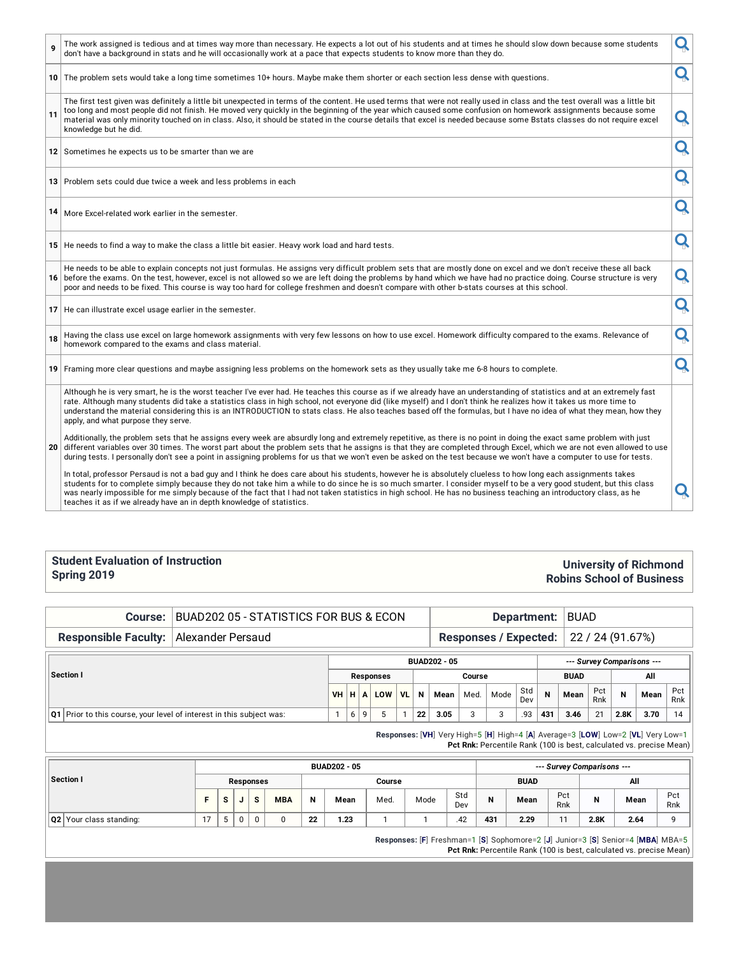|    | The work assigned is tedious and at times way more than necessary. He expects a lot out of his students and at times he should slow down because some students<br>don't have a background in stats and he will occasionally work at a pace that expects students to know more than they do.                                                                                                                                                                                                                                                                                        | Q |
|----|------------------------------------------------------------------------------------------------------------------------------------------------------------------------------------------------------------------------------------------------------------------------------------------------------------------------------------------------------------------------------------------------------------------------------------------------------------------------------------------------------------------------------------------------------------------------------------|---|
|    | 10 The problem sets would take a long time sometimes 10+ hours. Maybe make them shorter or each section less dense with questions.                                                                                                                                                                                                                                                                                                                                                                                                                                                 | Q |
| 11 | The first test given was definitely a little bit unexpected in terms of the content. He used terms that were not really used in class and the test overall was a little bit<br>too long and most people did not finish. He moved very quickly in the beginning of the year which caused some confusion on homework assignments because some<br>material was only minority touched on in class. Also, it should be stated in the course details that excel is needed because some Bstats classes do not require excel<br>knowledge but he did.                                      | Q |
|    | 12 Sometimes he expects us to be smarter than we are                                                                                                                                                                                                                                                                                                                                                                                                                                                                                                                               | Q |
|    | 13 Problem sets could due twice a week and less problems in each                                                                                                                                                                                                                                                                                                                                                                                                                                                                                                                   | Q |
|    | 14   More Excel-related work earlier in the semester.                                                                                                                                                                                                                                                                                                                                                                                                                                                                                                                              | Q |
|    | 15 He needs to find a way to make the class a little bit easier. Heavy work load and hard tests.                                                                                                                                                                                                                                                                                                                                                                                                                                                                                   | Q |
|    | He needs to be able to explain concepts not just formulas. He assigns very difficult problem sets that are mostly done on excel and we don't receive these all back<br>16 before the exams. On the test, however, excel is not allowed so we are left doing the problems by hand which we have had no practice doing. Course structure is very<br>poor and needs to be fixed. This course is way too hard for college freshmen and doesn't compare with other b-stats courses at this school.                                                                                      | Q |
|    | 17 He can illustrate excel usage earlier in the semester.                                                                                                                                                                                                                                                                                                                                                                                                                                                                                                                          | Q |
| 18 | Having the class use excel on large homework assignments with very few lessons on how to use excel. Homework difficulty compared to the exams. Relevance of<br>homework compared to the exams and class material.                                                                                                                                                                                                                                                                                                                                                                  | Q |
|    | 19 Framing more clear questions and maybe assigning less problems on the homework sets as they usually take me 6-8 hours to complete.                                                                                                                                                                                                                                                                                                                                                                                                                                              | Q |
|    | Although he is very smart, he is the worst teacher I've ever had. He teaches this course as if we already have an understanding of statistics and at an extremely fast<br>rate. Although many students did take a statistics class in high school, not everyone did (like myself) and I don't think he realizes how it takes us more time to<br>understand the material considering this is an INTRODUCTION to stats class. He also teaches based off the formulas, but I have no idea of what they mean, how they<br>apply, and what purpose they serve.                          |   |
| 20 | Additionally, the problem sets that he assigns every week are absurdly long and extremely repetitive, as there is no point in doing the exact same problem with just<br>different variables over 30 times. The worst part about the problem sets that he assigns is that they are completed through Excel, which we are not even allowed to use<br>during tests. I personally don't see a point in assigning problems for us that we won't even be asked on the test because we won't have a computer to use for tests.                                                            |   |
|    | In total, professor Persaud is not a bad guy and I think he does care about his students, however he is absolutely clueless to how long each assignments takes<br>students for to complete simply because they do not take him a while to do since he is so much smarter. I consider myself to be a very good student, but this class<br>was nearly impossible for me simply because of the fact that I had not taken statistics in high school. He has no business teaching an introductory class, as he<br>teaches it as if we already have an in depth knowledge of statistics. |   |

#### **Student Evaluation of Instruction Spring 2019**

#### **University of Richmond Robins School of Business**

**Course:** BUAD202 05 - STATISTICS FOR BUS & ECON **Department:** BUAD

## **Responsible Faculty:** Alexander Persaud **Responses** / **Expected:** 22 / 24 (91.67%)

| Section I |                                                                          |  |   | <b>BUAD202 - 05</b> |                 |           |    |      |        |        |            |             |      |            | --- Survey Comparisons --- |      |            |  |
|-----------|--------------------------------------------------------------------------|--|---|---------------------|-----------------|-----------|----|------|--------|--------|------------|-------------|------|------------|----------------------------|------|------------|--|
|           |                                                                          |  |   |                     | Responses       |           |    |      | Course |        |            | <b>BUAD</b> |      |            | All                        |      |            |  |
|           |                                                                          |  |   |                     | <b>VH HALOW</b> | <b>VL</b> | N  | Mean | Med.   | Mode   | Std<br>Dev | $\mathbf N$ | Mean | Pct<br>Rnk | N                          | Mean | Pct<br>Rnk |  |
|           | $ Q1 $ Prior to this course, your level of interest in this subject was: |  | 6 | 9                   |                 |           | 22 | 3.05 |        | 2<br>ت | .93        | 431         | 3.46 | 21         | 2.8K                       | 3.70 | 14         |  |

**Responses:** [**VH**] Very High=5 [**H**] High=4 [**A**] Average=3 [**LOW**] Low=2 [**VL**] Very Low=1 **Pct Rnk:** Percentile Rank (100 is best, calculated vs. precise Mean)

|                         |    |   |             |            |    | <b>BUAD202 - 05</b> |        | --- Survey Comparisons --- |            |     |             |            |      |      |            |  |  |
|-------------------------|----|---|-------------|------------|----|---------------------|--------|----------------------------|------------|-----|-------------|------------|------|------|------------|--|--|
| Section I               |    |   | Responses   |            |    |                     | Course |                            |            |     | <b>BUAD</b> |            | All  |      |            |  |  |
|                         |    | o | s           | <b>MBA</b> | N  | Mean                | Med.   | Mode                       | Std<br>Dev | N   | Mean        | Pct<br>Rnk | N    | Mean | Pct<br>Rnk |  |  |
| Q2 Your class standing: | 17 |   | $\mathbf 0$ |            | 22 | 1.23                |        |                            | .42        | 431 | 2.29        | 11         | 2.8K | 2.64 |            |  |  |

**Responses:** [**F**] Freshman=1 [**S**] Sophomore=2 [**J**] Junior=3 [**S**] Senior=4 [**MBA**] MBA=5 **Pct Rnk:** Percentile Rank (100 is best, calculated vs. precise Mean)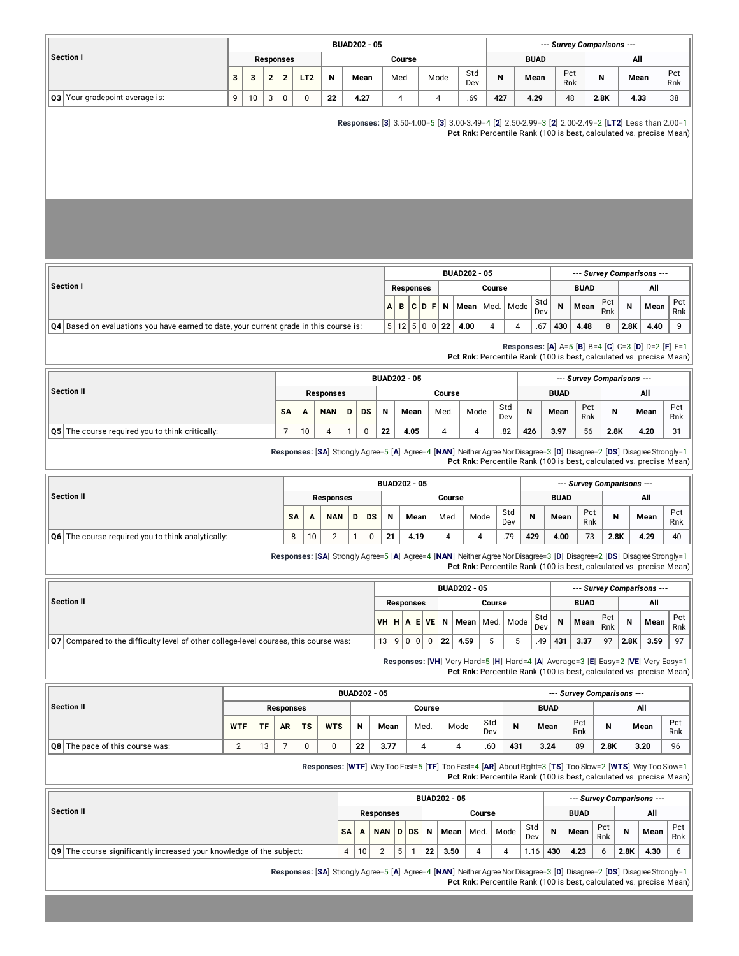|                                                                                               |            |    |                  |                         |                 |                                                                                                                         |              | <b>BUAD202 - 05</b> |                     |                |                  |                |                     |                     |                         |            |             | --- Survey Comparisons --- |                            |            |      |                                                                                                                                                                          |            |  |  |
|-----------------------------------------------------------------------------------------------|------------|----|------------------|-------------------------|-----------------|-------------------------------------------------------------------------------------------------------------------------|--------------|---------------------|---------------------|----------------|------------------|----------------|---------------------|---------------------|-------------------------|------------|-------------|----------------------------|----------------------------|------------|------|--------------------------------------------------------------------------------------------------------------------------------------------------------------------------|------------|--|--|
| Section I                                                                                     |            |    | <b>Responses</b> |                         |                 |                                                                                                                         |              |                     |                     | Course         |                  |                |                     |                     |                         |            | <b>BUAD</b> |                            |                            |            |      | All                                                                                                                                                                      |            |  |  |
|                                                                                               | 3          | 3  | $\mathbf{2}$     | $\overline{\mathbf{c}}$ | LT <sub>2</sub> | Ν                                                                                                                       |              | Mean                |                     | Med.           |                  | Mode           |                     | Std<br>Dev          | Ν                       |            | Mean        |                            | Pct<br>Rnk                 | Ν          |      | Mean                                                                                                                                                                     | Pct<br>Rnk |  |  |
| Q3 Your gradepoint average is:                                                                | 9          | 10 | 3                | $\pmb{0}$               | 0               | 22                                                                                                                      |              | 4.27                |                     | $\overline{4}$ |                  | $\overline{4}$ |                     | .69                 | 427                     |            | 4.29        |                            | 48                         | 2.8K       |      | 4.33                                                                                                                                                                     | 38         |  |  |
|                                                                                               |            |    |                  |                         |                 |                                                                                                                         |              |                     |                     |                |                  |                |                     |                     |                         |            |             |                            |                            |            |      | Responses: [3] 3.50-4.00=5 [3] 3.00-3.49=4 [2] 2.50-2.99=3 [2] 2.00-2.49=2 [LT2] Less than 2.00=1<br>Pct Rnk: Percentile Rank (100 is best, calculated vs. precise Mean) |            |  |  |
|                                                                                               |            |    |                  |                         |                 |                                                                                                                         |              |                     |                     |                |                  |                |                     | <b>BUAD202 - 05</b> |                         |            |             |                            |                            |            |      | --- Survey Comparisons ---                                                                                                                                               |            |  |  |
| Section I                                                                                     |            |    |                  |                         |                 |                                                                                                                         |              |                     |                     |                | <b>Responses</b> |                |                     |                     | Course                  |            |             |                            | <b>BUAD</b>                |            |      | All                                                                                                                                                                      |            |  |  |
|                                                                                               |            |    |                  |                         |                 |                                                                                                                         |              |                     | A                   | В              | C                | $D$ F          | Ν                   | Mean                | Med.                    | Mode       | Std<br>Dev  | N                          | Mean                       | Pct<br>Rnk | N    | Mean                                                                                                                                                                     | Pct<br>Rnk |  |  |
| <b>Q4</b> Based on evaluations you have earned to date, your current grade in this course is: |            |    |                  |                         |                 |                                                                                                                         |              |                     |                     |                | 5 12 5 0 0 22    |                |                     | 4.00                | 4                       | 4          | .67         | 430                        | 4.48                       | 8          | 2.8K | 4.40                                                                                                                                                                     | 9          |  |  |
|                                                                                               |            |    |                  |                         |                 |                                                                                                                         |              |                     |                     |                |                  |                |                     |                     |                         |            |             |                            |                            |            |      | Responses: [A] A=5 [B] B=4 [C] C=3 [D] D=2 [F] F=1<br>Pct Rnk: Percentile Rank (100 is best, calculated vs. precise Mean)                                                |            |  |  |
|                                                                                               |            |    |                  |                         |                 |                                                                                                                         |              |                     | <b>BUAD202 - 05</b> |                |                  |                |                     |                     |                         |            |             |                            | --- Survey Comparisons --- |            |      |                                                                                                                                                                          |            |  |  |
| <b>Section II</b>                                                                             |            |    |                  |                         |                 |                                                                                                                         |              |                     |                     |                |                  |                | Course              |                     |                         |            |             | <b>BUAD</b>                |                            |            | All  |                                                                                                                                                                          |            |  |  |
|                                                                                               |            |    |                  | SΑ                      | A               | <b>NAN</b>                                                                                                              | D            | <b>DS</b>           | N                   |                | Mean             |                | Med.                |                     | Std<br>Mode<br>Dev      |            | N           | Mean                       | Pct<br>Rnk                 | N          | Mean |                                                                                                                                                                          | Pct<br>Rnk |  |  |
| Q5 The course required you to think critically:                                               |            |    |                  | 7                       | 10              | 4                                                                                                                       | $\mathbf{1}$ | $\pmb{0}$           | 22                  | 4.05<br>4      |                  |                |                     |                     | 4                       | .82        | 426         | 3.97                       | 56                         | 2.8K       |      | 4.20                                                                                                                                                                     | 31         |  |  |
|                                                                                               |            |    |                  |                         |                 | Responses: [SA] Strongly Agree=5 [A] Agree=4 [NAN] Neither Agree Nor Disagree=3 [D] Disagree=2 [DS] Disagree Strongly=1 |              |                     |                     |                |                  |                |                     |                     |                         |            |             |                            |                            |            |      | Pct Rnk: Percentile Rank (100 is best, calculated vs. precise Mean)                                                                                                      |            |  |  |
|                                                                                               |            |    |                  |                         |                 |                                                                                                                         |              |                     | <b>BUAD202 - 05</b> |                |                  |                |                     |                     |                         |            |             |                            | --- Survey Comparisons --- |            |      |                                                                                                                                                                          |            |  |  |
| <b>Section II</b>                                                                             |            |    |                  |                         |                 | <b>Responses</b>                                                                                                        |              |                     |                     | Course         |                  |                |                     |                     |                         |            |             | <b>BUAD</b>                |                            |            |      | All                                                                                                                                                                      |            |  |  |
|                                                                                               |            |    |                  | SΑ                      | A               | <b>NAN</b>                                                                                                              | D            | <b>DS</b>           | N                   |                | Mean             |                | Med.                |                     | Mode                    | Std<br>Dev | N           | Mean                       | Pct<br>Rnk                 |            | Ν    | Mean                                                                                                                                                                     | Pct<br>Rnk |  |  |
| Q6   The course required you to think analytically:                                           |            |    |                  | 8                       | 10              | $\overline{2}$                                                                                                          | $\mathbf{1}$ | $\pmb{0}$           | 21                  |                | 4.19             |                | 4                   |                     | $\overline{\mathbf{4}}$ | .79        | 429         | 4.00                       | 73                         |            | 2.8K | 4.29                                                                                                                                                                     | 40         |  |  |
|                                                                                               |            |    |                  |                         |                 | Responses: [SA] Strongly Agree=5 [A] Agree=4 [NAN] Neither Agree Nor Disagree=3 [D] Disagree=2 [DS] Disagree Strongly=1 |              |                     |                     |                |                  |                |                     |                     |                         |            |             |                            |                            |            |      | Pct Rnk: Percentile Rank (100 is best, calculated vs. precise Mean)                                                                                                      |            |  |  |
| <b>Section II</b>                                                                             |            |    |                  |                         |                 |                                                                                                                         |              |                     |                     |                |                  |                |                     | <b>BUAD202 - 05</b> |                         |            |             |                            |                            |            |      | --- Survey Comparisons ---                                                                                                                                               |            |  |  |
|                                                                                               |            |    |                  |                         |                 |                                                                                                                         |              |                     |                     |                | <b>Responses</b> |                |                     |                     | Course                  |            | Std         |                            | <b>BUAD</b>                | Pct        |      | All                                                                                                                                                                      | Pct        |  |  |
|                                                                                               |            |    |                  |                         |                 |                                                                                                                         |              |                     | VH H A E VE         |                |                  |                | N                   | Mean   Med.         |                         | Mode       | Dev         | N                          | Mean                       | Rnk        | N    | Mean                                                                                                                                                                     | Rnk        |  |  |
| <b>Q7</b> Compared to the difficulty level of other college-level courses, this course was:   |            |    |                  |                         |                 |                                                                                                                         |              |                     | 13                  | 9 0 0          |                  | $\mathbf 0$    | 22                  | 4.59                | 5                       | 5          | .49         | 431                        | 3.37                       | 97         | 2.8K | 3.59                                                                                                                                                                     | 97         |  |  |
|                                                                                               |            |    |                  |                         |                 |                                                                                                                         |              |                     |                     |                |                  |                |                     |                     |                         |            |             |                            |                            |            |      | Responses: [VH] Very Hard=5 [H] Hard=4 [A] Average=3 [E] Easy=2 [VE] Very Easy=1<br>Pct Rnk: Percentile Rank (100 is best, calculated vs. precise Mean)                  |            |  |  |
|                                                                                               |            |    |                  |                         |                 |                                                                                                                         |              | <b>BUAD202 - 05</b> |                     |                |                  |                |                     |                     |                         |            |             |                            | --- Survey Comparisons --- |            |      |                                                                                                                                                                          |            |  |  |
| <b>Section II</b>                                                                             |            |    |                  | <b>Responses</b>        |                 |                                                                                                                         |              |                     |                     |                |                  | Course         |                     |                     |                         |            |             | <b>BUAD</b>                |                            |            |      | All                                                                                                                                                                      |            |  |  |
|                                                                                               | <b>WTF</b> |    | TF               | AR                      | TS              | <b>WTS</b>                                                                                                              |              | N                   | Mean                |                | Med.             |                |                     | Mode                | Std<br>Dev              | N          |             | Mean                       | Pct<br>Rnk                 | N          |      | Mean                                                                                                                                                                     | Pct<br>Rnk |  |  |
| Q8 The pace of this course was:                                                               | 2          |    | 13               | $\overline{7}$          | 0               | $\pmb{0}$                                                                                                               |              | 22                  | 3.77                |                | $\overline{4}$   |                |                     | 4                   | .60                     | 431        |             | 3.24                       | 89                         | 2.8K       |      | 3.20                                                                                                                                                                     | 96         |  |  |
|                                                                                               |            |    |                  |                         |                 | Responses: [WTF] Way Too Fast=5 [TF] Too Fast=4 [AR] About Right=3 [TS] Too Slow=2 [WTS] Way Too Slow=1                 |              |                     |                     |                |                  |                |                     |                     |                         |            |             |                            |                            |            |      | Pct Rnk: Percentile Rank (100 is best, calculated vs. precise Mean)                                                                                                      |            |  |  |
|                                                                                               |            |    |                  |                         |                 |                                                                                                                         |              |                     |                     |                |                  |                | <b>BUAD202 - 05</b> |                     |                         |            |             |                            |                            |            |      | --- Survey Comparisons ---                                                                                                                                               |            |  |  |
| <b>Section II</b>                                                                             |            |    |                  |                         |                 |                                                                                                                         |              |                     | <b>Responses</b>    |                |                  |                |                     |                     | Course                  |            |             |                            | <b>BUAD</b>                |            |      | All                                                                                                                                                                      |            |  |  |
|                                                                                               |            |    |                  |                         |                 |                                                                                                                         | SΑ           | A                   | <b>NAN</b>          | D DS           |                  | Ν              | Mean                | Med.                |                         | Mode       | Std<br>Dev  | N                          | Mean                       | Pct<br>Rnk | N    | Mean                                                                                                                                                                     | Pct<br>Rnk |  |  |

 $\boxed{ \textbf{Q9} \mid \textbf{The course significantly increased your knowledge of the subject: } \quad \boxed{ \begin{array}{c|c|c|c|c|c|c|c} \textbf{4} & \textbf{10} & \textbf{2} & \textbf{5} & \textbf{1} & \textbf{22} & \textbf{3.50} & \textbf{4} & \textbf{4} & \textbf{1.16} & \textbf{430} & \textbf{4.23} & \textbf{6} & \textbf{2.8K} & \textbf{4.30} & \textbf{6} & \textbf{6} & \textbf{2.8K} & \textbf{4.30} & \textbf{6} & \text$ 

**Responses:** [**SA**] Strongly Agree=5 [**A**] Agree=4 [**NAN**] NeitherAgreeNorDisagree=3 [**D**] Disagree=2 [**DS**] DisagreeStrongly=1 **Pct Rnk:** Percentile Rank (100 is best, calculated vs. precise Mean)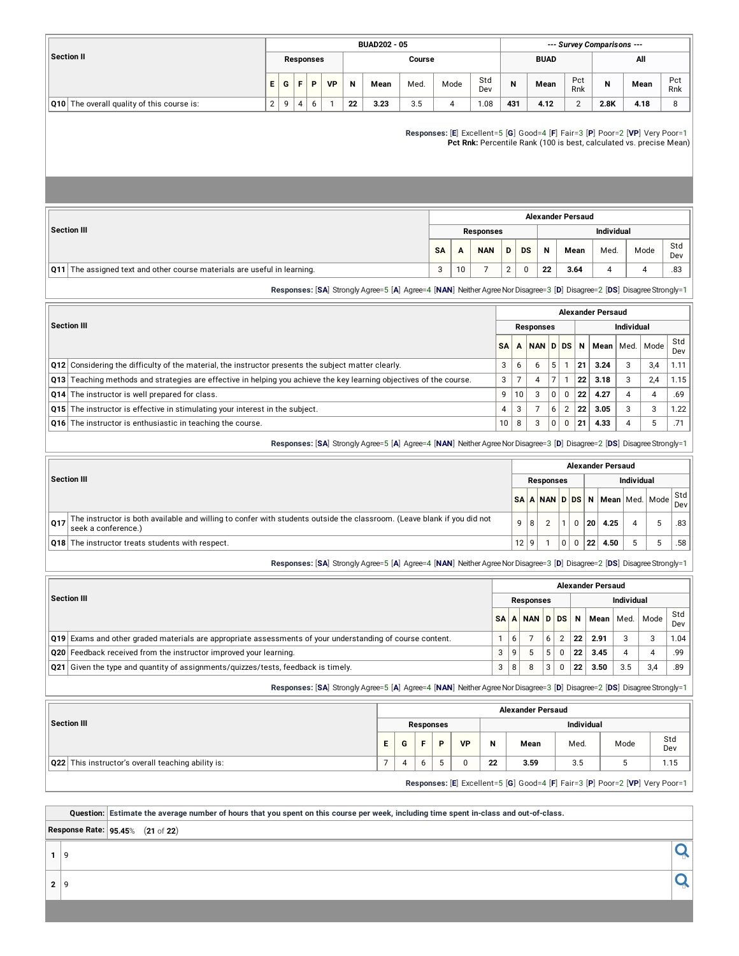|                                            |    |   |   |                  |           |    | <b>BUAD202 - 05</b> |        | --- Survey Comparisons --- |            |     |             |               |      |      |            |
|--------------------------------------------|----|---|---|------------------|-----------|----|---------------------|--------|----------------------------|------------|-----|-------------|---------------|------|------|------------|
| Section II                                 |    |   |   | <b>Responses</b> |           |    |                     | Course |                            |            |     | <b>BUAD</b> |               | All  |      |            |
|                                            | E. | G |   | Þ                | <b>VP</b> | N  | Mean                | Med.   | Mode                       | Std<br>Dev | N   | Mean        | Pct<br>Rnk    | N    | Mean | Pct<br>Rnk |
| Q10 The overall quality of this course is: | 2  | q | 4 | 6                |           | 22 | 3.23                | 3.5    |                            | 1.08       | 431 | 4.12        | $\Omega$<br>∸ | 2.8K | 4.18 |            |

**Responses:** [**E**] Excellent=5 [**G**] Good=4 [**F**] Fair=3 [**P**] Poor=2 [**VP**] Very Poor=1 **Pct Rnk:** Percentile Rank (100 is best, calculated vs. precise Mean)

|                                                                                 | <b>Alexander Persaud</b> |    |                  |   |           |    |      |                   |      |            |  |  |  |  |
|---------------------------------------------------------------------------------|--------------------------|----|------------------|---|-----------|----|------|-------------------|------|------------|--|--|--|--|
| Section III                                                                     |                          |    | <b>Responses</b> |   |           |    |      | <b>Individual</b> |      |            |  |  |  |  |
|                                                                                 | <b>SA</b>                | A  | <b>NAN</b>       | D | <b>DS</b> | N  | Mean | Med.              | Mode | Std<br>Dev |  |  |  |  |
| <b>Q11</b> The assigned text and other course materials are useful in learning. | 3                        | 10 |                  | C |           | 22 | 3.64 | 4                 |      | .83        |  |  |  |  |

**Responses:** [**SA**] Strongly Agree=5 [**A**] Agree=4 [**NAN**] NeitherAgreeNorDisagree=3 [**D**] Disagree=2 [**DS**] DisagreeStrongly=1

|                                                                                                                                     | <b>Alexander Persaud</b> |    |                  |   |                |                   |      |   |             |            |  |  |  |  |
|-------------------------------------------------------------------------------------------------------------------------------------|--------------------------|----|------------------|---|----------------|-------------------|------|---|-------------|------------|--|--|--|--|
| <b>Section III</b>                                                                                                                  |                          |    | <b>Responses</b> |   |                | <b>Individual</b> |      |   |             |            |  |  |  |  |
|                                                                                                                                     | <b>SA</b>                | А  | NAN DDS          |   |                | N                 | Mean |   | Med.   Mode | Std<br>Dev |  |  |  |  |
| <b>Q12</b> Considering the difficulty of the material, the instructor presents the subject matter clearly.                          | 3                        | 6  | 6                | 5 |                | 21                | 3.24 | 3 | 3.4         | 1.11       |  |  |  |  |
| $\vert$ Q13 $\vert$ Teaching methods and strategies are effective in helping you achieve the key learning objectives of the course. | 3                        |    | 4                | ⇁ |                | 22                | 3.18 | 3 | 2.4         | 1.15       |  |  |  |  |
| Q14 The instructor is well prepared for class.                                                                                      | 9                        | 10 | 3                | 0 | $\Omega$       | 22                | 4.27 | 4 |             | .69        |  |  |  |  |
| <b>Q15</b> The instructor is effective in stimulating your interest in the subject.                                                 | 4                        | 3  |                  | 6 | $\overline{2}$ | 22                | 3.05 | 3 | З           | 1.22       |  |  |  |  |
| Q16 The instructor is enthusiastic in teaching the course.                                                                          | 10                       | 8  | 3                | 0 | $\Omega$       | 21                | 4.33 | 4 |             | .71        |  |  |  |  |

|     |                                                                                                                                                | <b>Alexander Persaud</b> |  |  |  |  |    |                                                                                |  |    |     |  |  |  |  |
|-----|------------------------------------------------------------------------------------------------------------------------------------------------|--------------------------|--|--|--|--|----|--------------------------------------------------------------------------------|--|----|-----|--|--|--|--|
|     | Section III                                                                                                                                    | <b>Responses</b>         |  |  |  |  |    | <b>Individual</b>                                                              |  |    |     |  |  |  |  |
|     |                                                                                                                                                |                          |  |  |  |  |    | N <mark>SA   A   NAN   D   DS   N   Mean</mark>   Med.   Mode <sup>  Std</sup> |  |    |     |  |  |  |  |
| 017 | The instructor is both available and willing to confer with students outside the classroom. (Leave blank if you did not<br>seek a conference.) | 9 8                      |  |  |  |  | 20 | 4.25                                                                           |  | 5  | .83 |  |  |  |  |
|     | <b>Q18</b> The instructor treats students with respect.                                                                                        | 12 9                     |  |  |  |  | 22 | 4.50                                                                           |  | -5 | .58 |  |  |  |  |

**Responses:** [**SA**] Strongly Agree=5 [**A**] Agree=4 [**NAN**] NeitherAgreeNorDisagree=3 [**D**] Disagree=2 [**DS**] DisagreeStrongly=1

**Responses:** [**SA**] Strongly Agree=5 [**A**] Agree=4 [**NAN**] NeitherAgreeNorDisagree=3 [**D**] Disagree=2 [**DS**] DisagreeStrongly=1

|     |                                                                                                       | <b>Alexander Persaud</b> |   |            |   |              |                   |             |     |      |            |  |  |  |  |
|-----|-------------------------------------------------------------------------------------------------------|--------------------------|---|------------|---|--------------|-------------------|-------------|-----|------|------------|--|--|--|--|
|     | <b>Section III</b>                                                                                    |                          |   | Responses  |   |              | <b>Individual</b> |             |     |      |            |  |  |  |  |
|     |                                                                                                       |                          |   | SAANAND DS |   |              | N                 | Mean   Med. |     | Mode | Std<br>Dev |  |  |  |  |
| 019 | Exams and other graded materials are appropriate assessments of your understanding of course content. |                          | 6 |            |   | ົ            | 22                | 2.91        | 3   | 3    | 1.04       |  |  |  |  |
|     | Q20 Feedback received from the instructor improved your learning.                                     |                          | 9 |            |   | <sup>0</sup> | 22                | 3.45        |     | 4    | .99        |  |  |  |  |
|     | $\vert$ Q21 Given the type and quantity of assignments/quizzes/tests, feedback is timely.             |                          | 8 |            | 3 | 0            | 22                | 3.50        | 3.5 | 3.4  | .89        |  |  |  |  |

**Responses:** [**SA**] Strongly Agree=5 [**A**] Agree=4 [**NAN**] NeitherAgreeNorDisagree=3 [**D**] Disagree=2 [**DS**] DisagreeStrongly=1

|                                                    |   |                   |    |   |           |    | <b>Alexander Persaud</b> |      |                                                                              |            |
|----------------------------------------------------|---|-------------------|----|---|-----------|----|--------------------------|------|------------------------------------------------------------------------------|------------|
| <b>Section III</b>                                 |   | <b>Individual</b> |    |   |           |    |                          |      |                                                                              |            |
|                                                    | Е | G                 | ъ. | D | <b>VP</b> | N  | Mean                     | Med. | Mode                                                                         | Std<br>Dev |
| Q22 This instructor's overall teaching ability is: |   |                   | b  |   |           | 22 | 3.59                     | 3.5  |                                                                              | 1.15       |
|                                                    |   |                   |    |   |           |    |                          |      | Responses: [E] Excellent=5 [G] Good=4 [F] Fair=3 [P] Poor=2 [VP] Very Poor=1 |            |

**<sup>2</sup>** <sup>9</sup>

Question: Estimate the average number of hours that you spent on this course per week, including time spent in-class and out-of-class.

**Response Rate: 95.45**% (**21** of **22**)

 $\overline{\mathbf{Q}}$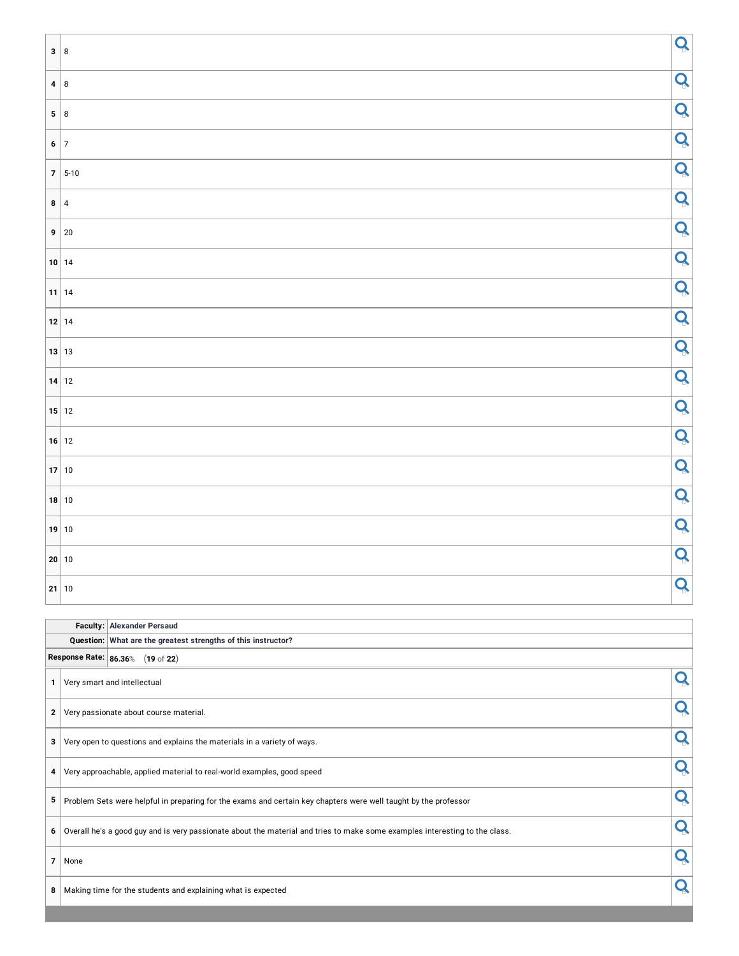| 3 8                                                |             | Q |
|----------------------------------------------------|-------------|---|
| 4 8                                                |             | Q |
| 5 8                                                |             | Q |
| 6 7                                                |             | Q |
|                                                    | $7 5-10$    | Q |
| $\begin{array}{ c c }\n\hline\n8 & 4\n\end{array}$ |             | Q |
|                                                    | $9 \mid 20$ | Q |
| $10$ 14                                            |             | Q |
| 11 14                                              |             | Q |
| 12 14                                              |             | Q |
| 13 13                                              |             | Q |
| 14 12                                              |             | Q |
| 15 12                                              |             | Q |
| $16$ 12                                            |             | Q |
| 17 10                                              |             | Q |
| 18 10                                              |             | Q |
| 19 10                                              |             | Q |
| $\vert$ 20 $\vert$ 10                              |             | Q |
| 21 10                                              |             | Q |

|                |                                                               | Faculty: Alexander Persaud                                                                                                      |   |  |  |  |  |  |  |  |  |  |
|----------------|---------------------------------------------------------------|---------------------------------------------------------------------------------------------------------------------------------|---|--|--|--|--|--|--|--|--|--|
|                | Question: What are the greatest strengths of this instructor? |                                                                                                                                 |   |  |  |  |  |  |  |  |  |  |
|                | Response Rate: 86.36% (19 of 22)                              |                                                                                                                                 |   |  |  |  |  |  |  |  |  |  |
|                |                                                               | Very smart and intellectual                                                                                                     |   |  |  |  |  |  |  |  |  |  |
| $\mathbf{2}$   |                                                               | Very passionate about course material.                                                                                          |   |  |  |  |  |  |  |  |  |  |
| 3              |                                                               | Very open to questions and explains the materials in a variety of ways.                                                         | Q |  |  |  |  |  |  |  |  |  |
| 4              |                                                               | Very approachable, applied material to real-world examples, good speed                                                          |   |  |  |  |  |  |  |  |  |  |
| 5              |                                                               | Problem Sets were helpful in preparing for the exams and certain key chapters were well taught by the professor                 |   |  |  |  |  |  |  |  |  |  |
|                |                                                               | 6   Overall he's a good guy and is very passionate about the material and tries to make some examples interesting to the class. | Q |  |  |  |  |  |  |  |  |  |
| $\overline{7}$ | None                                                          |                                                                                                                                 |   |  |  |  |  |  |  |  |  |  |
| 8              |                                                               | Making time for the students and explaining what is expected                                                                    |   |  |  |  |  |  |  |  |  |  |
|                |                                                               |                                                                                                                                 |   |  |  |  |  |  |  |  |  |  |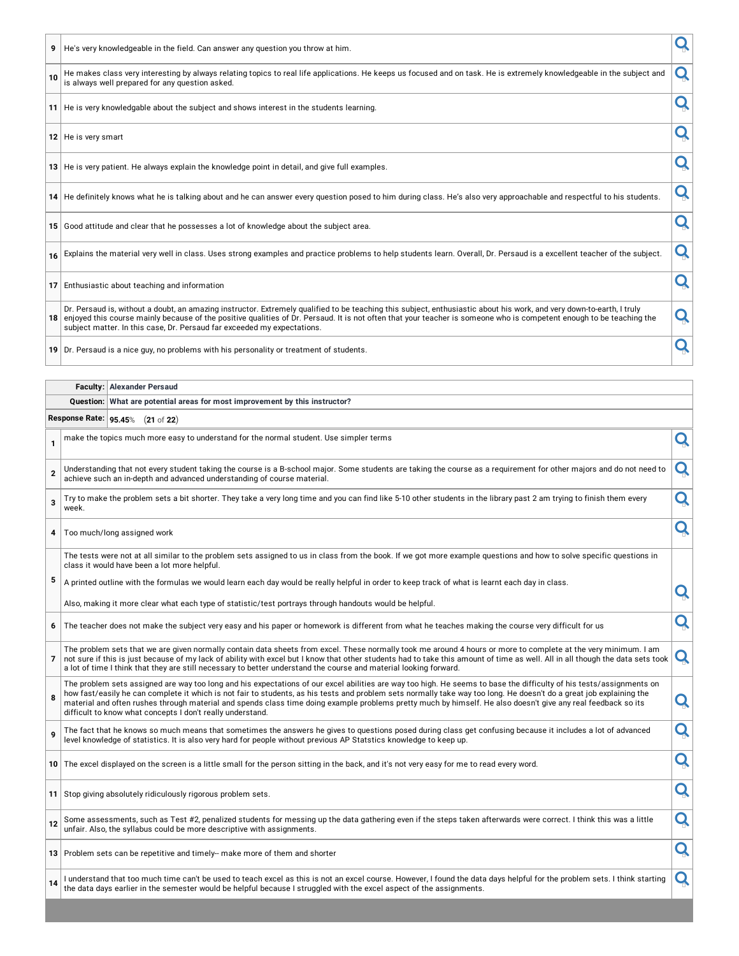|  | 9   He's very knowledgeable in the field. Can answer any question you throw at him. |  |
|--|-------------------------------------------------------------------------------------|--|
|--|-------------------------------------------------------------------------------------|--|

| 9               | He's very knowledgeable in the field. Can answer any question you throw at him.                                                                                                                                                                                                                                                                                                                                             |   |  |
|-----------------|-----------------------------------------------------------------------------------------------------------------------------------------------------------------------------------------------------------------------------------------------------------------------------------------------------------------------------------------------------------------------------------------------------------------------------|---|--|
| 10 <sup>1</sup> | He makes class very interesting by always relating topics to real life applications. He keeps us focused and on task. He is extremely knowledgeable in the subject and<br>is always well prepared for any question asked.                                                                                                                                                                                                   |   |  |
|                 | 11 He is very knowledgable about the subject and shows interest in the students learning.                                                                                                                                                                                                                                                                                                                                   |   |  |
|                 | 12 He is very smart                                                                                                                                                                                                                                                                                                                                                                                                         |   |  |
|                 | 13 He is very patient. He always explain the knowledge point in detail, and give full examples.                                                                                                                                                                                                                                                                                                                             |   |  |
|                 | 14 He definitely knows what he is talking about and he can answer every question posed to him during class. He's also very approachable and respectful to his students.                                                                                                                                                                                                                                                     |   |  |
|                 | 15 Good attitude and clear that he possesses a lot of knowledge about the subject area.                                                                                                                                                                                                                                                                                                                                     |   |  |
|                 | 16 Explains the material very well in class. Uses strong examples and practice problems to help students learn. Overall, Dr. Persaud is a excellent teacher of the subject.                                                                                                                                                                                                                                                 |   |  |
| 17 <sup>1</sup> | Enthusiastic about teaching and information                                                                                                                                                                                                                                                                                                                                                                                 |   |  |
|                 | Dr. Persaud is, without a doubt, an amazing instructor. Extremely qualified to be teaching this subject, enthusiastic about his work, and very down-to-earth, I truly<br>18 enjoyed this course mainly because of the positive qualities of Dr. Persaud. It is not often that your teacher is someone who is competent enough to be teaching the<br>subject matter. In this case, Dr. Persaud far exceeded my expectations. | Q |  |
|                 |                                                                                                                                                                                                                                                                                                                                                                                                                             |   |  |

**19** Dr. Persaud is a nice guy, no problems with his personality or treatment of students.

#### **Faculty: Alexander Persaud**

#### **Question: What are potential areas for most improvement by this instructor?**

**Response Rate: 95.45**% (**21** of **22**)

|                | <b>23.43</b> % (21 01 22)                                                                                                                                                                                                                                                                                                                                                                                                                                                                                                                                                   |   |
|----------------|-----------------------------------------------------------------------------------------------------------------------------------------------------------------------------------------------------------------------------------------------------------------------------------------------------------------------------------------------------------------------------------------------------------------------------------------------------------------------------------------------------------------------------------------------------------------------------|---|
| 1              | make the topics much more easy to understand for the normal student. Use simpler terms                                                                                                                                                                                                                                                                                                                                                                                                                                                                                      | Q |
| $\mathbf{2}$   | Understanding that not every student taking the course is a B-school major. Some students are taking the course as a requirement for other majors and do not need to<br>achieve such an in-depth and advanced understanding of course material.                                                                                                                                                                                                                                                                                                                             | Q |
| 3              | Try to make the problem sets a bit shorter. They take a very long time and you can find like 5-10 other students in the library past 2 am trying to finish them every<br>week.                                                                                                                                                                                                                                                                                                                                                                                              | Q |
| 4              | Too much/long assigned work                                                                                                                                                                                                                                                                                                                                                                                                                                                                                                                                                 | Q |
|                | The tests were not at all similar to the problem sets assigned to us in class from the book. If we got more example questions and how to solve specific questions in<br>class it would have been a lot more helpful.                                                                                                                                                                                                                                                                                                                                                        |   |
| 5              | A printed outline with the formulas we would learn each day would be really helpful in order to keep track of what is learnt each day in class.                                                                                                                                                                                                                                                                                                                                                                                                                             | Q |
|                | Also, making it more clear what each type of statistic/test portrays through handouts would be helpful.                                                                                                                                                                                                                                                                                                                                                                                                                                                                     |   |
| 6              | The teacher does not make the subject very easy and his paper or homework is different from what he teaches making the course very difficult for us                                                                                                                                                                                                                                                                                                                                                                                                                         | Q |
| $\overline{7}$ | The problem sets that we are given normally contain data sheets from excel. These normally took me around 4 hours or more to complete at the very minimum. I am<br>not sure if this is just because of my lack of ability with excel but I know that other students had to take this amount of time as well. All in all though the data sets took<br>a lot of time I think that they are still necessary to better understand the course and material looking forward.                                                                                                      | Q |
| 8              | The problem sets assigned are way too long and his expectations of our excel abilities are way too high. He seems to base the difficulty of his tests/assignments on<br>how fast/easily he can complete it which is not fair to students, as his tests and problem sets normally take way too long. He doesn't do a great job explaining the<br>material and often rushes through material and spends class time doing example problems pretty much by himself. He also doesn't give any real feedback so its<br>difficult to know what concepts I don't really understand. | Q |
| 9              | The fact that he knows so much means that sometimes the answers he gives to questions posed during class get confusing because it includes a lot of advanced<br>level knowledge of statistics. It is also very hard for people without previous AP Statstics knowledge to keep up.                                                                                                                                                                                                                                                                                          | Q |
|                | 10 The excel displayed on the screen is a little small for the person sitting in the back, and it's not very easy for me to read every word.                                                                                                                                                                                                                                                                                                                                                                                                                                | Q |
|                | 11 Stop giving absolutely ridiculously rigorous problem sets.                                                                                                                                                                                                                                                                                                                                                                                                                                                                                                               | Q |
| 12             | Some assessments, such as Test #2, penalized students for messing up the data gathering even if the steps taken afterwards were correct. I think this was a little<br>unfair. Also, the syllabus could be more descriptive with assignments.                                                                                                                                                                                                                                                                                                                                | Q |
|                | 13 Problem sets can be repetitive and timely- make more of them and shorter                                                                                                                                                                                                                                                                                                                                                                                                                                                                                                 | Q |
| 14             | I understand that too much time can't be used to teach excel as this is not an excel course. However, I found the data days helpful for the problem sets. I think starting<br>the data days earlier in the semester would be helpful because I struggled with the excel aspect of the assignments.                                                                                                                                                                                                                                                                          | Q |
|                |                                                                                                                                                                                                                                                                                                                                                                                                                                                                                                                                                                             |   |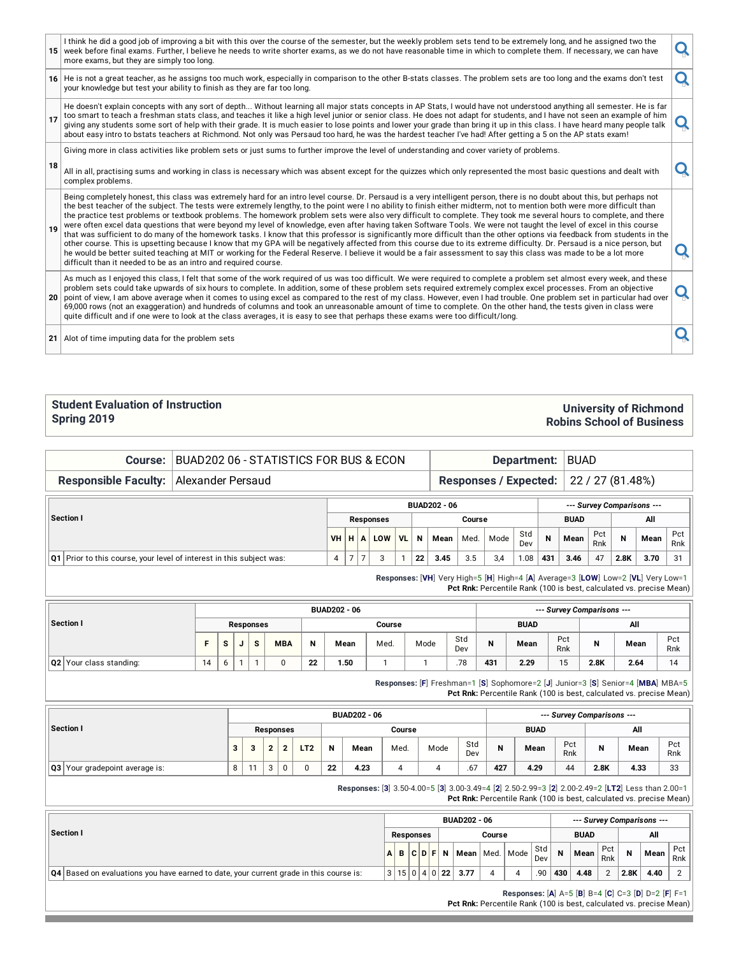|    | I think he did a good job of improving a bit with this over the course of the semester, but the weekly problem sets tend to be extremely long, and he assigned two the<br>15 week before final exams. Further, I believe he needs to write shorter exams, as we do not have reasonable time in which to complete them. If necessary, we can have<br>more exams, but they are simply too long.                                                                                                                                                                                                                                                                                                                                                                                                                                                                                                                                                                                                                                                                                                                                                                                                                                                                                                        | Q |
|----|------------------------------------------------------------------------------------------------------------------------------------------------------------------------------------------------------------------------------------------------------------------------------------------------------------------------------------------------------------------------------------------------------------------------------------------------------------------------------------------------------------------------------------------------------------------------------------------------------------------------------------------------------------------------------------------------------------------------------------------------------------------------------------------------------------------------------------------------------------------------------------------------------------------------------------------------------------------------------------------------------------------------------------------------------------------------------------------------------------------------------------------------------------------------------------------------------------------------------------------------------------------------------------------------------|---|
|    | 16 He is not a great teacher, as he assigns too much work, especially in comparison to the other B-stats classes. The problem sets are too long and the exams don't test<br>your knowledge but test your ability to finish as they are far too long.                                                                                                                                                                                                                                                                                                                                                                                                                                                                                                                                                                                                                                                                                                                                                                                                                                                                                                                                                                                                                                                 | O |
| 17 | He doesn't explain concepts with any sort of depth Without learning all major stats concepts in AP Stats, I would have not understood anything all semester. He is far<br>too smart to teach a freshman stats class, and teaches it like a high level junior or senior class. He does not adapt for students, and I have not seen an example of him<br>giving any students some sort of help with their grade. It is much easier to lose points and lower your grade than bring it up in this class. I have heard many people talk<br>about easy intro to bstats teachers at Richmond. Not only was Persaud too hard, he was the hardest teacher I've had! After getting a 5 on the AP stats exam!                                                                                                                                                                                                                                                                                                                                                                                                                                                                                                                                                                                                   |   |
|    | Giving more in class activities like problem sets or just sums to further improve the level of understanding and cover variety of problems.                                                                                                                                                                                                                                                                                                                                                                                                                                                                                                                                                                                                                                                                                                                                                                                                                                                                                                                                                                                                                                                                                                                                                          |   |
| 18 | All in all, practising sums and working in class is necessary which was absent except for the quizzes which only represented the most basic questions and dealt with<br>complex problems.                                                                                                                                                                                                                                                                                                                                                                                                                                                                                                                                                                                                                                                                                                                                                                                                                                                                                                                                                                                                                                                                                                            |   |
| 19 | Being completely honest, this class was extremely hard for an intro level course. Dr. Persaud is a very intelligent person, there is no doubt about this, but perhaps not<br>the best teacher of the subject. The tests were extremely lengthy, to the point were I no ability to finish either midterm, not to mention both were more difficult than<br>the practice test problems or textbook problems. The homework problem sets were also very difficult to complete. They took me several hours to complete, and there<br>were often excel data questions that were beyond my level of knowledge, even after having taken Software Tools. We were not taught the level of excel in this course<br>that was sufficient to do many of the homework tasks. I know that this professor is significantly more difficult than the other options via feedback from students in the<br>other course. This is upsetting because I know that my GPA will be negatively affected from this course due to its extreme difficulty. Dr. Persaud is a nice person, but<br>he would be better suited teaching at MIT or working for the Federal Reserve. I believe it would be a fair assessment to say this class was made to be a lot more<br>difficult than it needed to be as an intro and required course. |   |
|    | As much as I enjoyed this class, I felt that some of the work required of us was too difficult. We were required to complete a problem set almost every week, and these<br>problem sets could take upwards of six hours to complete. In addition, some of these problem sets required extremely complex excel processes. From an objective<br>20 point of view, I am above average when it comes to using excel as compared to the rest of my class. However, even I had trouble. One problem set in particular had over<br>69,000 rows (not an exaggeration) and hundreds of columns and took an unreasonable amount of time to complete. On the other hand, the tests given in class were<br>quite difficult and if one were to look at the class averages, it is easy to see that perhaps these exams were too difficult/long.                                                                                                                                                                                                                                                                                                                                                                                                                                                                    |   |
|    | 21 Alot of time imputing data for the problem sets                                                                                                                                                                                                                                                                                                                                                                                                                                                                                                                                                                                                                                                                                                                                                                                                                                                                                                                                                                                                                                                                                                                                                                                                                                                   |   |
|    |                                                                                                                                                                                                                                                                                                                                                                                                                                                                                                                                                                                                                                                                                                                                                                                                                                                                                                                                                                                                                                                                                                                                                                                                                                                                                                      |   |

#### **Student Evaluation of Instruction Spring 2019**

### **University of Richmond Robins School of Business**

| Course:                                                                     | BUAD202 06 - STATISTICS FOR BUS & ECON | Department:                                       |                |              |     |           |    |      |                              |                            |            |             | <b>BUAD</b> |            |      |                                                                                                                                                         |            |  |
|-----------------------------------------------------------------------------|----------------------------------------|---------------------------------------------------|----------------|--------------|-----|-----------|----|------|------------------------------|----------------------------|------------|-------------|-------------|------------|------|---------------------------------------------------------------------------------------------------------------------------------------------------------|------------|--|
| <b>Responsible Faculty:</b>                                                 | Alexander Persaud                      |                                                   |                |              |     |           |    |      | <b>Responses / Expected:</b> | 22 / 27 (81.48%)           |            |             |             |            |      |                                                                                                                                                         |            |  |
|                                                                             |                                        | <b>BUAD202 - 06</b><br>--- Survey Comparisons --- |                |              |     |           |    |      |                              |                            |            |             |             |            |      |                                                                                                                                                         |            |  |
| Section I                                                                   | <b>Responses</b>                       |                                                   |                |              |     |           |    |      |                              |                            |            | <b>BUAD</b> |             | All        |      |                                                                                                                                                         |            |  |
|                                                                             |                                        | <b>VH</b>                                         | н              | $\mathbf{A}$ | LOW | <b>VL</b> | N  | Mean | Med.                         | Mode                       | Std<br>Dev | N           | Mean        | Pct<br>Rnk | N    | Mean                                                                                                                                                    | Pct<br>Rnk |  |
| <b>Q1</b> Prior to this course, your level of interest in this subject was: |                                        | 4                                                 | $\overline{7}$ |              | 3   |           | 22 | 3.45 | 3.5                          | 3,4                        | 1.08       | 431         | 3.46        | 47         | 2.8K | 3.70                                                                                                                                                    | 31         |  |
|                                                                             |                                        |                                                   |                |              |     |           |    |      |                              |                            |            |             |             |            |      | Responses: [VH] Very High=5 [H] High=4 [A] Average=3 [LOW] Low=2 [VL] Very Low=1<br>Pct Rnk: Percentile Rank (100 is best, calculated vs. precise Mean) |            |  |
|                                                                             | <b>BUAD202 - 06</b>                    |                                                   |                |              |     |           |    |      |                              | --- Survey Comparisons --- |            |             |             |            |      |                                                                                                                                                         |            |  |

|                         |    |                            |  |                      |            |    | -------- |      | $-0.1.0$ , $-0.1.0$ , $-0.00$ |            |     |             |            |         |      |            |  |  |
|-------------------------|----|----------------------------|--|----------------------|------------|----|----------|------|-------------------------------|------------|-----|-------------|------------|---------|------|------------|--|--|
| Section I               |    | Course<br><b>Responses</b> |  |                      |            |    |          |      |                               |            |     | <b>BUAD</b> |            | All     |      |            |  |  |
|                         |    | s                          |  | $\ddot{\phantom{0}}$ | <b>MBA</b> |    | Mean     | Med. | Mode                          | Std<br>Dev | N   | Mean        | Pct<br>Rnk | ъ.<br>ш | Mean | Pct<br>Rnk |  |  |
| Q2 Your class standing: | 14 |                            |  |                      | u          | 22 | .50      |      |                               | .78        | 431 | 2.29        | 15         | 2.8K    | 2.64 |            |  |  |

**Responses:** [**F**] Freshman=1 [**S**] Sophomore=2 [**J**] Junior=3 [**S**] Senior=4 [**MBA**] MBA=5 **Pct Rnk:** Percentile Rank (100 is best, calculated vs. precise Mean)

|                                |   |    |           |                  |                 |    | <b>BUAD202 - 06</b> |        |      |            |     |             |            | --- Survey Comparisons --- |      |            |
|--------------------------------|---|----|-----------|------------------|-----------------|----|---------------------|--------|------|------------|-----|-------------|------------|----------------------------|------|------------|
| Section I                      |   |    |           | <b>Responses</b> |                 |    |                     | Course |      |            |     | <b>BUAD</b> |            |                            | All  |            |
|                                | 3 | ∍  | $\bullet$ |                  | LT <sub>2</sub> | N  | Mean                | Med.   | Mode | Std<br>Dev |     | Mean        | Pct<br>Rnk | N                          | Mean | Pct<br>Rnk |
| Q3 Your gradepoint average is: | 8 | 11 | $\sim$    |                  | $\Omega$        | 22 | 4.23                | 4      |      | .67        | 427 | 4.29        | 44         | 2.8K                       | 4.33 | 33         |

**Responses:** [**3**] 3.50-4.00=5 [**3**] 3.00-3.49=4 [**2**] 2.50-2.99=3 [**2**] 2.00-2.49=2 [**LT2**] Less than 2.00=1

**Pct Rnk:** Percentile Rank (100 is best, calculated vs. precise Mean)

|                                                                                                      |  |           |  | <b>BUAD202 - 06</b>               |        |            |                |             |                |             | --- Survey Comparisons ---                         |            |
|------------------------------------------------------------------------------------------------------|--|-----------|--|-----------------------------------|--------|------------|----------------|-------------|----------------|-------------|----------------------------------------------------|------------|
| Section I                                                                                            |  | Responses |  |                                   | Course |            |                | <b>BUAD</b> |                |             | All                                                |            |
|                                                                                                      |  |           |  | $ A $ B $ C D F N$ Mean Med. Mode |        | Std<br>Dev | $\overline{N}$ | Mean        | Pct<br>Rnk     | $\mathbf N$ | Mean                                               | Pct<br>Rnk |
| $\vert Q4 \vert$ Based on evaluations you have earned to date, your current grade in this course is: |  |           |  | 3 15 0 4 0 22 3.77                |        | .90        | 430            | 4.48        | $\overline{2}$ | 2.8K        | 4.40                                               |            |
|                                                                                                      |  |           |  |                                   |        |            |                |             |                |             | Responses: [A] A=5 [B] B=4 [C] C=3 [D] D=2 [F] F=1 |            |

**Pct Rnk:** Percentile Rank (100 is best, calculated vs. precise Mean)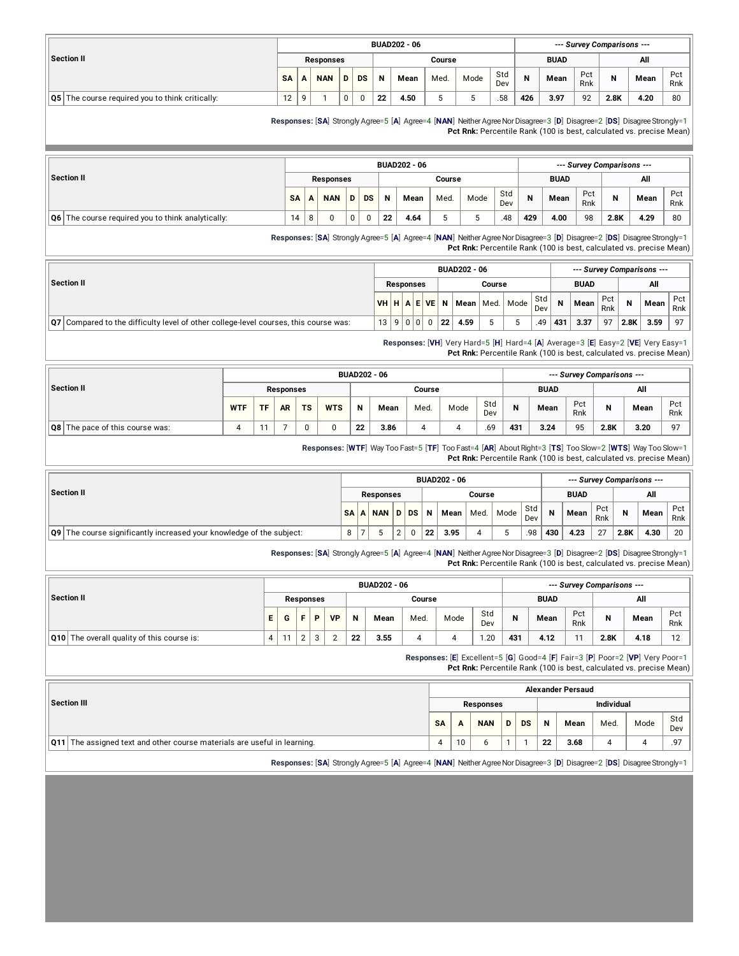|                                                    |           |   |            |           |    | <b>BUAD202 - 06</b> |        |      |            |     |             |            | --- Survey Comparisons --- |      |            |
|----------------------------------------------------|-----------|---|------------|-----------|----|---------------------|--------|------|------------|-----|-------------|------------|----------------------------|------|------------|
| <b>Section II</b>                                  |           |   | Responses  |           |    |                     | Course |      |            |     | <b>BUAD</b> |            |                            | All  |            |
|                                                    | <b>SA</b> | A | <b>NAN</b> | <b>DS</b> | N  | Mean                | Med.   | Mode | Std<br>Dev | N   | Mean        | Pct<br>Rnk | N                          | Mean | Pct<br>Rnk |
| The course required you to think critically:<br>Q5 | 12        | Q |            | 0         | 22 | 4.50                |        |      | .58        | 426 | 3.97        | 92         | 2.8K                       | 4.20 | 80         |
|                                                    |           |   |            |           |    |                     |        |      |            |     |             |            |                            |      |            |

**Responses:** [**SA**] Strongly Agree=5 [**A**] Agree=4 [**NAN**] NeitherAgreeNorDisagree=3 [**D**] Disagree=2 [**DS**] DisagreeStrongly=1 **Pct Rnk:** Percentile Rank (100 is best, calculated vs. precise Mean)

|                                                        |           |                  |   |    |    | <b>BUAD202 - 06</b> |        |      |            |     |             |            | --- Survey Comparisons --- |      |            |
|--------------------------------------------------------|-----------|------------------|---|----|----|---------------------|--------|------|------------|-----|-------------|------------|----------------------------|------|------------|
| Section II                                             |           | <b>Responses</b> |   |    |    |                     | Course |      |            |     | <b>BUAD</b> |            |                            | All  |            |
|                                                        | <b>SA</b> | <b>NAN</b>       | D | DS | N  | Mean                | Med.   | Mode | Std<br>Dev | N   | Mean        | Pct<br>Rnk | N                          | Mean | Pct<br>Rnk |
| 06  <br>The course required you to think analytically: | 14        |                  | 0 | 0  | 22 | 4.64                | 5      |      | .48        | 429 | 4.00        | 98         | 2.8K                       | 4.29 | 80         |

**Responses:** [**SA**] Strongly Agree=5 [**A**] Agree=4 [**NAN**] NeitherAgreeNorDisagree=3 [**D**] Disagree=2 [**DS**] DisagreeStrongly=1 **Pct Rnk:** Percentile Rank (100 is best, calculated vs. precise Mean)

|                                                                                                               |                |                  |  |        | <b>BUAD202 - 06</b> |        |             |            |     |             |            |      | --- Survey Comparisons --- |            |
|---------------------------------------------------------------------------------------------------------------|----------------|------------------|--|--------|---------------------|--------|-------------|------------|-----|-------------|------------|------|----------------------------|------------|
| Section II                                                                                                    |                | <b>Responses</b> |  |        |                     | Course |             |            |     | <b>BUAD</b> |            |      | All                        |            |
|                                                                                                               | VH H A E V E   |                  |  |        | Mean                |        | Med.   Mode | Std<br>Dev | N   | Mean        | Pct<br>Rnk | N    | Mean                       | Pct<br>Rnk |
| $\left  \mathbf{Q7}\right $ Compared to the difficulty level of other college-level courses, this course was: | 13   9   0   0 |                  |  | ່ 22 ເ | 4.59                |        |             | .49        | 431 | 3.37        | 97         | 2.8K | 3.59                       | 97         |

**Responses:** [**VH**] Very Hard=5 [**H**] Hard=4 [**A**] Average=3 [**E**] Easy=2 [**VE**] Very Easy=1 **Pct Rnk:** Percentile Rank (100 is best, calculated vs. precise Mean)

|                                        |            |           |           |           |            |    | <b>BUAD202 - 06</b> |        |      |            |              |             |            | --- Survey Comparisons --- |      |                |
|----------------------------------------|------------|-----------|-----------|-----------|------------|----|---------------------|--------|------|------------|--------------|-------------|------------|----------------------------|------|----------------|
| Section II                             |            |           | Responses |           |            |    |                     | Course |      |            |              | <b>BUAD</b> |            |                            | All  |                |
|                                        | <b>WTF</b> | <b>TF</b> | <b>AR</b> | <b>TS</b> | <b>WTS</b> | N  | Mean                | Med.   | Mode | Std<br>Dev | $\mathbf{N}$ | Mean        | Pct<br>Rnk | N                          | Mean | Pct<br>Rnk     |
| <b>Q8</b> The pace of this course was: | 4          |           |           | 0         |            | 22 | 3.86                |        |      | .69        | 431          | 3.24        | 95         | 2.8K                       | 3.20 | Q <sub>7</sub> |

**Responses:** [**WTF**] Way Too Fast=5 [**TF**] Too Fast=4 [**AR**] AboutRight=3 [**TS**] Too Slow=2 [**WTS**] Way Too Slow=1 **Pct Rnk:** Percentile Rank (100 is best, calculated vs. precise Mean)

|                                                                             |   |                  |      |    | <b>BUAD202 - 06</b> |        |      |            |     |             |            |      | --- Survey Comparisons --- |            |
|-----------------------------------------------------------------------------|---|------------------|------|----|---------------------|--------|------|------------|-----|-------------|------------|------|----------------------------|------------|
| Section II                                                                  |   | <b>Responses</b> |      |    |                     | Course |      |            |     | <b>BUAD</b> |            |      | All                        |            |
|                                                                             |   | SA A NAN         | D DS | N  | Mean l              | Med.   | Mode | Std<br>Dev | N   | Mean        | Pct<br>Rnk | N    | Mean                       | Pct<br>Rnk |
| <b>Q9</b> The course significantly increased your knowledge of the subject: | 8 |                  |      | 22 | 3.95                |        |      | .98        | 430 | 4.23        | 27         | 2.8K | 4.30                       | 20         |

**Responses:** [**SA**] Strongly Agree=5 [**A**] Agree=4 [**NAN**] NeitherAgreeNorDisagree=3 [**D**] Disagree=2 [**DS**] DisagreeStrongly=1 **Pct Rnk:** Percentile Rank (100 is best, calculated vs. precise Mean)

|                                                   |    |    |             |            |           |    | <b>BUAD202 - 06</b> |        |      |            |     |             |            | --- Survey Comparisons --- |      |            |
|---------------------------------------------------|----|----|-------------|------------|-----------|----|---------------------|--------|------|------------|-----|-------------|------------|----------------------------|------|------------|
| Section II                                        |    |    |             | Responses  |           |    |                     | Course |      |            |     | <b>BUAD</b> |            |                            | All  |            |
|                                                   | E. | G  | F           | Р          | <b>VD</b> | N  | Mean                | Med.   | Mode | Std<br>Dev | N   | Mean        | Pct<br>Rnk | N                          | Mean | Pct<br>Rnk |
| <b>Q10</b> The overall quality of this course is: |    | 11 | $\sim$<br>∠ | $\sqrt{2}$ |           | 22 | 3.55                |        |      | .20        | 431 | 4.12        | 11         | 2.8K                       | 4.18 | 12         |

**Responses:** [**E**] Excellent=5 [**G**] Good=4 [**F**] Fair=3 [**P**] Poor=2 [**VP**] Very Poor=1

**Pct Rnk:** Percentile Rank (100 is best, calculated vs. precise Mean)

| Individual |            |
|------------|------------|
| Mode       | Std<br>Dev |
|            | .97        |
|            |            |

**Responses:** [**SA**] Strongly Agree=5 [**A**] Agree=4 [**NAN**] NeitherAgreeNorDisagree=3 [**D**] Disagree=2 [**DS**] DisagreeStrongly=1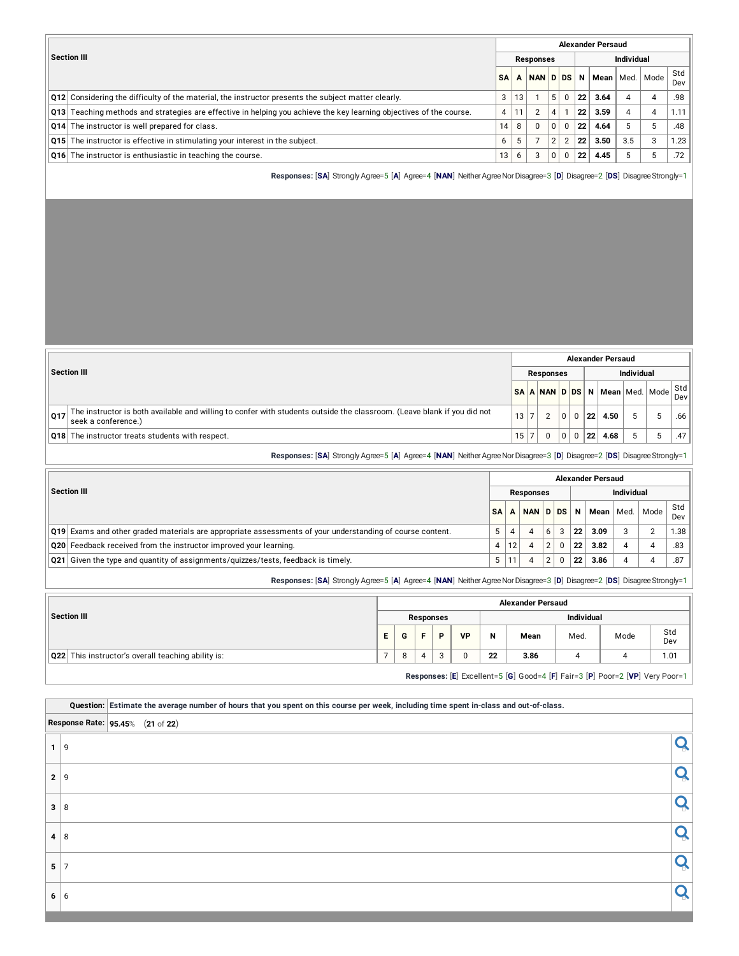|                                                                                                                                     |           |    |                |   |                |    | <b>Alexander Persaud</b> |                   |                    |            |
|-------------------------------------------------------------------------------------------------------------------------------------|-----------|----|----------------|---|----------------|----|--------------------------|-------------------|--------------------|------------|
| <b>Section III</b>                                                                                                                  |           |    | Responses      |   |                |    |                          | <b>Individual</b> |                    |            |
|                                                                                                                                     | <b>SA</b> |    | NAN D DS       |   |                | N  |                          |                   | Mean   Med.   Mode | Std<br>Dev |
| <b>Q12</b> Considering the difficulty of the material, the instructor presents the subject matter clearly.                          | 3         | 13 |                | 5 | 0              | 22 | 3.64                     | 4                 | 4                  | .98        |
| $\vert$ Q13 $\vert$ Teaching methods and strategies are effective in helping you achieve the key learning objectives of the course. | 4         | 11 | $\overline{2}$ | 4 |                | 22 | 3.59                     | 4                 | $\overline{4}$     | 1.11       |
| Q14 The instructor is well prepared for class.                                                                                      | 14        |    | $\Omega$       | 0 | $\Omega$       | 22 | 4.64                     | 5                 | 5                  | .48        |
| <b>Q15</b> The instructor is effective in stimulating your interest in the subject.                                                 | 6         | 5  |                | 2 | $\overline{2}$ | 22 | 3.50                     | 3.5               | 3                  | 1.23       |
| Q16 The instructor is enthusiastic in teaching the course.                                                                          | 13        | 6  | 3              |   | 0              | 22 | 4.45                     |                   | 5                  | .72        |

**Responses:** [**SA**] Strongly Agree=5 [**A**] Agree=4 [**NAN**] NeitherAgreeNorDisagree=3 [**D**] Disagree=2 [**DS**] DisagreeStrongly=1

|     |                                                                                                                                                |      |                  |   |             |    | <b>Alexander Persaud</b>       |            |            |
|-----|------------------------------------------------------------------------------------------------------------------------------------------------|------|------------------|---|-------------|----|--------------------------------|------------|------------|
|     | Section III                                                                                                                                    |      | <b>Responses</b> |   |             |    |                                | Individual |            |
|     |                                                                                                                                                |      |                  |   |             |    | SA A NAN D DS N Mean Med. Mode |            | Std<br>Dev |
| 017 | The instructor is both available and willing to confer with students outside the classroom. (Leave blank if you did not<br>seek a conference.) | 13 7 | C                | 0 | $\Omega$    | 22 | 4.50                           |            | .66        |
|     | <b>Q18</b> The instructor treats students with respect.                                                                                        | 15 7 | 0                | 0 | $\mathbf 0$ | 22 | 4.68                           |            | .47        |

**Responses:** [**SA**] Strongly Agree=5 [**A**] Agree=4 [**NAN**] NeitherAgreeNorDisagree=3 [**D**] Disagree=2 [**DS**] DisagreeStrongly=1

|                                                                                                           |           |    |                  |   |                 | <b>Alexander Persaud</b> |            |                |            |
|-----------------------------------------------------------------------------------------------------------|-----------|----|------------------|---|-----------------|--------------------------|------------|----------------|------------|
| <b>Section III</b>                                                                                        |           |    | <b>Responses</b> |   |                 |                          | Individual |                |            |
|                                                                                                           | <b>SA</b> |    | NAN D DS         |   | N               | Mean Med.                |            | Mode           | Std<br>Dev |
| Q19 Exams and other graded materials are appropriate assessments of your understanding of course content. |           |    |                  | b | $^{\circ}$ 22   | 3.09                     | 3          | $\overline{2}$ | ٔ 38.      |
| Q20 Feedback received from the instructor improved your learning.                                         | 4         | 12 |                  | ຳ | 22              | 3.82                     |            | 4              | .83        |
| $\alpha$ Q21 Given the type and quantity of assignments/quizzes/tests, feedback is timely.                |           |    |                  |   | $^{\circ}$ 22 . | 3.86                     |            |                | .87        |

**Responses:** [SA] Strongly Agree=5 [A] Agree=4 [NAN] Neither Agree Nor Disagree=3 [D] Disagree=2 [DS] Disagree Strongly=1

|                                                    |   |                                |           |           |            | <b>Alexander Persaud</b> |      |                                                                                                                                                                                                                                                                                                                                                                                                                                                              |            |  |  |  |
|----------------------------------------------------|---|--------------------------------|-----------|-----------|------------|--------------------------|------|--------------------------------------------------------------------------------------------------------------------------------------------------------------------------------------------------------------------------------------------------------------------------------------------------------------------------------------------------------------------------------------------------------------------------------------------------------------|------------|--|--|--|
| Section III                                        |   |                                | Responses |           | Individual |                          |      |                                                                                                                                                                                                                                                                                                                                                                                                                                                              |            |  |  |  |
|                                                    | Е | G                              | D         | <b>VP</b> | N          | Mean                     | Med. | Mode                                                                                                                                                                                                                                                                                                                                                                                                                                                         | Std<br>Dev |  |  |  |
| Q22 This instructor's overall teaching ability is: |   | 8                              |           | $\Omega$  | 22         | 3.86                     |      |                                                                                                                                                                                                                                                                                                                                                                                                                                                              | 1.01       |  |  |  |
|                                                    |   | the property of the control of |           |           |            |                          |      | $\mathcal{L} = \mathcal{L} = \mathcal{L} = \mathcal{L} = \mathcal{L} = \mathcal{L} = \mathcal{L} = \mathcal{L} = \mathcal{L} = \mathcal{L} = \mathcal{L} = \mathcal{L} = \mathcal{L} = \mathcal{L} = \mathcal{L} = \mathcal{L} = \mathcal{L} = \mathcal{L} = \mathcal{L} = \mathcal{L} = \mathcal{L} = \mathcal{L} = \mathcal{L} = \mathcal{L} = \mathcal{L} = \mathcal{L} = \mathcal{L} = \mathcal{L} = \mathcal{L} = \mathcal{L} = \mathcal{L} = \mathcal$ |            |  |  |  |

**Responses:** [**E**] Excellent=5 [**G**] Good=4 [**F**] Fair=3 [**P**] Poor=2 [**VP**] Very Poor=1

Question: Estimate the average number of hours that you spent on this course per week, including time spent in-class and out-of-class. **Response Rate: 95.45**% (**21** of **22**)  $\overline{\mathbf{Q}}$ **2** 9  $\overline{\mathbf{a}}$  8 **4** 8  $\frac{1}{2}$  7 **<sup>6</sup>** <sup>6</sup>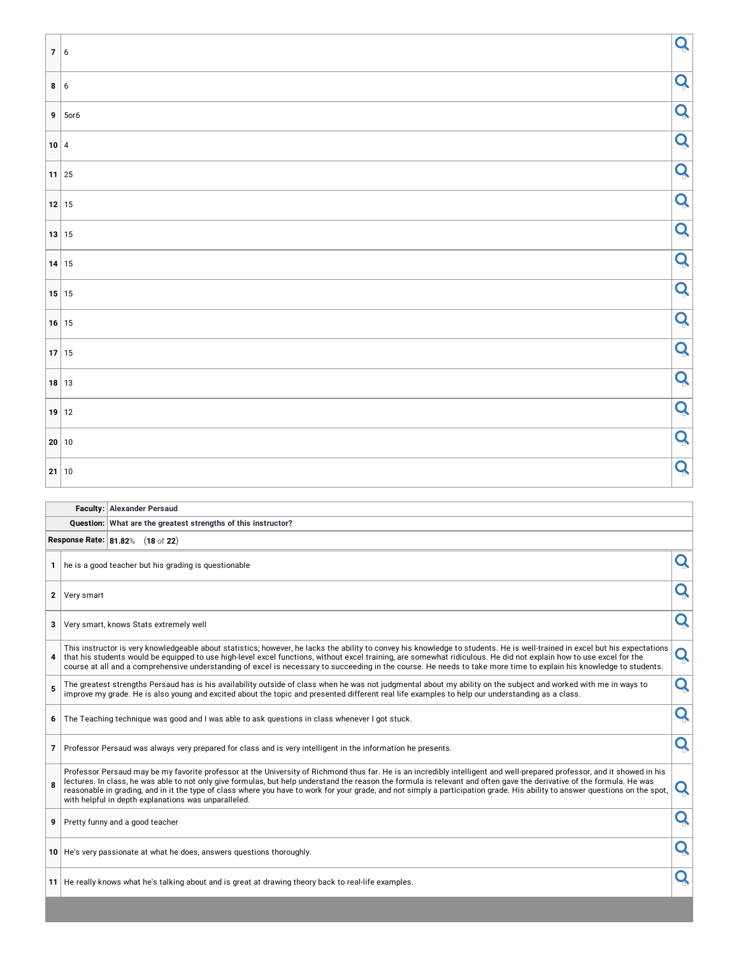| 7 6     |              | Q |
|---------|--------------|---|
| 8 6     |              | Q |
|         | $9   5$ or 6 | Q |
| 10 4    |              | Q |
| $11$ 25 |              | Q |
| 12 15   |              | Q |
| 13 15   |              | Q |
| $14$ 15 |              | Q |
| 15 15   |              | Q |
| $16$ 15 |              | Q |
| $17$ 15 |              | Q |
| $18$ 13 |              | Q |
| 19 12   |              | Q |
| 20 10   |              | Q |
| 21 10   |              | Q |

| <b>Faculty: Alexander Persaud</b>                             |
|---------------------------------------------------------------|
| Question: What are the greatest strengths of this instructor? |

**Response Rate: 81.82**% (**18** of **22**)

|   | 1 he is a good teacher but his grading is questionable                                                                                                                                                                                                                                                                                                                                                                                                                                                                                                                                     |   |
|---|--------------------------------------------------------------------------------------------------------------------------------------------------------------------------------------------------------------------------------------------------------------------------------------------------------------------------------------------------------------------------------------------------------------------------------------------------------------------------------------------------------------------------------------------------------------------------------------------|---|
|   | 2 Very smart                                                                                                                                                                                                                                                                                                                                                                                                                                                                                                                                                                               |   |
|   | 3 Very smart, knows Stats extremely well                                                                                                                                                                                                                                                                                                                                                                                                                                                                                                                                                   |   |
| 4 | This instructor is very knowledgeable about statistics; however, he lacks the ability to convey his knowledge to students. He is well-trained in excel but his expectations<br>that his students would be equipped to use high-level excel functions, without excel training, are somewhat ridiculous. He did not explain how to use excel for the<br>course at all and a comprehensive understanding of excel is necessary to succeeding in the course. He needs to take more time to explain his knowledge to students.                                                                  | Q |
| 5 | The greatest strengths Persaud has is his availability outside of class when he was not judgmental about my ability on the subject and worked with me in ways to<br>improve my grade. He is also young and excited about the topic and presented different real life examples to help our understanding as a class.                                                                                                                                                                                                                                                                        | Q |
| 6 | The Teaching technique was good and I was able to ask questions in class whenever I got stuck.                                                                                                                                                                                                                                                                                                                                                                                                                                                                                             |   |
|   | 7 Professor Persaud was always very prepared for class and is very intelligent in the information he presents.                                                                                                                                                                                                                                                                                                                                                                                                                                                                             |   |
| 8 | Professor Persaud may be my favorite professor at the University of Richmond thus far. He is an incredibly intelligent and well-prepared professor, and it showed in his<br>lectures. In class, he was able to not only give formulas, but help understand the reason the formula is relevant and often gave the derivative of the formula. He was<br>reasonable in grading, and in it the type of class where you have to work for your grade, and not simply a participation grade. His ability to answer questions on the spot,<br>with helpful in depth explanations was unparalleled. |   |
|   | 9 Pretty funny and a good teacher                                                                                                                                                                                                                                                                                                                                                                                                                                                                                                                                                          |   |
|   | 10 He's very passionate at what he does, answers questions thoroughly.                                                                                                                                                                                                                                                                                                                                                                                                                                                                                                                     |   |
|   | 11 He really knows what he's talking about and is great at drawing theory back to real-life examples.                                                                                                                                                                                                                                                                                                                                                                                                                                                                                      |   |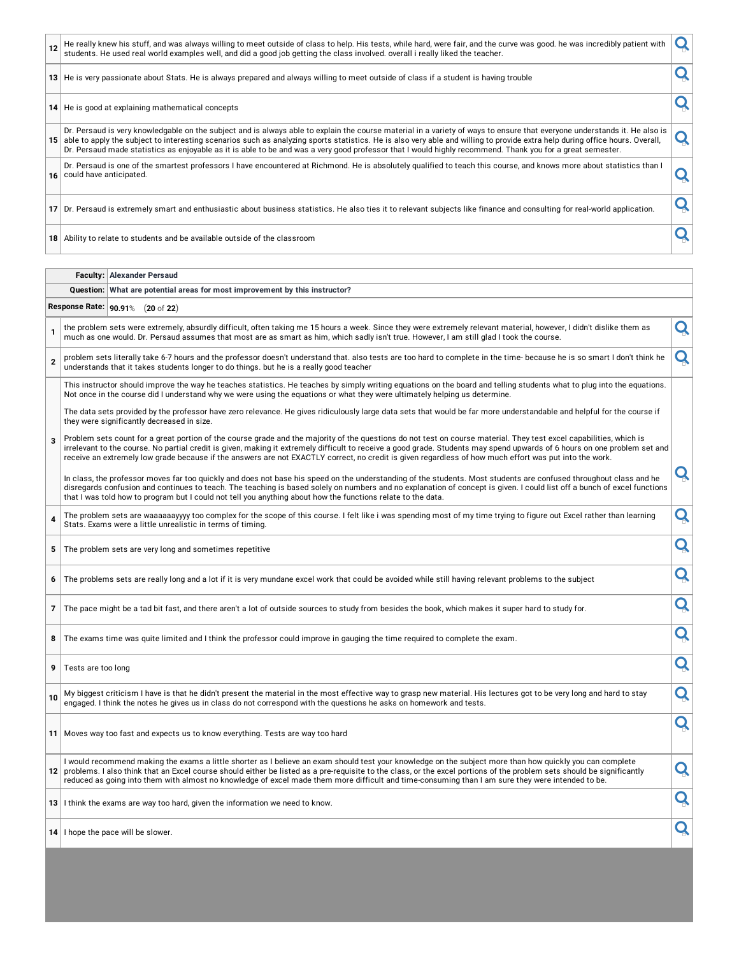| 13 He is very passionate about Stats. He is always prepared and always willing to meet outside of class if a student is having trouble<br>14   He is good at explaining mathematical concepts                                                                                                                                                                                                                                                                                                                             |  |
|---------------------------------------------------------------------------------------------------------------------------------------------------------------------------------------------------------------------------------------------------------------------------------------------------------------------------------------------------------------------------------------------------------------------------------------------------------------------------------------------------------------------------|--|
|                                                                                                                                                                                                                                                                                                                                                                                                                                                                                                                           |  |
|                                                                                                                                                                                                                                                                                                                                                                                                                                                                                                                           |  |
| Dr. Persaud is very knowledgable on the subject and is always able to explain the course material in a variety of ways to ensure that everyone understands it. He also is<br>15 able to apply the subject to interesting scenarios such as analyzing sports statistics. He is also very able and willing to provide extra help during office hours. Overall,<br>Dr. Persaud made statistics as enjoyable as it is able to be and was a very good professor that I would highly recommend. Thank you for a great semester. |  |
| Dr. Persaud is one of the smartest professors I have encountered at Richmond. He is absolutely qualified to teach this course, and knows more about statistics than I<br>16 could have anticipated.                                                                                                                                                                                                                                                                                                                       |  |
| Dr. Persaud is extremely smart and enthusiastic about business statistics. He also ties it to relevant subjects like finance and consulting for real-world application.                                                                                                                                                                                                                                                                                                                                                   |  |
| 18 Ability to relate to students and be available outside of the classroom                                                                                                                                                                                                                                                                                                                                                                                                                                                |  |
|                                                                                                                                                                                                                                                                                                                                                                                                                                                                                                                           |  |

**Faculty: Alexander Persaud**

|                | Question: What are potential areas for most improvement by this instructor?                                                                                                                                                                                                                                                                                                                                                                                                                                |   |
|----------------|------------------------------------------------------------------------------------------------------------------------------------------------------------------------------------------------------------------------------------------------------------------------------------------------------------------------------------------------------------------------------------------------------------------------------------------------------------------------------------------------------------|---|
|                | Response Rate: 90.91% (20 of 22)                                                                                                                                                                                                                                                                                                                                                                                                                                                                           |   |
| $\mathbf{1}$   | the problem sets were extremely, absurdly difficult, often taking me 15 hours a week. Since they were extremely relevant material, however, I didn't dislike them as<br>much as one would. Dr. Persaud assumes that most are as smart as him, which sadly isn't true. However, I am still glad I took the course.                                                                                                                                                                                          | Q |
| $\overline{2}$ | problem sets literally take 6-7 hours and the professor doesn't understand that, also tests are too hard to complete in the time- because he is so smart I don't think he<br>understands that it takes students longer to do things. but he is a really good teacher                                                                                                                                                                                                                                       | Q |
|                | This instructor should improve the way he teaches statistics. He teaches by simply writing equations on the board and telling students what to plug into the equations.<br>Not once in the course did I understand why we were using the equations or what they were ultimately helping us determine.                                                                                                                                                                                                      |   |
|                | The data sets provided by the professor have zero relevance. He gives ridiculously large data sets that would be far more understandable and helpful for the course if<br>they were significantly decreased in size.                                                                                                                                                                                                                                                                                       |   |
| $\overline{3}$ | Problem sets count for a great portion of the course grade and the majority of the questions do not test on course material. They test excel capabilities, which is<br>irrelevant to the course. No partial credit is given, making it extremely difficult to receive a good grade. Students may spend upwards of 6 hours on one problem set and<br>receive an extremely low grade because if the answers are not EXACTLY correct, no credit is given regardless of how much effort was put into the work. |   |
|                | In class, the professor moves far too quickly and does not base his speed on the understanding of the students. Most students are confused throughout class and he<br>disregards confusion and continues to teach. The teaching is based solely on numbers and no explanation of concept is given. I could list off a bunch of excel functions<br>that I was told how to program but I could not tell you anything about how the functions relate to the data.                                             | Q |
| $\overline{4}$ | The problem sets are waaaaaayyyy too complex for the scope of this course. I felt like i was spending most of my time trying to figure out Excel rather than learning<br>Stats. Exams were a little unrealistic in terms of timing.                                                                                                                                                                                                                                                                        | Q |
| 5              | The problem sets are very long and sometimes repetitive                                                                                                                                                                                                                                                                                                                                                                                                                                                    | Q |
| 6              | The problems sets are really long and a lot if it is very mundane excel work that could be avoided while still having relevant problems to the subject                                                                                                                                                                                                                                                                                                                                                     | Q |
| $\overline{7}$ | The pace might be a tad bit fast, and there aren't a lot of outside sources to study from besides the book, which makes it super hard to study for.                                                                                                                                                                                                                                                                                                                                                        | Q |
| 8              | The exams time was quite limited and I think the professor could improve in gauging the time required to complete the exam.                                                                                                                                                                                                                                                                                                                                                                                | Q |
| 9              | Tests are too long                                                                                                                                                                                                                                                                                                                                                                                                                                                                                         | Q |
| 10             | My biggest criticism I have is that he didn't present the material in the most effective way to grasp new material. His lectures got to be very long and hard to stay<br>engaged. I think the notes he gives us in class do not correspond with the guestions he asks on homework and tests.                                                                                                                                                                                                               | Q |
|                | 11   Moves way too fast and expects us to know everything. Tests are way too hard                                                                                                                                                                                                                                                                                                                                                                                                                          | Q |
|                | I would recommend making the exams a little shorter as I believe an exam should test your knowledge on the subject more than how quickly you can complete<br>12 problems. I also think that an Excel course should either be listed as a pre-requisite to the class, or the excel portions of the problem sets should be significantly<br>reduced as going into them with almost no knowledge of excel made them more difficult and time-consuming than I am sure they were intended to be.                | Q |
|                | 13 I think the exams are way too hard, given the information we need to know.                                                                                                                                                                                                                                                                                                                                                                                                                              | Q |
|                | 14   I hope the pace will be slower.                                                                                                                                                                                                                                                                                                                                                                                                                                                                       | Q |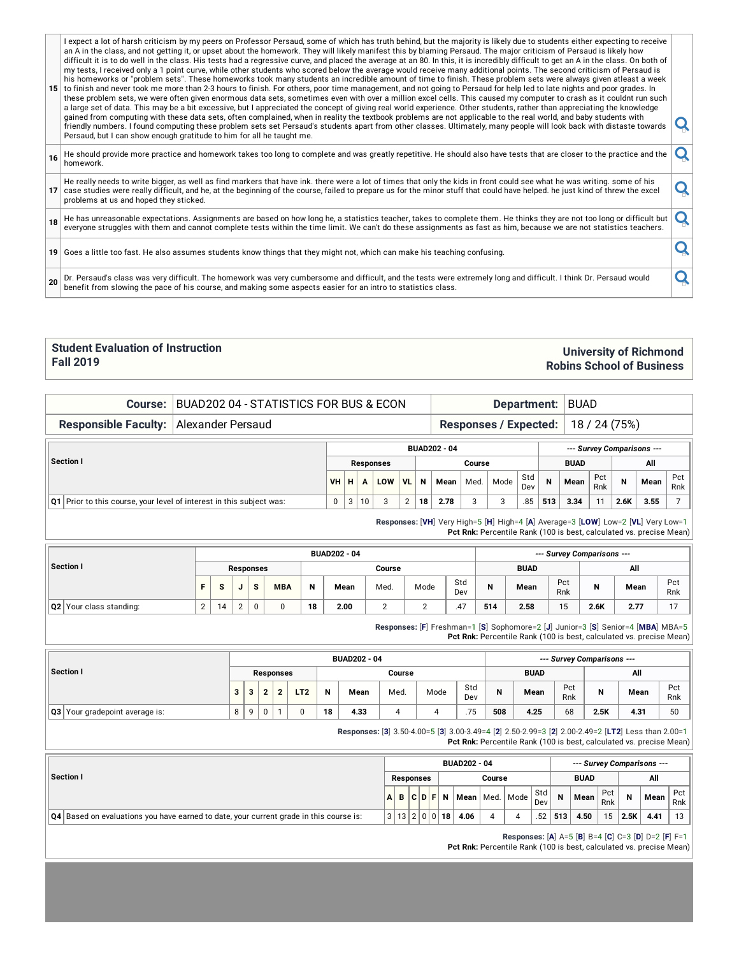I expect a lot of harsh criticism by my peers on Professor Persaud, some of which has truth behind, but the majority is likely due to students either expecting to receive an A in the class, and not getting it, or upset about the homework. They will likely manifest this by blaming Persaud. The major criticism of Persaud is likely how difficult it is to do well in the class. His tests had a regressive curve, and placed the average at an 80. In this, it is incredibly difficult to get an A in the class. On both of my tests, I received only a 1 point curve, while other students who scored below the average would receive many additional points. The second criticism of Persaud is his homeworks or "problem sets". These homeworks took many students an incredible amount of time to finish. These problem sets were always given atleast a week

**15** to finish and never took me more than 2-3 hours to finish. For others, poor time management, and not going to Persaud for help led to late nights and poor grades. In these problem sets, we were often given enormous data sets, sometimes even with over a million excel cells. This caused my computer to crash as it couldnt run such a large set of data. This may be a bit excessive, but I appreciated the concept of giving real world experience. Other students, rather than appreciating the knowledge gained from computing with these data sets, often complained, when in reality the textbook problems are not applicable to the real world, and baby students with gained from computing with these data sets, often complained, when in reality the textbook problems are not applicable to the real world, and baby students with<br>friendly numbers. I found computing these problem sets set Pe

- **16** He should provide more practice and homework takes too long to complete and was greatly repetitive. He should also have tests that are closer to the practice and the **Q**
- **17** He really needs to write bigger, as well as find markers that have ink. there were a lot of times that only the kids in front could see what he was writing. some of his He really needs to write bigger, as well as find markers that have link, there were a lot of thries that only the kids in front could see what he was writing. Some of his<br>case studies were really difficult, and he, at the
- 18 He has unreasonable expectations. Assignments are based on how long he, a statistics teacher, takes to complete them. He thinks they are not too long or difficult but  $|Q|$
- **19** Goes a little too fast. He also assumes students know things that they might not, which can make his teaching confusing.
- **20** Dr. Persaud's class was very difficult. The homework was very cumbersome and difficult, and the tests were extremely long and difficult. I think Dr. Persaud would<br>benefit from slowing the pace of his course, and making so

#### **Student Evaluation of Instruction Fall 2019**

 $Sect$ 

#### **University of Richmond Robins School of Business**

#### **Course: BUAD202 04 - STATISTICS FOR BUS & ECON Department: BUAD Responsible Faculty:** Alexander Persaud **Responses / Expected:** 18 / 24 (75%)

| Responsible Faculty. Alexander Fersaud                                   |      |   |    |           |           |    |                     |        | Responses / Expecteu. |            |     |             |            | 10/241/361 |                            |            |
|--------------------------------------------------------------------------|------|---|----|-----------|-----------|----|---------------------|--------|-----------------------|------------|-----|-------------|------------|------------|----------------------------|------------|
|                                                                          |      |   |    |           |           |    | <b>BUAD202 - 04</b> |        |                       |            |     |             |            |            | --- Survey Comparisons --- |            |
| Section I                                                                |      |   |    | Responses |           |    |                     | Course |                       |            |     | <b>BUAD</b> |            |            | All                        |            |
|                                                                          | VH H |   |    | LOW       | <b>VL</b> | N  | Mean                | Med.   | Mode                  | Std<br>Dev | N   | Mean        | Pct<br>Rnk | N          | Mean                       | Pct<br>Rnk |
| $ Q1 $ Prior to this course, your level of interest in this subject was: | 0    | 3 | 10 | 3         | ◠         | 18 | 2.78                | ٥      | Ω                     | .85        | 513 | 3.34        | 11         | 2.6K       | 3.55                       |            |

|       |  |                  |     |   |                     |        |      |            |   | Pct Rnk: Percentile Rank (100 is best, calculated vs. precise Mean) |            |                            |      |            |
|-------|--|------------------|-----|---|---------------------|--------|------|------------|---|---------------------------------------------------------------------|------------|----------------------------|------|------------|
|       |  |                  |     |   | <b>BUAD202 - 04</b> |        |      |            |   |                                                                     |            | --- Survey Comparisons --- |      |            |
| ion I |  | <b>Responses</b> |     |   |                     | Course |      |            |   | <b>BUAD</b>                                                         | All        |                            |      |            |
|       |  | s                | MBA | N | Mean                | Med.   | Mode | Std<br>Dev | N | Mean                                                                | Pct<br>Rnk | N                          | Mean | Pct<br>Rnk |

**Responses:** [**F**] Freshman=1 [**S**] Sophomore=2 [**J**] Junior=3 [**S**] Senior=4 [**MBA**] MBA=5 **Pct Rnk:** Percentile Rank (100 is best, calculated vs. precise Mean)

**Responses:** [**VH**] Very High=5 [**H**] High=4 [**A**] Average=3 [**LOW**] Low=2 [**VL**] Very Low=1

|                                       |   |   |                  |                 |    | <b>BUAD202 - 04</b> |        |      |            | --- Survey Comparisons --- |             |            |      |      |            |  |  |  |  |
|---------------------------------------|---|---|------------------|-----------------|----|---------------------|--------|------|------------|----------------------------|-------------|------------|------|------|------------|--|--|--|--|
| Section I                             |   |   | <b>Responses</b> |                 |    |                     | Course |      |            |                            | <b>BUAD</b> |            | All  |      |            |  |  |  |  |
|                                       | 3 |   | ◠                | LT <sub>2</sub> | N  | Mean                | Med.   | Mode | Std<br>Dev | N                          | Mean        | Pct<br>Rnk | N    | Mean | Pct<br>Rnk |  |  |  |  |
| <b>Q3</b> Your gradepoint average is: | 8 | a |                  |                 | 18 | 4.33                |        |      | .75        | 508                        | 4.25        | 68         | 2.5K | 4.31 | 50         |  |  |  |  |

**Q2** Your class standing: 2 14 2 0 0 **18 2.00** 2 2 .47 **514 2.58** 15 **2.6K 2.77** 17

**Responses:** [**3**] 3.50-4.00=5 [**3**] 3.00-3.49=4 [**2**] 2.50-2.99=3 [**2**] 2.00-2.49=2 [**LT2**] Less than 2.00=1 **Pct Rnk:** Percentile Rank (100 is best, calculated vs. precise Mean)

|                                                                                          |          |                  |  |  |     | <b>BUAD202 - 04</b> |        |                    |            |     |             |            | --- Survey Comparisons --- |      |            |
|------------------------------------------------------------------------------------------|----------|------------------|--|--|-----|---------------------|--------|--------------------|------------|-----|-------------|------------|----------------------------|------|------------|
| Section I                                                                                |          | <b>Responses</b> |  |  |     |                     | Course |                    |            |     | <b>BUAD</b> |            |                            | All  |            |
|                                                                                          | ABCDF    |                  |  |  | . N |                     |        | Mean   Med.   Mode | Std<br>Dev | N   | Mean        | Pct<br>Rnk | N                          | Mean | Pct<br>Rnk |
| Q4   Based on evaluations you have earned to date, your current grade in this course is: | 3 13 2 0 |                  |  |  | 18  | 4.06                |        |                    | .52        | 513 | 4.50        | 15         | 2.5K                       | 4.41 | 13         |

**Responses:** [**A**] A=5 [**B**] B=4 [**C**] C=3 [**D**] D=2 [**F**] F=1

**Pct Rnk:** Percentile Rank (100 is best, calculated vs. precise Mean)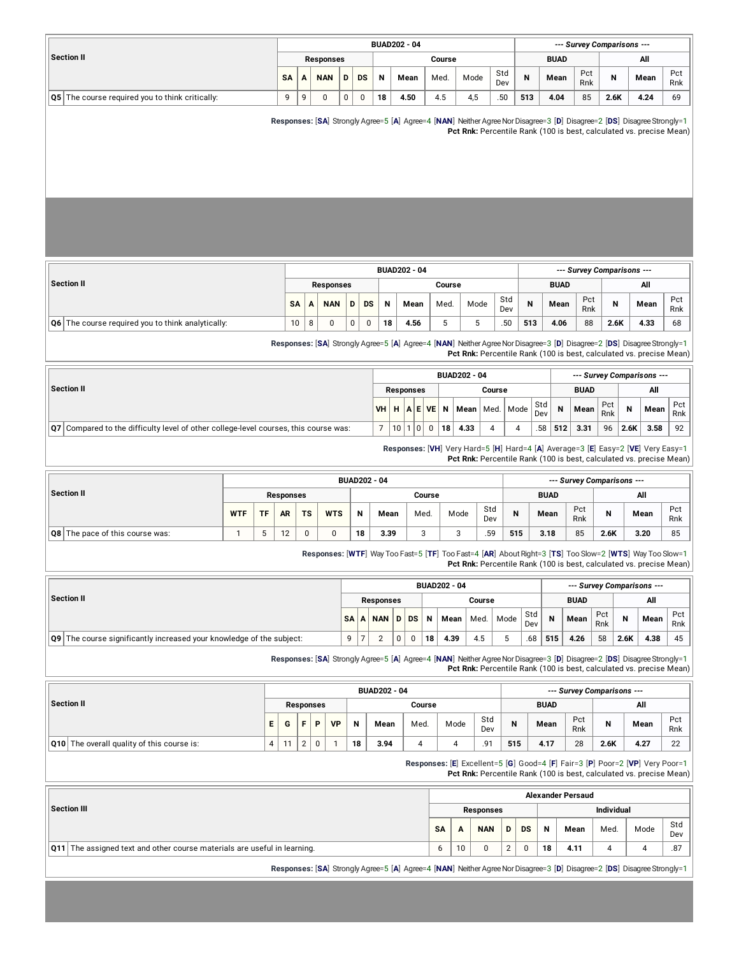|                                                   |          |   |            |   |           |    | <b>BUAD202 - 04</b> |        |      |                  | --- Survey Comparisons --- |             |            |      |      |            |  |  |
|---------------------------------------------------|----------|---|------------|---|-----------|----|---------------------|--------|------|------------------|----------------------------|-------------|------------|------|------|------------|--|--|
| <b>Section II</b>                                 |          |   | Responses  |   |           |    |                     | Course |      |                  |                            | <b>BUAD</b> |            |      | All  |            |  |  |
|                                                   | SA       | А | <b>NAN</b> | D | <b>DS</b> | N  | Mean                | Med.   | Mode | Std<br>Dev       | N                          | Mean        | Pct<br>Rnk | N    | Mean | Pct<br>Rnk |  |  |
| Q5   The course required you to think critically: | $\Omega$ | a |            | 0 |           | 18 | 4.50                | 4.5    | 4,5  | .50 <sub>1</sub> | 513                        | 4.04        | 85         | 2.6K | 4.24 | 69         |  |  |

**Responses:** [**SA**] Strongly Agree=5 [**A**] Agree=4 [**NAN**] NeitherAgreeNorDisagree=3 [**D**] Disagree=2 [**DS**] DisagreeStrongly=1 **Pct Rnk:** Percentile Rank (100 is best, calculated vs. precise Mean)

| Section II                                            |           |   |            |   |           |    | <b>BUAD202 - 04</b> | --- Survey Comparisons --- |      |            |     |             |            |      |      |            |
|-------------------------------------------------------|-----------|---|------------|---|-----------|----|---------------------|----------------------------|------|------------|-----|-------------|------------|------|------|------------|
|                                                       |           |   | Responses  |   |           |    |                     | Course                     |      |            |     | <b>BUAD</b> |            | All  |      |            |
|                                                       | <b>SA</b> |   | <b>NAN</b> |   | <b>DS</b> | N  | Mean                | Med.                       | Mode | Std<br>Dev | N   | Mean        | Pct<br>Rnk | N    | Mean | Pct<br>Rnk |
| $ Q6 $ The course required you to think analytically: | 10        | 8 | 0          | 0 | 0         | 18 | 4.56                | ь                          |      | .50        | 513 | 4.06        | 88         | 2.6K | 4.33 | 68         |

**Responses:** [**SA**] Strongly Agree=5 [**A**] Agree=4 [**NAN**] NeitherAgreeNorDisagree=3 [**D**] Disagree=2 [**DS**] DisagreeStrongly=1 **Pct Rnk:** Percentile Rank (100 is best, calculated vs. precise Mean)

|                                                                                        |           |                  |                |              | <b>BUAD202 - 04</b> |              |       |            |     |             |            |          | --- Survey Comparisons --- |            |
|----------------------------------------------------------------------------------------|-----------|------------------|----------------|--------------|---------------------|--------------|-------|------------|-----|-------------|------------|----------|----------------------------|------------|
| Section II                                                                             |           | <b>Responses</b> |                |              |                     | Course       |       |            |     | <b>BUAD</b> |            |          | All                        |            |
|                                                                                        | VHH A EVE |                  |                | $\mathbf{N}$ | Mean                | $ $ Med. $ $ | Mode, | Std<br>Dev | N   | Mean        | Pct<br>Rnk | <b>N</b> | Mean                       | Pct<br>Rnk |
| Q7   Compared to the difficulty level of other college-level courses, this course was: |           | 10 <sup>1</sup>  | $\overline{0}$ | 18           | 4.33                |              |       | .58        | 512 | 3.31        | 96         | 2.6K     | 3.58                       | 92         |

**Responses:** [**VH**] Very Hard=5 [**H**] Hard=4 [**A**] Average=3 [**E**] Easy=2 [**VE**] Very Easy=1 **Pct Rnk:** Percentile Rank (100 is best, calculated vs. precise Mean)

|                                 |            |    |           |           |            |    | <b>BUAD202 - 04</b> |        |      |            |     |             |            | --- Survey Comparisons --- |      |            |
|---------------------------------|------------|----|-----------|-----------|------------|----|---------------------|--------|------|------------|-----|-------------|------------|----------------------------|------|------------|
| Section II                      | Responses  |    |           |           |            |    |                     | Course |      |            |     | <b>BUAD</b> |            | All                        |      |            |
|                                 | <b>WTF</b> | TF | <b>AR</b> | <b>TS</b> | <b>WTS</b> | N  | Mean                | Med.   | Mode | Std<br>Dev | N   | Mean        | Pct<br>Rnk | N                          | Mean | Pct<br>Rnk |
| Q8 The pace of this course was: |            |    | 10        |           |            | 18 | 3.39                | ◠<br>ب |      | .59        | 515 | 3.18        | 85         | 2.6K                       | 3.20 | 85         |

**Responses:** [**WTF**] Way Too Fast=5 [**TF**] Too Fast=4 [**AR**] AboutRight=3 [**TS**] Too Slow=2 [**WTS**] Way Too Slow=1 **Pct Rnk:** Percentile Rank (100 is best, calculated vs. precise Mean)

|                                                                             |      |            |      |    | <b>BUAD202 - 04</b> |        |      |            |                |             |            |      | --- Survey Comparisons --- |            |
|-----------------------------------------------------------------------------|------|------------|------|----|---------------------|--------|------|------------|----------------|-------------|------------|------|----------------------------|------------|
| <b>Section II</b>                                                           |      | Responses  |      |    |                     | Course |      |            |                | <b>BUAD</b> |            |      | All                        |            |
|                                                                             | SA A | <b>NAN</b> | D DS | N  | Mean                | Med.   | Mode | Std<br>Dev | $\overline{N}$ | Mean        | Pct<br>Rnk | N    | Mean                       | Pct<br>Rnk |
| <b>Q9</b> The course significantly increased your knowledge of the subject: | 9    |            |      | 18 | 4.39                | 4.5    |      | .68        | 515            | 4.26        | 58         | 2.6K | 4.38                       | 45         |

**Responses:** [**SA**] Strongly Agree=5 [**A**] Agree=4 [**NAN**] NeitherAgreeNorDisagree=3 [**D**] Disagree=2 [**DS**] DisagreeStrongly=1 **Pct Rnk:** Percentile Rank (100 is best, calculated vs. precise Mean)

|                                                   |    |    |        |           |    |    | <b>BUAD202 - 04</b> |        |      |            |     |             |            | --- Survey Comparisons --- |      |            |
|---------------------------------------------------|----|----|--------|-----------|----|----|---------------------|--------|------|------------|-----|-------------|------------|----------------------------|------|------------|
| Section II                                        |    |    |        | Responses |    |    |                     | Course |      |            |     | <b>BUAD</b> |            |                            |      |            |
|                                                   | Е. | G  | E.     | D         | VP | N  | Mean                | Med.   | Mode | Std<br>Dev | N   | Mean        | Pct<br>Rnk | N                          | Mean | Pct<br>Rnk |
| <b>Q10</b> The overall quality of this course is: |    | 11 | $\sim$ |           |    | 18 | 3.94                |        |      | 9٠.        | 515 | 4.17        | 28         | 2.6K                       | 4.27 | 22         |

**Responses:** [**E**] Excellent=5 [**G**] Good=4 [**F**] Fair=3 [**P**] Poor=2 [**VP**] Very Poor=1 **Pct Rnk:** Percentile Rank (100 is best, calculated vs. precise Mean)

|                                                                                 |           |    |            |   |           |    | <b>Alexander Persaud</b> |                   |      |            |
|---------------------------------------------------------------------------------|-----------|----|------------|---|-----------|----|--------------------------|-------------------|------|------------|
| Section III                                                                     |           |    | Responses  |   |           |    |                          | <b>Individual</b> |      |            |
|                                                                                 | <b>SA</b> | A  | <b>NAN</b> | D | <b>DS</b> | N  | Mean                     | Med.              | Mode | Std<br>Dev |
| <b>Q11</b> The assigned text and other course materials are useful in learning. |           | 10 |            | ົ |           | 18 | 4.11                     |                   |      | .87        |

**Responses:** [**SA**] Strongly Agree=5 [**A**] Agree=4 [**NAN**] NeitherAgreeNorDisagree=3 [**D**] Disagree=2 [**DS**] DisagreeStrongly=1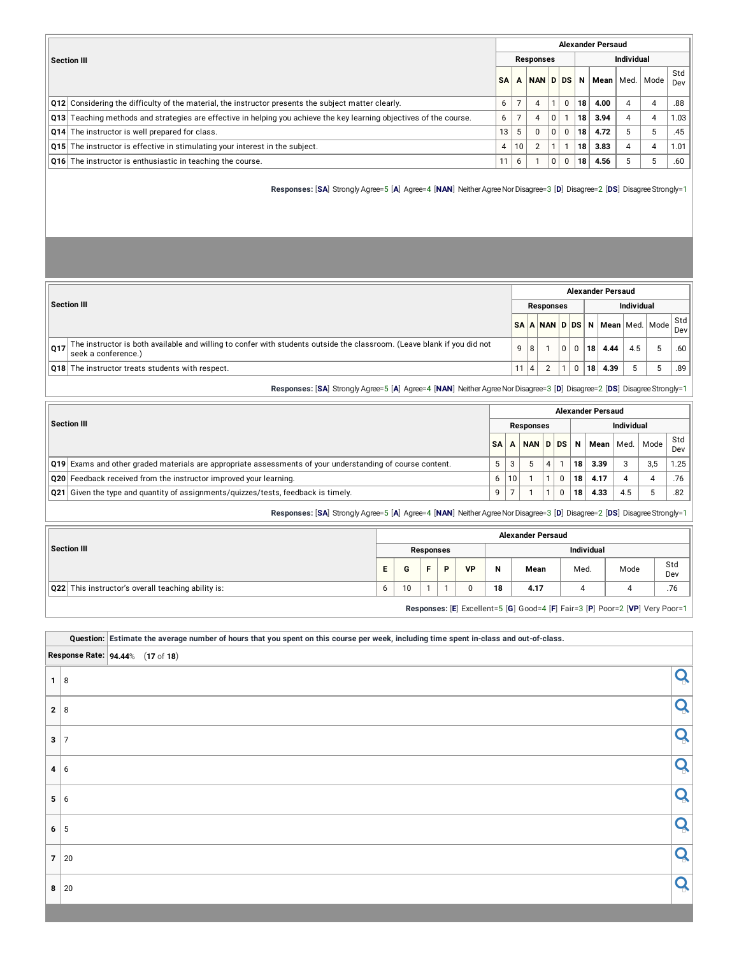|                                                                                                                                     |           |    |                  |   |          |     | <b>Alexander Persaud</b> |            |                    |            |
|-------------------------------------------------------------------------------------------------------------------------------------|-----------|----|------------------|---|----------|-----|--------------------------|------------|--------------------|------------|
| Section III                                                                                                                         |           |    | <b>Responses</b> |   |          |     |                          | Individual |                    |            |
|                                                                                                                                     | <b>SA</b> | A  | NAN DDS          |   |          | N I |                          |            | Mean   Med.   Mode | Std<br>Dev |
| Q12 Considering the difficulty of the material, the instructor presents the subject matter clearly.                                 | 6         |    | 4                |   | $\Omega$ | 18  | 4.00                     | 4          |                    | .88        |
| $\vert$ Q13 $\vert$ Teaching methods and strategies are effective in helping you achieve the key learning objectives of the course. | 6         |    | 4                | 0 |          | 18  | 3.94                     | 4          |                    | 1.03       |
| <b>Q14</b> The instructor is well prepared for class.                                                                               | 13        | 5  | $\Omega$         | 0 | $\Omega$ | 18  | 4.72                     | 5          | b                  | .45        |
| <b>Q15</b> The instructor is effective in stimulating your interest in the subject.                                                 | 4         | 10 | $\overline{2}$   |   |          | 18  | 3.83                     | 4          |                    | 1.01       |
| <b>Q16</b> The instructor is enthusiastic in teaching the course.                                                                   | 11        | 6  |                  | 0 | 0        | 18  | 4.56                     | 5          | Þ                  | .60        |

**Responses:** [**SA**] Strongly Agree=5 [**A**] Agree=4 [**NAN**] NeitherAgreeNorDisagree=3 [**D**] Disagree=2 [**DS**] DisagreeStrongly=1

|     |                                                                                                                                                |     |   |                  |  |    | <b>Alexander Persaud</b> |                   |                                                                    |     |
|-----|------------------------------------------------------------------------------------------------------------------------------------------------|-----|---|------------------|--|----|--------------------------|-------------------|--------------------------------------------------------------------|-----|
|     | Section III                                                                                                                                    |     |   | <b>Responses</b> |  |    |                          | <b>Individual</b> |                                                                    |     |
|     |                                                                                                                                                |     |   |                  |  |    |                          |                   | NSA <mark>  A   NAN   D   DS   N   Mean</mark>   Med.   Mode   Std |     |
| 017 | The instructor is both available and willing to confer with students outside the classroom. (Leave blank if you did not<br>seek a conference.) | 9 8 |   |                  |  | 18 | 4.44                     |                   |                                                                    | .60 |
|     | <b>Q18</b> The instructor treats students with respect.                                                                                        | 11  | 4 |                  |  | 18 | 4.39                     |                   | -5                                                                 | .89 |

**Responses:** [**SA**] Strongly Agree=5 [**A**] Agree=4 [**NAN**] NeitherAgreeNorDisagree=3 [**D**] Disagree=2 [**DS**] DisagreeStrongly=1

|                                                                                                           |           |    |                  |  | <b>Alexander Persaud</b> |            |      |      |
|-----------------------------------------------------------------------------------------------------------|-----------|----|------------------|--|--------------------------|------------|------|------|
| Section III                                                                                               |           |    | <b>Responses</b> |  |                          | Individual |      |      |
|                                                                                                           | <b>SA</b> |    | NAN D DS         |  | N<br>Mean l              | Med.       | Mode | Std  |
|                                                                                                           |           |    |                  |  |                          |            |      | Dev  |
| Q19 Exams and other graded materials are appropriate assessments of your understanding of course content. |           | 3  |                  |  | 3.39<br>18 <sub>1</sub>  | 3          | 3,5  | 1.25 |
| <b>Q20</b> Feedback received from the instructor improved your learning.                                  | 6         | 10 |                  |  | 4.17<br>18               |            |      | .76  |
| $\sqrt{21}$ Given the type and quantity of assignments/quizzes/tests, feedback is timely.                 | q         |    |                  |  | 4.33<br>18               | 4.5        |      | .82  |
|                                                                                                           |           |    |                  |  |                          |            |      |      |

**Responses:** [**SA**] Strongly Agree=5 [**A**] Agree=4 [**NAN**] NeitherAgreeNorDisagree=3 [**D**] Disagree=2 [**DS**] DisagreeStrongly=1

|                                                           |   |    |           |   |              |    | <b>Alexander Persaud</b>                                                     |            |      |            |
|-----------------------------------------------------------|---|----|-----------|---|--------------|----|------------------------------------------------------------------------------|------------|------|------------|
| Section III                                               |   |    | Responses |   |              |    |                                                                              | Individual |      |            |
|                                                           | E |    |           | D | <b>VP</b>    | N  | Mean                                                                         | Med.       | Mode | Std<br>Dev |
| <b>Q22</b> This instructor's overall teaching ability is: |   | 10 |           |   | <sup>0</sup> | 18 | 4.17                                                                         |            |      | .76        |
|                                                           |   |    |           |   |              |    | Responses: [E] Excellent=5 [G] Good=4 [F] Fair=3 [P] Poor=2 [VP] Very Poor=1 |            |      |            |

Question: Estimate the average number of hours that you spent on this course per week, including time spent in-class and out-of-class.

|     | <b>Response Rate: 94.44% (17 of 18)</b> |   |           |
|-----|-----------------------------------------|---|-----------|
|     | $1 \vert 8$                             |   | $\Omega$  |
| 2 8 |                                         | ∩ |           |
| 3   | 7                                       | ∩ |           |
|     | 4 6                                     | ∩ |           |
| 5 6 |                                         |   |           |
|     | $6 \mid 5$                              | ∩ |           |
|     | 7 20                                    |   | $\bigcap$ |
|     | $8 \mid 20$                             |   |           |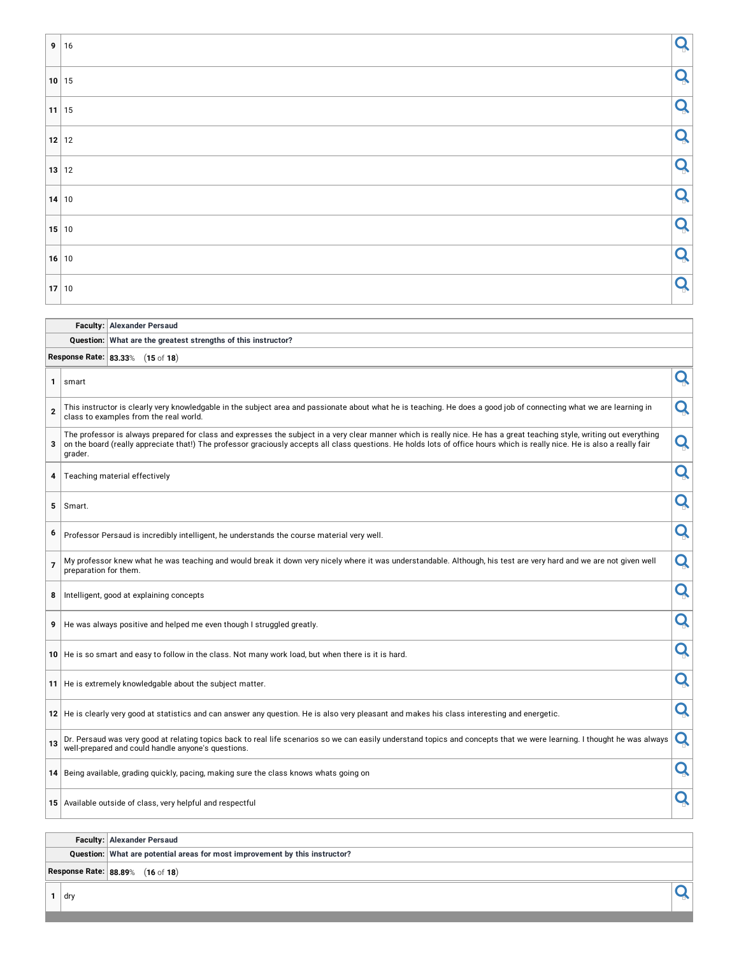| 9 16    | Q |
|---------|---|
| 10 15   | Q |
| $11$ 15 | Q |
| $12$ 12 | Q |
| 13 12   | Q |
| 14 10   | Q |
| 15 10   | O |
| 16 10   | Q |
| 17 10   | Q |

| <b>Faculty: Alexander Persaud</b> |
|-----------------------------------|
|                                   |

#### **Question: What are the greatest strengths of this instructor?**

**Response Rate: 83.33**% (**15** of **18**)

| 1              | smart                                                                                                                                                                                                                                                                                                                                                           | Q |
|----------------|-----------------------------------------------------------------------------------------------------------------------------------------------------------------------------------------------------------------------------------------------------------------------------------------------------------------------------------------------------------------|---|
| $\overline{2}$ | This instructor is clearly very knowledgable in the subject area and passionate about what he is teaching. He does a good job of connecting what we are learning in<br>class to examples from the real world.                                                                                                                                                   | Q |
| 3              | The professor is always prepared for class and expresses the subject in a very clear manner which is really nice. He has a great teaching style, writing out everything<br>on the board (really appreciate that!) The professor graciously accepts all class questions. He holds lots of office hours which is really nice. He is also a really fair<br>grader. | Q |
| 4              | Teaching material effectively                                                                                                                                                                                                                                                                                                                                   | Q |
| 5              | Smart.                                                                                                                                                                                                                                                                                                                                                          | Q |
| 6              | Professor Persaud is incredibly intelligent, he understands the course material very well.                                                                                                                                                                                                                                                                      | Q |
| $\overline{7}$ | My professor knew what he was teaching and would break it down very nicely where it was understandable. Although, his test are very hard and we are not given well<br>preparation for them.                                                                                                                                                                     | Q |
| 8              | Intelligent, good at explaining concepts                                                                                                                                                                                                                                                                                                                        | Q |
|                | 9   He was always positive and helped me even though I struggled greatly.                                                                                                                                                                                                                                                                                       | Q |
|                | 10 He is so smart and easy to follow in the class. Not many work load, but when there is it is hard.                                                                                                                                                                                                                                                            | Q |
|                | 11 He is extremely knowledgable about the subject matter.                                                                                                                                                                                                                                                                                                       | Q |
|                | 12 He is clearly very good at statistics and can answer any question. He is also very pleasant and makes his class interesting and energetic.                                                                                                                                                                                                                   | Q |
| 13             | Dr. Persaud was very good at relating topics back to real life scenarios so we can easily understand topics and concepts that we were learning. I thought he was always<br>well-prepared and could handle anyone's questions.                                                                                                                                   | Q |
|                | 14 Being available, grading quickly, pacing, making sure the class knows whats going on                                                                                                                                                                                                                                                                         | Q |
|                | 15 Available outside of class, very helpful and respectful                                                                                                                                                                                                                                                                                                      | Q |

#### **Faculty: Alexander Persaud**

**Question: What are potential areas for most improvement by this instructor?**

**Response Rate: 88.89**% (**16** of **18**)

**1** dry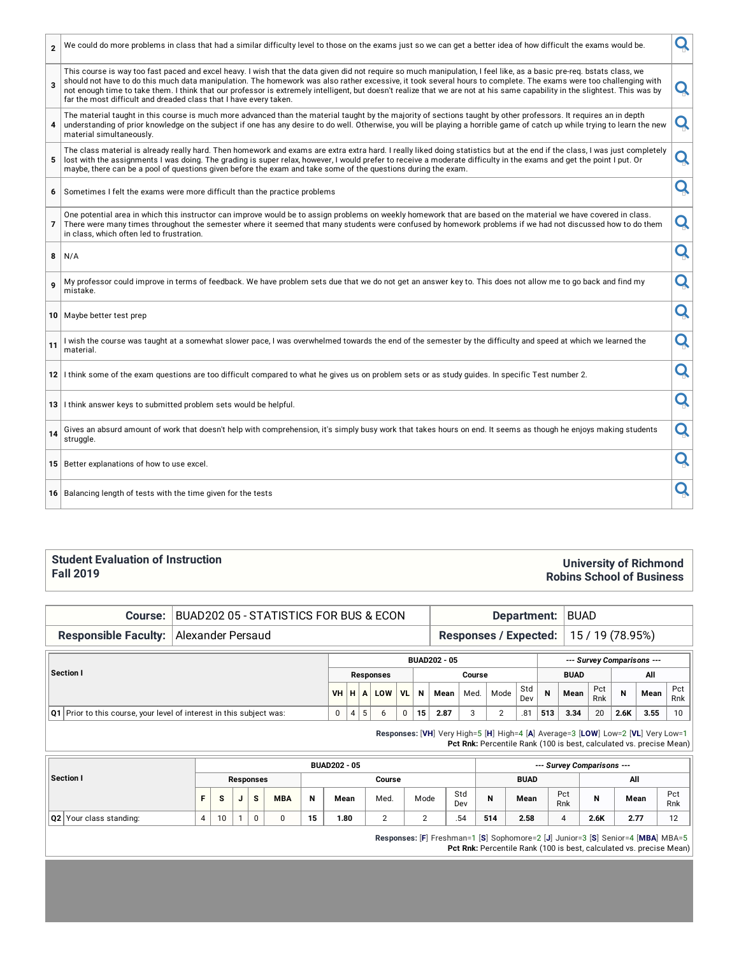| $\overline{2}$ | We could do more problems in class that had a similar difficulty level to those on the exams just so we can get a better idea of how difficult the exams would be.                                                                                                                                                                                                                                                                                                                                                                                                                             | Q |
|----------------|------------------------------------------------------------------------------------------------------------------------------------------------------------------------------------------------------------------------------------------------------------------------------------------------------------------------------------------------------------------------------------------------------------------------------------------------------------------------------------------------------------------------------------------------------------------------------------------------|---|
| 3              | This course is way too fast paced and excel heavy. I wish that the data given did not require so much manipulation, I feel like, as a basic pre-req. bstats class, we<br>should not have to do this much data manipulation. The homework was also rather excessive, it took several hours to complete. The exams were too challenging with<br>not enough time to take them. I think that our professor is extremely intelligent, but doesn't realize that we are not at his same capability in the slightest. This was by<br>far the most difficult and dreaded class that I have every taken. | Q |
| 4              | The material taught in this course is much more advanced than the material taught by the majority of sections taught by other professors. It requires an in depth<br>understanding of prior knowledge on the subject if one has any desire to do well. Otherwise, you will be playing a horrible game of catch up while trying to learn the new<br>material simultaneously.                                                                                                                                                                                                                    | Q |
| 5              | The class material is already really hard. Then homework and exams are extra extra hard. I really liked doing statistics but at the end if the class, I was just completely<br>lost with the assignments I was doing. The grading is super relax, however, I would prefer to receive a moderate difficulty in the exams and get the point I put. Or<br>maybe, there can be a pool of questions given before the exam and take some of the questions during the exam.                                                                                                                           | Q |
| 6              | Sometimes I felt the exams were more difficult than the practice problems                                                                                                                                                                                                                                                                                                                                                                                                                                                                                                                      | Q |
| 7              | One potential area in which this instructor can improve would be to assign problems on weekly homework that are based on the material we have covered in class.<br>There were many times throughout the semester where it seemed that many students were confused by homework problems if we had not discussed how to do them<br>in class, which often led to frustration.                                                                                                                                                                                                                     | Q |
| 8              | N/A                                                                                                                                                                                                                                                                                                                                                                                                                                                                                                                                                                                            | Q |
| 9              | My professor could improve in terms of feedback. We have problem sets due that we do not get an answer key to. This does not allow me to go back and find my<br>mistake.                                                                                                                                                                                                                                                                                                                                                                                                                       | Q |
|                | 10 Maybe better test prep                                                                                                                                                                                                                                                                                                                                                                                                                                                                                                                                                                      | Q |
| 11             | I wish the course was taught at a somewhat slower pace, I was overwhelmed towards the end of the semester by the difficulty and speed at which we learned the<br>material.                                                                                                                                                                                                                                                                                                                                                                                                                     | Q |
|                | 12 I think some of the exam questions are too difficult compared to what he gives us on problem sets or as study guides. In specific Test number 2.                                                                                                                                                                                                                                                                                                                                                                                                                                            | Q |
|                | 13 I think answer keys to submitted problem sets would be helpful.                                                                                                                                                                                                                                                                                                                                                                                                                                                                                                                             | Q |
| 14             | Gives an absurd amount of work that doesn't help with comprehension, it's simply busy work that takes hours on end. It seems as though he enjoys making students<br>struggle.                                                                                                                                                                                                                                                                                                                                                                                                                  | Q |
|                | 15 Better explanations of how to use excel.                                                                                                                                                                                                                                                                                                                                                                                                                                                                                                                                                    | Q |
|                | 16 Balancing length of tests with the time given for the tests                                                                                                                                                                                                                                                                                                                                                                                                                                                                                                                                 | Q |

#### **Student Evaluation of Instruction Fall 2019**

### **University of Richmond Robins School of Business**

**Course:** BUAD202 05 - STATISTICS FOR BUS & ECON **Department:** BUAD

### **Responsible Faculty:** Alexander Persaud **Responses** / **Expected:** 15 / 19 (78.95%)

|                                                                        |   |   |   |                 |           |    | <b>BUAD202 - 05</b> |        |      |            |     |             |            |      | --- Survey Comparisons --- |              |
|------------------------------------------------------------------------|---|---|---|-----------------|-----------|----|---------------------|--------|------|------------|-----|-------------|------------|------|----------------------------|--------------|
| Section I                                                              |   |   |   | Responses       |           |    |                     | Course |      |            |     | <b>BUAD</b> |            |      | All                        |              |
|                                                                        |   |   |   | <b>VH HALOW</b> | <b>VL</b> | N  | Mean                | Med.   | Mode | Std<br>Dev | N   | Mean        | Pct<br>Rnk | N    | Mean                       | Pct<br>Rnk   |
| Q1   Prior to this course, your level of interest in this subject was: | 0 | 4 | 5 | b               | 0         | 15 | 2.87                |        |      | .81        | 513 | 3.34        | 20         | 2.6K | 3.55                       | $10^{\circ}$ |

**Responses:** [**VH**] Very High=5 [**H**] High=4 [**A**] Average=3 [**LOW**] Low=2 [**VL**] Very Low=1 Pct Rnk: Percentile Rank (100 is best, calculated vs. precise Mean)

|                         |    |          |   |           |            |    | <b>BUAD202 - 05</b> |        |      |            |     |             |            | --- Survey Comparisons --- |      |            |
|-------------------------|----|----------|---|-----------|------------|----|---------------------|--------|------|------------|-----|-------------|------------|----------------------------|------|------------|
| Section I               |    |          |   | Responses |            |    |                     | Course |      |            |     | <b>BUAD</b> |            |                            | All  |            |
|                         | F. | <b>S</b> | v | <b>s</b>  | <b>MBA</b> | N  | Mean                | Med.   | Mode | Std<br>Dev | N   | Mean        | Pct<br>Rnk | N                          | Mean | Pct<br>Rnk |
| Q2 Your class standing: | 4  | 10       |   |           | 0          | 15 | 1.80                | ∠      | ∸    | .54        | 514 | 2.58        |            | 2.6K                       | 2.77 | 12         |

**Responses:** [**F**] Freshman=1 [**S**] Sophomore=2 [**J**] Junior=3 [**S**] Senior=4 [**MBA**] MBA=5 **Pct Rnk:** Percentile Rank (100 is best, calculated vs. precise Mean)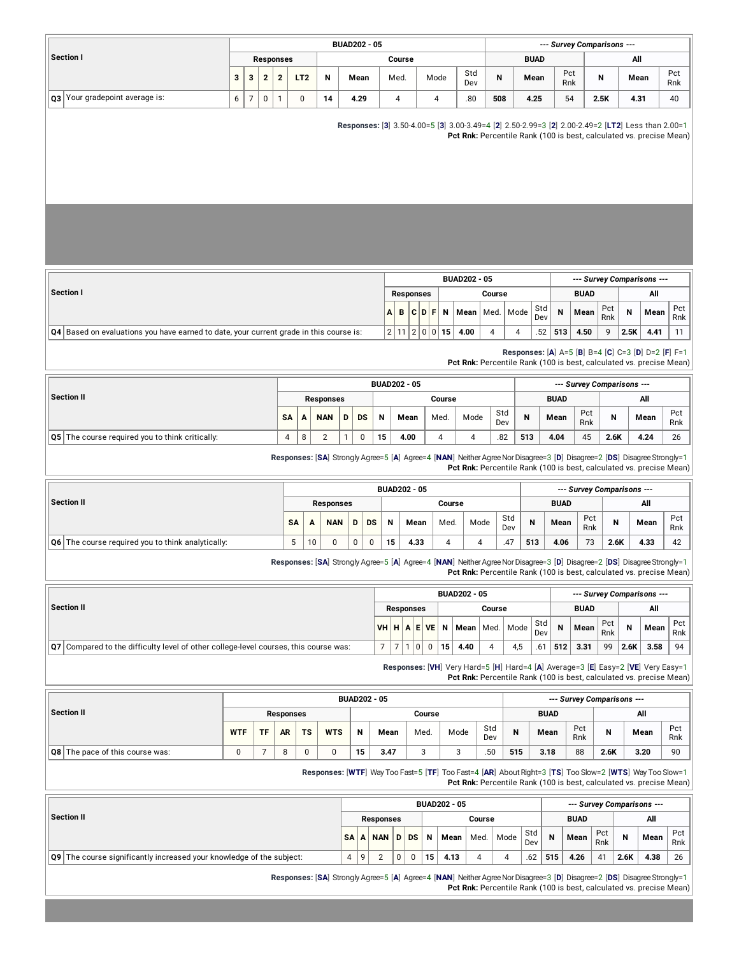|                                    |   |   |   |                  |                |    | <b>BUAD202 - 05</b> |        |      |            |     |             |            | --- Survey Comparisons --- |      |            |
|------------------------------------|---|---|---|------------------|----------------|----|---------------------|--------|------|------------|-----|-------------|------------|----------------------------|------|------------|
| Section I                          |   |   |   | <b>Responses</b> |                |    |                     | Course |      |            |     | <b>BUAD</b> |            |                            | All  |            |
|                                    | 3 | 3 |   |                  | T <sub>2</sub> | N  | Mean                | Med.   | Mode | Std<br>Dev | N   | Mean        | Pct<br>Rnk | N                          | Mean | Pct<br>Rnk |
| Your gradepoint average is:<br> Q3 | 6 | - | 0 |                  |                | 14 | 4.29                |        |      | .80        | 508 | 4.25        | 54         | 2.5K                       | 4.31 | 40         |

**Responses:** [**3**] 3.50-4.00=5 [**3**] 3.00-3.49=4 [**2**] 2.50-2.99=3 [**2**] 2.00-2.49=2 [**LT2**] Less than 2.00=1

**Pct Rnk:** Percentile Rank (100 is best, calculated vs. precise Mean)

|                                                                                                        |  |           |                |    | <b>BUAD202 - 05</b> |        |            |     | --- Survey Comparisons --- |            |      |      |            |
|--------------------------------------------------------------------------------------------------------|--|-----------|----------------|----|---------------------|--------|------------|-----|----------------------------|------------|------|------|------------|
| Section I                                                                                              |  | Responses |                |    |                     | Course |            |     | <b>BUAD</b>                |            |      | All  |            |
|                                                                                                        |  | ABCDF     |                | N  | Mean   Med.   Mode  |        | Std<br>Dev | N   | Mean                       | Pct<br>Rnk | N    | Mean | Pct<br>Rnk |
| $\vert$ Q4 $\vert$ Based on evaluations you have earned to date, your current grade in this course is: |  | 2 11 2 0  | $\overline{0}$ | 15 | 4.00                |        | .52        | 513 | 4.50                       | 9          | 2.5K | 4.41 | -11        |

**Responses:** [**A**] A=5 [**B**] B=4 [**C**] C=3 [**D**] D=2 [**F**] F=1

**Pct Rnk:** Percentile Rank (100 is best, calculated vs. precise Mean)

|                                                        |           |   |            |   |           |    | <b>BUAD202 - 05</b> |        |      |            |     |             |            | --- Survey Comparisons --- |      |            |
|--------------------------------------------------------|-----------|---|------------|---|-----------|----|---------------------|--------|------|------------|-----|-------------|------------|----------------------------|------|------------|
| Section II                                             |           |   | Responses  |   |           |    |                     | Course |      |            |     | <b>BUAD</b> |            |                            | All  |            |
|                                                        | <b>SA</b> | A | <b>NAN</b> | D | <b>DS</b> | N  | Mean                | Med.   | Mode | Std<br>Dev | N   | Mean        | Pct<br>Rnk | N                          | Mean | Pct<br>Rnk |
| <b>Q5</b> The course required you to think critically: | д         | 8 |            |   |           | 15 | 4.00                |        |      | .82        | 513 | 4.04        | 45         | 2.6K                       | 4.24 | 26         |

**Responses:** [**SA**] Strongly Agree=5 [**A**] Agree=4 [**NAN**] NeitherAgreeNorDisagree=3 [**D**] Disagree=2 [**DS**] DisagreeStrongly=1 **Pct Rnk:** Percentile Rank (100 is best, calculated vs. precise Mean)

|                                                                   |           |    |                  |   |           |    | <b>BUAD202 - 05</b> |        |      |            |     |             |            | --- Survey Comparisons --- |      |            |
|-------------------------------------------------------------------|-----------|----|------------------|---|-----------|----|---------------------|--------|------|------------|-----|-------------|------------|----------------------------|------|------------|
| Section II                                                        |           |    | <b>Responses</b> |   |           |    |                     | Course |      |            |     | <b>BUAD</b> |            |                            | All  |            |
|                                                                   | <b>SA</b> |    | <b>NAN</b>       | D | <b>DS</b> | N  | Mean                | Med.   | Mode | Std<br>Dev | N   | Mean        | Pct<br>Rnk | N                          | Mean | Pct<br>Rnk |
| $\mathsf{Q6}\vert$ The course required you to think analytically: |           | 10 | 0                | 0 |           | 15 | 4.33                | д      | 4    | .47        | 513 | 4.06        | 73         | 2.6K                       | 4.33 | 42         |

**Responses:** [SA] Strongly Agree=5 [A] Agree=4 [NAN] Neither Agree Nor Disagree=3 [D] Disagree=2 [DS] Disagree Strongly=1 **Pct Rnk:** Percentile Rank (100 is best, calculated vs. precise Mean)

|                                                                                        |      |                  |          |   |      | <b>BUAD202 - 05</b> |        |                            |            |     |             |            |      | --- Survey Comparisons --- |            |
|----------------------------------------------------------------------------------------|------|------------------|----------|---|------|---------------------|--------|----------------------------|------------|-----|-------------|------------|------|----------------------------|------------|
| Section II                                                                             |      | <b>Responses</b> |          |   |      |                     | Course |                            |            |     | <b>BUAD</b> |            |      | All                        |            |
|                                                                                        | VH H |                  |          |   |      |                     |        | $A E V E N$ Mean Med. Mode | Std<br>Dev | N   | Mean        | Pct<br>Rnk | N    | Mean                       | Pct<br>Rnk |
| Q7   Compared to the difficulty level of other college-level courses, this course was: |      |                  | $\Omega$ | 0 | ່ 15 | 4.40                | 4      | 4.5                        | .61        | 512 | 3.31        | 99         | 2.6K | 3.58                       | 94         |

**Responses:** [**VH**] Very Hard=5 [**H**] Hard=4 [**A**] Average=3 [**E**] Easy=2 [**VE**] Very Easy=1 **Pct Rnk:** Percentile Rank (100 is best, calculated vs. precise Mean)

|                                        |            |           |           |           |            |    | <b>BUAD202 - 05</b> |        |      |            |     |             |            | --- Survey Comparisons --- |      |            |
|----------------------------------------|------------|-----------|-----------|-----------|------------|----|---------------------|--------|------|------------|-----|-------------|------------|----------------------------|------|------------|
| Section II                             |            |           | Responses |           |            |    |                     | Course |      |            |     | <b>BUAD</b> |            |                            | All  |            |
|                                        | <b>WTF</b> | <b>TF</b> | <b>AR</b> | <b>TS</b> | <b>WTS</b> | N  | Mean                | Med.   | Mode | Std<br>Dev | N   | Mean        | Pct<br>Rnk | N                          | Mean | Pct<br>Rnk |
| <b>Q8</b> The pace of this course was: |            |           |           |           |            | 15 | 3.47                |        | ◠    | .50        | 515 | 3.18        | 88         | 2.6K                       | 3.20 | 90         |

**Responses:** [**WTF**] Way Too Fast=5 [**TF**] Too Fast=4 [**AR**] AboutRight=3 [**TS**] Too Slow=2 [**WTS**] Way Too Slow=1

**Pct Rnk:** Percentile Rank (100 is best, calculated vs. precise Mean)

|                                                                               |   |   |                  |         |    | <b>BUAD202 - 05</b> |        |      |            |     |             |            |      | --- Survey Comparisons --- |             |
|-------------------------------------------------------------------------------|---|---|------------------|---------|----|---------------------|--------|------|------------|-----|-------------|------------|------|----------------------------|-------------|
| Section II                                                                    |   |   | <b>Responses</b> |         |    |                     | Course |      |            |     | <b>BUAD</b> |            |      | All                        |             |
|                                                                               |   |   | SA A NAN         | $D$ $D$ | N  | Mean                | Med.   | Mode | Std<br>Dev | N   | Mean        | Pct<br>Rnk | N    | Mean                       | Pct.<br>Rnk |
| $\sqrt{Q9}$ The course significantly increased your knowledge of the subject: | 4 | 9 |                  |         | 15 | 4.13                |        |      | .62        | 515 | 4.26        | 41         | 2.6K | 4.38                       | 26          |

**Responses:** [**SA**] Strongly Agree=5 [**A**] Agree=4 [**NAN**] NeitherAgreeNorDisagree=3 [**D**] Disagree=2 [**DS**] DisagreeStrongly=1

**Pct Rnk:** Percentile Rank (100 is best, calculated vs. precise Mean)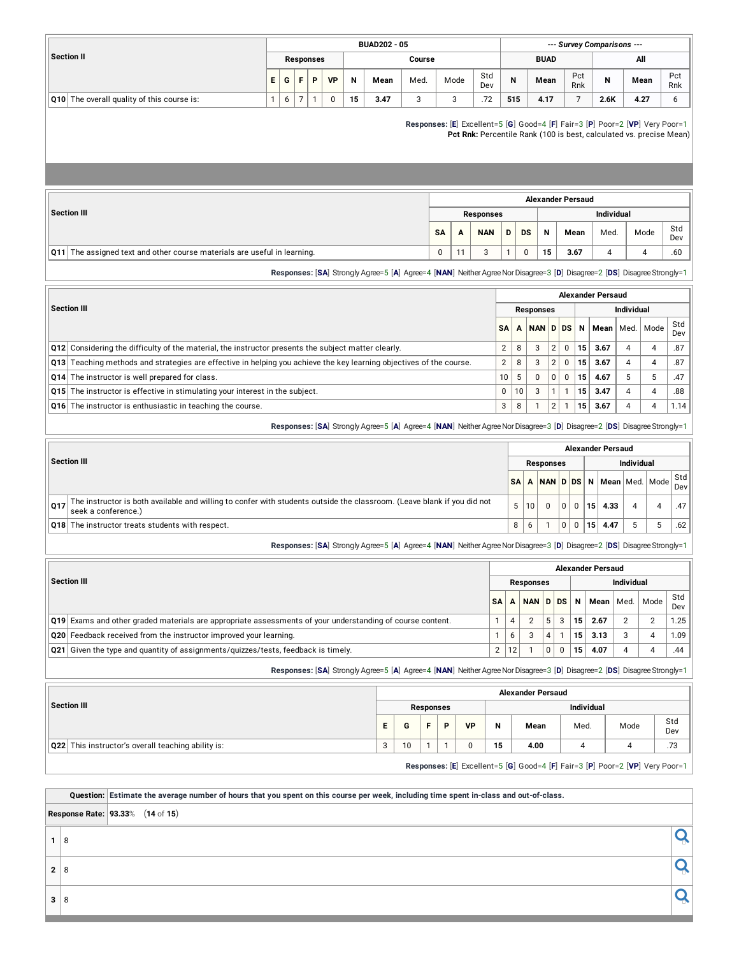|                                                    |    |   |                  |           |    | <b>BUAD202 - 05</b> |        |        |            |     |             |            | --- Survey Comparisons --- |      |            |
|----------------------------------------------------|----|---|------------------|-----------|----|---------------------|--------|--------|------------|-----|-------------|------------|----------------------------|------|------------|
| <b>Section II</b>                                  |    |   | <b>Responses</b> |           |    |                     | Course |        |            |     | <b>BUAD</b> |            |                            | All  |            |
|                                                    | Е. | G |                  | <b>VP</b> | N  | Mean                | Med.   | Mode   | Std<br>Dev | N   | Mean        | Pct<br>Rnk | N                          | Mean | Pct<br>Rnk |
| $\vert$ Q10 The overall quality of this course is: |    |   |                  |           | 15 | 3.47                | ັ      | ≏<br>N | .72        | 515 | 4.17        |            | 2.6K                       | 4.27 |            |

**Responses:** [**E**] Excellent=5 [**G**] Good=4 [**F**] Fair=3 [**P**] Poor=2 [**VP**] Very Poor=1 **Pct Rnk:** Percentile Rank (100 is best, calculated vs. precise Mean)

|                                                                                 |           |                  |                   |   |           |    | <b>Alexander Persaud</b> |      |      |            |
|---------------------------------------------------------------------------------|-----------|------------------|-------------------|---|-----------|----|--------------------------|------|------|------------|
| Section III                                                                     |           | <b>Responses</b> | <b>Individual</b> |   |           |    |                          |      |      |            |
|                                                                                 | <b>SA</b> | A                | <b>NAN</b>        | D | <b>DS</b> | N  | Mean                     | Med. | Mode | Std<br>Dev |
| <b>Q11</b> The assigned text and other course materials are useful in learning. | 0         | - -              |                   |   |           | 15 | 3.67                     | 4    |      | .60        |

**Responses:** [SA] Strongly Agree=5 [A] Agree=4 [NAN] Neither Agree Nor Disagree=3 [D] Disagree=2 [DS] Disagree Strongly=1

|                                                                                                                     | <b>Alexander Persaud</b> |    |                  |                |          |                 |      |   |                    |            |  |  |  |  |
|---------------------------------------------------------------------------------------------------------------------|--------------------------|----|------------------|----------------|----------|-----------------|------|---|--------------------|------------|--|--|--|--|
| <b>Section III</b>                                                                                                  |                          |    | <b>Responses</b> |                |          | Individual      |      |   |                    |            |  |  |  |  |
|                                                                                                                     | SΑ                       | A  | NAN DDS          |                |          | N               |      |   | Mean   Med.   Mode | Std<br>Dev |  |  |  |  |
| Q12 Considering the difficulty of the material, the instructor presents the subject matter clearly.                 | 2                        | 8  | 3                | 2              | $\Omega$ | 15 <sub>1</sub> | 3.67 | 4 | 4                  | .87        |  |  |  |  |
| Q13 Teaching methods and strategies are effective in helping you achieve the key learning objectives of the course. | $\overline{2}$           | 8  | 3                | $\overline{2}$ | $\Omega$ | 15              | 3.67 | 4 | 4                  | .87        |  |  |  |  |
| Q14 The instructor is well prepared for class.                                                                      | 10                       | 5  | $\Omega$         | 0 <sup>1</sup> | $\Omega$ | 15              | 4.67 | 5 | n                  | .47        |  |  |  |  |
| Q15 The instructor is effective in stimulating your interest in the subject.                                        | 0                        | 10 | 3                |                |          | 15              | 3.47 |   | 4                  | .88        |  |  |  |  |
| Q16 The instructor is enthusiastic in teaching the course.                                                          | 3                        | 8  |                  | 2              |          | 15              | 3.67 |   | 4                  | 1.14       |  |  |  |  |

**Responses:** [**SA**] Strongly Agree=5 [**A**] Agree=4 [**NAN**] NeitherAgreeNorDisagree=3 [**D**] Disagree=2 [**DS**] DisagreeStrongly=1

|     |                                                                                                                                                | Alexander Persaud |    |           |  |  |    |                                                                        |  |   |     |  |  |  |  |
|-----|------------------------------------------------------------------------------------------------------------------------------------------------|-------------------|----|-----------|--|--|----|------------------------------------------------------------------------|--|---|-----|--|--|--|--|
|     | Section III                                                                                                                                    |                   |    | Responses |  |  |    | <b>Individual</b>                                                      |  |   |     |  |  |  |  |
|     |                                                                                                                                                | <b>SAI</b>        |    |           |  |  |    | ੇ! <mark>A │NAN │D │DS │</mark> N │Mean │Med. │Mode │ <sup>Std</sup> ⊦ |  |   | Dev |  |  |  |  |
| Q17 | The instructor is both available and willing to confer with students outside the classroom. (Leave blank if you did not<br>seek a conference.) | 5                 | 10 |           |  |  | 15 | 4.33                                                                   |  | Δ | .47 |  |  |  |  |
|     | <b>Q18</b> The instructor treats students with respect.                                                                                        | 8                 | 6  |           |  |  | 15 | 4.47                                                                   |  | 5 | .62 |  |  |  |  |

**Responses:** [**SA**] Strongly Agree=5 [**A**] Agree=4 [**NAN**] NeitherAgreeNorDisagree=3 [**D**] Disagree=2 [**DS**] DisagreeStrongly=1

|                                                                                                                  | <b>Alexander Persaud</b> |    |            |  |                   |                 |      |      |                |            |  |  |  |  |
|------------------------------------------------------------------------------------------------------------------|--------------------------|----|------------|--|-------------------|-----------------|------|------|----------------|------------|--|--|--|--|
| <b>Section III</b>                                                                                               |                          |    | Responses  |  | <b>Individual</b> |                 |      |      |                |            |  |  |  |  |
|                                                                                                                  | <b>SA</b>                | A  | NAN D DS N |  |                   |                 | Mean | Med. | Mode           | Std<br>Dev |  |  |  |  |
| <b>Q19</b> Exams and other graded materials are appropriate assessments of your understanding of course content. |                          |    |            |  |                   | 15 <sup>1</sup> | 2.67 |      | $\overline{2}$ | 1.25       |  |  |  |  |
| Q20 Feedback received from the instructor improved your learning.                                                |                          | 6  |            |  |                   | 15 <sup>1</sup> | 3.13 |      | 4              | 1.09       |  |  |  |  |
| $\alpha$ Q21 Given the type and quantity of assignments/quizzes/tests, feedback is timely.                       | 2                        | 12 |            |  |                   | 15              | 4.07 |      |                | .44        |  |  |  |  |

**Responses:** [**SA**] Strongly Agree=5 [**A**] Agree=4 [**NAN**] NeitherAgreeNorDisagree=3 [**D**] Disagree=2 [**DS**] DisagreeStrongly=1

|                                                    |    |    |           |   |           |            | <b>Alexander Persaud</b>                                                     |      |      |            |  |  |  |
|----------------------------------------------------|----|----|-----------|---|-----------|------------|------------------------------------------------------------------------------|------|------|------------|--|--|--|
| Section III                                        |    |    | Responses |   |           | Individual |                                                                              |      |      |            |  |  |  |
|                                                    | E. | G  | F.        | Þ | <b>VP</b> | N          | Mean                                                                         | Med. | Mode | Std<br>Dev |  |  |  |
| Q22 This instructor's overall teaching ability is: | 3  | 10 |           |   |           | 15         | 4.00                                                                         | 4    |      | .73        |  |  |  |
|                                                    |    |    |           |   |           |            | Responses: [E] Excellent=5 [G] Good=4 [F] Fair=3 [P] Poor=2 [VP] Very Poor=1 |      |      |            |  |  |  |

Question: Estimate the average number of hours that you spent on this course per week, including time spent in-class and out-of-class.

**Response Rate: 93.33**% (**14** of **15**)

|   | c |  |
|---|---|--|
| 2 |   |  |
| з | c |  |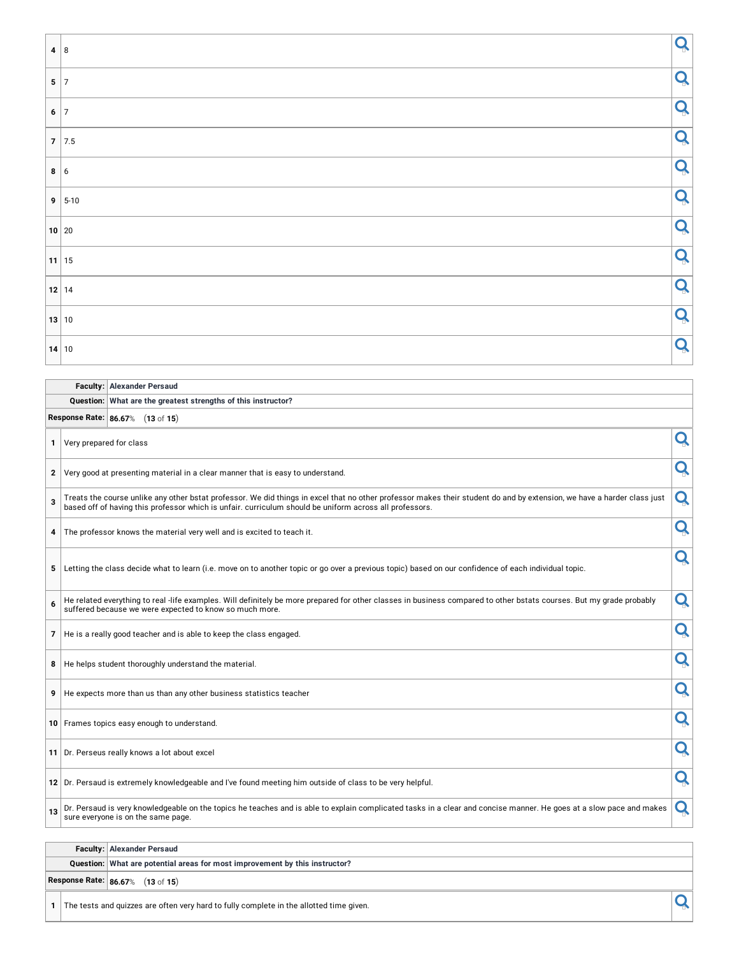| Q |
|---|
| Q |
| Q |
| Q |
| Q |
| Q |
| Q |
| Q |
| Q |
| Q |
| Q |
|   |

|    |                                  | Question: What are the greatest strengths of this instructor?                                                                                                                                                                                                                      |   |
|----|----------------------------------|------------------------------------------------------------------------------------------------------------------------------------------------------------------------------------------------------------------------------------------------------------------------------------|---|
|    | Response Rate: 86.67% (13 of 15) |                                                                                                                                                                                                                                                                                    |   |
| 1. | Very prepared for class          |                                                                                                                                                                                                                                                                                    | Q |
|    |                                  | 2 Very good at presenting material in a clear manner that is easy to understand.                                                                                                                                                                                                   | Q |
| 3  |                                  | Treats the course unlike any other bstat professor. We did things in excel that no other professor makes their student do and by extension, we have a harder class just<br>based off of having this professor which is unfair. curriculum should be uniform across all professors. | Q |
| 4  |                                  | The professor knows the material very well and is excited to teach it.                                                                                                                                                                                                             | Q |
| 5  |                                  | Letting the class decide what to learn (i.e. move on to another topic or go over a previous topic) based on our confidence of each individual topic.                                                                                                                               | Q |
| 6  |                                  | He related everything to real -life examples. Will definitely be more prepared for other classes in business compared to other bstats courses. But my grade probably<br>suffered because we were expected to know so much more.                                                    | Q |
|    |                                  | 7   He is a really good teacher and is able to keep the class engaged.                                                                                                                                                                                                             | Q |
|    |                                  | 8   He helps student thoroughly understand the material.                                                                                                                                                                                                                           | Q |
|    |                                  | 9   He expects more than us than any other business statistics teacher                                                                                                                                                                                                             | Q |
|    |                                  | 10 Frames topics easy enough to understand.                                                                                                                                                                                                                                        | Q |
|    |                                  | 11 Dr. Perseus really knows a lot about excel                                                                                                                                                                                                                                      | Q |
|    |                                  | 12 Dr. Persaud is extremely knowledgeable and I've found meeting him outside of class to be very helpful.                                                                                                                                                                          | Q |
| 13 |                                  | Dr. Persaud is very knowledgeable on the topics he teaches and is able to explain complicated tasks in a clear and concise manner. He goes at a slow pace and makes<br>sure everyone is on the same page.                                                                          | Q |

#### **Faculty: Alexander Persaud**

**Faculty: Alexander Persaud**

**Question: What are potential areas for most improvement by this instructor?**

**Response Rate: 86.67**% (**13** of **15**)

The tests and quizzes are often very hard to fully complete in the allotted time given.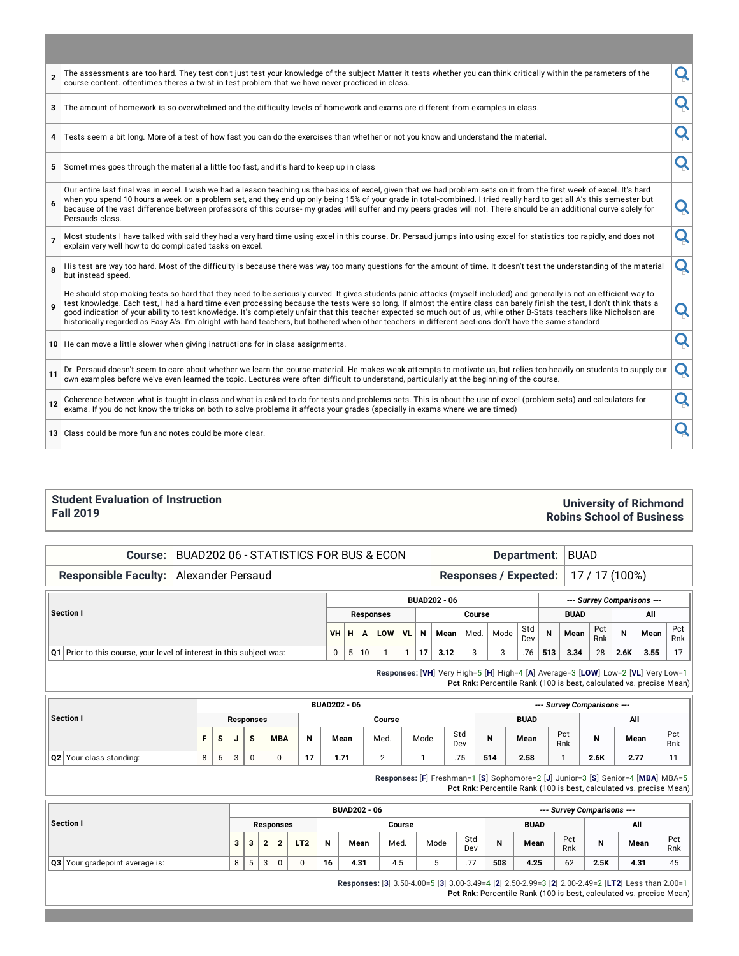| $\overline{2}$ | The assessments are too hard. They test don't just test your knowledge of the subject Matter it tests whether you can think critically within the parameters of the<br>course content. oftentimes theres a twist in test problem that we have never practiced in class.                                                                                                                                                                                                                                                                                                                                                                                                                 | Ő |
|----------------|-----------------------------------------------------------------------------------------------------------------------------------------------------------------------------------------------------------------------------------------------------------------------------------------------------------------------------------------------------------------------------------------------------------------------------------------------------------------------------------------------------------------------------------------------------------------------------------------------------------------------------------------------------------------------------------------|---|
| 3              | The amount of homework is so overwhelmed and the difficulty levels of homework and exams are different from examples in class.                                                                                                                                                                                                                                                                                                                                                                                                                                                                                                                                                          |   |
| 4              | Tests seem a bit long. More of a test of how fast you can do the exercises than whether or not you know and understand the material.                                                                                                                                                                                                                                                                                                                                                                                                                                                                                                                                                    | Q |
| 5              | Sometimes goes through the material a little too fast, and it's hard to keep up in class                                                                                                                                                                                                                                                                                                                                                                                                                                                                                                                                                                                                | Q |
| 6              | Our entire last final was in excel. I wish we had a lesson teaching us the basics of excel, given that we had problem sets on it from the first week of excel. It's hard<br>when you spend 10 hours a week on a problem set, and they end up only being 15% of your grade in total-combined. I tried really hard to get all A's this semester but<br>because of the vast difference between professors of this course- my grades will suffer and my peers grades will not. There should be an additional curve solely for<br>Persauds class.                                                                                                                                            | Q |
| $\overline{7}$ | Most students I have talked with said they had a very hard time using excel in this course. Dr. Persaud jumps into using excel for statistics too rapidly, and does not<br>explain very well how to do complicated tasks on excel.                                                                                                                                                                                                                                                                                                                                                                                                                                                      | Q |
| 8              | His test are way too hard. Most of the difficulty is because there was way too many questions for the amount of time. It doesn't test the understanding of the material<br>but instead speed.                                                                                                                                                                                                                                                                                                                                                                                                                                                                                           | Q |
|                | He should stop making tests so hard that they need to be seriously curved. It gives students panic attacks (myself included) and generally is not an efficient way to<br>test knowledge. Each test, I had a hard time even processing because the tests were so long. If almost the entire class can barely finish the test, I don't think thats a<br>good indication of your ability to test knowledge. It's completely unfair that this teacher expected so much out of us, while other B-Stats teachers like Nicholson are<br>historically regarded as Easy A's. I'm alright with hard teachers, but bothered when other teachers in different sections don't have the same standard | Q |
|                | 10 He can move a little slower when giving instructions for in class assignments.                                                                                                                                                                                                                                                                                                                                                                                                                                                                                                                                                                                                       |   |
| 11             | Dr. Persaud doesn't seem to care about whether we learn the course material. He makes weak attempts to motivate us, but relies too heavily on students to supply our<br>own examples before we've even learned the topic. Lectures were often difficult to understand, particularly at the beginning of the course.                                                                                                                                                                                                                                                                                                                                                                     | Q |
| 12             | Coherence between what is taught in class and what is asked to do for tests and problems sets. This is about the use of excel (problem sets) and calculators for<br>exams. If you do not know the tricks on both to solve problems it affects your grades (specially in exams where we are timed)                                                                                                                                                                                                                                                                                                                                                                                       | Q |
|                | 13 Class could be more fun and notes could be more clear.                                                                                                                                                                                                                                                                                                                                                                                                                                                                                                                                                                                                                               |   |

#### **Student Evaluation of Instruction Fall 2019**

#### **Course:** BUAD202 06 - STATISTICS FOR BUS & ECON **Department:** BUAD

**University of Richmond Robins School of Business**

**Responsible Faculty:** Alexander Persaud **Responses** / **Expected:** 17 / 17 (100%)

|                                                                          |     |   |    |                  |    |    | <b>BUAD202 - 06</b> |        | --- Survey Comparisons --- |            |     |             |            |      |      |            |
|--------------------------------------------------------------------------|-----|---|----|------------------|----|----|---------------------|--------|----------------------------|------------|-----|-------------|------------|------|------|------------|
| Section I                                                                |     |   |    | <b>Responses</b> |    |    |                     | Course |                            |            |     | <b>BUAD</b> |            |      | All  |            |
|                                                                          | VHH |   |    | LOW              | VL | N  | Mean                | Med.   | Mode                       | Std<br>Dev | N   | Mean        | Pct<br>Rnk | N    | Mean | Pct<br>Rnk |
| $ Q1 $ Prior to this course, your level of interest in this subject was: |     | 5 | 10 |                  |    | 17 | 3.12                |        |                            | .76        | 513 | 3.34        | 28         | 2.6K | 3.55 | 17         |

**Responses:** [**VH**] Very High=5 [**H**] High=4 [**A**] Average=3 [**LOW**] Low=2 [**VL**] Very Low=1 **Pct Rnk:** Percentile Rank (100 is best, calculated vs. precise Mean)

|                         |  |   |        |           |            |    | <b>BUAD202 - 06</b> |        |      |            | --- Survey Comparisons --- |             |            |      |      |            |  |  |  |  |
|-------------------------|--|---|--------|-----------|------------|----|---------------------|--------|------|------------|----------------------------|-------------|------------|------|------|------------|--|--|--|--|
| Section I               |  |   |        | Responses |            |    |                     | Course |      |            |                            | <b>BUAD</b> |            | All  |      |            |  |  |  |  |
|                         |  | s | u      | s         | <b>MBA</b> | N  | Mean                | Med.   | Mode | Std<br>Dev | N                          | Mean        | Pct<br>Rnk | IV   | Mean | Pct<br>Rnk |  |  |  |  |
| Q2 Your class standing: |  | 6 | $\sim$ |           |            | 17 | 1.71                |        |      | .75        | 514                        | 2.58        |            | 2.6K | 2.77 |            |  |  |  |  |

**Responses:** [**F**] Freshman=1 [**S**] Sophomore=2 [**J**] Junior=3 [**S**] Senior=4 [**MBA**] MBA=5 **Pct Rnk:** Percentile Rank (100 is best, calculated vs. precise Mean)

|                                |   |        |        |                  |                 |    | <b>BUAD202 - 06</b> |        |      |                       | --- Survey Comparisons --- |             |            |      |               |            |  |  |  |  |
|--------------------------------|---|--------|--------|------------------|-----------------|----|---------------------|--------|------|-----------------------|----------------------------|-------------|------------|------|---------------|------------|--|--|--|--|
| Section I                      |   |        |        | <b>Responses</b> |                 |    |                     | Course |      |                       |                            | <b>BUAD</b> |            | All  |               |            |  |  |  |  |
|                                | 3 |        |        | ໍ                | LT <sub>2</sub> | N  | Mean                | Med.   | Mode | Std<br>Dev            | N                          | Mean        | Pct<br>Rnk | N    | Mean          | Pct<br>Rnk |  |  |  |  |
| Q3 Your gradepoint average is: | 8 | 片<br>◡ | ◠<br>చ | 0                |                 | 16 | 4.31                | 4.5    |      | 77<br>$\cdot$ $\cdot$ | 508                        | 4.25        | 62         | 2.5K | $4.3^{\circ}$ | 45         |  |  |  |  |

**Responses:** [**3**] 3.50-4.00=5 [**3**] 3.00-3.49=4 [**2**] 2.50-2.99=3 [**2**] 2.00-2.49=2 [**LT2**] Less than 2.00=1 **Pct Rnk:** Percentile Rank (100 is best, calculated vs. precise Mean)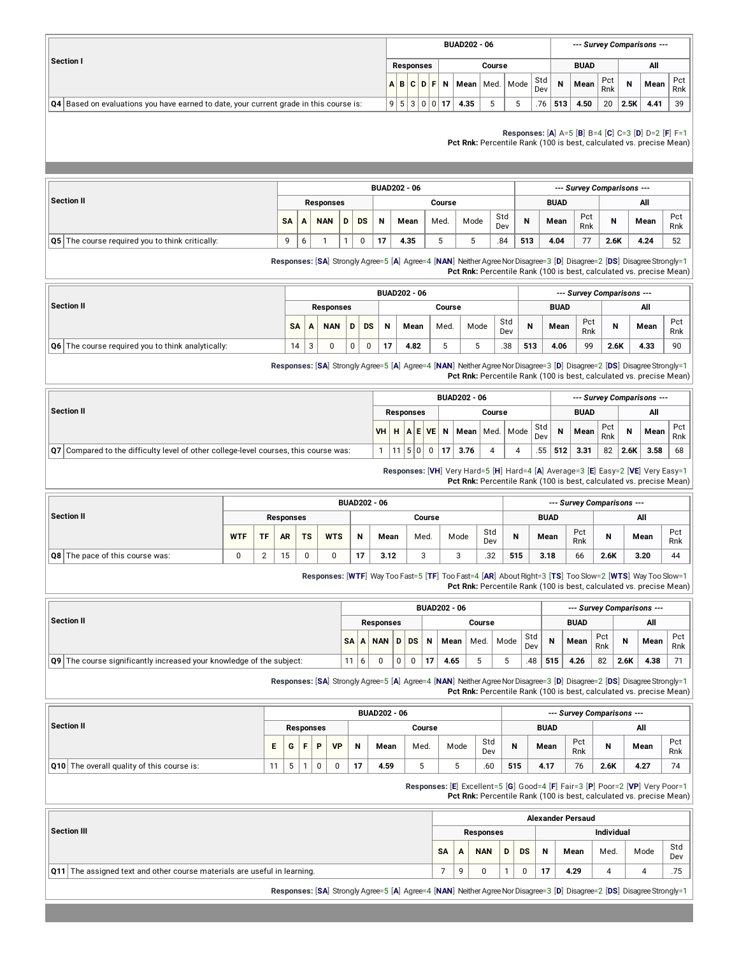|                                                                                        |  |                     |              | <b>BUAD202 - 06</b> |        |                    |            |     | --- Survey Comparisons --- |            |      |      |            |
|----------------------------------------------------------------------------------------|--|---------------------|--------------|---------------------|--------|--------------------|------------|-----|----------------------------|------------|------|------|------------|
| Section I                                                                              |  | <b>Responses</b>    |              |                     | Course |                    |            |     | <b>BUAD</b>                |            |      | All  |            |
|                                                                                        |  | $A$ $B$ $C$ $D$ $F$ | <b>N</b>     |                     |        | Mean   Med.   Mode | Std<br>Dev | N   | Mean                       | Pct<br>Rnk | N    | Mean | Pct<br>Rnk |
| Q4 Based on evaluations you have earned to date, your current grade in this course is: |  |                     | 9 5 3 0 0 17 | 4.35                |        |                    | .76        | 513 | 4.50                       | 20         | 2.5K | 4.41 | 39         |

**Responses:** [**A**] A=5 [**B**] B=4 [**C**] C=3 [**D**] D=2 [**F**] F=1

**Pct Rnk:** Percentile Rank (100 is best, calculated vs. precise Mean)

|                                                        |          |   |                  |   |           |    | <b>BUAD202 - 06</b> |        |      |            |     |             |            | --- Survey Comparisons --- |      |            |
|--------------------------------------------------------|----------|---|------------------|---|-----------|----|---------------------|--------|------|------------|-----|-------------|------------|----------------------------|------|------------|
| Section II                                             |          |   | <b>Responses</b> |   |           |    |                     | Course |      |            |     | <b>BUAD</b> |            |                            | All  |            |
|                                                        | SA       |   | <b>NAN</b>       | D | <b>DS</b> | N  | Mean                | Med.   | Mode | Std<br>Dev | N   | Mean        | Pct<br>Rnk | N                          | Mean | Pct<br>Rnk |
| <b>Q5</b> The course required you to think critically: | $\Omega$ | ь |                  |   |           | 17 | 4.35                | نۍ     |      | .84        | 513 | 4.04        | 77         | 2.6K                       | 4.24 | 52         |

**Responses:** [SA] Strongly Agree=5 [A] Agree=4 [NAN] Neither Agree Nor Disagree=3 [D] Disagree=2 [DS] Disagree Strongly=1 **Pct Rnk:** Percentile Rank (100 is best, calculated vs. precise Mean)

|                                                       |           |   |                  |   |           |    | <b>BUAD202 - 06</b> |        |      |            |     |             |            | --- Survey Comparisons --- |      |            |
|-------------------------------------------------------|-----------|---|------------------|---|-----------|----|---------------------|--------|------|------------|-----|-------------|------------|----------------------------|------|------------|
| Section II                                            |           |   | <b>Responses</b> |   |           |    |                     | Course |      |            |     | <b>BUAD</b> |            |                            | All  |            |
|                                                       | <b>SA</b> | A | <b>NAN</b>       | D | <b>DS</b> | N  | Mean                | Med.   | Mode | Std<br>Dev | N   | Mean        | Pct<br>Rnk | N                          | Mean | Pct<br>Rnk |
| $ Q6 $ The course required you to think analytically: | 14        | చ | 0                | 0 |           | 17 | 4.82                |        |      | .38        | 513 | 4.06        | 99         | 2.6K                       | 4.33 | 90         |

**Responses:** [**SA**] Strongly Agree=5 [**A**] Agree=4 [**NAN**] NeitherAgreeNorDisagree=3 [**D**] Disagree=2 [**DS**] DisagreeStrongly=1 **Pct Rnk:** Percentile Rank (100 is best, calculated vs. precise Mean)

|                                                                                              |                  |    |  | <b>BUAD202 - 06</b>                                                                  |        |            |             | --- Survey Comparisons --- |            |      |      |            |
|----------------------------------------------------------------------------------------------|------------------|----|--|--------------------------------------------------------------------------------------|--------|------------|-------------|----------------------------|------------|------|------|------------|
| Section II                                                                                   | <b>Responses</b> |    |  |                                                                                      | Course |            |             | <b>BUAD</b>                |            |      | All  |            |
|                                                                                              |                  |    |  | VH $\mid$ H $\mid$ A $\mid$ E VE $\mid$ N $\mid$ Mean $\mid$ Med. $\mid$ Mode $\mid$ |        | Std<br>Dev | $\mathbf N$ | Mean                       | Pct<br>Rnk |      | Mean | Pct<br>Rnk |
| $\sqrt{q}$ Compared to the difficulty level of other college-level courses, this course was: |                  | 50 |  | 3.76                                                                                 |        | .55        | 512         | 3.31                       | 82         | 2.6K | 3.58 | 68         |

**Responses:** [**VH**] Very Hard=5 [**H**] Hard=4 [**A**] Average=3 [**E**] Easy=2 [**VE**] Very Easy=1 **Pct Rnk:** Percentile Rank (100 is best, calculated vs. precise Mean)

|                                        |            |           |                  |           |            | <b>BUAD202 - 06</b> |      |        |      |            |     |             |            | --- Survey Comparisons --- |      |            |
|----------------------------------------|------------|-----------|------------------|-----------|------------|---------------------|------|--------|------|------------|-----|-------------|------------|----------------------------|------|------------|
| Section II                             |            |           | <b>Responses</b> |           |            |                     |      | Course |      |            |     | <b>BUAD</b> |            |                            | All  |            |
|                                        | <b>WTF</b> | <b>TF</b> | <b>AR</b>        | <b>TS</b> | <b>WTS</b> | N                   | Mean | Med.   | Mode | Std<br>Dev | N   | Mean        | Pct<br>Rnk |                            | Mean | Pct<br>Rnk |
| <b>Q8</b> The pace of this course was: | 0          | n         | 1 5<br>. ب       | 0         |            | 17                  | 3.12 | ⌒<br>ັ |      | .32        | 515 | 3.18        | 66         | 2.6K                       | 3.20 | 44         |

**Responses:** [**WTF**] Way Too Fast=5 [**TF**] Too Fast=4 [**AR**] AboutRight=3 [**TS**] Too Slow=2 [**WTS**] Way Too Slow=1 **Pct Rnk:** Percentile Rank (100 is best, calculated vs. precise Mean)

|                                                                          |      |                  |      |           |    | <b>BUAD202 - 06</b> |        |      |            |          |             |            |      | --- Survey Comparisons --- |            |
|--------------------------------------------------------------------------|------|------------------|------|-----------|----|---------------------|--------|------|------------|----------|-------------|------------|------|----------------------------|------------|
| Section II                                                               |      | <b>Responses</b> |      |           |    |                     | Course |      |            |          | <b>BUAD</b> |            |      | All                        |            |
|                                                                          | SA A | <b>NAN</b>       | ID ! | <b>DS</b> | N  | Mean                | Med.   | Mode | Std<br>Dev | <b>N</b> | Mean        | Pct<br>Rnk | N    | Mean                       | Pct<br>Rnk |
| $\log$ The course significantly increased your knowledge of the subject: | 11   |                  |      |           | 17 | 4.65                |        |      | .48        | 515      | 4.26        | 82         | 2.6K | 4.38                       |            |

**Responses:** [SA] Strongly Agree=5 [A] Agree=4 [NAN] Neither Agree Nor Disagree=3 [D] Disagree=2 [DS] Disagree Strongly=1 **Pct Rnk:** Percentile Rank (100 is best, calculated vs. precise Mean)

|            |                                        |    |   |                  |           |    | <b>BUAD202 - 06</b> |        |      |            |     |             |            | --- Survey Comparisons --- |      |            |
|------------|----------------------------------------|----|---|------------------|-----------|----|---------------------|--------|------|------------|-----|-------------|------------|----------------------------|------|------------|
| Section II |                                        |    |   | <b>Responses</b> |           |    |                     | Course |      |            |     | <b>BUAD</b> |            |                            | All  |            |
|            |                                        | Е  | G | D                | <b>VP</b> | N  | Mean                | Med.   | Mode | Std<br>Dev | N   | Mean        | Pct<br>Rnk | N                          | Mean | Pct<br>Rnk |
| Q10        | The overall quality of this course is: | 11 | 5 | 0                |           | 17 | 4.59                |        |      | .60        | 515 | 4.17        | 76         | 2.6K                       | 4.27 | 74         |

**Responses:** [**E**] Excellent=5 [**G**] Good=4 [**F**] Fair=3 [**P**] Poor=2 [**VP**] Very Poor=1 **Pct Rnk:** Percentile Rank (100 is best, calculated vs. precise Mean)

|                                                                                 |           |   |                  |   |           |             | <b>Alexander Persaud</b> |                   |      |            |
|---------------------------------------------------------------------------------|-----------|---|------------------|---|-----------|-------------|--------------------------|-------------------|------|------------|
| Section III                                                                     |           |   | <b>Responses</b> |   |           |             |                          | <b>Individual</b> |      |            |
|                                                                                 | <b>SA</b> | A | <b>NAN</b>       | D | <b>DS</b> | $\mathbf N$ | Mean                     | Med.              | Mode | Std<br>Dev |
| <b>Q11</b> The assigned text and other course materials are useful in learning. |           | a |                  |   |           | 17          | 4.29                     |                   |      | .75        |
|                                                                                 |           |   |                  |   |           |             |                          |                   |      |            |

**Responses:** [SA] Strongly Agree=5 [A] Agree=4 [NAN] Neither Agree Nor Disagree=3 [D] Disagree=2 [DS] Disagree Strongly=1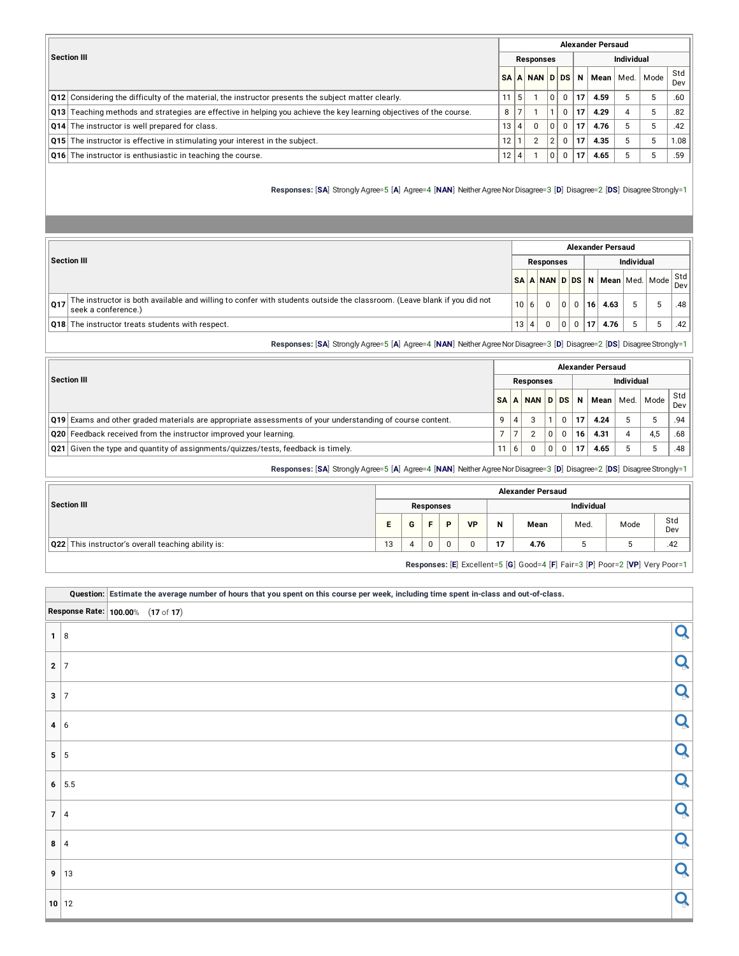|                                                                                                                                     |    |                |                  |            |             |    | <b>Alexander Persaud</b> |                   |      |            |
|-------------------------------------------------------------------------------------------------------------------------------------|----|----------------|------------------|------------|-------------|----|--------------------------|-------------------|------|------------|
| Section III                                                                                                                         |    |                | <b>Responses</b> |            |             |    |                          | <b>Individual</b> |      |            |
|                                                                                                                                     |    |                | SAANNDDS         |            |             | N  | Mean                     | Med.              | Mode | Std<br>Dev |
| $\vert$ Q12 Considering the difficulty of the material, the instructor presents the subject matter clearly.                         | 11 | 5 <sup>1</sup> |                  | $\Omega$   | $\Omega$    | 17 | 4.59                     | 5                 | -5   | .60        |
| $\vert$ Q13 $\vert$ Teaching methods and strategies are effective in helping you achieve the key learning objectives of the course. | 8  |                |                  |            | $\Omega$    | 17 | 4.29                     | $\overline{4}$    | 5    | .82        |
| <b>Q14</b> The instructor is well prepared for class.                                                                               | 13 | $\vert$        |                  | $\Omega$   | $\Omega$    | 17 | 4.76                     | 5                 | 5    | .42        |
| <b>Q15</b> The instructor is effective in stimulating your interest in the subject.                                                 | 12 |                |                  | $^{\circ}$ | $\Omega$    | 17 | 4.35                     | 5                 | 5    | 1.08       |
| <b>Q16</b> The instructor is enthusiastic in teaching the course.                                                                   | 12 | $\overline{4}$ |                  | 0          | $\mathbf 0$ | 17 | 4.65                     | 5                 | 5    | .59        |

**Responses:** [SA] Strongly Agree=5 [A] Agree=4 [NAN] Neither Agree Nor Disagree=3 [D] Disagree=2 [DS] Disagree Strongly=1

|     |                                                                                                                                                |      |                  |   |             |           | <b>Alexander Persaud</b>       |                   |                       |
|-----|------------------------------------------------------------------------------------------------------------------------------------------------|------|------------------|---|-------------|-----------|--------------------------------|-------------------|-----------------------|
|     | <b>Section III</b>                                                                                                                             |      | <b>Responses</b> |   |             |           |                                | <b>Individual</b> |                       |
|     |                                                                                                                                                |      |                  |   |             |           | SA A NAN D DS N Mean Med. Mode |                   | $ \text{Std} $<br>Dev |
| Q17 | The instructor is both available and willing to confer with students outside the classroom. (Leave blank if you did not<br>seek a conference.) | 10 6 |                  | 0 | $\Omega$    | 16        | 4.63                           | 5                 | .48                   |
|     | <b>Q18</b> The instructor treats students with respect.                                                                                        | 13 4 | $\Omega$         | 0 | $\mathbf 0$ | <b>17</b> | 4.76                           |                   | .42                   |

**Responses:** [**SA**] Strongly Agree=5 [**A**] Agree=4 [**NAN**] NeitherAgreeNorDisagree=3 [**D**] Disagree=2 [**DS**] DisagreeStrongly=1

|                                                                                                                  |    |    |                  |          |          |                 | <b>Alexander Persaud</b> |            |      |            |
|------------------------------------------------------------------------------------------------------------------|----|----|------------------|----------|----------|-----------------|--------------------------|------------|------|------------|
| <b>Section III</b>                                                                                               |    |    | <b>Responses</b> |          |          |                 |                          | Individual |      |            |
|                                                                                                                  | SΑ | A  | NAN D DS         |          |          | N               | Mean l                   | Med. l     | Mode | Std<br>Dev |
| <b>Q19</b> Exams and other graded materials are appropriate assessments of your understanding of course content. |    |    | っ                |          | $\Omega$ | 17.             | 4.24                     |            |      | .94        |
| Q20 Feedback received from the instructor improved your learning.                                                |    |    |                  | $\Omega$ | $\Omega$ | 16 <sup>1</sup> | 4.31                     |            | 4.5  | .68        |
| Q21 Given the type and quantity of assignments/quizzes/tests, feedback is timely.                                | 11 | -6 | $\Omega$         | 0        | $\Omega$ | 17              | 4.65                     |            |      | .48        |

**Responses:** [**SA**] Strongly Agree=5 [**A**] Agree=4 [**NAN**] NeitherAgreeNorDisagree=3 [**D**] Disagree=2 [**DS**] DisagreeStrongly=1

|                                                    |    |   |           |   |           |    | <b>Alexander Persaud</b> |                   |                                                                              |            |
|----------------------------------------------------|----|---|-----------|---|-----------|----|--------------------------|-------------------|------------------------------------------------------------------------------|------------|
| Section III                                        |    |   | Responses |   |           |    |                          | <b>Individual</b> |                                                                              |            |
|                                                    | ь. | G |           | D | <b>VP</b> | N  | Mean                     | Med.              | Mode                                                                         | Std<br>Dev |
| Q22 This instructor's overall teaching ability is: | 13 |   | 0         | 0 |           | 17 | 4.76                     |                   |                                                                              | .42        |
|                                                    |    |   |           |   |           |    |                          |                   | Responses: [E] Excellent=5 [G] Good=4 [F] Fair=3 [P] Poor=2 [VP] Very Poor=1 |            |

|             |                                                            | Question: Estimate the average number of hours that you spent on this course per week, including time spent in-class and out-of-class. |   |
|-------------|------------------------------------------------------------|----------------------------------------------------------------------------------------------------------------------------------------|---|
|             | Response Rate: $\boxed{100.00\%}\quad (17 \text{ of } 17)$ |                                                                                                                                        |   |
| $1 \vert 8$ |                                                            |                                                                                                                                        | Q |
| $2 \mid 7$  |                                                            |                                                                                                                                        | Q |
| $3 \mid 7$  |                                                            |                                                                                                                                        | Q |
| $4 \mid 6$  |                                                            |                                                                                                                                        | Q |
|             | $5 \mid 5$                                                 |                                                                                                                                        | Q |
|             | 6   5.5                                                    |                                                                                                                                        | Q |
|             | 7 4                                                        |                                                                                                                                        | Q |
| $8 \mid 4$  |                                                            |                                                                                                                                        | Q |
|             | 9 13                                                       |                                                                                                                                        | Q |
|             | 10 12                                                      |                                                                                                                                        | Q |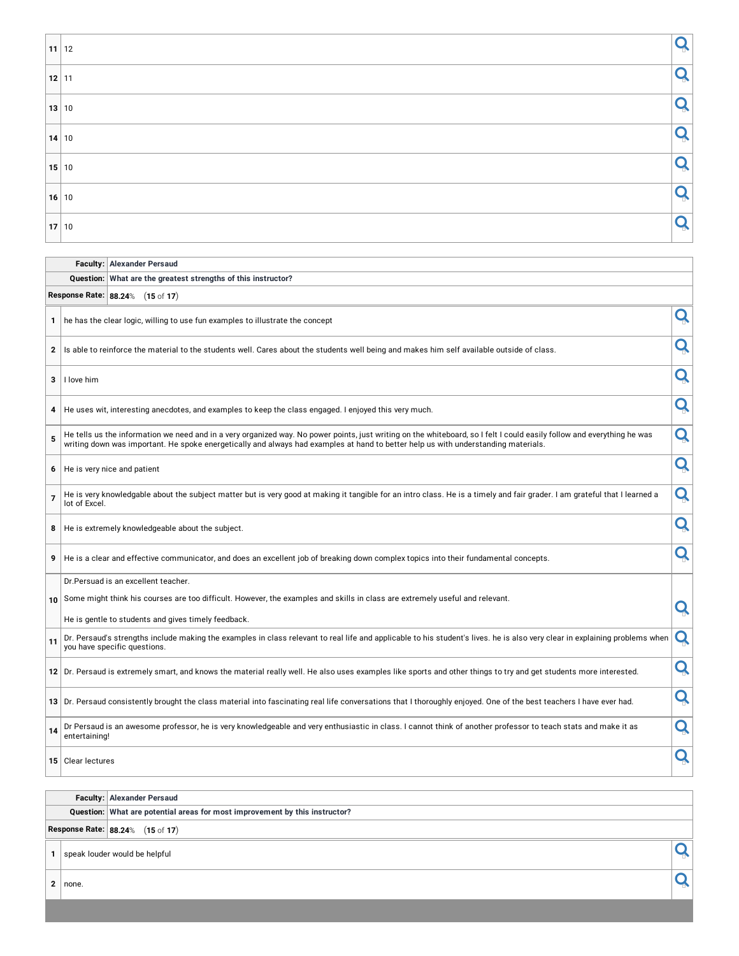| $11$ 12 |           |
|---------|-----------|
| $12$ 11 | $\bigcap$ |
| 13 10   | $\bigcap$ |
| $14$ 10 |           |
| 15 10   |           |
| $16$ 10 |           |
| $17$ 10 |           |

**Faculty: Alexander Persaud**

|                |                   | Question: What are the greatest strengths of this instructor?                                                                                                                                                                                                                                                 |   |
|----------------|-------------------|---------------------------------------------------------------------------------------------------------------------------------------------------------------------------------------------------------------------------------------------------------------------------------------------------------------|---|
|                |                   | Response Rate: 88.24% (15 of 17)                                                                                                                                                                                                                                                                              |   |
| 1              |                   | he has the clear logic, willing to use fun examples to illustrate the concept                                                                                                                                                                                                                                 | Q |
| 2              |                   | Is able to reinforce the material to the students well. Cares about the students well being and makes him self available outside of class.                                                                                                                                                                    | Q |
| 3              | I love him        |                                                                                                                                                                                                                                                                                                               | Q |
| 4              |                   | He uses wit, interesting anecdotes, and examples to keep the class engaged. I enjoyed this very much.                                                                                                                                                                                                         | Q |
| 5              |                   | He tells us the information we need and in a very organized way. No power points, just writing on the whiteboard, so I felt I could easily follow and everything he was<br>writing down was important. He spoke energetically and always had examples at hand to better help us with understanding materials. | Q |
| 6              |                   | He is very nice and patient                                                                                                                                                                                                                                                                                   | Q |
| $\overline{7}$ | lot of Excel.     | He is very knowledgable about the subject matter but is very good at making it tangible for an intro class. He is a timely and fair grader. I am grateful that I learned a                                                                                                                                    | Q |
| 8              |                   | He is extremely knowledgeable about the subject.                                                                                                                                                                                                                                                              | Q |
| 9              |                   | He is a clear and effective communicator, and does an excellent job of breaking down complex topics into their fundamental concepts.                                                                                                                                                                          | Q |
|                |                   | Dr.Persuad is an excellent teacher.                                                                                                                                                                                                                                                                           |   |
| 10             |                   | Some might think his courses are too difficult. However, the examples and skills in class are extremely useful and relevant.                                                                                                                                                                                  | Q |
|                |                   | He is gentle to students and gives timely feedback.                                                                                                                                                                                                                                                           |   |
| 11             |                   | Dr. Persaud's strengths include making the examples in class relevant to real life and applicable to his student's lives. he is also very clear in explaining problems when<br>you have specific questions.                                                                                                   | Q |
|                |                   | 12 Dr. Persaud is extremely smart, and knows the material really well. He also uses examples like sports and other things to try and get students more interested.                                                                                                                                            | Q |
|                |                   | 13 Dr. Persaud consistently brought the class material into fascinating real life conversations that I thoroughly enjoyed. One of the best teachers I have ever had.                                                                                                                                          | Q |
| 14             | entertaining!     | Dr Persaud is an awesome professor, he is very knowledgeable and very enthusiastic in class. I cannot think of another professor to teach stats and make it as                                                                                                                                                | Q |
|                | 15 Clear lectures |                                                                                                                                                                                                                                                                                                               | Q |

**Faculty: Alexander Persaud Question: What are potential areas for most improvement by this instructor? Response Rate: 88.24**% (**15** of **17**) **1** speak louder would be helpful **<sup>2</sup>** none.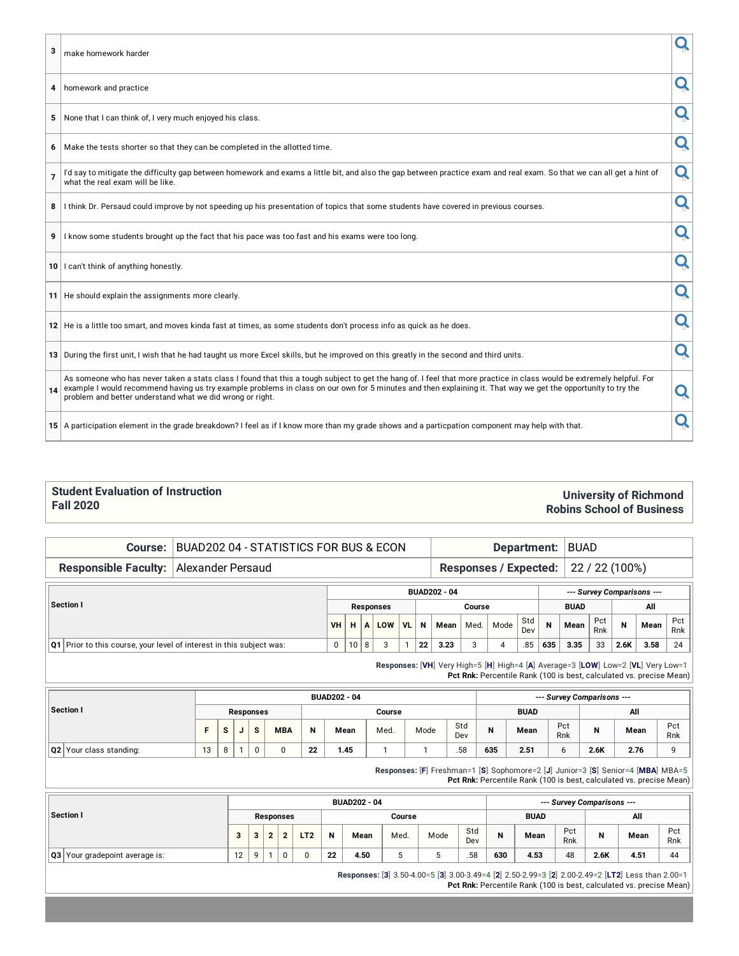| 3              | make homework harder                                                                                                                                                                                                                                                                                                                                                                                |   |
|----------------|-----------------------------------------------------------------------------------------------------------------------------------------------------------------------------------------------------------------------------------------------------------------------------------------------------------------------------------------------------------------------------------------------------|---|
| 4              | homework and practice                                                                                                                                                                                                                                                                                                                                                                               | Q |
| 5              | None that I can think of, I very much enjoyed his class.                                                                                                                                                                                                                                                                                                                                            | Q |
|                | 6 Make the tests shorter so that they can be completed in the allotted time.                                                                                                                                                                                                                                                                                                                        | Q |
| $\overline{7}$ | I'd say to mitigate the difficulty gap between homework and exams a little bit, and also the gap between practice exam and real exam. So that we can all get a hint of<br>what the real exam will be like.                                                                                                                                                                                          | Q |
|                | 8 I think Dr. Persaud could improve by not speeding up his presentation of topics that some students have covered in previous courses.                                                                                                                                                                                                                                                              | Q |
| 9              | I know some students brought up the fact that his pace was too fast and his exams were too long.                                                                                                                                                                                                                                                                                                    | Q |
|                | 10   I can't think of anything honestly.                                                                                                                                                                                                                                                                                                                                                            | Q |
|                | 11 He should explain the assignments more clearly.                                                                                                                                                                                                                                                                                                                                                  | Q |
|                | 12 He is a little too smart, and moves kinda fast at times, as some students don't process info as quick as he does.                                                                                                                                                                                                                                                                                | Q |
|                | 13 During the first unit, I wish that he had taught us more Excel skills, but he improved on this greatly in the second and third units.                                                                                                                                                                                                                                                            | Q |
| 14             | As someone who has never taken a stats class I found that this a tough subject to get the hang of. I feel that more practice in class would be extremely helpful. For<br>example I would recommend having us try example problems in class on our own for 5 minutes and then explaining it. That way we get the opportunity to try the<br>problem and better understand what we did wrong or right. | Q |
|                | 15 A participation element in the grade breakdown? I feel as if I know more than my grade shows and a particpation component may help with that.                                                                                                                                                                                                                                                    |   |

#### **Student Evaluation of Instruction Fall 2020**

#### **University of Richmond Robins School of Business**

### **Course:** BUAD202 04 - STATISTICS FOR BUS & ECON **Department:** BUAD

**Responsible Faculty:** Alexander Persaud **Responses** / **Expected:** 22 / 22 (100%)

|                                                                        |           |    |   |                  |         |     | <b>BUAD202 - 04</b> |        |      |            |     |             |            |      | --- Survey Comparisons --- |            |
|------------------------------------------------------------------------|-----------|----|---|------------------|---------|-----|---------------------|--------|------|------------|-----|-------------|------------|------|----------------------------|------------|
| Section I                                                              |           |    |   | <b>Responses</b> |         |     |                     | Course |      |            |     | <b>BUAD</b> |            |      | All                        |            |
|                                                                        | <b>VH</b> | н. |   | $A$ LOW          | $ V_L $ | - N | Mean                | Med.   | Mode | Std<br>Dev | N   | Mean        | Pct<br>Rnk | N    | Mean                       | Pct<br>Rnk |
| Q1   Prior to this course, your level of interest in this subject was: |           | 10 | 8 |                  |         | 22  | 3.23                |        |      | .85        | 635 | 3.35        | 33         | 2.6K | 3.58                       | 24         |

**Responses:** [**VH**] Very High=5 [**H**] High=4 [**A**] Average=3 [**LOW**] Low=2 [**VL**] Very Low=1 **Pct Rnk:** Percentile Rank (100 is best, calculated vs. precise Mean)

|                                |    |                 |                      |            |    | <b>BUAD202 - 04</b> |        |      |            |     |             |            | --- Survey Comparisons --- |      |            |
|--------------------------------|----|-----------------|----------------------|------------|----|---------------------|--------|------|------------|-----|-------------|------------|----------------------------|------|------------|
| Section I                      |    |                 | <b>Responses</b>     |            |    |                     | Course |      |            |     | <b>BUAD</b> |            |                            | All  |            |
|                                |    | $\epsilon$<br>۰ | $\ddot{\phantom{0}}$ | <b>MBA</b> | N  | Mean                | Med.   | Mode | Std<br>Dev | B   | Mean        | Pct<br>Rnk | N                          | Mean | Pct<br>Rnk |
| <b>Q2</b> Your class standing: | 13 | ₽               |                      |            | 22 | 1.45                |        |      | .58        | 635 | 2.51        | o          | 2.6K                       | 2.76 | $\Omega$   |

**Responses:** [**F**] Freshman=1 [**S**] Sophomore=2 [**J**] Junior=3 [**S**] Senior=4 [**MBA**] MBA=5

**Pct Rnk:** Percentile Rank (100 is best, calculated vs. precise Mean)

|                                |    |          |           |                 |    | <b>BUAD202 - 04</b> |        |      |            |     |             |            | --- Survey Comparisons --- |      |            |
|--------------------------------|----|----------|-----------|-----------------|----|---------------------|--------|------|------------|-----|-------------|------------|----------------------------|------|------------|
| Section I                      |    |          | Responses |                 |    |                     | Course |      |            |     | <b>BUAD</b> |            |                            | All  |            |
|                                |    | 2<br>o   | c         | LT <sub>2</sub> |    | Mean                | Med.   | Mode | Std<br>Dev | N   | Mean        | Pct<br>Rnk | N                          | Mean | Pct<br>Rnk |
| Q3 Your gradepoint average is: | 12 | $\Omega$ | u         | ι.              | 22 | 4.50                |        |      | .58        | 630 | 4.53        | 48         | 2.6K                       | 4.51 | 44         |

**Responses:** [**3**] 3.50-4.00=5 [**3**] 3.00-3.49=4 [**2**] 2.50-2.99=3 [**2**] 2.00-2.49=2 [**LT2**] Less than 2.00=1 **Pct Rnk:** Percentile Rank (100 is best, calculated vs. precise Mean)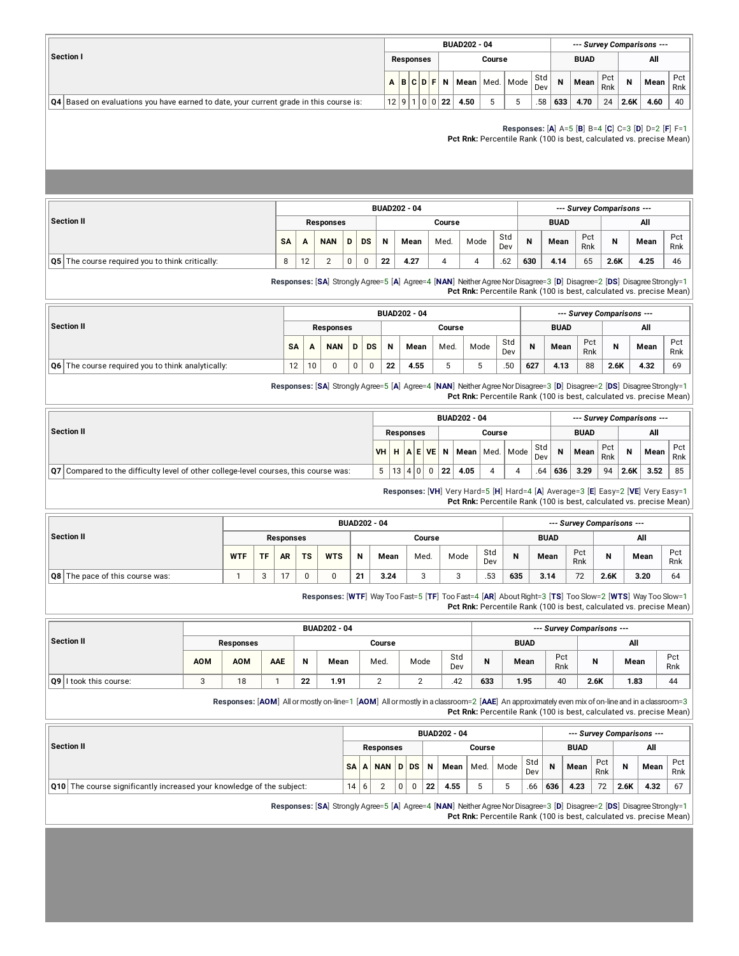|                                                                                            |  |                  |               | <b>BUAD202 - 04</b> |        |                                                                           |            |     |             |            |             | --- Survey Comparisons --- |            |
|--------------------------------------------------------------------------------------------|--|------------------|---------------|---------------------|--------|---------------------------------------------------------------------------|------------|-----|-------------|------------|-------------|----------------------------|------------|
| <b>Section I</b>                                                                           |  | <b>Responses</b> |               |                     | Course |                                                                           |            |     | <b>BUAD</b> |            |             | All                        |            |
|                                                                                            |  |                  |               |                     |        | $A \mid B \mid C \mid D \mid F \mid N \mid Mean \mid Med. \mid Mode \mid$ | Std<br>Dev | N   | Mean        | Pct<br>Rnk | $\mathbf N$ | Mean                       | Pct<br>Rnk |
| $ Q4 $ Based on evaluations you have earned to date, your current grade in this course is: |  |                  | 12 9 1 0 0 22 | 4.50                |        |                                                                           | .58        | 633 | 4.70        | 24         | 2.6K        | 4.60                       | 40         |

**Responses:** [**A**] A=5 [**B**] B=4 [**C**] C=3 [**D**] D=2 [**F**] F=1

**Pct Rnk:** Percentile Rank (100 is best, calculated vs. precise Mean)

|                                                     |   |    |                  |   |           |    | <b>BUAD202 - 04</b> |        |      |            |     |             |            | --- Survey Comparisons --- |      |            |
|-----------------------------------------------------|---|----|------------------|---|-----------|----|---------------------|--------|------|------------|-----|-------------|------------|----------------------------|------|------------|
| Section II                                          |   |    | <b>Responses</b> |   |           |    |                     | Course |      |            |     | <b>BUAD</b> |            |                            | All  |            |
|                                                     |   | A  | <b>NAN</b>       | D | <b>DS</b> | N  | Mean                | Med.   | Mode | Std<br>Dev | N   | Mean        | Pct<br>Rnk | N                          | Mean | Pct<br>Rnk |
| $ Q5 $ The course required you to think critically: | 8 | 12 |                  | 0 |           | 22 | 4.27                |        |      | .62        | 630 | 4.14        | 65         | 2.6K                       | 4.25 | 46         |

**Responses:** [SA] Strongly Agree=5 [A] Agree=4 [NAN] Neither Agree Nor Disagree=3 [D] Disagree=2 [DS] Disagree Strongly=1 **Pct Rnk:** Percentile Rank (100 is best, calculated vs. precise Mean)

|                                                                |    |    |                  |   |           |    | <b>BUAD202 - 04</b> |        |      |            |     |             |            | --- Survey Comparisons --- |      |            |
|----------------------------------------------------------------|----|----|------------------|---|-----------|----|---------------------|--------|------|------------|-----|-------------|------------|----------------------------|------|------------|
| Section II                                                     |    |    | <b>Responses</b> |   |           |    |                     | Course |      |            |     | <b>BUAD</b> |            |                            | All  |            |
|                                                                |    |    | <b>NAN</b>       | D | <b>DS</b> | N  | Mean                | Med.   | Mode | Std<br>Dev | N   | Mean        | Pct<br>Rnk | N                          | Mean | Pct<br>Rnk |
| $\overline{Q6}$ The course required you to think analytically: | 12 | 10 |                  | 0 |           | 22 | 4.55                |        |      | .50        | 627 | 4.13        | 88         | 2.6K                       | 4.32 | 69         |

**Responses:** [**SA**] Strongly Agree=5 [**A**] Agree=4 [**NAN**] NeitherAgreeNorDisagree=3 [**D**] Disagree=2 [**DS**] DisagreeStrongly=1 **Pct Rnk:** Percentile Rank (100 is best, calculated vs. precise Mean)

|                                                                                             |                  |        |          |    | <b>BUAD202 - 04</b>                        |        |            |             |             |            |      | --- Survey Comparisons --- |            |
|---------------------------------------------------------------------------------------------|------------------|--------|----------|----|--------------------------------------------|--------|------------|-------------|-------------|------------|------|----------------------------|------------|
| Section II                                                                                  | <b>Responses</b> |        |          |    |                                            | Course |            |             | <b>BUAD</b> |            |      | All                        |            |
|                                                                                             |                  |        |          |    | VH   H   A   E VE   N   Mean   Med.   Mode |        | Std<br>Dev | $\mathbf N$ | Mean        | Pct<br>Rnk | N    | Mean                       | Pct<br>Rnk |
| <b>Q7</b> Compared to the difficulty level of other college-level courses, this course was: | $5-1$            | 13 4 0 | $\Omega$ | 22 | 4.05                                       |        | .64        | 636         | 3.29        | 94         | 2.6K | 3.52                       | 85         |

**Responses:** [**VH**] Very Hard=5 [**H**] Hard=4 [**A**] Average=3 [**E**] Easy=2 [**VE**] Very Easy=1 **Pct Rnk:** Percentile Rank (100 is best, calculated vs. precise Mean)

|                                        |  |           |                  |           |            |    | <b>BUAD202 - 04</b> |        |      |            |     |             |            | --- Survey Comparisons --- |      |            |
|----------------------------------------|--|-----------|------------------|-----------|------------|----|---------------------|--------|------|------------|-----|-------------|------------|----------------------------|------|------------|
| Section II                             |  |           | <b>Responses</b> |           |            |    |                     | Course |      |            |     | <b>BUAD</b> |            |                            | All  |            |
|                                        |  | <b>TF</b> | <b>AR</b>        | <b>TS</b> | <b>WTS</b> | N  | Mean                | Med.   | Mode | Std<br>Dev | N   | Mean        | Pct<br>Rnk | N                          | Mean | Pct<br>Rnk |
| <b>Q8</b> The pace of this course was: |  |           | $\sim$           |           |            | 21 | 3.24                | ◠      |      | .53        | 635 | 3.14        | 72         | 2.6K                       | 3.20 | 64         |

**Responses:** [**WTF**] Way Too Fast=5 [**TF**] Too Fast=4 [**AR**] AboutRight=3 [**TS**] Too Slow=2 [**WTS**] Way Too Slow=1 **Pct Rnk:** Percentile Rank (100 is best, calculated vs. precise Mean)

|                        |            |            |     |    | <b>BUAD202 - 04</b> | --- Survey Comparisons --- |      |            |     |             |            |              |      |            |
|------------------------|------------|------------|-----|----|---------------------|----------------------------|------|------------|-----|-------------|------------|--------------|------|------------|
| Section II             |            | Responses  |     |    |                     | Course                     |      |            |     | <b>BUAD</b> |            |              | All  |            |
|                        | <b>AOM</b> | <b>AOM</b> | AAE | N  | Mean                | Med.                       | Mode | Std<br>Dev | N   | Mean        | Pct<br>Rnk | $\mathbf{N}$ | Mean | Pct<br>Rnk |
| Q9 I took this course: |            | 18         |     | 22 | 1.91                |                            |      | .42        | 633 | 1.95        | 40         | 2.6K         | 1.83 | 44         |

**Responses:** [**AOM**] Allormostly on-line=1 [**AOM**] Allormostlyin aclassroom=2 [**AAE**] An approximately even mix ofon-lineand in aclassroom=3 **Pct Rnk:** Percentile Rank (100 is best, calculated vs. precise Mean)

|                                                                              |           | <b>BUAD202 - 04</b> |                  |   |      |    |      |        |      |            |     | --- Survey Comparisons --- |            |      |      |              |  |  |
|------------------------------------------------------------------------------|-----------|---------------------|------------------|---|------|----|------|--------|------|------------|-----|----------------------------|------------|------|------|--------------|--|--|
| Section II                                                                   |           |                     | <b>Responses</b> |   |      |    |      | Course |      |            |     | <b>BUAD</b>                |            |      | All  |              |  |  |
|                                                                              | <b>SA</b> | A                   | <b>NAN</b>       |   | D DS | N  | Mean | Med.   | Mode | Std<br>Dev | N   | Mean                       | Pct<br>Rnk | N    | Mean | Pct  <br>Rnk |  |  |
| <b>Q10</b> The course significantly increased your knowledge of the subject: | 14        | 6                   |                  | 0 |      | 22 | 4.55 |        |      | .66        | 636 | 4.23                       | 72         | 2.6K | 4.32 | 67           |  |  |

**Responses:** [**SA**] Strongly Agree=5 [**A**] Agree=4 [**NAN**] NeitherAgreeNorDisagree=3 [**D**] Disagree=2 [**DS**] DisagreeStrongly=1 **Pct Rnk:** Percentile Rank (100 is best, calculated vs. precise Mean)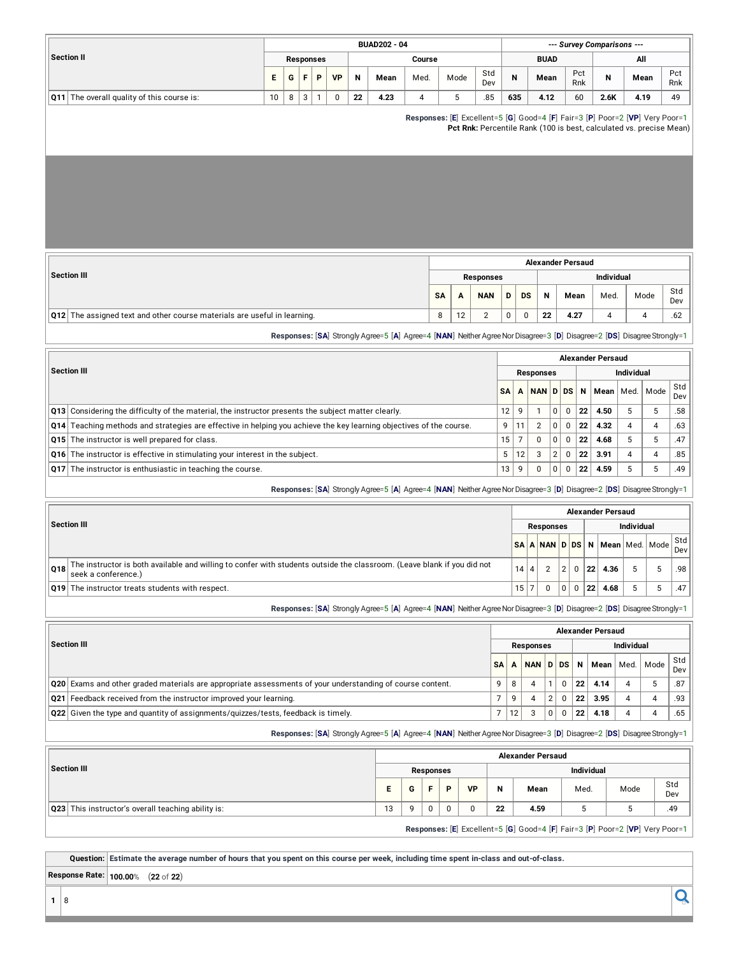|                                                |    |   |   |           |           |    | <b>BUAD202 - 04</b> |        |                                                                              | --- Survey Comparisons --- |     |                                                                     |            |      |      |            |  |  |
|------------------------------------------------|----|---|---|-----------|-----------|----|---------------------|--------|------------------------------------------------------------------------------|----------------------------|-----|---------------------------------------------------------------------|------------|------|------|------------|--|--|
| <b>Section II</b>                              |    |   |   | Responses |           |    |                     | Course |                                                                              |                            |     | <b>BUAD</b>                                                         |            | All  |      |            |  |  |
|                                                | Е  | G |   | P         | <b>VP</b> | N  | Mean                | Med.   | Mode                                                                         | Std<br>Dev                 | N   | Mean                                                                | Pct<br>Rnk | N    | Mean | Pct<br>Rnk |  |  |
| The overall quality of this course is:<br> Q11 | 10 | 8 | 3 |           |           | 22 | 4.23                | 4      |                                                                              | .85                        | 635 | 4.12                                                                | 60         | 2.6K | 4.19 | 49         |  |  |
|                                                |    |   |   |           |           |    |                     |        | Responses: [E] Excellent=5 [G] Good=4 [F] Fair=3 [P] Poor=2 [VP] Very Poor=1 |                            |     | Pct Rnk: Percentile Rank (100 is best, calculated vs. precise Mean) |            |      |      |            |  |  |

|                                                                                                                         | <b>Alexander Persaud</b> |    |                  |    |           |    |      |                   |      |            |  |  |  |  |
|-------------------------------------------------------------------------------------------------------------------------|--------------------------|----|------------------|----|-----------|----|------|-------------------|------|------------|--|--|--|--|
| Section III                                                                                                             |                          |    | <b>Responses</b> |    |           |    |      | <b>Individual</b> |      |            |  |  |  |  |
|                                                                                                                         | <b>SA</b>                |    | <b>NAN</b>       | D. | <b>DS</b> | N  | Mean | Med.              | Mode | Std<br>Dev |  |  |  |  |
| Q12 The assigned text and other course materials are useful in learning.                                                | 8                        | 12 |                  |    | $\Omega$  | 22 | 4.27 |                   |      | .62        |  |  |  |  |
| Responses: [SA] Strongly Agree=5 [A] Agree=4 [NAN] Neither Agree Nor Disagree=3 [D] Disagree=2 [DS] Disagree Strongly=1 |                          |    |                  |    |           |    |      |                   |      |            |  |  |  |  |

|                                                                                                                     | <b>Alexander Persaud</b> |    |                  |          |             |    |        |                   |      |            |  |  |
|---------------------------------------------------------------------------------------------------------------------|--------------------------|----|------------------|----------|-------------|----|--------|-------------------|------|------------|--|--|
| <b>Section III</b>                                                                                                  |                          |    | <b>Responses</b> |          |             |    |        | <b>Individual</b> |      |            |  |  |
|                                                                                                                     | SΑ                       | A  | NAN D DS         |          |             | N  | Mean l | Med.              | Mode | Std<br>Dev |  |  |
| $\vert$ Q13 Considering the difficulty of the material, the instructor presents the subject matter clearly.         | 12                       | 9  |                  | $\Omega$ | $\Omega$    | 22 | 4.50   | 5                 |      | .58        |  |  |
| Q14 Teaching methods and strategies are effective in helping you achieve the key learning objectives of the course. | 9                        | 11 | $\overline{2}$   | $\Omega$ | $\Omega$    | 22 | 4.32   | 4                 |      | .63        |  |  |
| <b>Q15</b> The instructor is well prepared for class.                                                               | 15                       |    | 0                | $\Omega$ | $\Omega$    | 22 | 4.68   | 5                 |      | .47        |  |  |
| <b>Q16</b> The instructor is effective in stimulating your interest in the subject.                                 | 5                        | 12 | 3                | 2        | $\Omega$    | 22 | 3.91   | 4                 |      | .85        |  |  |
| <b>Q17</b> The instructor is enthusiastic in teaching the course.                                                   | 13                       | 9  | $\Omega$         | $\Omega$ | $\mathbf 0$ | 22 | 4.59   | 5                 |      | .49        |  |  |

**Responses:** [**SA**] Strongly Agree=5 [**A**] Agree=4 [**NAN**] NeitherAgreeNorDisagree=3 [**D**] Disagree=2 [**DS**] DisagreeStrongly=1

|     |                                                                                                                                                |      |                  |   |          |    | <b>Alexander Persaud</b>       |                   |                       |
|-----|------------------------------------------------------------------------------------------------------------------------------------------------|------|------------------|---|----------|----|--------------------------------|-------------------|-----------------------|
|     | Section III                                                                                                                                    |      | <b>Responses</b> |   |          |    |                                | <b>Individual</b> |                       |
|     |                                                                                                                                                |      |                  |   |          |    | SA A NAN D DS N Mean Med. Mode |                   | $ \text{Std} $<br>Dev |
| 018 | The instructor is both available and willing to confer with students outside the classroom. (Leave blank if you did not<br>seek a conference.) | 14 4 | ົ                |   |          | 22 | 4.36                           |                   | .98 l                 |
|     | <b>Q19</b> The instructor treats students with respect.                                                                                        | 15 7 | 0                | 0 | $\Omega$ | 22 | 4.68                           |                   | .47                   |

**Responses:** [**SA**] Strongly Agree=5 [**A**] Agree=4 [**NAN**] NeitherAgreeNorDisagree=3 [**D**] Disagree=2 [**DS**] DisagreeStrongly=1

|                                                                                                                           |           |    |           |          |          |    | <b>Alexander Persaud</b> |                   |   |            |
|---------------------------------------------------------------------------------------------------------------------------|-----------|----|-----------|----------|----------|----|--------------------------|-------------------|---|------------|
| <b>Section III</b>                                                                                                        |           |    | Responses |          |          |    |                          | <b>Individual</b> |   |            |
|                                                                                                                           | <b>SA</b> |    | NAN D DS  |          |          |    | N   Mean   Med.   Mode   |                   |   | Std<br>Dev |
| $\vert$ Q20 $\vert$ Exams and other graded materials are appropriate assessments of your understanding of course content. |           | 8  |           |          | $\Omega$ | 22 | 4.14                     |                   |   | .87        |
| Q21 Feedback received from the instructor improved your learning.                                                         |           | 9  |           | ◠        | $\Omega$ | 22 | 3.95                     |                   | Δ | .93        |
| Q22 Given the type and quantity of assignments/quizzes/tests, feedback is timely.                                         |           | 12 | 3         | $\Omega$ | $\Omega$ | 22 | 4.18                     |                   |   | .65        |
|                                                                                                                           |           |    |           |          |          |    |                          |                   |   |            |

**Responses:** [**SA**] Strongly Agree=5 [**A**] Agree=4 [**NAN**] NeitherAgreeNorDisagree=3 [**D**] Disagree=2 [**DS**] DisagreeStrongly=1

|                                                            |    |   |           |          |           |                   | <b>Alexander Persaud</b>                                                     |      |      |            |  |  |  |
|------------------------------------------------------------|----|---|-----------|----------|-----------|-------------------|------------------------------------------------------------------------------|------|------|------------|--|--|--|
| Section III                                                |    |   | Responses |          |           | <b>Individual</b> |                                                                              |      |      |            |  |  |  |
|                                                            | Е. | G |           | Þ        | <b>VP</b> | N                 | Mean                                                                         | Med. | Mode | Std<br>Dev |  |  |  |
| $\vert$ Q23 This instructor's overall teaching ability is: | 13 | q | $\Omega$  | $\Omega$ | 0         | 22                | 4.59                                                                         | ь    |      | .49        |  |  |  |
|                                                            |    |   |           |          |           |                   | Responses: [E] Excellent=5 [G] Good=4 [F] Fair=3 [P] Poor=2 [VP] Very Poor=1 |      |      |            |  |  |  |

Question: Estimate the average number of hours that you spent on this course per week, including time spent in-class and out-of-class. **Response Rate: 100.00**% (**22** of **22**)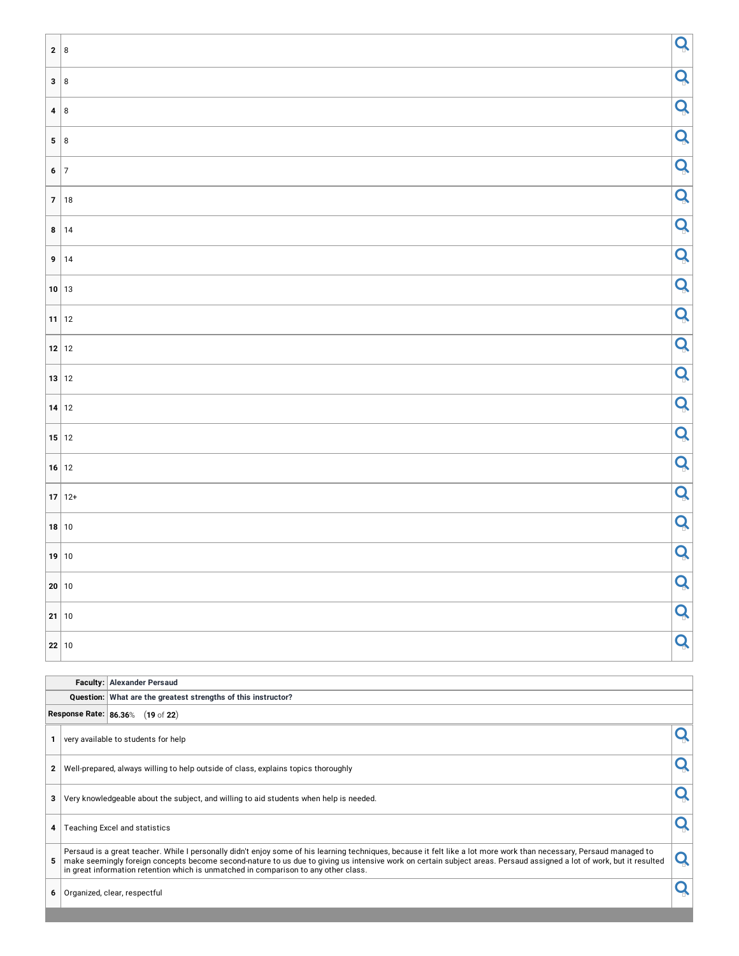| $2 \mid 8$ |            | Q |
|------------|------------|---|
| 3 8        |            | Q |
|            | 4 8        | Q |
|            | $5 \mid 8$ | Q |
|            | $6 \mid 7$ | Q |
|            | 7 18       | Q |
|            | 8 14       | Q |
|            | 9 14       | Q |
|            | 10 13      | Q |
|            | $11$ 12    | Q |
|            | $12$ 12    | Q |
|            | 13 12      | Q |
|            | $14$ 12    | Q |
|            | $15$ 12    | Q |
|            | $16$ 12    | Q |
|            | $17 12+$   | Q |
|            | $18$ 10    | Q |
|            | 19 10      | Q |
|            | 20 10      | Q |
|            | $21$ 10    | Q |
|            | $22$ 10    | Q |

|   | <b>Faculty: Alexander Persaud</b>                                                                                                                                                                                                                                                                                                                                                                                                   |  |
|---|-------------------------------------------------------------------------------------------------------------------------------------------------------------------------------------------------------------------------------------------------------------------------------------------------------------------------------------------------------------------------------------------------------------------------------------|--|
|   | Question: What are the greatest strengths of this instructor?                                                                                                                                                                                                                                                                                                                                                                       |  |
|   | Response Rate: 86.36% (19 of 22)                                                                                                                                                                                                                                                                                                                                                                                                    |  |
|   | very available to students for help                                                                                                                                                                                                                                                                                                                                                                                                 |  |
| 2 | Well-prepared, always willing to help outside of class, explains topics thoroughly                                                                                                                                                                                                                                                                                                                                                  |  |
| 3 | Very knowledgeable about the subject, and willing to aid students when help is needed.                                                                                                                                                                                                                                                                                                                                              |  |
| 4 | Teaching Excel and statistics                                                                                                                                                                                                                                                                                                                                                                                                       |  |
| 5 | Persaud is a great teacher. While I personally didn't enjoy some of his learning techniques, because it felt like a lot more work than necessary, Persaud managed to<br>make seemingly foreign concepts become second-nature to us due to giving us intensive work on certain subject areas. Persaud assigned a lot of work, but it resulted<br>in great information retention which is unmatched in comparison to any other class. |  |
| 6 | Organized, clear, respectful                                                                                                                                                                                                                                                                                                                                                                                                        |  |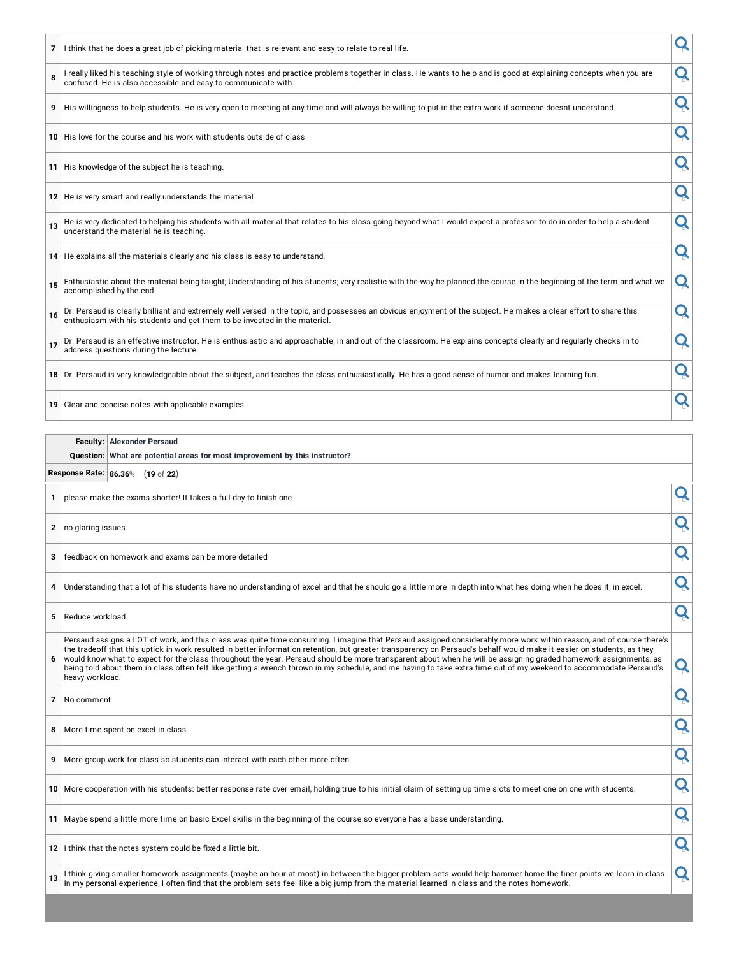|    |                   | 7 I think that he does a great job of picking material that is relevant and easy to relate to real life.                                                                                                                                                                                                                                                                                                                                                                                                                                                                                                                                                                               |   |
|----|-------------------|----------------------------------------------------------------------------------------------------------------------------------------------------------------------------------------------------------------------------------------------------------------------------------------------------------------------------------------------------------------------------------------------------------------------------------------------------------------------------------------------------------------------------------------------------------------------------------------------------------------------------------------------------------------------------------------|---|
| 8  |                   | I really liked his teaching style of working through notes and practice problems together in class. He wants to help and is good at explaining concepts when you are<br>confused. He is also accessible and easy to communicate with.                                                                                                                                                                                                                                                                                                                                                                                                                                                  | Q |
| 9  |                   | His willingness to help students. He is very open to meeting at any time and will always be willing to put in the extra work if someone doesnt understand.                                                                                                                                                                                                                                                                                                                                                                                                                                                                                                                             | Q |
|    |                   | 10 His love for the course and his work with students outside of class                                                                                                                                                                                                                                                                                                                                                                                                                                                                                                                                                                                                                 | Q |
|    |                   | 11 His knowledge of the subject he is teaching.                                                                                                                                                                                                                                                                                                                                                                                                                                                                                                                                                                                                                                        | Q |
|    |                   | 12   He is very smart and really understands the material                                                                                                                                                                                                                                                                                                                                                                                                                                                                                                                                                                                                                              | Q |
| 13 |                   | He is very dedicated to helping his students with all material that relates to his class going beyond what I would expect a professor to do in order to help a student<br>understand the material he is teaching.                                                                                                                                                                                                                                                                                                                                                                                                                                                                      | Q |
|    |                   | 14 He explains all the materials clearly and his class is easy to understand.                                                                                                                                                                                                                                                                                                                                                                                                                                                                                                                                                                                                          | Q |
| 15 |                   | Enthusiastic about the material being taught; Understanding of his students; very realistic with the way he planned the course in the beginning of the term and what we<br>accomplished by the end                                                                                                                                                                                                                                                                                                                                                                                                                                                                                     | Q |
| 16 |                   | Dr. Persaud is clearly brilliant and extremely well versed in the topic, and possesses an obvious enjoyment of the subject. He makes a clear effort to share this<br>enthusiasm with his students and get them to be invested in the material.                                                                                                                                                                                                                                                                                                                                                                                                                                         | Q |
| 17 |                   | Dr. Persaud is an effective instructor. He is enthusiastic and approachable, in and out of the classroom. He explains concepts clearly and regularly checks in to<br>address questions during the lecture.                                                                                                                                                                                                                                                                                                                                                                                                                                                                             | Q |
|    |                   | 18 Dr. Persaud is very knowledgeable about the subject, and teaches the class enthusiastically. He has a good sense of humor and makes learning fun.                                                                                                                                                                                                                                                                                                                                                                                                                                                                                                                                   | Q |
|    |                   | 19 Clear and concise notes with applicable examples                                                                                                                                                                                                                                                                                                                                                                                                                                                                                                                                                                                                                                    | Q |
|    |                   |                                                                                                                                                                                                                                                                                                                                                                                                                                                                                                                                                                                                                                                                                        |   |
|    |                   |                                                                                                                                                                                                                                                                                                                                                                                                                                                                                                                                                                                                                                                                                        |   |
|    | Faculty:          | <b>Alexander Persaud</b>                                                                                                                                                                                                                                                                                                                                                                                                                                                                                                                                                                                                                                                               |   |
|    | Question:         | What are potential areas for most improvement by this instructor?                                                                                                                                                                                                                                                                                                                                                                                                                                                                                                                                                                                                                      |   |
|    |                   | Response Rate: 86.36% (19 of 22)                                                                                                                                                                                                                                                                                                                                                                                                                                                                                                                                                                                                                                                       |   |
| 1  |                   | please make the exams shorter! It takes a full day to finish one                                                                                                                                                                                                                                                                                                                                                                                                                                                                                                                                                                                                                       | Q |
| 2  | no glaring issues |                                                                                                                                                                                                                                                                                                                                                                                                                                                                                                                                                                                                                                                                                        | Q |
| 3  |                   | feedback on homework and exams can be more detailed                                                                                                                                                                                                                                                                                                                                                                                                                                                                                                                                                                                                                                    | Q |
| 4  |                   | Understanding that a lot of his students have no understanding of excel and that he should go a little more in depth into what hes doing when he does it, in excel.                                                                                                                                                                                                                                                                                                                                                                                                                                                                                                                    | Q |
| 5  | Reduce workload   |                                                                                                                                                                                                                                                                                                                                                                                                                                                                                                                                                                                                                                                                                        | Q |
| 6  | heavy workload.   | Persaud assigns a LOT of work, and this class was quite time consuming. I imagine that Persaud assigned considerably more work within reason, and of course there's<br>the tradeoff that this uptick in work resulted in better information retention, but greater transparency on Persaud's behalf would make it easier on students, as they<br>would know what to expect for the class throughout the year. Persaud should be more transparent about when he will be assigning graded homework assignments, as<br>being told about them in class often felt like getting a wrench thrown in my schedule, and me having to take extra time out of my weekend to accommodate Persaud's | Q |
| 7  | No comment        |                                                                                                                                                                                                                                                                                                                                                                                                                                                                                                                                                                                                                                                                                        | Q |
| 8  |                   | More time spent on excel in class                                                                                                                                                                                                                                                                                                                                                                                                                                                                                                                                                                                                                                                      | Q |
| 9  |                   | More group work for class so students can interact with each other more often                                                                                                                                                                                                                                                                                                                                                                                                                                                                                                                                                                                                          | Q |
|    |                   | 10   More cooperation with his students: better response rate over email, holding true to his initial claim of setting up time slots to meet one on one with students.                                                                                                                                                                                                                                                                                                                                                                                                                                                                                                                 | Q |
|    |                   | 11 Maybe spend a little more time on basic Excel skills in the beginning of the course so everyone has a base understanding.                                                                                                                                                                                                                                                                                                                                                                                                                                                                                                                                                           | Q |

13 I think giving smaller homework assignments (maybe an hour at most) in between the bigger problem sets would help hammer home the finer points we learn in class.  $\vert\mathbf{Q}\vert$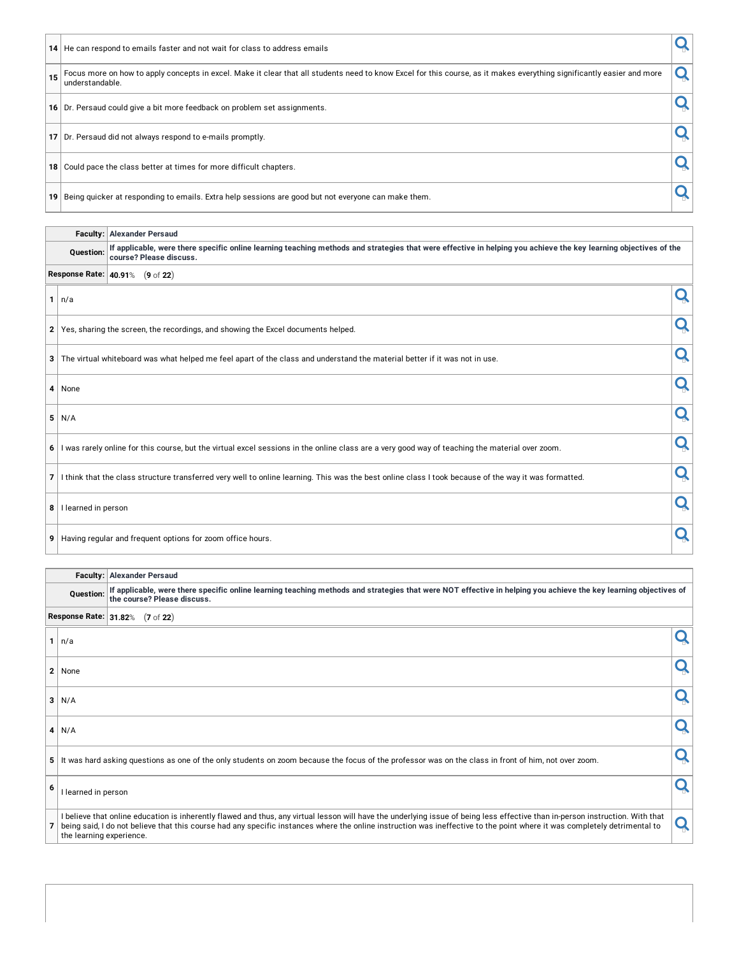|                 | 14 He can respond to emails faster and not wait for class to address emails                                                                                                               |  |
|-----------------|-------------------------------------------------------------------------------------------------------------------------------------------------------------------------------------------|--|
| 15              | Focus more on how to apply concepts in excel. Make it clear that all students need to know Excel for this course, as it makes everything significantly easier and more<br>understandable. |  |
|                 | 16 Dr. Persaud could give a bit more feedback on problem set assignments.                                                                                                                 |  |
| 17 <sup>1</sup> | Dr. Persaud did not always respond to e-mails promptly.                                                                                                                                   |  |
| 18              | Could pace the class better at times for more difficult chapters.                                                                                                                         |  |
| 19              | Being quicker at responding to emails. Extra help sessions are good but not everyone can make them.                                                                                       |  |

|                         | <b>Faculty: Alexander Persaud</b>                                                                                                                                                           |   |
|-------------------------|---------------------------------------------------------------------------------------------------------------------------------------------------------------------------------------------|---|
| <b>Ouestion:</b>        | If applicable, were there specific online learning teaching methods and strategies that were effective in helping you achieve the key learning objectives of the<br>course? Please discuss. |   |
|                         | Response Rate:   40.91% (9 of 22)                                                                                                                                                           |   |
| $1 \mid n/a$            |                                                                                                                                                                                             | Q |
|                         | 2 Yes, sharing the screen, the recordings, and showing the Excel documents helped.                                                                                                          | Q |
|                         | 3 The virtual whiteboard was what helped me feel apart of the class and understand the material better if it was not in use.                                                                | Q |
| 4 None                  |                                                                                                                                                                                             | Q |
| 5/N/A                   |                                                                                                                                                                                             | Q |
|                         | 6 I was rarely online for this course, but the virtual excel sessions in the online class are a very good way of teaching the material over zoom.                                           | Q |
|                         | 7 I think that the class structure transferred very well to online learning. This was the best online class I took because of the way it was formatted.                                     | Q |
| 8   I learned in person |                                                                                                                                                                                             | Q |
|                         | 9 Having regular and frequent options for zoom office hours.                                                                                                                                | Q |

|                |                          | <b>Faculty: Alexander Persaud</b>                                                                                                                                                                                                                                                                                                                           |  |
|----------------|--------------------------|-------------------------------------------------------------------------------------------------------------------------------------------------------------------------------------------------------------------------------------------------------------------------------------------------------------------------------------------------------------|--|
|                | Question:                | If applicable, were there specific online learning teaching methods and strategies that were NOT effective in helping you achieve the key learning objectives of<br>the course? Please discuss.                                                                                                                                                             |  |
|                |                          | Response Rate: 31.82% (7 of 22)                                                                                                                                                                                                                                                                                                                             |  |
|                | $1 \mid n/a$             |                                                                                                                                                                                                                                                                                                                                                             |  |
|                | 2 None                   |                                                                                                                                                                                                                                                                                                                                                             |  |
| 3 <sup>1</sup> | N/A                      |                                                                                                                                                                                                                                                                                                                                                             |  |
|                | $4$ N/A                  |                                                                                                                                                                                                                                                                                                                                                             |  |
| 5 <sup>1</sup> |                          | It was hard asking questions as one of the only students on zoom because the focus of the professor was on the class in front of him, not over zoom.                                                                                                                                                                                                        |  |
|                | I learned in person      |                                                                                                                                                                                                                                                                                                                                                             |  |
|                | the learning experience. | I believe that online education is inherently flawed and thus, any virtual lesson will have the underlying issue of being less effective than in-person instruction. With that<br>being said, I do not believe that this course had any specific instances where the online instruction was ineffective to the point where it was completely detrimental to |  |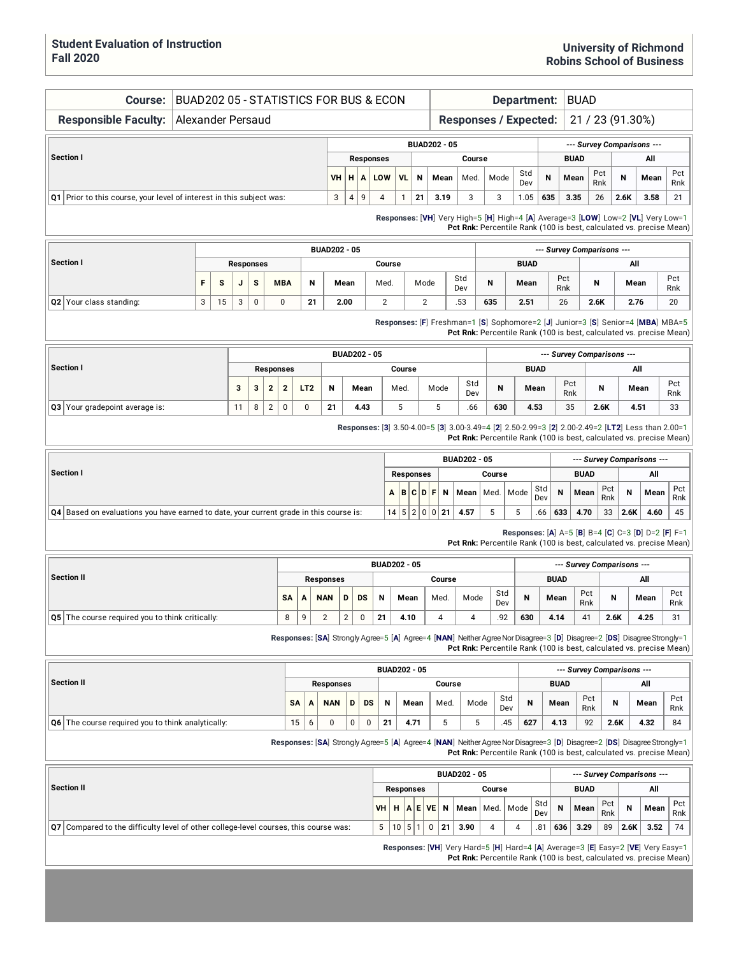| Course:                                                                                                                                                                  | BUAD202 05 - STATISTICS FOR BUS & ECON   |   |    |   |                  |  |                              |                 |                |                     |                     |                  |                     |                  |      |                         |                              |        |                |             | Department: |                            | <b>BUAD</b> |            |                  |                                                                                                                                                                                                |            |
|--------------------------------------------------------------------------------------------------------------------------------------------------------------------------|------------------------------------------|---|----|---|------------------|--|------------------------------|-----------------|----------------|---------------------|---------------------|------------------|---------------------|------------------|------|-------------------------|------------------------------|--------|----------------|-------------|-------------|----------------------------|-------------|------------|------------------|------------------------------------------------------------------------------------------------------------------------------------------------------------------------------------------------|------------|
| <b>Responsible Faculty:</b>                                                                                                                                              | Alexander Persaud                        |   |    |   |                  |  |                              |                 |                |                     |                     |                  |                     |                  |      |                         | <b>Responses / Expected:</b> |        |                |             |             |                            |             |            | 21 / 23 (91.30%) |                                                                                                                                                                                                |            |
|                                                                                                                                                                          |                                          |   |    |   |                  |  |                              |                 |                |                     |                     |                  |                     |                  |      | <b>BUAD202 - 05</b>     |                              |        |                |             |             |                            |             |            |                  | --- Survey Comparisons ---                                                                                                                                                                     |            |
| Section I                                                                                                                                                                |                                          |   |    |   |                  |  |                              |                 |                |                     |                     | <b>Responses</b> |                     |                  |      |                         |                              | Course |                |             |             | <b>BUAD</b>                |             | Pct        |                  | All                                                                                                                                                                                            | Pct        |
|                                                                                                                                                                          |                                          |   |    |   |                  |  |                              |                 |                | <b>VH</b>           | н                   | A                | LOW                 | VL.              | N    | Mean                    | Med.                         |        | Mode           | Std<br>Dev  | Ν           | Mean                       |             | Rnk        | N                | Mean                                                                                                                                                                                           | Rnk        |
| Q1 Prior to this course, your level of interest in this subject was:                                                                                                     |                                          |   |    |   |                  |  |                              |                 |                | 3                   | $\overline{4}$      | 9                | 4                   | $\mathbf{1}$     | 21   | 3.19                    | 3                            |        | 3              | 1.05        | 635         | 3.35                       |             | 26         | 2.6K             | 3.58                                                                                                                                                                                           | 21         |
|                                                                                                                                                                          |                                          |   |    |   |                  |  |                              |                 |                |                     |                     |                  |                     |                  |      |                         |                              |        |                |             |             |                            |             |            |                  | Responses: [VH] Very High=5 [H] High=4 [A] Average=3 [LOW] Low=2 [VL] Very Low=1<br>Pct Rnk: Percentile Rank (100 is best, calculated vs. precise Mean)                                        |            |
|                                                                                                                                                                          |                                          |   |    |   |                  |  |                              |                 |                | <b>BUAD202 - 05</b> |                     |                  |                     |                  |      |                         |                              |        |                |             |             | --- Survey Comparisons --- |             |            |                  |                                                                                                                                                                                                |            |
| Section I                                                                                                                                                                |                                          |   |    |   | <b>Responses</b> |  |                              |                 |                |                     |                     |                  | Course              |                  |      |                         |                              |        |                | <b>BUAD</b> |             |                            |             |            | All              |                                                                                                                                                                                                |            |
|                                                                                                                                                                          |                                          | F | s  | J | S                |  | <b>MBA</b>                   |                 | N              | Mean                |                     |                  | Med.                |                  | Mode |                         | Std<br>Dev                   |        | N              | Mean        |             | Pct<br>Rnk                 | N           |            | Mean             |                                                                                                                                                                                                | Pct<br>Rnk |
| Q2 Your class standing:                                                                                                                                                  |                                          | 3 | 15 | 3 | $\pmb{0}$        |  | $\mathbf 0$                  |                 | 21             | 2.00                |                     |                  | $\mathbf{2}$        |                  |      | $\overline{2}$          | .53                          |        | 635            | 2.51        |             | 26                         | 2.6K        |            | 2.76             |                                                                                                                                                                                                | 20         |
|                                                                                                                                                                          |                                          |   |    |   |                  |  |                              |                 |                |                     |                     |                  |                     |                  |      |                         |                              |        |                |             |             |                            |             |            |                  | Responses: [F] Freshman=1 [S] Sophomore=2 [J] Junior=3 [S] Senior=4 [MBA] MBA=5<br>Pct Rnk: Percentile Rank (100 is best, calculated vs. precise Mean)                                         |            |
|                                                                                                                                                                          |                                          |   |    |   |                  |  |                              |                 |                |                     | <b>BUAD202 - 05</b> |                  |                     |                  |      |                         |                              |        |                |             |             | --- Survey Comparisons --- |             |            |                  |                                                                                                                                                                                                |            |
| Section I                                                                                                                                                                |                                          |   |    |   |                  |  | Responses                    |                 |                |                     |                     |                  |                     | Course           |      |                         |                              |        |                |             | <b>BUAD</b> |                            |             |            |                  | All                                                                                                                                                                                            |            |
|                                                                                                                                                                          |                                          |   |    | 3 | 3                |  | $\mathbf{2}$<br>$\mathbf{2}$ | LT <sub>2</sub> |                | N                   | Mean                |                  |                     | Med.             |      | Mode                    | Std<br>Dev                   |        | N              |             | Mean        | Pct<br>Rnk                 |             | N          |                  | Mean                                                                                                                                                                                           | Pct<br>Rnk |
| Q3 Your gradepoint average is:                                                                                                                                           | 8<br>$\overline{2}$<br>$\mathsf 0$<br>11 |   |    |   |                  |  |                              |                 |                | 21                  | 4.43                |                  |                     | 5                |      | 5                       | .66                          |        | 630            |             | 4.53        | 35                         |             | 2.6K       |                  | 4.51                                                                                                                                                                                           | 33         |
| Responses: [3] 3.50-4.00=5 [3] 3.00-3.49=4 [2] 2.50-2.99=3 [2] 2.00-2.49=2 [LT2] Less than 2.00=1<br>Pct Rnk: Percentile Rank (100 is best, calculated vs. precise Mean) |                                          |   |    |   |                  |  |                              |                 |                |                     |                     |                  |                     |                  |      |                         |                              |        |                |             |             |                            |             |            |                  |                                                                                                                                                                                                |            |
|                                                                                                                                                                          |                                          |   |    |   |                  |  |                              |                 |                |                     |                     |                  |                     |                  |      |                         | <b>BUAD202 - 05</b>          |        |                |             |             |                            |             |            |                  | --- Survey Comparisons ---                                                                                                                                                                     |            |
| Section I                                                                                                                                                                |                                          |   |    |   |                  |  |                              |                 |                |                     |                     |                  |                     | <b>Responses</b> |      |                         |                              |        | Course         |             |             |                            | <b>BUAD</b> |            |                  | All                                                                                                                                                                                            |            |
|                                                                                                                                                                          |                                          |   |    |   |                  |  |                              |                 |                |                     |                     |                  | А                   |                  |      | B C D F <br>Ν           | Mean                         |        | Med. Mode      |             | Std<br>Dev  | N                          | Mean        | Pct<br>Rnk | N                | Mean                                                                                                                                                                                           | Pct<br>Rnk |
| Q4 Based on evaluations you have earned to date, your current grade in this course is:                                                                                   |                                          |   |    |   |                  |  |                              |                 |                |                     |                     |                  |                     |                  |      | 14   5   2   0   0   21 | 4.57                         |        | 5              | 5           | .66         | 633                        | 4.70        | 33         | 2.6K             | 4.60                                                                                                                                                                                           | 45         |
|                                                                                                                                                                          |                                          |   |    |   |                  |  |                              |                 |                |                     |                     |                  |                     |                  |      |                         |                              |        |                |             |             |                            |             |            |                  | Responses: [A] A=5 [B] B=4 [C] C=3 [D] D=2 [F] F=1<br>Pct Rnk: Percentile Rank (100 is best, calculated vs. precise Mean)                                                                      |            |
|                                                                                                                                                                          |                                          |   |    |   |                  |  |                              |                 |                |                     |                     |                  | <b>BUAD202 - 05</b> |                  |      |                         |                              |        |                |             |             | --- Survey Comparisons --- |             |            |                  |                                                                                                                                                                                                |            |
| <b>Section II</b>                                                                                                                                                        |                                          |   |    |   |                  |  |                              |                 |                | <b>Responses</b>    |                     |                  |                     |                  |      | Course                  |                              |        | Std            |             |             | <b>BUAD</b>                | Pct         |            |                  | All                                                                                                                                                                                            | Pct        |
|                                                                                                                                                                          |                                          |   |    |   |                  |  | SΑ                           | A               | <b>NAN</b>     |                     | D<br>DS             |                  | Ν                   | Mean             |      | Med.                    | Mode                         |        | Dev            | N           |             | Mean                       | Rnk         | N          |                  | Mean                                                                                                                                                                                           | Rnk        |
| Q5 The course required you to think critically:                                                                                                                          |                                          |   |    |   |                  |  | 8                            | 9               | $\overline{2}$ |                     | $\overline{2}$      | 0                | 21                  | 4.10             |      | 4                       |                              | 4      | 92             | 630         |             | 4.14                       | 41          | 2.6K       |                  | 4.25                                                                                                                                                                                           | 31         |
|                                                                                                                                                                          |                                          |   |    |   |                  |  |                              |                 |                |                     |                     |                  |                     |                  |      |                         |                              |        |                |             |             |                            |             |            |                  | Responses: [SA] Strongly Agree=5 [A] Agree=4 [NAN] Neither Agree Nor Disagree=3 [D] Disagree=2 [DS] Disagree Strongly=1<br>Pct Rnk: Percentile Rank (100 is best, calculated vs. precise Mean) |            |
|                                                                                                                                                                          |                                          |   |    |   |                  |  |                              |                 |                |                     |                     |                  | <b>BUAD202 - 05</b> |                  |      |                         |                              |        |                |             |             | --- Survey Comparisons --- |             |            |                  |                                                                                                                                                                                                |            |
| <b>Section II</b>                                                                                                                                                        |                                          |   |    |   |                  |  |                              |                 |                | <b>Responses</b>    |                     |                  |                     |                  |      | Course                  |                              |        |                |             |             | <b>BUAD</b>                |             |            |                  | All                                                                                                                                                                                            |            |
|                                                                                                                                                                          |                                          |   |    |   |                  |  |                              | SA              | А              | <b>NAN</b>          | D                   | DS               | N                   |                  | Mean | Med.                    |                              | Mode   | Std<br>Dev     | N           |             | Mean                       | Pct<br>Rnk  | N          |                  | Mean                                                                                                                                                                                           | Pct<br>Rnk |
| Q6 The course required you to think analytically:                                                                                                                        |                                          |   |    |   |                  |  |                              | 15              | 6              | 0                   | 0                   | 0                | 21                  |                  | 4.71 | 5                       |                              | 5      | .45            | 627         |             | 4.13                       | 92          | 2.6K       |                  | 4.32                                                                                                                                                                                           | 84         |
|                                                                                                                                                                          |                                          |   |    |   |                  |  |                              |                 |                |                     |                     |                  |                     |                  |      |                         |                              |        |                |             |             |                            |             |            |                  | Responses: [SA] Strongly Agree=5 [A] Agree=4 [NAN] Neither Agree Nor Disagree=3 [D] Disagree=2 [DS] Disagree Strongly=1<br>Pct Rnk: Percentile Rank (100 is best, calculated vs. precise Mean) |            |
|                                                                                                                                                                          |                                          |   |    |   |                  |  |                              |                 |                |                     |                     |                  |                     |                  |      |                         | <b>BUAD202 - 05</b>          |        |                |             |             |                            |             |            |                  | --- Survey Comparisons ---                                                                                                                                                                     |            |
| <b>Section II</b>                                                                                                                                                        |                                          |   |    |   |                  |  |                              |                 |                |                     |                     |                  |                     | <b>Responses</b> |      |                         |                              |        | Course         |             |             |                            | <b>BUAD</b> |            |                  | All                                                                                                                                                                                            |            |
|                                                                                                                                                                          |                                          |   |    |   |                  |  |                              |                 |                |                     |                     |                  | VH H                |                  |      | AEVEN                   | Mean   Med.                  |        |                | Mode        | Std<br>Dev  | N                          | Mean        | Pct<br>Rnk | N                | Mean                                                                                                                                                                                           | Pct<br>Rnk |
| Q7 Compared to the difficulty level of other college-level courses, this course was:                                                                                     |                                          |   |    |   |                  |  |                              |                 |                |                     |                     |                  | 5                   | 10               | 5 1  | 0<br>21                 | 3.90                         |        | $\overline{4}$ | 4           | .81         | 636                        | 3.29        | 89         | 2.6K             | 3.52                                                                                                                                                                                           | 74         |
|                                                                                                                                                                          |                                          |   |    |   |                  |  |                              |                 |                |                     |                     |                  |                     |                  |      |                         |                              |        |                |             |             |                            |             |            |                  | Responses: [VH] Very Hard=5 [H] Hard=4 [A] Average=3 [E] Easy=2 [VE] Very Easy=1<br>Pct Rnk: Percentile Rank (100 is best, calculated vs. precise Mean)                                        |            |
|                                                                                                                                                                          |                                          |   |    |   |                  |  |                              |                 |                |                     |                     |                  |                     |                  |      |                         |                              |        |                |             |             |                            |             |            |                  |                                                                                                                                                                                                |            |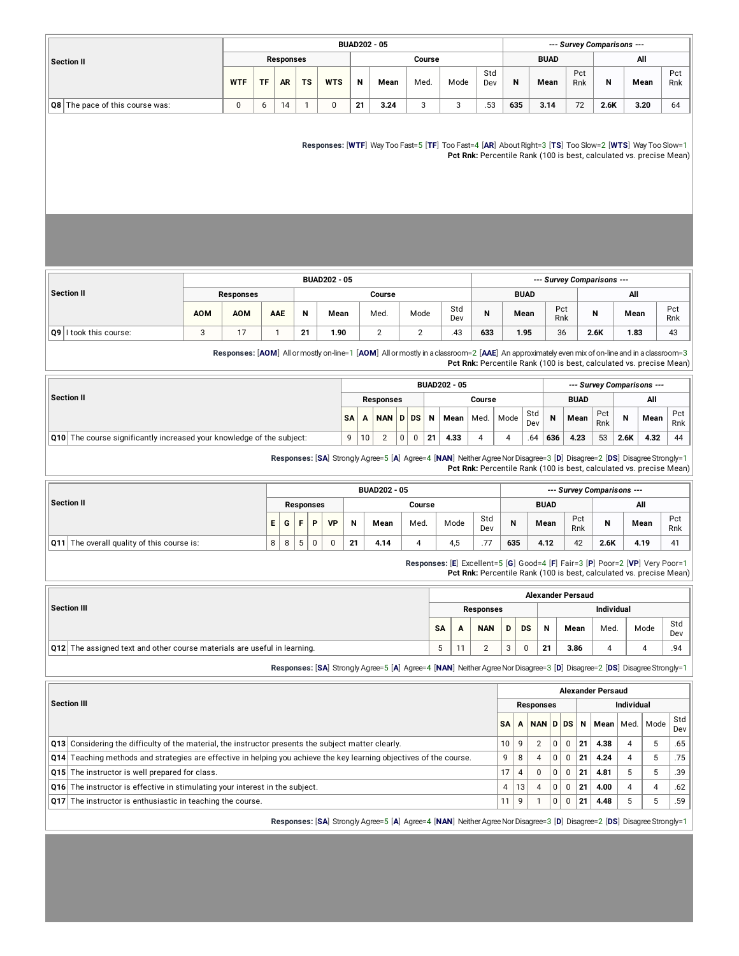|                                 |            |           |           |           |            |    | <b>BUAD202 - 05</b> |        |                 |            |     |             |            | --- Survey Comparisons --- |      |            |
|---------------------------------|------------|-----------|-----------|-----------|------------|----|---------------------|--------|-----------------|------------|-----|-------------|------------|----------------------------|------|------------|
| <b>Section II</b>               |            |           | Responses |           |            |    |                     | Course |                 |            |     | <b>BUAD</b> |            |                            | All  |            |
|                                 | <b>WTF</b> | <b>TF</b> | <b>AR</b> | <b>TS</b> | <b>WTS</b> | N  | Mean                | Med.   | Mode            | Std<br>Dev | N   | Mean        | Pct<br>Rnk | N                          | Mean | Pct<br>Rnk |
| Q8 The pace of this course was: | υ          | ь         | 14        |           | 0          | 21 | 3.24                | ົ      | $\sqrt{2}$<br>ັ | .53        | 635 | 3.14        | 72         | 2.6K                       | 3.20 | 64         |

**Responses:** [**WTF**] Way Too Fast=5 [**TF**] Too Fast=4 [**AR**] AboutRight=3 [**TS**] Too Slow=2 [**WTS**] Way Too Slow=1 **Pct Rnk:** Percentile Rank (100 is best, calculated vs. precise Mean)

|                        |            |            |     |    | <b>BUAD202 - 05</b> |        |      |            |     |             |            | --- Survey Comparisons --- |      |            |
|------------------------|------------|------------|-----|----|---------------------|--------|------|------------|-----|-------------|------------|----------------------------|------|------------|
| Section II             |            | Responses  |     |    |                     | Course |      |            |     | <b>BUAD</b> |            |                            | All  |            |
|                        | <b>AOM</b> | <b>AOM</b> | AAE | N  | Mean                | Med.   | Mode | Std<br>Dev | N   | Mean        | Pct<br>Rnk | N                          | Mean | Pct<br>Rnk |
| Q9 I took this course: | ັ          | $-$        |     | 21 | 1.90                |        |      | .43        | 633 | 1.95        | 36         | 2.6K                       | 1.83 | 43         |

**Responses:** [**AOM**] Allormostly on-line=1 [**AOM**] Allormostlyin aclassroom=2 [**AAE**] An approximately even mix ofon-lineand in aclassroom=3 **Pct Rnk:** Percentile Rank (100 is best, calculated vs. precise Mean)

|                                                                              |           |    |            |   |   |    | <b>BUAD202 - 05</b> |        |      |            |     |             |            |      | --- Survey Comparisons --- |            |
|------------------------------------------------------------------------------|-----------|----|------------|---|---|----|---------------------|--------|------|------------|-----|-------------|------------|------|----------------------------|------------|
| Section II                                                                   |           |    | Responses  |   |   |    |                     | Course |      |            |     | <b>BUAD</b> |            |      | All                        |            |
|                                                                              | <b>SA</b> | A  | NAN D DS N |   |   |    | Mean <b>I</b>       | Med.   | Mode | Std<br>Dev | N   | Mean        | Pct<br>Rnk | N    | Mean                       | Pct<br>Rnk |
| <b>Q10</b> The course significantly increased your knowledge of the subject: | 9         | 10 |            | 0 | 0 | 21 | 4.33                |        |      | .64        | 636 | 4.23        | 53         | 2.6K | 4.32                       | 44         |

**Responses:** [**SA**] Strongly Agree=5 [**A**] Agree=4 [**NAN**] NeitherAgreeNorDisagree=3 [**D**] Disagree=2 [**DS**] DisagreeStrongly=1

**Pct Rnk:** Percentile Rank (100 is best, calculated vs. precise Mean)

|                                                  |    |   |                  |           |    | <b>BUAD202 - 05</b> |        |      |                             |     |             |            | --- Survey Comparisons --- |      |            |
|--------------------------------------------------|----|---|------------------|-----------|----|---------------------|--------|------|-----------------------------|-----|-------------|------------|----------------------------|------|------------|
| Section II                                       |    |   | <b>Responses</b> |           |    |                     | Course |      |                             |     | <b>BUAD</b> |            |                            | All  |            |
|                                                  | ΕI | G | D                | <b>VP</b> | N  | Mean                | Med.   | Mode | Std<br>Dev                  | N   | Mean        | Pct<br>Rnk | N                          | Mean | Pct<br>Rnk |
| The overall quality of this course is:<br>⊺Q11 ! | 8  | 8 | 0                | 0         | 21 | 4.14                |        | 4.5  | $\overline{ }$<br>$\cdot$ . | 635 | 4.12        | 42         | 2.6K                       | 4.19 |            |

**Responses:** [**E**] Excellent=5 [**G**] Good=4 [**F**] Fair=3 [**P**] Poor=2 [**VP**] Very Poor=1 **Pct Rnk:** Percentile Rank (100 is best, calculated vs. precise Mean)

|                                                                                                                                                                                                                                 |           |   |                  |   |           |             | <b>Alexander Persaud</b> |                   |      |            |
|---------------------------------------------------------------------------------------------------------------------------------------------------------------------------------------------------------------------------------|-----------|---|------------------|---|-----------|-------------|--------------------------|-------------------|------|------------|
| Section III                                                                                                                                                                                                                     |           |   | <b>Responses</b> |   |           |             |                          | <b>Individual</b> |      |            |
|                                                                                                                                                                                                                                 | <b>SA</b> | A | <b>NAN</b>       | D | <b>DS</b> | $\mathbf N$ | Mean                     | Med.              | Mode | Std<br>Dev |
| Q12 The assigned text and other course materials are useful in learning.                                                                                                                                                        |           |   |                  | 3 | 0         | 21          | 3.86                     | 4                 | 4    | .94        |
| $\sim$ . The contract of the contract of the contract of the contract of the contract of the contract of the contract of the contract of the contract of the contract of the contract of the contract of the contract of the co |           |   |                  |   |           |             |                          |                   |      |            |

**Responses:** [SA] Strongly Agree=5 [A] Agree=4 [NAN] Neither Agree Nor Disagree=3 [D] Disagree=2 [DS] Disagree Strongly=1

|                                                                                                                            |                |                 |                  |          |          |    | <b>Alexander Persaud</b> |                   |      |            |
|----------------------------------------------------------------------------------------------------------------------------|----------------|-----------------|------------------|----------|----------|----|--------------------------|-------------------|------|------------|
| Section III                                                                                                                |                |                 | <b>Responses</b> |          |          |    |                          | <b>Individual</b> |      |            |
|                                                                                                                            | <b>SA</b>      | A               | NAN D DS         |          |          | N  | Mean   Med.              |                   | Mode | Std<br>Dev |
| Q13 Considering the difficulty of the material, the instructor presents the subject matter clearly.                        | 10             | 9               | $\overline{2}$   | $\Omega$ | $\Omega$ | 21 | 4.38                     |                   |      | .65        |
| <b>Q14</b> Teaching methods and strategies are effective in helping you achieve the key learning objectives of the course. | 9              | 8               | $\overline{4}$   | 0        | $\Omega$ | 21 | 4.24                     |                   |      | .75        |
| Q15 The instructor is well prepared for class.                                                                             | 17             | 4               | $\Omega$         | $\Omega$ | $\Omega$ | 21 | 4.81                     |                   |      | .39        |
| <b>Q16</b> The instructor is effective in stimulating your interest in the subject.                                        | $\overline{4}$ | 13 <sub>1</sub> | 4                | 0        | $\Omega$ | 21 | 4.00                     | 4                 | 4    | .62        |
| Q17 The instructor is enthusiastic in teaching the course.                                                                 | 11             | 9               |                  | 0        | 0        | 21 | 4.48                     | b                 | Ð    | .59        |
| Responses: [SA] Strongly Agree=5 [A] Agree=4 [NAN] Neither Agree Nor Disagree=3 [D] Disagree=2 [DS] Disagree Strongly=1    |                |                 |                  |          |          |    |                          |                   |      |            |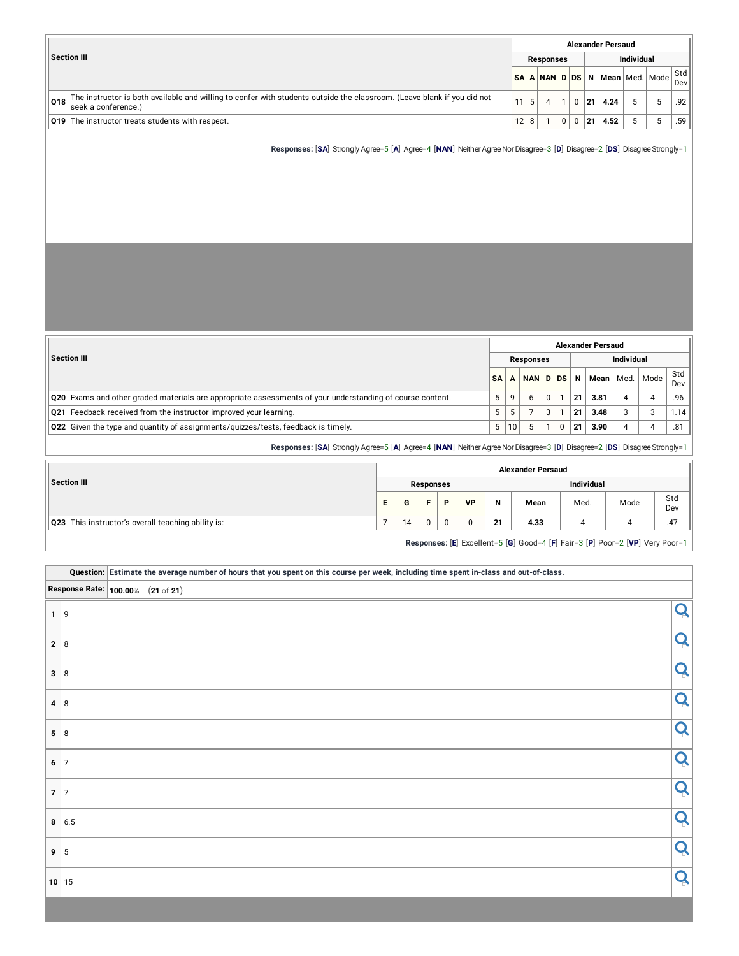|     |                                                                                                                                                |      |    |           |   |             |     | <b>Alexander Persaud</b>       |            |   |            |
|-----|------------------------------------------------------------------------------------------------------------------------------------------------|------|----|-----------|---|-------------|-----|--------------------------------|------------|---|------------|
|     | Section III                                                                                                                                    |      |    | Responses |   |             |     |                                | Individual |   |            |
|     |                                                                                                                                                |      |    |           |   |             |     | SA A NAN D DS N Mean Med. Mode |            |   | Std<br>Dev |
| 018 | The instructor is both available and willing to confer with students outside the classroom. (Leave blank if you did not<br>seek a conference.) |      | -5 |           |   | 0           | 21  | 4.24                           |            |   | .92        |
|     | <b>Q19</b> The instructor treats students with respect.                                                                                        | 12 8 |    |           | 0 | $\mathbf 0$ | 121 | 4.52                           | 5          | 5 | .59        |

**Responses:** [SA] Strongly Agree=5 [A] Agree=4 [NAN] Neither Agree Nor Disagree=3 [D] Disagree=2 [DS] Disagree Strongly=1

|                                                                                                           |           |    |           |   |    | <b>Alexander Persaud</b> |                   |      |            |
|-----------------------------------------------------------------------------------------------------------|-----------|----|-----------|---|----|--------------------------|-------------------|------|------------|
| <b>Section III</b>                                                                                        |           |    | Responses |   |    |                          | <b>Individual</b> |      |            |
|                                                                                                           | <b>SA</b> |    | NAN D DS  |   | N  | Mean                     | Med.              | Mode | Std<br>Dev |
| Q20 Exams and other graded materials are appropriate assessments of your understanding of course content. | 5         |    | h         | ŋ | 21 | 3.81                     | Δ                 |      | .96        |
| <b>Q21</b> Feedback received from the instructor improved your learning.                                  | 5         |    |           | 3 | 21 | 3.48                     |                   |      | 1.14       |
| $\vert$ Q22 Given the type and quantity of assignments/quizzes/tests, feedback is timely.                 | 5         | 10 |           |   | 21 | 3.90                     |                   |      | .81        |

**Responses:** [SA] Strongly Agree=5 [A] Agree=4 [NAN] Neither Agree Nor Disagree=3 [D] Disagree=2 [DS] Disagree Strongly=1

|                                                    |    |    |           |   |           |    | <b>Alexander Persaud</b> |                   |                                                                              |            |
|----------------------------------------------------|----|----|-----------|---|-----------|----|--------------------------|-------------------|------------------------------------------------------------------------------|------------|
| Section III                                        |    |    | Responses |   |           |    |                          | <b>Individual</b> |                                                                              |            |
|                                                    | E. | G  | F.        | Þ | <b>VP</b> | N  | Mean                     | Med.              | Mode                                                                         | Std<br>Dev |
| Q23 This instructor's overall teaching ability is: |    | 14 | $\Omega$  |   |           | 21 | 4.33                     |                   |                                                                              | .47        |
|                                                    |    |    |           |   |           |    |                          |                   | Responses: [E] Excellent=5 [G] Good=4 [F] Fair=3 [P] Poor=2 [VP] Very Poor=1 |            |

|                                   |              | Question: Estimate the average number of hours that you spent on this course per week, including time spent in-class and out-of-class. |   |
|-----------------------------------|--------------|----------------------------------------------------------------------------------------------------------------------------------------|---|
| Response Rate: 100.00% (21 of 21) |              |                                                                                                                                        |   |
| $1 \mid 9$                        |              |                                                                                                                                        | Q |
| $2 \mid 8$                        |              |                                                                                                                                        | Q |
| 3 8                               |              |                                                                                                                                        | Q |
| $4 \mid 8$                        |              |                                                                                                                                        | Q |
| $5 \mid 8$                        |              |                                                                                                                                        | Q |
| $6 \mid 7$                        |              |                                                                                                                                        | Q |
| $7 \vert 7$                       |              |                                                                                                                                        | Q |
|                                   | $8 \mid 6.5$ |                                                                                                                                        | Q |
| $9 \mid 5$                        |              |                                                                                                                                        | Q |
|                                   | $10$ 15      |                                                                                                                                        | Q |
|                                   |              |                                                                                                                                        |   |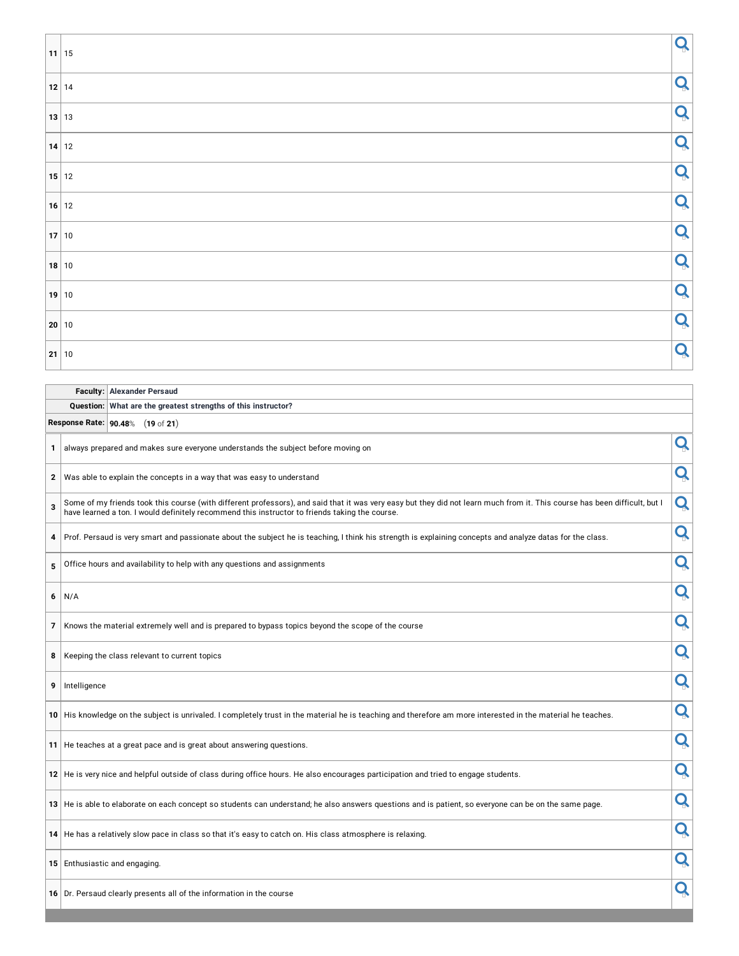| $11$ 15               | Q |
|-----------------------|---|
|                       | Q |
| $\vert$ 13 $\vert$ 13 | Q |
| $\vert$ 14 $\vert$ 12 | Q |
| 15 12                 | Q |
| 16 12                 | Q |
| 17 10                 | Q |
| 18 10                 | Q |
| $19$ 10               | Q |
| 20 10                 | Q |
| 21 10                 | Q |

| <b>Faculty: Alexander Persaud</b>                             |
|---------------------------------------------------------------|
| Question: What are the greatest strengths of this instructor? |

**Response Rate: 90.48**% (**19** of **21**)

| 1            | always prepared and makes sure everyone understands the subject before moving on                                                                                                                                                                                             | Q |
|--------------|------------------------------------------------------------------------------------------------------------------------------------------------------------------------------------------------------------------------------------------------------------------------------|---|
| $\mathbf{2}$ | Was able to explain the concepts in a way that was easy to understand                                                                                                                                                                                                        | Q |
| 3            | Some of my friends took this course (with different professors), and said that it was very easy but they did not learn much from it. This course has been difficult, but I<br>have learned a ton. I would definitely recommend this instructor to friends taking the course. | Q |
| 4            | Prof. Persaud is very smart and passionate about the subject he is teaching, I think his strength is explaining concepts and analyze datas for the class.                                                                                                                    | Q |
| 5            | Office hours and availability to help with any questions and assignments                                                                                                                                                                                                     | Q |
| 6            | N/A                                                                                                                                                                                                                                                                          | Q |
| 7            | Knows the material extremely well and is prepared to bypass topics beyond the scope of the course                                                                                                                                                                            | Q |
| 8            | Keeping the class relevant to current topics                                                                                                                                                                                                                                 | Q |
| 9            | Intelligence                                                                                                                                                                                                                                                                 | Q |
|              | 10 His knowledge on the subject is unrivaled. I completely trust in the material he is teaching and therefore am more interested in the material he teaches.                                                                                                                 | Q |
|              | 11 He teaches at a great pace and is great about answering questions.                                                                                                                                                                                                        | Q |
|              | 12 He is very nice and helpful outside of class during office hours. He also encourages participation and tried to engage students.                                                                                                                                          | Q |
|              | 13 He is able to elaborate on each concept so students can understand; he also answers questions and is patient, so everyone can be on the same page.                                                                                                                        | Q |
|              | 14 He has a relatively slow pace in class so that it's easy to catch on. His class atmosphere is relaxing.                                                                                                                                                                   | Q |
|              | 15 Enthusiastic and engaging.                                                                                                                                                                                                                                                | Q |
|              | 16 Dr. Persaud clearly presents all of the information in the course                                                                                                                                                                                                         | Q |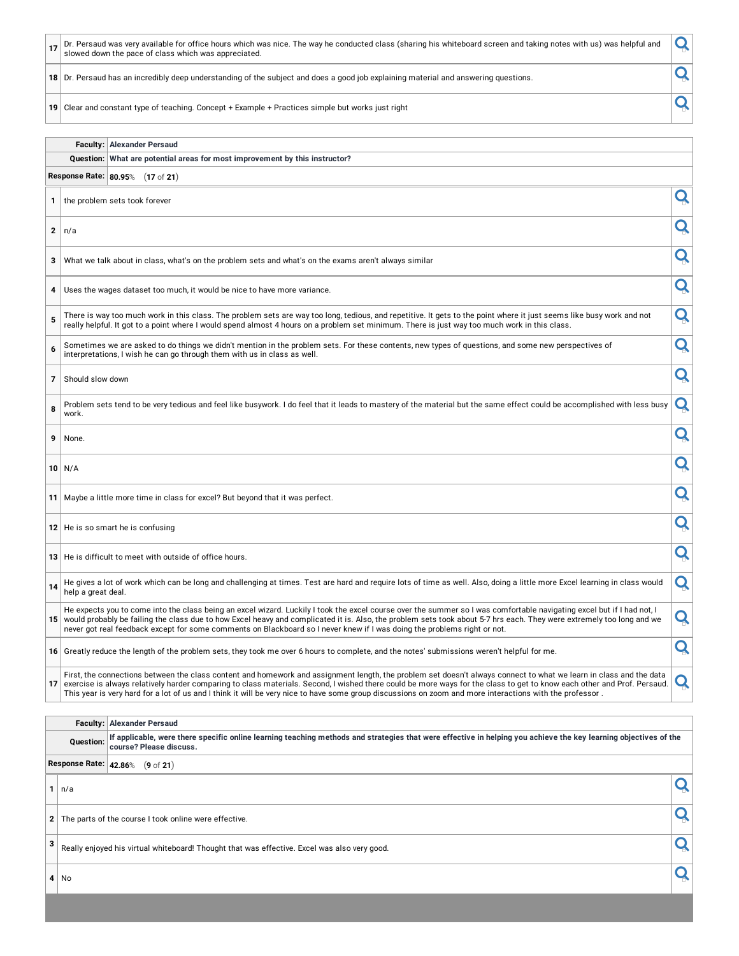|    |                                                                                                                                  | Dr. Persaud was very available for office hours which was nice. The way he conducted class (sharing his whiteboard screen and taking notes with us) was helpful and<br>slowed down the pace of class which was appreciated. |  |  |  |  |  |  |
|----|----------------------------------------------------------------------------------------------------------------------------------|-----------------------------------------------------------------------------------------------------------------------------------------------------------------------------------------------------------------------------|--|--|--|--|--|--|
| 18 | Dr. Persaud has an incredibly deep understanding of the subject and does a good job explaining material and answering questions. |                                                                                                                                                                                                                             |  |  |  |  |  |  |
| 19 | Clear and constant type of teaching. Concept + Example + Practices simple but works just right                                   |                                                                                                                                                                                                                             |  |  |  |  |  |  |
|    |                                                                                                                                  |                                                                                                                                                                                                                             |  |  |  |  |  |  |
|    |                                                                                                                                  | <b>Faculty: Alexander Persaud</b>                                                                                                                                                                                           |  |  |  |  |  |  |
|    | Question: What are potential areas for most improvement by this instructor?                                                      |                                                                                                                                                                                                                             |  |  |  |  |  |  |
|    | Response Rate: 80.95%<br>$(17 \text{ of } 21)$                                                                                   |                                                                                                                                                                                                                             |  |  |  |  |  |  |

**1** the problem sets took forever

**<sup>2</sup>** n/a

**3** What we talk about in class, what's on the problem sets and what's on the exams aren't always similar

**4** Uses the wages dataset too much, it would be nice to have more variance.

**5** There is way too much work in this class. The problem sets are way too long, tedious, and repetitive. It gets to the point where it just seems like busy work and not There is way too much work in this class. The problem sets are way too long, tedious, and repetitive. It gets to the point where it just seems like busy work and not  $\overline{\mathbf{Q}}$ 

**6** Sometimes we are asked to do things we didn't mention in the problem sets. For these contents, new types of questions, and some new perspectives of  $\vert \mathbf{Q} \vert$ 

**<sup>7</sup>** Should slow down

| 8 Problem sets tend to be very tedious and feel like busywork. I do feel that it leads to mastery of the material but the same effect could be accomplished with less busy $\vert \bullet \rangle$<br>' work. |  |
|---------------------------------------------------------------------------------------------------------------------------------------------------------------------------------------------------------------|--|
| 9 None.                                                                                                                                                                                                       |  |

**<sup>10</sup>** N/A

**<sup>11</sup>** Maybe <sup>a</sup> little more time in class for excel? But beyond that it was perfect.

**12** He is so smart he is confusing

**<sup>13</sup>** He is difficult to meet with outside of office hours.

14 He gives a lot of work which can be long and challenging at times. Test are hard and require lots of time as well. Also, doing a little more Excel learning in class would **14** help a great deal.

The expects you to come into the class being an excel wizard. Luckily I took the excel course over the summer so I was comfortable havigating excel but if I had not, I and not, I and not in the class due to how Excel heavy He expects you to come into the class being an excel wizard. Luckily I took the excel course over the summer so I was comfortable navigating excel but if I had not, I

**16** Greatly reduce the length of the problem sets, they took me over 6 hours to complete, and the notes' submissions weren't helpful for me.

First, the connections between the class content and nomework and assignment length, the problem set doesn't always connect to what we learn in class and the data.<br>The sercise is always relatively harder comparing to class First, the connections between the class content and homework and assignment length, the problem set doesn't always connect to what we learn in class and the data

**Faculty: Alexander Persaud** .<br>Ta shekara kara shikara na skhirida ilayyi skenka eta alikuk maso s

|                                                                                                   |                       | Question: IT applicable, were there specific online learning teaching methods and strategies that were effective in helping you achieve the key learning objectives of the<br>course? Please discuss. |  |  |  |  |  |  |  |  |
|---------------------------------------------------------------------------------------------------|-----------------------|-------------------------------------------------------------------------------------------------------------------------------------------------------------------------------------------------------|--|--|--|--|--|--|--|--|
|                                                                                                   | Response Rate: 42.86% | $(9 \text{ of } 21)$                                                                                                                                                                                  |  |  |  |  |  |  |  |  |
|                                                                                                   | $1 \mid n/a$          |                                                                                                                                                                                                       |  |  |  |  |  |  |  |  |
| 2 The parts of the course I took online were effective.                                           |                       |                                                                                                                                                                                                       |  |  |  |  |  |  |  |  |
| 3<br>Really enjoyed his virtual whiteboard! Thought that was effective. Excel was also very good. |                       |                                                                                                                                                                                                       |  |  |  |  |  |  |  |  |
|                                                                                                   | $4$ No                |                                                                                                                                                                                                       |  |  |  |  |  |  |  |  |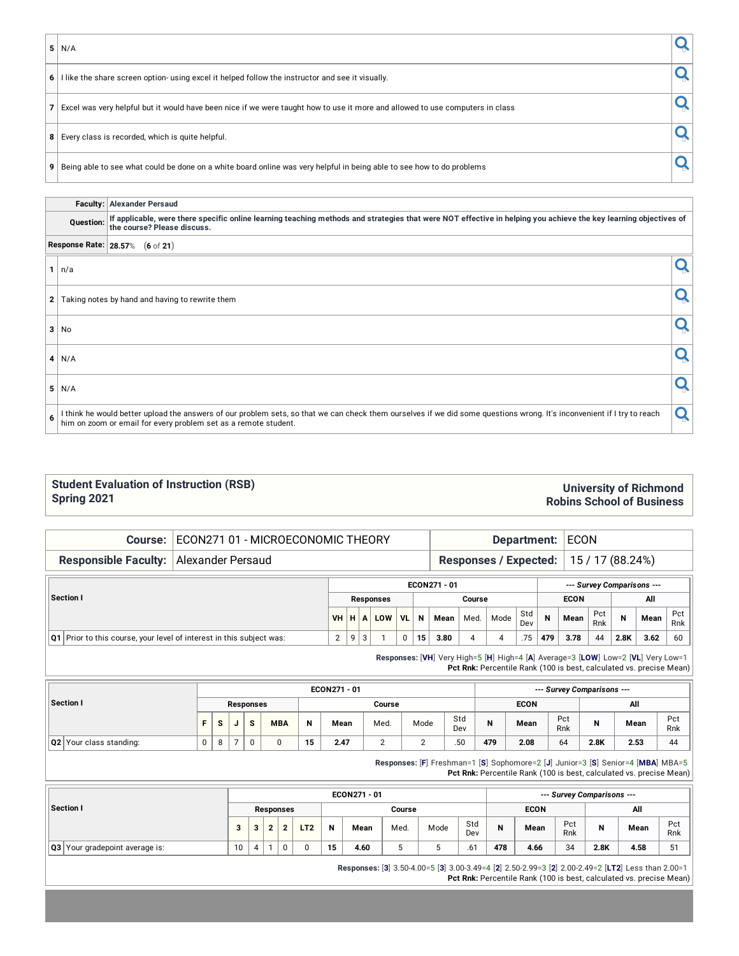**<sup>5</sup>** N/A

| $6$   I like the share screen option- using excel it helped follow the instructor and see it visually. |  |
|--------------------------------------------------------------------------------------------------------|--|

**7** Excel was very helpful but it would have been nice if we were taught how to use it more and allowed to use computers in class

**8** Every class is recorded, which is quite helpful.

**9** Being able to see what could be done on a white board online was very helpful in being able to see how to do problems

|              |              | <b>Faculty: Alexander Persaud</b>                                                                                                                                                                                                          |  |
|--------------|--------------|--------------------------------------------------------------------------------------------------------------------------------------------------------------------------------------------------------------------------------------------|--|
| Question:    |              | If applicable, were there specific online learning teaching methods and strategies that were NOT effective in helping you achieve the key learning objectives of<br>the course? Please discuss.                                            |  |
|              |              | Response Rate: 28.57% (6 of 21)                                                                                                                                                                                                            |  |
|              | $1 \mid n/a$ |                                                                                                                                                                                                                                            |  |
| $\mathbf{2}$ |              | Taking notes by hand and having to rewrite them                                                                                                                                                                                            |  |
| 3            | No           |                                                                                                                                                                                                                                            |  |
|              | 4 N/A        |                                                                                                                                                                                                                                            |  |
| 5            | N/A          |                                                                                                                                                                                                                                            |  |
| 6            |              | I think he would better upload the answers of our problem sets, so that we can check them ourselves if we did some questions wrong. It's inconvenient if I try to reach<br>him on zoom or email for every problem set as a remote student. |  |

#### **Student Evaluation of Instruction (RSB) Spring 2021**

### **University of Richmond Robins School of Business**

| ECON271 01 - MICROECONOMIC THEORY<br>Course:                         |          | Department: |                       |                           |                  |    |                                                                                  | <b>ECON</b>    |      |            |     |                            |           |             |                                                                     |           |  |
|----------------------------------------------------------------------|----------|-------------|-----------------------|---------------------------|------------------|----|----------------------------------------------------------------------------------|----------------|------|------------|-----|----------------------------|-----------|-------------|---------------------------------------------------------------------|-----------|--|
| <b>Responsible Faculty:</b><br>Alexander Persaud                     |          |             | Responses / Expected: |                           | 15 / 17 (88.24%) |    |                                                                                  |                |      |            |     |                            |           |             |                                                                     |           |  |
| Section I                                                            |          |             |                       |                           |                  |    | ECON271 - 01                                                                     |                |      |            |     | --- Survey Comparisons --- |           |             |                                                                     |           |  |
|                                                                      | $VH$ $H$ |             |                       | <b>Responses</b><br>A LOW | <b>VL</b>        | N  | Mean                                                                             | Course<br>Med. | Mode | Std        | N   | <b>ECON</b><br>Mean        | Pct       | $\mathbf N$ | All<br>Mean                                                         | Pct       |  |
| Q1 Prior to this course, your level of interest in this subject was: | 2        | 9           | 3                     |                           | $\mathbf 0$      | 15 | 3.80                                                                             | 4              | 4    | Dev<br>.75 | 479 | 3.78                       | Rnk<br>44 | 2.8K        | 3.62                                                                | Rnk<br>60 |  |
|                                                                      |          |             |                       |                           |                  |    | Responses: [VH] Very High=5 [H] High=4 [A] Average=3 [LOW] Low=2 [VL] Very Low=1 |                |      |            |     |                            |           |             | Pct Rnk: Percentile Rank (100 is best, calculated vs. precise Mean) |           |  |

| Pct<br>Rnk |
|------------|
| 44         |
|            |

**Responses:** [**F**] Freshman=1 [**S**] Sophomore=2 [**J**] Junior=3 [**S**] Senior=4 [**MBA**] MBA=5 **Pct Rnk:** Percentile Rank (100 is best, calculated vs. precise Mean)

| Section I                             |    |   |           |                 |    | ECON271 - 01 | --- Survey Comparisons --- |      |            |     |             |            |      |      |                |
|---------------------------------------|----|---|-----------|-----------------|----|--------------|----------------------------|------|------------|-----|-------------|------------|------|------|----------------|
|                                       |    |   | Responses |                 |    |              | Course                     |      |            |     | <b>ECON</b> |            | All  |      |                |
|                                       |    | ີ |           | LT <sub>2</sub> | N  | Mean         | Med.                       | Mode | Std<br>Dev |     | Mean        | Pct<br>Rnk | N    | Mean | Pct<br>Rnk     |
| <b>Q3</b> Your gradepoint average is: | 10 |   | 0         |                 | 15 | 4.60         | J                          |      | .61        | 478 | 4.66        | 34         | 2.8K | 4.58 | 5 <sup>1</sup> |

**Responses:** [**3**] 3.50-4.00=5 [**3**] 3.00-3.49=4 [**2**] 2.50-2.99=3 [**2**] 2.00-2.49=2 [**LT2**] Less than 2.00=1 **Pct Rnk:** Percentile Rank (100 is best, calculated vs. precise Mean)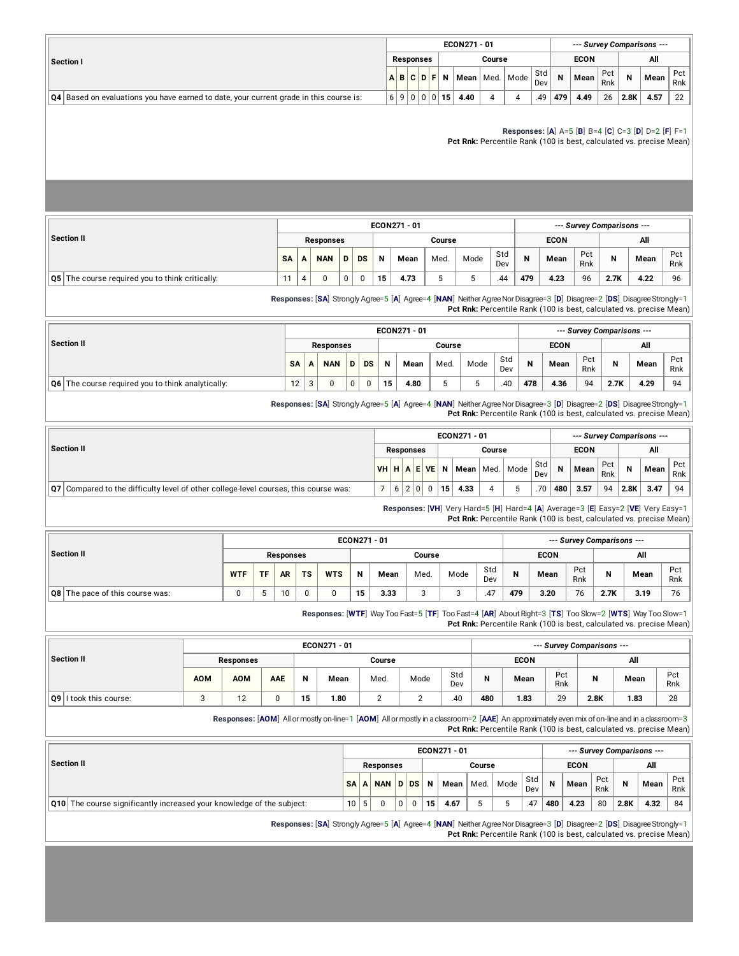|                                                                                            |  |           |                         | ECON271 - 01 |        |                    |            |                | --- Survey Comparisons --- |            |          |      |                 |
|--------------------------------------------------------------------------------------------|--|-----------|-------------------------|--------------|--------|--------------------|------------|----------------|----------------------------|------------|----------|------|-----------------|
| <b>Section I</b>                                                                           |  | Responses |                         |              | Course |                    |            |                | <b>ECON</b>                |            |          | All  |                 |
|                                                                                            |  |           | $A$ $B$ $C$ $D$ $F$ $N$ |              |        | Mean   Med.   Mode | Std<br>Dev | $\overline{N}$ | Mean                       | Pct<br>Rnk | <b>N</b> | Mean | Pct<br>Rnk      |
| $ Q4 $ Based on evaluations you have earned to date, your current grade in this course is: |  |           | 16900015                | 4.40         | 4      |                    | .49        | 479            | 4.49                       | 26         | 2.8K     | 4.57 | 22 <sub>1</sub> |

#### **Responses:** [**A**] A=5 [**B**] B=4 [**C**] C=3 [**D**] D=2 [**F**] F=1

**Pct Rnk:** Percentile Rank (100 is best, calculated vs. precise Mean)

|                                                   |           |                  |   |           |    | ECON271 - 01 |        |      |            |     |             |            | --- Survey Comparisons --- |      |            |
|---------------------------------------------------|-----------|------------------|---|-----------|----|--------------|--------|------|------------|-----|-------------|------------|----------------------------|------|------------|
| Section II                                        |           | <b>Responses</b> |   |           |    |              | Course |      |            |     | <b>ECON</b> |            |                            | All  |            |
|                                                   | <b>SA</b> | <b>NAN</b>       | D | <b>DS</b> | N  | Mean         | Med.   | Mode | Std<br>Dev | N   | Mean        | Pct<br>Rnk | N                          | Mean | Pct<br>Rnk |
| Q5   The course required you to think critically: | $\sim$    | 0                | 0 |           | 15 | 4.73         |        | J    | .44        | 479 | 4.23        | 96         | 2.7K                       | 4.22 | 96         |

**Responses:** [**SA**] Strongly Agree=5 [**A**] Agree=4 [**NAN**] NeitherAgreeNorDisagree=3 [**D**] Disagree=2 [**DS**] DisagreeStrongly=1 **Pct Rnk:** Percentile Rank (100 is best, calculated vs. precise Mean)

|                                                                |           |                  |   |           |    | ECON271 - 01 |        |      |            |     |             |            | --- Survey Comparisons --- |      |            |
|----------------------------------------------------------------|-----------|------------------|---|-----------|----|--------------|--------|------|------------|-----|-------------|------------|----------------------------|------|------------|
| Section II                                                     |           | <b>Responses</b> |   |           |    |              | Course |      |            |     | <b>ECON</b> |            |                            | All  |            |
|                                                                | <b>SA</b> | <b>NAN</b>       | D | <b>DS</b> | N  | Mean         | Med.   | Mode | Std<br>Dev | N   | Mean        | Pct<br>Rnk | N                          | Mean | Pct<br>Rnk |
| $\overline{Q6}$ The course required you to think analytically: | 12        |                  |   |           | 15 | 4.80         |        |      | .40        | 478 | 4.36        | 94         | 2.7K                       | 4.29 | 94         |

**Responses:** [**SA**] Strongly Agree=5 [**A**] Agree=4 [**NAN**] NeitherAgreeNorDisagree=3 [**D**] Disagree=2 [**DS**] DisagreeStrongly=1 **Pct Rnk:** Percentile Rank (100 is best, calculated vs. precise Mean)

|                                                                                                  |           |                  |                         |    | ECON271 - 01 |        |                    |            |     | --- Survey Comparisons --- |            |      |      |            |
|--------------------------------------------------------------------------------------------------|-----------|------------------|-------------------------|----|--------------|--------|--------------------|------------|-----|----------------------------|------------|------|------|------------|
| Section II                                                                                       |           | <b>Responses</b> |                         |    |              | Course |                    |            |     | <b>ECON</b>                |            |      | All  |            |
|                                                                                                  | VHHAEVENI |                  |                         |    |              |        | Mean   Med.   Mode | Std<br>Dev | N   | Mean                       | Pct<br>Rnk | N    | Mean | Pct<br>Rnk |
|                                                                                                  |           |                  |                         |    |              |        |                    |            |     |                            |            |      |      |            |
| $\mathsf{Q7} $ Compared to the difficulty level of other college-level courses, this course was: |           | 6 2 0            | $\overline{\mathbf{0}}$ | 15 | 4.33         |        |                    | .70        | 480 | 3.57                       | 94         | 2.8K | 3.47 | 94         |

**Responses:** [**VH**] Very Hard=5 [**H**] Hard=4 [**A**] Average=3 [**E**] Easy=2 [**VE**] Very Easy=1 **Pct Rnk:** Percentile Rank (100 is best, calculated vs. precise Mean)

|                                        |            |               |           |           |            | ECON271 - 01 |      |        |      |            |     |             |            | --- Survey Comparisons --- |      |            |
|----------------------------------------|------------|---------------|-----------|-----------|------------|--------------|------|--------|------|------------|-----|-------------|------------|----------------------------|------|------------|
| Section II                             |            |               | Responses |           |            |              |      | Course |      |            |     | <b>ECON</b> |            |                            | All  |            |
|                                        | <b>WTF</b> | <b>TF</b>     | <b>AR</b> | <b>TS</b> | <b>WTS</b> | N            | Mean | Med.   | Mode | Std<br>Dev | N   | Mean        | Pct<br>Rnk | N                          | Mean | Pct<br>Rnk |
| <b>Q8</b> The pace of this course was: | 0          | $\rightarrow$ | 10        | 0         |            | 15           | 3.33 |        |      | .4.        | 479 | 3.20        | 76         | 2.7K                       | 3.19 | 76         |

**Responses:** [**WTF**] Way Too Fast=5 [**TF**] Too Fast=4 [**AR**] AboutRight=3 [**TS**] Too Slow=2 [**WTS**] Way Too Slow=1 **Pct Rnk:** Percentile Rank (100 is best, calculated vs. precise Mean)

|                        |            |                  |     |    | ECON271 - 01 |        |      |            |     |             |            | --- Survey Comparisons --- |      |            |
|------------------------|------------|------------------|-----|----|--------------|--------|------|------------|-----|-------------|------------|----------------------------|------|------------|
| Section II             |            | <b>Responses</b> |     |    |              | Course |      |            |     | <b>ECON</b> |            |                            | All  |            |
|                        | <b>AOM</b> | AOM              | AAE | N  | Mean         | Med.   | Mode | Std<br>Dev | N   | Mean        | Pct<br>Rnk | N                          | Mean | Pct<br>Rnk |
| Q9 I took this course: | c          | 10<br>1 Z.       |     | 15 | 1.80         |        |      | .40        | 480 | 1.83        | 29         | 2.8K                       | 1.83 | 28         |

**Responses:** [**AOM**] Allormostly on-line=1 [**AOM**] Allormostlyin aclassroom=2 [**AAE**] An approximately even mix ofon-lineand in aclassroom=3 **Pct Rnk:** Percentile Rank (100 is best, calculated vs. precise Mean)

|                                                                              |           |                  |          |    | ECON271 - 01      |        |      |            |     |             |            |      | --- Survey Comparisons --- |            |
|------------------------------------------------------------------------------|-----------|------------------|----------|----|-------------------|--------|------|------------|-----|-------------|------------|------|----------------------------|------------|
| Section II                                                                   |           | <b>Responses</b> |          |    |                   | Course |      |            |     | <b>ECON</b> |            |      | All                        |            |
|                                                                              | <b>SA</b> |                  |          |    | A NAN D DS N Mean | Med.   | Mode | Std<br>Dev | N   | Mean        | Pct<br>Rnk | N    | Mean                       | Pct<br>Rnk |
| <b>Q10</b> The course significantly increased your knowledge of the subject: | 10        |                  | $\Omega$ | 15 | 4.67              |        |      | .47        | 480 | 4.23        | 80         | 2.8K | 4.32                       | 84         |

**Responses:** [**SA**] Strongly Agree=5 [**A**] Agree=4 [**NAN**] NeitherAgreeNorDisagree=3 [**D**] Disagree=2 [**DS**] DisagreeStrongly=1 **Pct Rnk:** Percentile Rank (100 is best, calculated vs. precise Mean)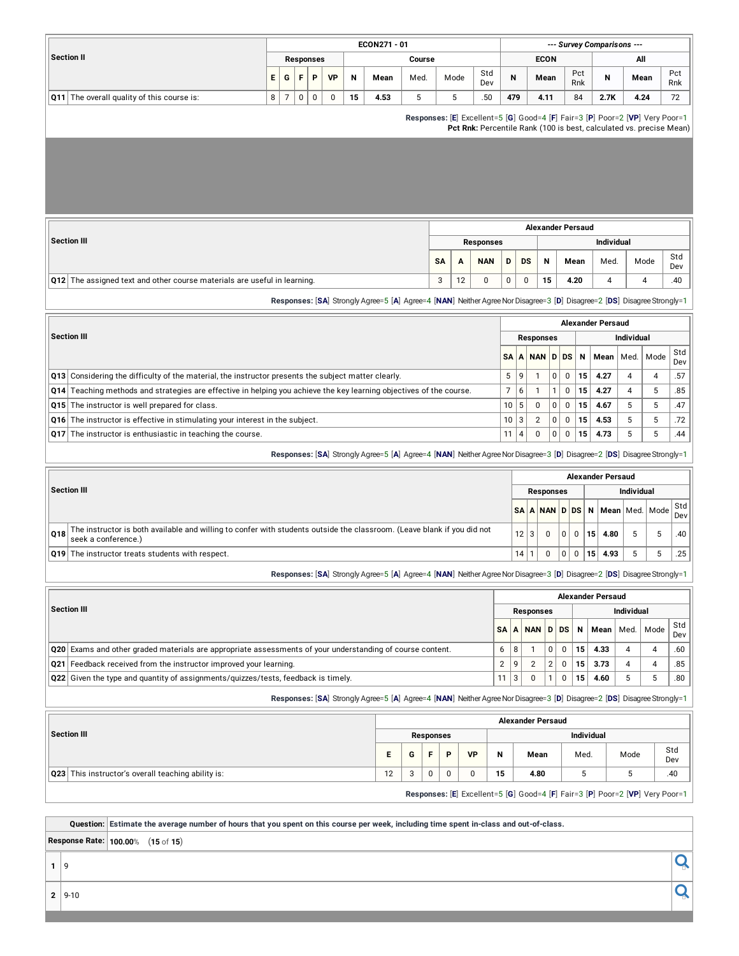|                                                                                                                                                       |                                                                                                                                                                                                                                             |                  |             |    | ECON271 - 01                                                                                                            |        |                        |      |            |                 |                |                  |                          |             |            | --- Survey Comparisons ---                                                                                                                          |                   |      |            |
|-------------------------------------------------------------------------------------------------------------------------------------------------------|---------------------------------------------------------------------------------------------------------------------------------------------------------------------------------------------------------------------------------------------|------------------|-------------|----|-------------------------------------------------------------------------------------------------------------------------|--------|------------------------|------|------------|-----------------|----------------|------------------|--------------------------|-------------|------------|-----------------------------------------------------------------------------------------------------------------------------------------------------|-------------------|------|------------|
| <b>Section II</b>                                                                                                                                     |                                                                                                                                                                                                                                             | <b>Responses</b> |             |    |                                                                                                                         | Course |                        |      |            |                 |                |                  | <b>ECON</b>              |             |            |                                                                                                                                                     | All               |      |            |
|                                                                                                                                                       | E<br>G                                                                                                                                                                                                                                      | F<br>P           | <b>VP</b>   | N  | Mean                                                                                                                    | Med.   |                        | Mode | Std<br>Dev |                 | N              |                  | Mean                     |             | Pct<br>Rnk | N                                                                                                                                                   | Mean              |      | Pct<br>Rnk |
| Q11 The overall quality of this course is:                                                                                                            | 8<br>$\overline{7}$                                                                                                                                                                                                                         | 0<br>0           | $\mathbf 0$ | 15 | 4.53                                                                                                                    | 5      |                        | 5    | .50        |                 | 479            |                  | 4.11                     |             | 84         | 2.7K                                                                                                                                                | 4.24              |      | 72         |
|                                                                                                                                                       |                                                                                                                                                                                                                                             |                  |             |    |                                                                                                                         |        |                        |      |            |                 |                |                  |                          |             |            | Responses: [E] Excellent=5 [G] Good=4 [F] Fair=3 [P] Poor=2 [VP] Very Poor=1<br>Pct Rnk: Percentile Rank (100 is best, calculated vs. precise Mean) |                   |      |            |
|                                                                                                                                                       |                                                                                                                                                                                                                                             |                  |             |    |                                                                                                                         |        |                        |      |            |                 |                |                  |                          |             |            |                                                                                                                                                     |                   |      |            |
|                                                                                                                                                       |                                                                                                                                                                                                                                             |                  |             |    |                                                                                                                         |        |                        |      |            |                 |                |                  |                          |             |            |                                                                                                                                                     |                   |      |            |
|                                                                                                                                                       |                                                                                                                                                                                                                                             |                  |             |    |                                                                                                                         |        |                        |      |            |                 |                |                  | <b>Alexander Persaud</b> |             |            |                                                                                                                                                     |                   |      |            |
| <b>Section III</b>                                                                                                                                    | Individual<br><b>Responses</b><br>Std<br>N<br>SΑ<br>D<br>DS<br>Mean<br>Med.<br>Mode<br>A<br>NAN<br>Dev<br>Q12 The assigned text and other course materials are useful in learning.<br>3<br>12<br>0<br>0<br>0<br>15<br>4.20<br>4<br>4<br>.40 |                  |             |    |                                                                                                                         |        |                        |      |            |                 |                |                  |                          |             |            |                                                                                                                                                     |                   |      |            |
|                                                                                                                                                       |                                                                                                                                                                                                                                             |                  |             |    |                                                                                                                         |        |                        |      |            |                 |                |                  |                          |             |            |                                                                                                                                                     |                   |      |            |
|                                                                                                                                                       |                                                                                                                                                                                                                                             |                  |             |    |                                                                                                                         |        |                        |      |            |                 |                |                  |                          |             |            |                                                                                                                                                     |                   |      |            |
|                                                                                                                                                       |                                                                                                                                                                                                                                             |                  |             |    |                                                                                                                         |        |                        |      |            |                 |                |                  |                          |             |            |                                                                                                                                                     |                   |      |            |
| Responses: [SA] Strongly Agree=5 [A] Agree=4 [NAN] Neither Agree Nor Disagree=3 [D] Disagree=2 [DS] Disagree Strongly=1<br><b>Alexander Persaud</b>   |                                                                                                                                                                                                                                             |                  |             |    |                                                                                                                         |        |                        |      |            |                 |                |                  |                          |             |            |                                                                                                                                                     |                   |      |            |
| <b>Section III</b><br><b>Individual</b><br><b>Responses</b><br><b>D</b> DS<br>SΑ<br>А<br><b>NAN</b><br>N                                              |                                                                                                                                                                                                                                             |                  |             |    |                                                                                                                         |        |                        |      |            |                 |                |                  |                          |             |            |                                                                                                                                                     |                   |      |            |
|                                                                                                                                                       |                                                                                                                                                                                                                                             |                  |             |    |                                                                                                                         |        |                        |      |            |                 |                |                  |                          |             |            |                                                                                                                                                     |                   |      | Std        |
|                                                                                                                                                       |                                                                                                                                                                                                                                             |                  |             |    |                                                                                                                         |        |                        |      |            |                 |                |                  |                          |             |            | Mean                                                                                                                                                | Med.              | Mode | Dev        |
|                                                                                                                                                       | Q13 Considering the difficulty of the material, the instructor presents the subject matter clearly.                                                                                                                                         |                  |             |    |                                                                                                                         |        |                        |      |            |                 |                |                  |                          |             |            | 4.27                                                                                                                                                | 4                 | 4    | .57        |
| Q14                                                                                                                                                   | Teaching methods and strategies are effective in helping you achieve the key learning objectives of the course.                                                                                                                             |                  |             |    |                                                                                                                         |        |                        |      |            |                 |                |                  |                          |             |            | 4.27                                                                                                                                                | $\overline{4}$    | 5    | .85        |
| The instructor is well prepared for class.<br>Q15                                                                                                     |                                                                                                                                                                                                                                             |                  |             |    |                                                                                                                         |        |                        |      |            | 10              | 5              | 0                | 0                        | 0           | 15         | 4.67                                                                                                                                                | 5                 | 5    | .47        |
| The instructor is effective in stimulating your interest in the subject.<br>Q16                                                                       |                                                                                                                                                                                                                                             |                  |             |    |                                                                                                                         |        |                        |      |            | 10              | 3              | $\overline{2}$   | 0                        | 0           | 15         | 4.53                                                                                                                                                | 5                 | 5    | .72        |
| The instructor is enthusiastic in teaching the course.<br>Q17                                                                                         |                                                                                                                                                                                                                                             |                  |             |    |                                                                                                                         |        |                        |      |            | 11              | $\overline{4}$ | $\mathbf 0$      | 0                        | $\mathbf 0$ | 15         | 4.73                                                                                                                                                | 5                 | 5    | .44        |
|                                                                                                                                                       |                                                                                                                                                                                                                                             |                  |             |    | Responses: [SA] Strongly Agree=5 [A] Agree=4 [NAN] Neither Agree Nor Disagree=3 [D] Disagree=2 [DS] Disagree Strongly=1 |        |                        |      |            |                 |                |                  |                          |             |            |                                                                                                                                                     |                   |      |            |
|                                                                                                                                                       |                                                                                                                                                                                                                                             |                  |             |    |                                                                                                                         |        |                        |      |            |                 |                |                  |                          |             |            | <b>Alexander Persaud</b>                                                                                                                            |                   |      |            |
| <b>Section III</b>                                                                                                                                    |                                                                                                                                                                                                                                             |                  |             |    |                                                                                                                         |        |                        |      |            |                 |                |                  | <b>Responses</b>         |             |            |                                                                                                                                                     | <b>Individual</b> |      |            |
|                                                                                                                                                       |                                                                                                                                                                                                                                             |                  |             |    |                                                                                                                         |        |                        |      |            |                 |                |                  |                          |             |            | SA   A   NAN   D   DS   N   Mean   Med.   Mode                                                                                                      |                   |      | Std<br>Dev |
| The instructor is both available and willing to confer with students outside the classroom. (Leave blank if you did not<br>Q18<br>seek a conference.) |                                                                                                                                                                                                                                             |                  |             |    |                                                                                                                         |        |                        |      |            |                 | 12 3           |                  | $\mathbf 0$              | 0           | 0          | 15  <br>4.80                                                                                                                                        | 5                 | 5    | .40        |
| Q19 The instructor treats students with respect.                                                                                                      |                                                                                                                                                                                                                                             |                  |             |    |                                                                                                                         |        |                        |      |            |                 | 14 1           |                  | $\mathbf 0$              | $\mathsf 0$ | 0          | 15<br>4.93                                                                                                                                          | 5                 | 5    | .25        |
|                                                                                                                                                       |                                                                                                                                                                                                                                             |                  |             |    | Responses: [SA] Strongly Agree=5 [A] Agree=4 [NAN] Neither Agree Nor Disagree=3 [D] Disagree=2 [DS] Disagree Strongly=1 |        |                        |      |            |                 |                |                  |                          |             |            |                                                                                                                                                     |                   |      |            |
|                                                                                                                                                       |                                                                                                                                                                                                                                             |                  |             |    |                                                                                                                         |        |                        |      |            |                 |                |                  |                          |             |            | <b>Alexander Persaud</b>                                                                                                                            |                   |      |            |
| <b>Section III</b>                                                                                                                                    |                                                                                                                                                                                                                                             |                  |             |    |                                                                                                                         |        |                        |      |            |                 |                | <b>Responses</b> |                          |             |            |                                                                                                                                                     | Individual        |      |            |
|                                                                                                                                                       |                                                                                                                                                                                                                                             |                  |             |    |                                                                                                                         |        |                        |      |            | SΑ              |                | A NAN            | D                        | <b>DS</b>   | Ν          | Mean                                                                                                                                                | Med.              | Mode | Std        |
| Q20 Exams and other graded materials are appropriate assessments of your understanding of course content.                                             |                                                                                                                                                                                                                                             |                  |             |    |                                                                                                                         |        |                        |      |            | 6               | 8              | $\mathbf{1}$     | $\mathbf 0$              | $\pmb{0}$   | 15         | 4.33                                                                                                                                                | 4                 | 4    | Dev<br>.60 |
| Q21 Feedback received from the instructor improved your learning.                                                                                     |                                                                                                                                                                                                                                             |                  |             |    |                                                                                                                         |        |                        |      |            | $\overline{c}$  | 9              | $\sqrt{2}$       | $\sqrt{2}$               | $\pmb{0}$   | 15         | 3.73                                                                                                                                                | 4                 | 4    | .85        |
| Q22 Given the type and quantity of assignments/quizzes/tests, feedback is timely.                                                                     |                                                                                                                                                                                                                                             |                  |             |    |                                                                                                                         |        |                        |      |            | 11 <sup>1</sup> | 3              | $\mathbf 0$      | $\mathbf{1}$             | $\mathbf 0$ | 15         | 4.60                                                                                                                                                | 5                 | 5    | .80        |
|                                                                                                                                                       |                                                                                                                                                                                                                                             |                  |             |    | Responses: [SA] Strongly Agree=5 [A] Agree=4 [NAN] Neither Agree Nor Disagree=3 [D] Disagree=2 [DS] Disagree Strongly=1 |        |                        |      |            |                 |                |                  |                          |             |            |                                                                                                                                                     |                   |      |            |
|                                                                                                                                                       |                                                                                                                                                                                                                                             |                  |             |    |                                                                                                                         |        |                        |      |            |                 |                |                  |                          |             |            |                                                                                                                                                     |                   |      |            |
| <b>Section III</b>                                                                                                                                    |                                                                                                                                                                                                                                             |                  |             |    |                                                                                                                         |        | <b>Responses</b>       |      |            |                 |                |                  | <b>Alexander Persaud</b> |             |            | Individual                                                                                                                                          |                   |      |            |
|                                                                                                                                                       |                                                                                                                                                                                                                                             |                  |             |    |                                                                                                                         |        |                        |      |            |                 |                |                  |                          |             |            |                                                                                                                                                     |                   |      | Std        |
|                                                                                                                                                       |                                                                                                                                                                                                                                             |                  |             |    | Е                                                                                                                       | G      | F<br>P                 |      | VP         | Ν               |                | Mean             |                          |             | Med.       |                                                                                                                                                     | Mode              |      | Dev        |
| Q23 This instructor's overall teaching ability is:                                                                                                    |                                                                                                                                                                                                                                             |                  |             |    | 12                                                                                                                      | 3      | $\pmb{0}$<br>$\pmb{0}$ |      | 0          | 15              |                | 4.80             |                          |             | 5          |                                                                                                                                                     | 5                 |      | .40        |
|                                                                                                                                                       |                                                                                                                                                                                                                                             |                  |             |    |                                                                                                                         |        |                        |      |            |                 |                |                  |                          |             |            | Responses: [E] Excellent=5 [G] Good=4 [F] Fair=3 [P] Poor=2 [VP] Very Poor=1                                                                        |                   |      |            |
|                                                                                                                                                       |                                                                                                                                                                                                                                             |                  |             |    |                                                                                                                         |        |                        |      |            |                 |                |                  |                          |             |            |                                                                                                                                                     |                   |      |            |
|                                                                                                                                                       |                                                                                                                                                                                                                                             |                  |             |    |                                                                                                                         |        |                        |      |            |                 |                |                  |                          |             |            |                                                                                                                                                     |                   |      |            |

Question: Estimate the average number of hours that you spent on this course per week, including time spent in-class and out-of-class.

**Response Rate: 100.00**% (**15** of **15**)

 $\overline{\mathbf{Q}}$ 

**<sup>2</sup>** 9-10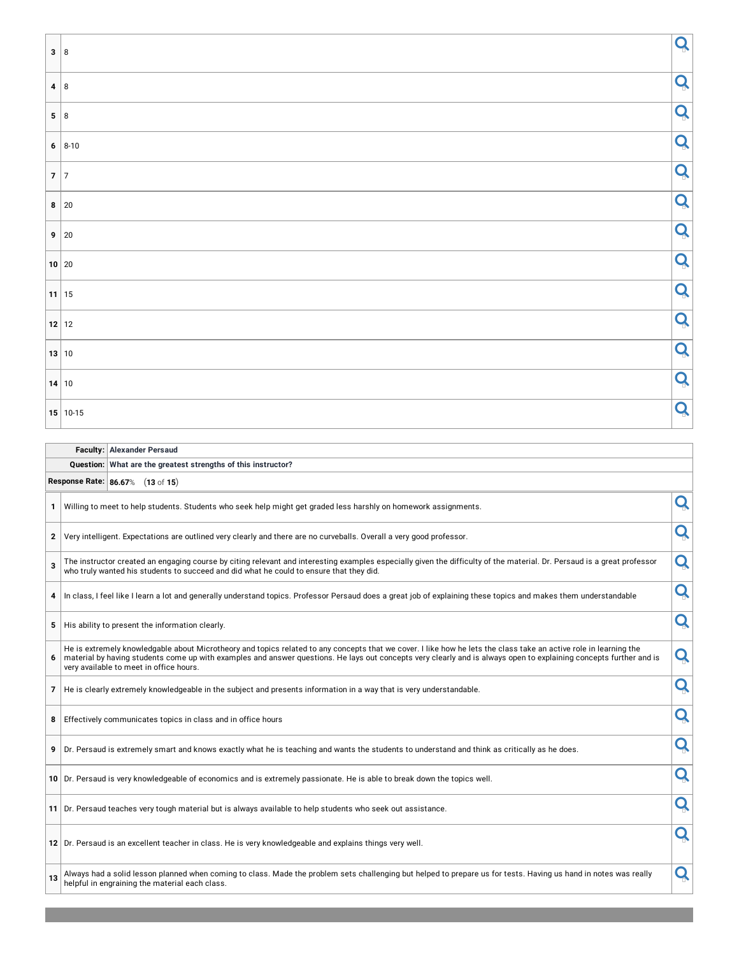| L.<br>3 8        |                       | Q |
|------------------|-----------------------|---|
| $4 \overline{8}$ |                       | Q |
| 5 8              |                       | Q |
|                  | $  6   8-10$          | Q |
| $7\overline{7}$  |                       | Q |
|                  | $\vert 8 \vert 20$    | Q |
|                  | $9 \vert 20$          | Q |
|                  | 10 20                 | Q |
|                  | $11$ 15               | Q |
|                  | $\vert$ 12 $\vert$ 12 | Q |
|                  | 13 10                 | Q |
|                  | $\vert$ 14 $\vert$ 10 | Q |
|                  | $15 10-15$            | Q |

|                | <b>Faculty: Alexander Persaud</b>                                                                                                                                                                                                                                                                                                                                                  |   |
|----------------|------------------------------------------------------------------------------------------------------------------------------------------------------------------------------------------------------------------------------------------------------------------------------------------------------------------------------------------------------------------------------------|---|
|                | Question: What are the greatest strengths of this instructor?                                                                                                                                                                                                                                                                                                                      |   |
|                | Response Rate: 86.67% (13 of 15)                                                                                                                                                                                                                                                                                                                                                   |   |
| 1              | Willing to meet to help students. Students who seek help might get graded less harshly on homework assignments.                                                                                                                                                                                                                                                                    | Q |
| 2              | Very intelligent. Expectations are outlined very clearly and there are no curveballs. Overall a very good professor.                                                                                                                                                                                                                                                               | Q |
| 3              | The instructor created an engaging course by citing relevant and interesting examples especially given the difficulty of the material. Dr. Persaud is a great professor<br>who truly wanted his students to succeed and did what he could to ensure that they did.                                                                                                                 | Q |
| 4              | In class, I feel like I learn a lot and generally understand topics. Professor Persaud does a great job of explaining these topics and makes them understandable                                                                                                                                                                                                                   | Q |
| 5              | His ability to present the information clearly.                                                                                                                                                                                                                                                                                                                                    | Q |
| 6              | He is extremely knowledgable about Microtheory and topics related to any concepts that we cover. I like how he lets the class take an active role in learning the<br>material by having students come up with examples and answer questions. He lays out concepts very clearly and is always open to explaining concepts further and is<br>very available to meet in office hours. | Q |
| 7 <sup>1</sup> | He is clearly extremely knowledgeable in the subject and presents information in a way that is very understandable.                                                                                                                                                                                                                                                                | Q |
| 8              | Effectively communicates topics in class and in office hours                                                                                                                                                                                                                                                                                                                       | Q |
| 9              | Dr. Persaud is extremely smart and knows exactly what he is teaching and wants the students to understand and think as critically as he does.                                                                                                                                                                                                                                      | Q |
|                | 10 Dr. Persaud is very knowledgeable of economics and is extremely passionate. He is able to break down the topics well.                                                                                                                                                                                                                                                           | Q |
|                | 11 Dr. Persaud teaches very tough material but is always available to help students who seek out assistance.                                                                                                                                                                                                                                                                       | Q |
|                | 12 Dr. Persaud is an excellent teacher in class. He is very knowledgeable and explains things very well.                                                                                                                                                                                                                                                                           | Q |
| 13             | Always had a solid lesson planned when coming to class. Made the problem sets challenging but helped to prepare us for tests. Having us hand in notes was really<br>helpful in engraining the material each class.                                                                                                                                                                 | Q |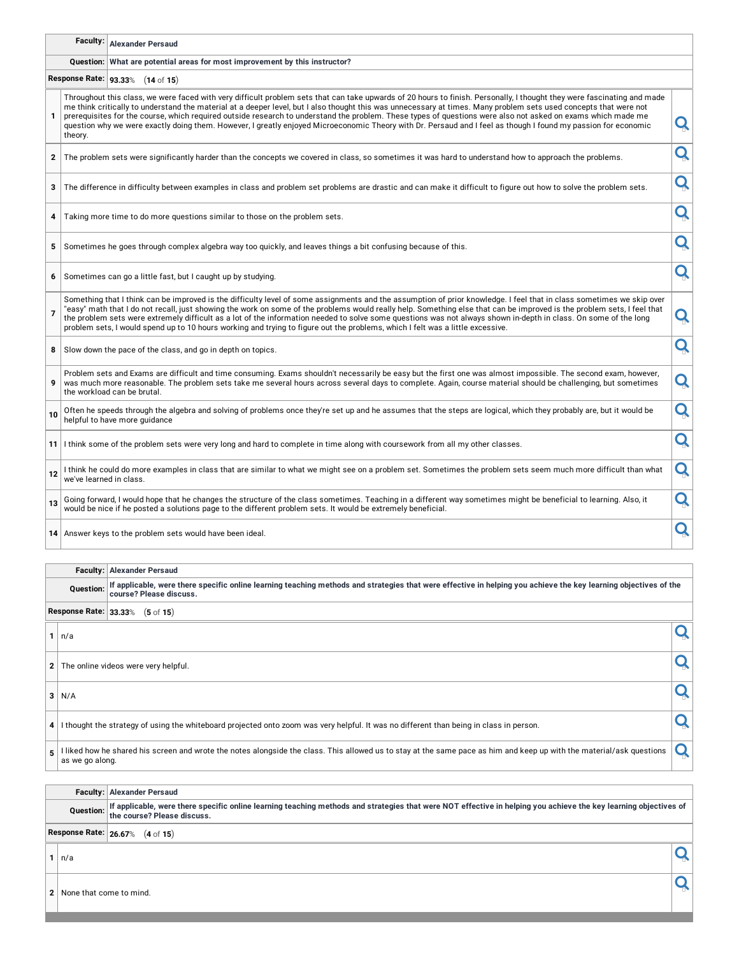# **Faculty: Alexander Persaud**

#### **Question: What are potential areas for most improvement by this instructor?**

**Response Rate: 93.33**% (**14** of **15**)

| 1              | theory.                 | Throughout this class, we were faced with very difficult problem sets that can take upwards of 20 hours to finish. Personally, I thought they were fascinating and made<br>me think critically to understand the material at a deeper level, but I also thought this was unnecessary at times. Many problem sets used concepts that were not<br>prerequisites for the course, which required outside research to understand the problem. These types of questions were also not asked on exams which made me<br>question why we were exactly doing them. However, I greatly enjoyed Microeconomic Theory with Dr. Persaud and I feel as though I found my passion for economic | Q |
|----------------|-------------------------|--------------------------------------------------------------------------------------------------------------------------------------------------------------------------------------------------------------------------------------------------------------------------------------------------------------------------------------------------------------------------------------------------------------------------------------------------------------------------------------------------------------------------------------------------------------------------------------------------------------------------------------------------------------------------------|---|
| $\mathbf{2}$   |                         | The problem sets were significantly harder than the concepts we covered in class, so sometimes it was hard to understand how to approach the problems.                                                                                                                                                                                                                                                                                                                                                                                                                                                                                                                         | Q |
| 3              |                         | The difference in difficulty between examples in class and problem set problems are drastic and can make it difficult to figure out how to solve the problem sets.                                                                                                                                                                                                                                                                                                                                                                                                                                                                                                             | Q |
| 4              |                         | Taking more time to do more questions similar to those on the problem sets.                                                                                                                                                                                                                                                                                                                                                                                                                                                                                                                                                                                                    | Q |
| 5              |                         | Sometimes he goes through complex algebra way too quickly, and leaves things a bit confusing because of this.                                                                                                                                                                                                                                                                                                                                                                                                                                                                                                                                                                  | Q |
| 6              |                         | Sometimes can go a little fast, but I caught up by studying.                                                                                                                                                                                                                                                                                                                                                                                                                                                                                                                                                                                                                   | Q |
| $\overline{7}$ |                         | Something that I think can be improved is the difficulty level of some assignments and the assumption of prior knowledge. I feel that in class sometimes we skip over<br>"easy" math that I do not recall, just showing the work on some of the problems would really help. Something else that can be improved is the problem sets, I feel that<br>the problem sets were extremely difficult as a lot of the information needed to solve some questions was not always shown in-depth in class. On some of the long<br>problem sets, I would spend up to 10 hours working and trying to figure out the problems, which I felt was a little excessive.                         | Q |
| 8              |                         | Slow down the pace of the class, and go in depth on topics.                                                                                                                                                                                                                                                                                                                                                                                                                                                                                                                                                                                                                    | Q |
| 9              |                         | Problem sets and Exams are difficult and time consuming. Exams shouldn't necessarily be easy but the first one was almost impossible. The second exam, however,<br>was much more reasonable. The problem sets take me several hours across several days to complete. Again, course material should be challenging, but sometimes<br>the workload can be brutal.                                                                                                                                                                                                                                                                                                                | Q |
| 10             |                         | Often he speeds through the algebra and solving of problems once they're set up and he assumes that the steps are logical, which they probably are, but it would be<br>helpful to have more guidance                                                                                                                                                                                                                                                                                                                                                                                                                                                                           | Q |
|                |                         | 11 I think some of the problem sets were very long and hard to complete in time along with coursework from all my other classes.                                                                                                                                                                                                                                                                                                                                                                                                                                                                                                                                               | Q |
| 12             | we've learned in class. | I think he could do more examples in class that are similar to what we might see on a problem set. Sometimes the problem sets seem much more difficult than what                                                                                                                                                                                                                                                                                                                                                                                                                                                                                                               | Q |
| 13             |                         | Going forward, I would hope that he changes the structure of the class sometimes. Teaching in a different way sometimes might be beneficial to learning. Also, it<br>would be nice if he posted a solutions page to the different problem sets. It would be extremely beneficial.                                                                                                                                                                                                                                                                                                                                                                                              | Q |
|                |                         | 14 Answer keys to the problem sets would have been ideal.                                                                                                                                                                                                                                                                                                                                                                                                                                                                                                                                                                                                                      | Q |
|                |                         |                                                                                                                                                                                                                                                                                                                                                                                                                                                                                                                                                                                                                                                                                |   |
|                | Faculty:                | <b>Alexander Persaud</b>                                                                                                                                                                                                                                                                                                                                                                                                                                                                                                                                                                                                                                                       |   |
|                | <b>Ouestion:</b>        | If applicable, were there specific online learning teaching methods and strategies that were effective in helping you achieve the key learning objectives of the<br>course? Please discuss.                                                                                                                                                                                                                                                                                                                                                                                                                                                                                    |   |
|                |                         | Response Rate: 33.33% (5 of 15)                                                                                                                                                                                                                                                                                                                                                                                                                                                                                                                                                                                                                                                |   |

**<sup>1</sup>** n/a

**<sup>2</sup>** The online videos were very helpful.

 $\overline{\mathbf{a}}$  N/A

**4** I thought the strategy of using the whiteboard projected onto zoom was very helpful. It was no different than being in class in person.

**5** I liked how he shared his screen and wrote the notes alongside the class. This allowed us to stay at the same pace as him and keep up with the material/ask questions Q

#### **Faculty: Alexander Persaud**

Question: If applicable, were there specific online learning teaching methods and strategies that were NOT effective in helping you achieve the key learning objectives of<br>the course? Please discuss.

**Response Rate: 26.67**% (**4** of **15**)

 $\overline{\mathbf{Q}}$   $\mathbf{Q}$ 

**2** None that come to mind.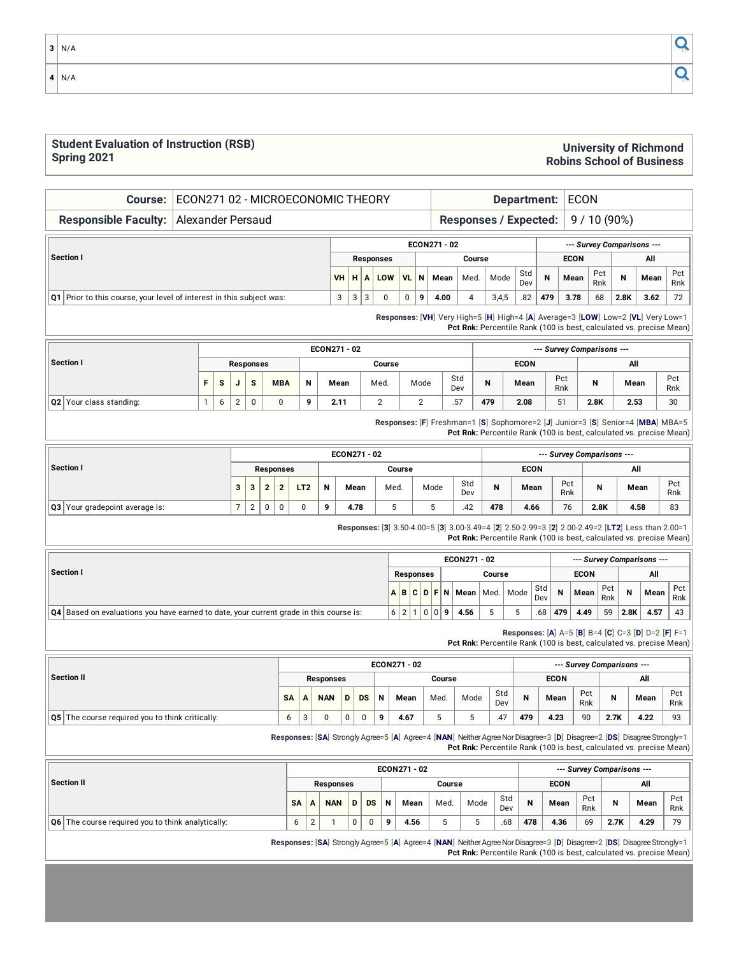### **Student Evaluation of Instruction (RSB) Spring 2021**

#### **Responsible Faculty:** Alexander Persaud **Responses / Expected:** 9 / 10 (90%) **Section I ECON271 - 02** *--- Survey Comparisons ---* **Responses Course ECON All VH H A LOW VL N Mean** Med. Mode Std Dev **N Mean** Pct Rnk **N Mean** Pct Rnk **Q1** Prior to this course, your level of interest in this subject was: 3 3 3 0 0 **9 4.00** 4 3,4,5 .82 **479 3.78** 68 **2.8K 3.62** 72 **Responses:** [**VH**] Very High=5 [**H**] High=4 [**A**] Average=3 [**LOW**] Low=2 [**VL**] Very Low=1 **Pct Rnk:** Percentile Rank (100 is best, calculated vs. precise Mean) **Section I ECON271 - 02** *--- Survey Comparisons ---* **Responses Course ECON All F S J S MBA N Mean** Med. Mode Std Dev **N Mean** Pct Rnk **N Mean** Pct Rnk **Q2** Your class standing: 1 6 2 0 0 **9 2.11** 2 2 .57 **479 2.08** 51 **2.8K 2.53** 30

**Course:** ECON271 02 - MICROECONOMIC THEORY **Department:** ECON

**Responses:** [**F**] Freshman=1 [**S**] Sophomore=2 [**J**] Junior=3 [**S**] Senior=4 [**MBA**] MBA=5 **Pct Rnk:** Percentile Rank (100 is best, calculated vs. precise Mean)

|                                |   |   |   |           |                 |   | ECON271 - 02 |        |      |            |     |             |            | --- Survey Comparisons --- |      |            |
|--------------------------------|---|---|---|-----------|-----------------|---|--------------|--------|------|------------|-----|-------------|------------|----------------------------|------|------------|
| Section I                      |   |   |   | Responses |                 |   |              | Course |      |            |     | <b>ECON</b> |            |                            | All  |            |
|                                | 3 |   |   |           | LT <sub>2</sub> | N | Mean         | Med.   | Mode | Std<br>Dev | N   | Mean        | Pct<br>Rnk | N                          | Mean | Pct<br>Rnk |
| Q3 Your gradepoint average is: |   | ے | 0 | 0         |                 | 9 | 4.78         | J      |      | .42        | 478 | 4.66        | 76         | 2.8K                       | 4.58 | 83         |

**Responses:** [**3**] 3.50-4.00=5 [**3**] 3.00-3.49=4 [**2**] 2.50-2.99=3 [**2**] 2.00-2.49=2 [**LT2**] Less than 2.00=1 **Pct Rnk:** Percentile Rank (100 is best, calculated vs. precise Mean)

|                                                                                               |                |             |                  |   | ECON271 - 02 |        |                      |            |     | --- Survey Comparisons --- |            |      |      |            |
|-----------------------------------------------------------------------------------------------|----------------|-------------|------------------|---|--------------|--------|----------------------|------------|-----|----------------------------|------------|------|------|------------|
| Section I                                                                                     |                |             | <b>Responses</b> |   |              | Course |                      |            |     | <b>ECON</b>                |            |      | All  |            |
|                                                                                               |                | $A$ $B$ $C$ |                  |   |              |        | D F N Mean Med. Mode | Std<br>Dev | N   | Mean                       | Pct<br>Rnk | N    | Mean | Pct<br>Rnk |
| <b>Q4</b> Based on evaluations you have earned to date, your current grade in this course is: | 6 <sup>1</sup> |             | 00               | 9 | 4.56         |        |                      | .68        | 479 | 4.49                       | 59         | 2.8K | 4.57 | 43         |

**Responses:** [**A**] A=5 [**B**] B=4 [**C**] C=3 [**D**] D=2 [**F**] F=1 **Pct Rnk:** Percentile Rank (100 is best, calculated vs. precise Mean)

|         |           |   |                  |   |    |             | ECON271 - 02 |        |      |            |   |             |            | --- Survey Comparisons --- |      |            |
|---------|-----------|---|------------------|---|----|-------------|--------------|--------|------|------------|---|-------------|------------|----------------------------|------|------------|
| tion II |           |   | <b>Responses</b> |   |    |             |              | Course |      |            |   | <b>ECON</b> |            |                            | All  |            |
|         | <b>SA</b> | A | <b>NAN</b>       | D | DS | $\mathbf N$ | Mean         | Med.   | Mode | Std<br>Dev | N | Mean        | Pct<br>Rnk | N                          | Mean | Pct<br>Rnk |

**Q5** The course required you to think critically: 6 3 0 0 0 **9 4.67** 5 5 .47 **479 4.23** 90 **2.7K 4.22** 93

**Responses:** [**SA**] Strongly Agree=5 [**A**] Agree=4 [**NAN**] NeitherAgreeNorDisagree=3 [**D**] Disagree=2 [**DS**] DisagreeStrongly=1 **Pct Rnk:** Percentile Rank (100 is best, calculated vs. precise Mean)

|                                                                |           |   |                  |   |    |   | ECON271 - 02 |        |      |            |     |             |            | --- Survey Comparisons --- |      |            |
|----------------------------------------------------------------|-----------|---|------------------|---|----|---|--------------|--------|------|------------|-----|-------------|------------|----------------------------|------|------------|
| Section II                                                     |           |   | <b>Responses</b> |   |    |   |              | Course |      |            |     | <b>ECON</b> |            |                            | All  |            |
|                                                                | <b>SA</b> | А | <b>NAN</b>       | D | DS | N | Mean         | Med.   | Mode | Std<br>Dev | N   | Mean        | Pct<br>Rnk |                            | Mean | Pct<br>Rnk |
| $\overline{Q6}$ The course required you to think analytically: | b         |   |                  | 0 |    | o | 4.56         | w      |      | .68        | 478 | 4.36        | 69         | 2.7K                       | 4.29 | 79         |

**Responses:** [**SA**] Strongly Agree=5 [**A**] Agree=4 [**NAN**] NeitherAgreeNorDisagree=3 [**D**] Disagree=2 [**DS**] DisagreeStrongly=1 **Pct Rnk:** Percentile Rank (100 is best, calculated vs. precise Mean)

**Section II**

# **University of Richmond**

**Robins School of Business**

**<sup>3</sup>** N/A **<sup>4</sup>** N/A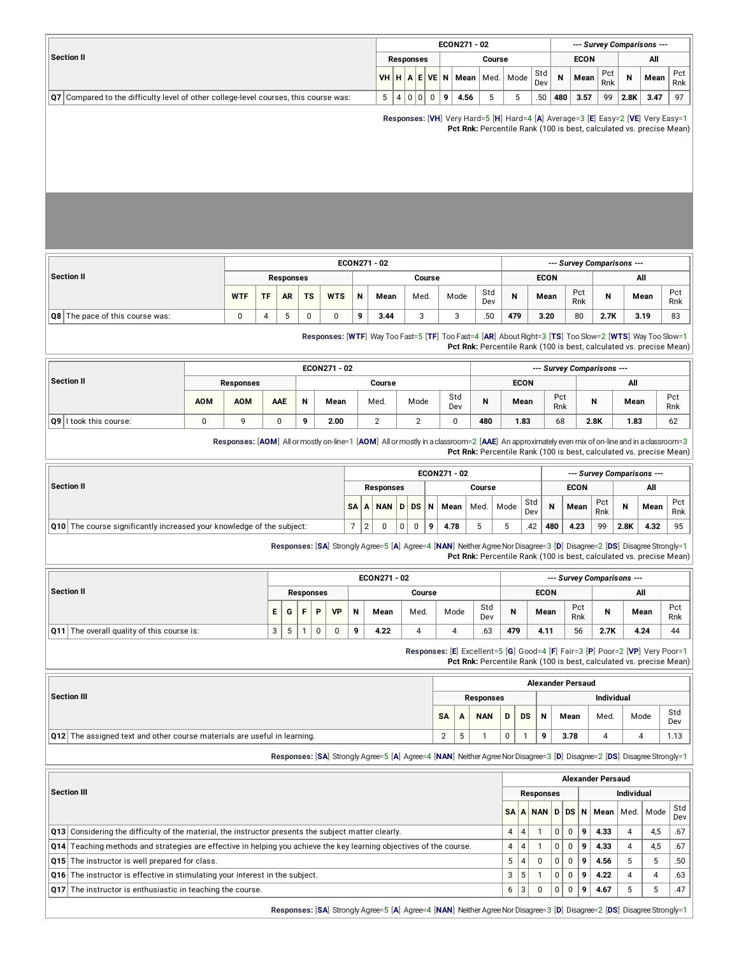|                                                                                                    |    |                |                  |     | ECON271 - 02                     |        |            |     |             |            |      | --- Survey Comparisons --- |            |
|----------------------------------------------------------------------------------------------------|----|----------------|------------------|-----|----------------------------------|--------|------------|-----|-------------|------------|------|----------------------------|------------|
| Section II                                                                                         |    |                | <b>Responses</b> |     |                                  | Course |            |     | <b>ECON</b> |            |      | All                        |            |
|                                                                                                    |    |                |                  |     | $VHHHA EVE N$ Mean   Med.   Mode |        | Std<br>Dev | N   | Mean        | Pct<br>Rnk |      | Mean                       | Pct<br>Rnk |
| $\vert Q7 \vert$ Compared to the difficulty level of other college-level courses, this course was: | -5 | $\overline{4}$ | 0 0 <br>$\Omega$ | l 9 | 4.56                             |        | .50        | 480 | 3.57        | 99         | 2.8K | 3.47                       | 97         |

**Responses:** [**VH**] Very Hard=5 [**H**] Hard=4 [**A**] Average=3 [**E**] Easy=2 [**VE**] Very Easy=1 **Pct Rnk:** Percentile Rank (100 is best, calculated vs. precise Mean)

|                                        |            |           |                  |           |            |          | ECON271 - 02 |        |      |            |     |             |            | --- Survey Comparisons --- |      |            |
|----------------------------------------|------------|-----------|------------------|-----------|------------|----------|--------------|--------|------|------------|-----|-------------|------------|----------------------------|------|------------|
| Section II                             |            |           | <b>Responses</b> |           |            |          |              | Course |      |            |     | <b>ECON</b> |            |                            | All  |            |
|                                        | <b>WTF</b> | <b>TF</b> | <b>AR</b>        | <b>TS</b> | <b>WTS</b> | N        | Mean         | Med.   | Mode | Std<br>Dev | N   | Mean        | Pct<br>Rnk | N                          | Mean | Pct<br>Rnk |
| <b>Q8</b> The pace of this course was: |            |           |                  | C         |            | $\Omega$ | 3.44         |        |      | .50        | 479 | 3.20        | 80         | 2.7K                       | 3.19 | 83         |

**Responses:** [**WTF**] Way Too Fast=5 [**TF**] Too Fast=4 [**AR**] AboutRight=3 [**TS**] Too Slow=2 [**WTS**] Way Too Slow=1 **Pct Rnk:** Percentile Rank (100 is best, calculated vs. precise Mean)

|                        |            |            |     |              | ECON271 - 02 |        |      |            |     |             |            | --- Survey Comparisons --- |      |            |
|------------------------|------------|------------|-----|--------------|--------------|--------|------|------------|-----|-------------|------------|----------------------------|------|------------|
| Section II             |            | Responses  |     |              |              | Course |      |            |     | <b>ECON</b> |            |                            | All  |            |
|                        | <b>AOM</b> | <b>AOM</b> | AAE | N            | Mean         | Med.   | Mode | Std<br>Dev | N   | Mean        | Pct<br>Rnk | N                          | Mean | Pct<br>Rnk |
| Q9 I took this course: | 0          |            |     | $\mathbf{Q}$ | 2.00         | ı      |      | 0          | 480 | 1.83        | 68         | 2.8K                       | 1.83 | 62         |

**Responses:** [**AOM**] Allormostly on-line=1 [**AOM**] Allormostlyin aclassroom=2 [**AAE**] An approximately even mix ofon-lineand in aclassroom=3

**Pct Rnk:** Percentile Rank (100 is best, calculated vs. precise Mean)

|            |                                                                              |        |                  |                |   |    | ECON271 - 02 |        |      |            |     |             |            |      | --- Survey Comparisons --- |            |
|------------|------------------------------------------------------------------------------|--------|------------------|----------------|---|----|--------------|--------|------|------------|-----|-------------|------------|------|----------------------------|------------|
| Section II |                                                                              |        | <b>Responses</b> |                |   |    |              | Course |      |            |     | <b>ECON</b> |            |      | All                        |            |
|            |                                                                              |        | SAA NAND DSN     |                |   |    | Mean I       | Med.   | Mode | Std<br>Dev | N   | Mean        | Pct<br>Rnk | N    | Mean                       | Pct<br>Rnk |
|            | <b>Q10</b> The course significantly increased your knowledge of the subject: | $\sim$ | 0                | 0 <sub>1</sub> | 0 | ۰Q | 4.78         |        |      | .42        | 480 | 4.23        | 99         | 2.8K | 4.32                       | $95 \mid$  |

**Responses:** [**SA**] Strongly Agree=5 [**A**] Agree=4 [**NAN**] NeitherAgreeNorDisagree=3 [**D**] Disagree=2 [**DS**] DisagreeStrongly=1 **Pct Rnk:** Percentile Rank (100 is best, calculated vs. precise Mean)

|                                               |   |   |    |           |           |             | ECON271 - 02 |        |      |            |     |             |            | --- Survey Comparisons --- |      |            |
|-----------------------------------------------|---|---|----|-----------|-----------|-------------|--------------|--------|------|------------|-----|-------------|------------|----------------------------|------|------------|
| Section II                                    |   |   |    | Responses |           |             |              | Course |      |            |     | <b>ECON</b> |            |                            | All  |            |
|                                               | Е | G | с. | Þ         | <b>VP</b> | $\mathbf N$ | Mean         | Med.   | Mode | Std<br>Dev | N   | Mean        | Pct<br>Rnk | N                          | Mean | Pct<br>Rnk |
| The overall quality of this course is:<br>Q11 | v |   |    |           |           | $\Omega$    | 4.22         |        |      | .63        | 479 | 4.11        | 56         | 2.7K                       | 4.24 | 44         |

**Responses:** [**E**] Excellent=5 [**G**] Good=4 [**F**] Fair=3 [**P**] Poor=2 [**VP**] Very Poor=1 **Pct Rnk:** Percentile Rank (100 is best, calculated vs. precise Mean)

|                                                                          |                    |            |   |           |   | <b>Alexander Persaud</b> |                   |      |            |
|--------------------------------------------------------------------------|--------------------|------------|---|-----------|---|--------------------------|-------------------|------|------------|
| Section III                                                              |                    | Responses  |   |           |   |                          | <b>Individual</b> |      |            |
|                                                                          | <b>SA</b>          | <b>NAN</b> | D | <b>DS</b> | N | Mean                     | Med.              | Mode | Std<br>Dev |
| Q12 The assigned text and other course materials are useful in learning. | $\mathcal{D}$<br>∸ |            | 0 |           | a | 3.78                     |                   |      | 1.13       |

**Responses:** [**SA**] Strongly Agree=5 [**A**] Agree=4 [**NAN**] NeitherAgreeNorDisagree=3 [**D**] Disagree=2 [**DS**] DisagreeStrongly=1

|                                                                                                                            |   |   |           |          |          |   | <b>Alexander Persaud</b> |                   |      |            |
|----------------------------------------------------------------------------------------------------------------------------|---|---|-----------|----------|----------|---|--------------------------|-------------------|------|------------|
| <b>Section III</b>                                                                                                         |   |   | Responses |          |          |   |                          | <b>Individual</b> |      |            |
|                                                                                                                            |   |   |           |          |          |   | SAAN DDSN Mean           | Med.              | Mode | Std<br>Dev |
| <b>Q13</b> Considering the difficulty of the material, the instructor presents the subject matter clearly.                 | 4 |   |           | 0        | 0        | 9 | 4.33                     | 4                 | 4.5  | .67        |
| <b>Q14</b> Teaching methods and strategies are effective in helping you achieve the key learning objectives of the course. | 4 |   |           | $\Omega$ | $\Omega$ | 9 | 4.33                     | 4                 | 4.5  | .67        |
| Q15 The instructor is well prepared for class.                                                                             | 5 | 4 | $\Omega$  | $\Omega$ | $\Omega$ | 9 | 4.56                     |                   |      | .50        |
| Q16 The instructor is effective in stimulating your interest in the subject.                                               | 3 |   |           | $\Omega$ | 0        | 9 | 4.22                     | 4                 |      | .63        |
| Q17 The instructor is enthusiastic in teaching the course.                                                                 | 6 | 3 |           | $\Omega$ | 0        | 9 | 4.67                     |                   |      | .47        |
|                                                                                                                            |   |   |           |          |          |   |                          |                   |      |            |

**Responses:** [SA] Strongly Agree=5 [A] Agree=4 [NAN] Neither Agree Nor Disagree=3 [D] Disagree=2 [DS] Disagree Strongly=1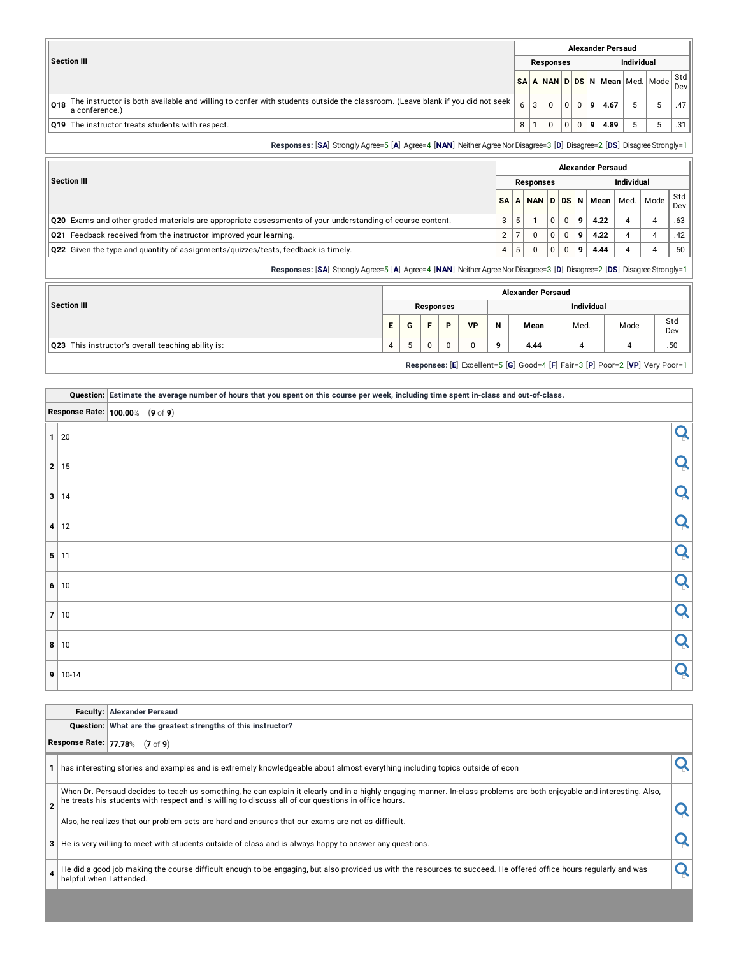|         |                                                                                                                                                |   |                  |          |          |   | <b>Alexander Persaud</b> |            |                                |            |
|---------|------------------------------------------------------------------------------------------------------------------------------------------------|---|------------------|----------|----------|---|--------------------------|------------|--------------------------------|------------|
|         | <b>Section III</b>                                                                                                                             |   | <b>Responses</b> |          |          |   |                          | Individual |                                |            |
|         |                                                                                                                                                |   |                  |          |          |   |                          |            | SA A NAN D DS N Mean Med. Mode | Std<br>Dev |
| ∣ 018 ∣ | The instructor is both available and willing to confer with students outside the classroom. (Leave blank if you did not seek<br>a conference.) |   |                  |          | 0        | 9 | 4.67                     |            |                                | .47        |
|         | <b>Q19</b> The instructor treats students with respect.                                                                                        | 8 |                  | $\Omega$ | $\Omega$ | 9 | 4.89                     |            |                                | .31        |
|         | Responses: [SA] Strongly Agree=5 [A] Agree=4 [NAN] Neither Agree Nor Disagree=3 [D] Disagree=2 [DS] Disagree Strongly=1                        |   |                  |          |          |   |                          |            |                                |            |

**Section III Alexander Persaud Responses Individual SA A NAN D DS N Mean** Med. Mode Std Dev **Q20** Exams and other graded materials are appropriate assessments of your understanding of course content. <br>**3** 5 1 0 0 **9** 4.22 4 4 .63 **Q21** Feedback received from the instructor improved your learning. 2 7 0 **2** 7 0 **9 4.22** 4 4 .42 **Q22** Given the type and quantity of assignments/quizzes/tests, feedback is timely. 4 5 0 0 **9 4.44** 4 .50 **Responses:** [SA] Strongly Agree=5 [A] Agree=4 [NAN] Neither Agree Nor Disagree=3 [D] Disagree=2 [DS] Disagree Strongly=1

|                                                    |    |   |          |           |           |   | <b>Alexander Persaud</b> |                   |                                                                              |            |
|----------------------------------------------------|----|---|----------|-----------|-----------|---|--------------------------|-------------------|------------------------------------------------------------------------------|------------|
| Section III                                        |    |   |          | Responses |           |   |                          | <b>Individual</b> |                                                                              |            |
|                                                    | E. | G |          | P         | <b>VP</b> | N | Mean                     | Med.              | Mode                                                                         | Std<br>Dev |
| Q23 This instructor's overall teaching ability is: | 4  |   | $\Omega$ | 0         |           | 9 | 4.44                     |                   | 4                                                                            | .50        |
|                                                    |    |   |          |           |           |   |                          |                   | Responses: [E] Excellent=5 [G] Good=4 [F] Fair=3 [P] Poor=2 [VP] Very Poor=1 |            |

#### Question: Estimate the average number of hours that you spent on this course per week, including time spent in-class and out-of-class.

|                   | <b>Response Rate:</b> 100.00% (9 of 9) |  |
|-------------------|----------------------------------------|--|
| $1 \overline{20}$ | Q                                      |  |
| 2 15              | Q                                      |  |
| 3 14              | Q                                      |  |
| 4 12              | Q                                      |  |
| 5 11              | Q                                      |  |
| 6 10              | Q                                      |  |
| 7 10              | Q                                      |  |
| 8 10              | Q                                      |  |
| $9 - 10 - 14$     | Q                                      |  |

| <b>Faculty: Alexander Persaud</b> |
|-----------------------------------|
|                                   |

|   | Question: What are the greatest strengths of this instructor?                                                                |                                                                                                                                                                                                                                                                                                                                                                                    |                                                                                                                                                                    |  |  |  |  |  |  |  |  |  |  |  |
|---|------------------------------------------------------------------------------------------------------------------------------|------------------------------------------------------------------------------------------------------------------------------------------------------------------------------------------------------------------------------------------------------------------------------------------------------------------------------------------------------------------------------------|--------------------------------------------------------------------------------------------------------------------------------------------------------------------|--|--|--|--|--|--|--|--|--|--|--|
|   |                                                                                                                              | Response Rate: 77.78% (7 of 9)                                                                                                                                                                                                                                                                                                                                                     |                                                                                                                                                                    |  |  |  |  |  |  |  |  |  |  |  |
|   | has interesting stories and examples and is extremely knowledgeable about almost everything including topics outside of econ |                                                                                                                                                                                                                                                                                                                                                                                    |                                                                                                                                                                    |  |  |  |  |  |  |  |  |  |  |  |
|   |                                                                                                                              | When Dr. Persaud decides to teach us something, he can explain it clearly and in a highly engaging manner. In-class problems are both enjoyable and interesting. Also,<br>he treats his students with respect and is willing to discuss all of our questions in office hours.<br>Also, he realizes that our problem sets are hard and ensures that our exams are not as difficult. |                                                                                                                                                                    |  |  |  |  |  |  |  |  |  |  |  |
| 3 | He is very willing to meet with students outside of class and is always happy to answer any questions.                       |                                                                                                                                                                                                                                                                                                                                                                                    |                                                                                                                                                                    |  |  |  |  |  |  |  |  |  |  |  |
|   | helpful when I attended.                                                                                                     |                                                                                                                                                                                                                                                                                                                                                                                    | He did a good job making the course difficult enough to be engaging, but also provided us with the resources to succeed. He offered office hours regularly and was |  |  |  |  |  |  |  |  |  |  |  |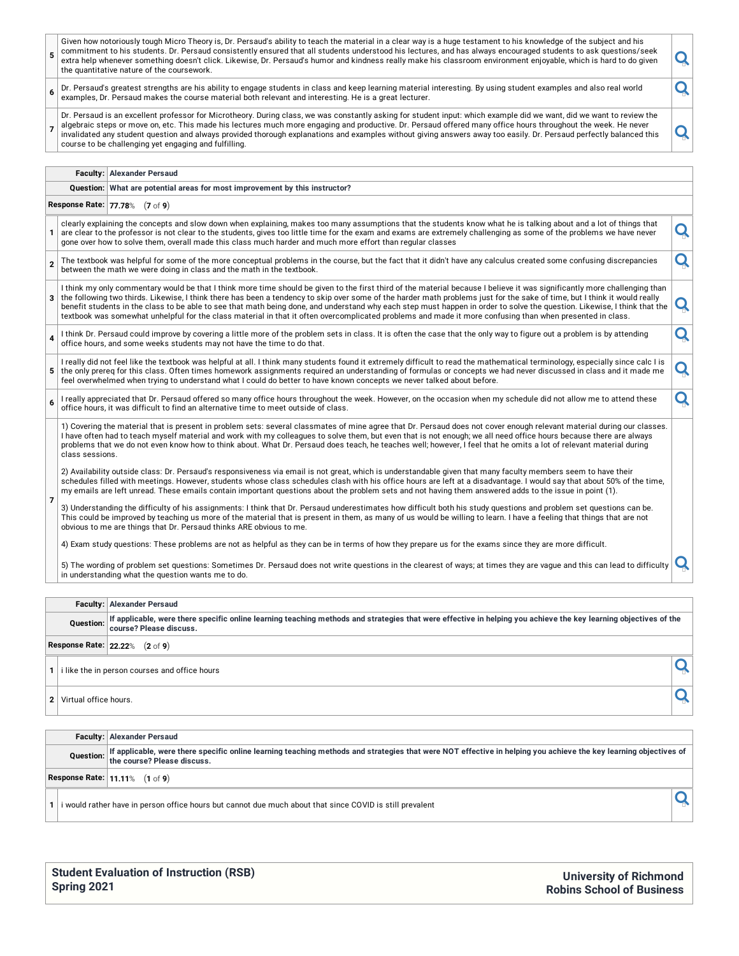|                                                                                                                                                                                                                                                                                                                                                                                                                                                                                                                                                                              | Dr. Persaud's greatest strengths are his ability to engage students in class and keep learning material interesting. By using student examples and also real world |                                                                                                                                                                                                                                                                                                                                                                                                                                                                                                                                                                                                                                                                                                                                                                                                                                                                                                                                                                                                                                                                                                                                             |  |  |  |  |  |  |  |
|------------------------------------------------------------------------------------------------------------------------------------------------------------------------------------------------------------------------------------------------------------------------------------------------------------------------------------------------------------------------------------------------------------------------------------------------------------------------------------------------------------------------------------------------------------------------------|--------------------------------------------------------------------------------------------------------------------------------------------------------------------|---------------------------------------------------------------------------------------------------------------------------------------------------------------------------------------------------------------------------------------------------------------------------------------------------------------------------------------------------------------------------------------------------------------------------------------------------------------------------------------------------------------------------------------------------------------------------------------------------------------------------------------------------------------------------------------------------------------------------------------------------------------------------------------------------------------------------------------------------------------------------------------------------------------------------------------------------------------------------------------------------------------------------------------------------------------------------------------------------------------------------------------------|--|--|--|--|--|--|--|
| O<br>6<br>examples, Dr. Persaud makes the course material both relevant and interesting. He is a great lecturer.                                                                                                                                                                                                                                                                                                                                                                                                                                                             |                                                                                                                                                                    |                                                                                                                                                                                                                                                                                                                                                                                                                                                                                                                                                                                                                                                                                                                                                                                                                                                                                                                                                                                                                                                                                                                                             |  |  |  |  |  |  |  |
| Dr. Persaud is an excellent professor for Microtheory. During class, we was constantly asking for student input: which example did we want, did we want to review the<br>algebraic steps or move on, etc. This made his lectures much more engaging and productive. Dr. Persaud offered many office hours throughout the week. He never<br>Q<br>invalidated any student question and always provided thorough explanations and examples without giving answers away too easily. Dr. Persaud perfectly balanced this<br>course to be challenging yet engaging and fulfilling. |                                                                                                                                                                    |                                                                                                                                                                                                                                                                                                                                                                                                                                                                                                                                                                                                                                                                                                                                                                                                                                                                                                                                                                                                                                                                                                                                             |  |  |  |  |  |  |  |
|                                                                                                                                                                                                                                                                                                                                                                                                                                                                                                                                                                              |                                                                                                                                                                    |                                                                                                                                                                                                                                                                                                                                                                                                                                                                                                                                                                                                                                                                                                                                                                                                                                                                                                                                                                                                                                                                                                                                             |  |  |  |  |  |  |  |
| Question: What are potential areas for most improvement by this instructor?                                                                                                                                                                                                                                                                                                                                                                                                                                                                                                  |                                                                                                                                                                    |                                                                                                                                                                                                                                                                                                                                                                                                                                                                                                                                                                                                                                                                                                                                                                                                                                                                                                                                                                                                                                                                                                                                             |  |  |  |  |  |  |  |
|                                                                                                                                                                                                                                                                                                                                                                                                                                                                                                                                                                              |                                                                                                                                                                    |                                                                                                                                                                                                                                                                                                                                                                                                                                                                                                                                                                                                                                                                                                                                                                                                                                                                                                                                                                                                                                                                                                                                             |  |  |  |  |  |  |  |
|                                                                                                                                                                                                                                                                                                                                                                                                                                                                                                                                                                              |                                                                                                                                                                    | Q                                                                                                                                                                                                                                                                                                                                                                                                                                                                                                                                                                                                                                                                                                                                                                                                                                                                                                                                                                                                                                                                                                                                           |  |  |  |  |  |  |  |
|                                                                                                                                                                                                                                                                                                                                                                                                                                                                                                                                                                              |                                                                                                                                                                    | Q                                                                                                                                                                                                                                                                                                                                                                                                                                                                                                                                                                                                                                                                                                                                                                                                                                                                                                                                                                                                                                                                                                                                           |  |  |  |  |  |  |  |
| the following two thirds. Likewise, I think there has been a tendency to skip over some of the harder math problems just for the sake of time, but I think it would really<br>3<br>textbook was somewhat unhelpful for the class material in that it often overcomplicated problems and made it more confusing than when presented in class.                                                                                                                                                                                                                                 |                                                                                                                                                                    |                                                                                                                                                                                                                                                                                                                                                                                                                                                                                                                                                                                                                                                                                                                                                                                                                                                                                                                                                                                                                                                                                                                                             |  |  |  |  |  |  |  |
| I think Dr. Persaud could improve by covering a little more of the problem sets in class. It is often the case that the only way to figure out a problem is by attending<br>Q<br>office hours, and some weeks students may not have the time to do that.                                                                                                                                                                                                                                                                                                                     |                                                                                                                                                                    |                                                                                                                                                                                                                                                                                                                                                                                                                                                                                                                                                                                                                                                                                                                                                                                                                                                                                                                                                                                                                                                                                                                                             |  |  |  |  |  |  |  |
| I really did not feel like the textbook was helpful at all. I think many students found it extremely difficult to read the mathematical terminology, especially since calc I is<br>the only prereq for this class. Often times homework assignments required an understanding of formulas or concepts we had never discussed in class and it made me<br>5 <sup>1</sup><br>feel overwhelmed when trying to understand what I could do better to have known concepts we never talked about before.                                                                             |                                                                                                                                                                    |                                                                                                                                                                                                                                                                                                                                                                                                                                                                                                                                                                                                                                                                                                                                                                                                                                                                                                                                                                                                                                                                                                                                             |  |  |  |  |  |  |  |
|                                                                                                                                                                                                                                                                                                                                                                                                                                                                                                                                                                              |                                                                                                                                                                    | <b>Faculty: Alexander Persaud</b><br>Response Rate: 77.78% (7 of 9)<br>clearly explaining the concepts and slow down when explaining, makes too many assumptions that the students know what he is talking about and a lot of things that<br>are clear to the professor is not clear to the students, gives too little time for the exam and exams are extremely challenging as some of the problems we have never<br>gone over how to solve them, overall made this class much harder and much more effort than regular classes<br>The textbook was helpful for some of the more conceptual problems in the course, but the fact that it didn't have any calculus created some confusing discrepancies<br>between the math we were doing in class and the math in the textbook.<br>I think my only commentary would be that I think more time should be given to the first third of the material because I believe it was significantly more challenging than<br>benefit students in the class to be able to see that math being done, and understand why each step must happen in order to solve the question. Likewise, I think that the |  |  |  |  |  |  |  |

Finally appreciated that Dr. Persaud offered so many office hours throughout the week. However, on the occasion when my schedule did not allow me to attend these

| 1) Covering the material that is present in problem sets: several classmates of mine agree that Dr. Persaud does not cover enough relevant material during our classes. |
|-------------------------------------------------------------------------------------------------------------------------------------------------------------------------|
| I have often had to teach myself material and work with my colleagues to solve them, but even that is not enough; we all need office hours because there are always     |
| problems that we do not even know how to think about. What Dr. Persaud does teach. he teaches well: however. I feel that he omits a lot of relevant material during     |
| $\mid$ class sessions.                                                                                                                                                  |

**7** 2) Availability outside class: Dr. Persaud's responsiveness via email is not great, which is understandable given that many faculty members seem to have their schedules filled with meetings. However, students whose class schedules clash with his office hours are left at a disadvantage. I would say that about 50% of the time, my emails are left unread. These emails contain important questions about the problem sets and not having them answered adds to the issue in point (1).

3) Understanding the difficulty of his assignments: I think that Dr. Persaud underestimates how difficult both his study questions and problem set questions can be. This could be improved by teaching us more of the material that is present in them, as many of us would be willing to learn. I have a feeling that things that are not<br>obvious to me are things that Dr. Persaud thinks ARE ob

4) Exam study questions: These problems are not as helpful as they can be in terms of how they prepare us for the exams since they are more difficult.

5) The wording of problem set questions: Sometimes Dr. Persaud does not write questions in the clearest of ways; at times they are vague and this can lead to difficulty  $\vert \mathbf{Q} \vert$ 

|                                                                                                                                                                                                                 | <b>Faculty: Alexander Persaud</b> |  |  |  |  |  |  |  |
|-----------------------------------------------------------------------------------------------------------------------------------------------------------------------------------------------------------------|-----------------------------------|--|--|--|--|--|--|--|
| If applicable, were there specific online learning teaching methods and strategies that were effective in helping you achieve the key learning objectives of the<br><b>Question:</b><br>course? Please discuss. |                                   |  |  |  |  |  |  |  |
|                                                                                                                                                                                                                 | Response Rate: 22.22% (2 of 9)    |  |  |  |  |  |  |  |
| i like the in person courses and office hours                                                                                                                                                                   |                                   |  |  |  |  |  |  |  |
| 2                                                                                                                                                                                                               | Virtual office hours.             |  |  |  |  |  |  |  |
|                                                                                                                                                                                                                 |                                   |  |  |  |  |  |  |  |
|                                                                                                                                                                                                                 | <b>Faculty: Alexander Persaud</b> |  |  |  |  |  |  |  |
| If applicable, were there specific online learning teaching methods and strategies that were NOT effective in helping you achieve the key learning objectives of<br>Question:<br>the course? Please discuss.    |                                   |  |  |  |  |  |  |  |
|                                                                                                                                                                                                                 | Response Rate: 11.11% (1 of 9)    |  |  |  |  |  |  |  |

**1** i would rather have in person office hours but cannot due much about that since COVID is still prevalent **of the state of the state of the state of the state of the state of the state of the state of the state of the s** 

| <b>Student Evaluation of Instruction (RSB)</b> |  |
|------------------------------------------------|--|
| Spring 2021                                    |  |

**University of Richmond Robins School of Business**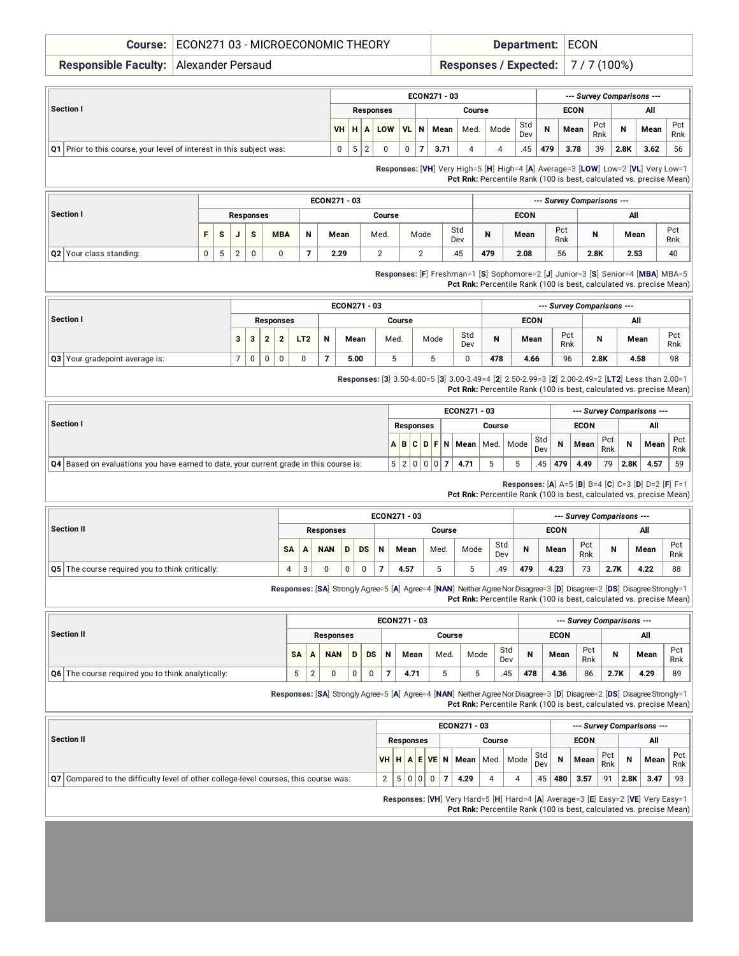#### **Course:** ECON271 03 - MICROECONOMIC THEORY **Department:** ECON

**Responsible Faculty:** Alexander Persaud **Responses / Expected:** 7 / 7 (100%)

| --- Survey Comparisons --- |  |  |  |  |  |
|----------------------------|--|--|--|--|--|
| All                        |  |  |  |  |  |
| Pct<br>Mean<br>Rnk         |  |  |  |  |  |
| 3.62<br>56                 |  |  |  |  |  |
| 2.8K                       |  |  |  |  |  |

**Responses:** [**VH**] Very High=5 [**H**] High=4 [**A**] Average=3 [**LOW**] Low=2 [**VL**] Very Low=1 **Pct Rnk:** Percentile Rank (100 is best, calculated vs. precise Mean)

|                                |   |              |   |           |            |                          | ECON271 - 03 |        |      |            | --- Survey Comparisons --- |             |            |      |      |            |  |  |  |
|--------------------------------|---|--------------|---|-----------|------------|--------------------------|--------------|--------|------|------------|----------------------------|-------------|------------|------|------|------------|--|--|--|
| Section I                      |   |              |   | Responses |            |                          |              | Course |      |            |                            | <b>ECON</b> |            | All  |      |            |  |  |  |
|                                |   | <sub>S</sub> | u | s         | <b>MBA</b> | N                        | Mean         | Med.   | Mode | Std<br>Dev | N                          | Mean        | Pct<br>Rnk | N    | Mean | Pct<br>Rnk |  |  |  |
| <b>Q2</b> Your class standing: | 0 | 5            | C | u         |            | $\overline{\phantom{a}}$ | 2.29         |        |      | 45         | 479                        | 2.08        | 56         | 2.8K | 2.53 | 40         |  |  |  |

**Responses:** [**F**] Freshman=1 [**S**] Sophomore=2 [**J**] Junior=3 [**S**] Senior=4 [**MBA**] MBA=5 **Pct Rnk:** Percentile Rank (100 is best, calculated vs. precise Mean)

| Section I<br>з                        |  |   |   |                  |                 |   | ECON271 - 03 |        | --- Survey Comparisons --- |            |     |             |            |      |      |            |  |
|---------------------------------------|--|---|---|------------------|-----------------|---|--------------|--------|----------------------------|------------|-----|-------------|------------|------|------|------------|--|
|                                       |  |   |   | <b>Responses</b> |                 |   |              | Course |                            |            |     | <b>ECON</b> |            | All  |      |            |  |
|                                       |  | 3 | ົ |                  | LT <sub>2</sub> | N | Mean         | Med.   | Mode                       | Std<br>Dev | N   | Mean        | Pct<br>Rnk | N    | Mean | Pct<br>Rnk |  |
| <b>Q3</b> Your gradepoint average is: |  | 0 | 0 |                  |                 |   | 5.00         | J      |                            |            | 478 | 4.66        | 96         | 2.8K | 4.58 | 98         |  |

**Responses:** [**3**] 3.50-4.00=5 [**3**] 3.00-3.49=4 [**2**] 2.50-2.99=3 [**2**] 2.00-2.49=2 [**LT2**] Less than 2.00=1

**Pct Rnk:** Percentile Rank (100 is best, calculated vs. precise Mean)

|                                                                                               |                  |  |  |           |  |        | ECON271 - 03 |  |                                                     |            | --- Survey Comparisons --- |             |            |      |      |            |  |  |
|-----------------------------------------------------------------------------------------------|------------------|--|--|-----------|--|--------|--------------|--|-----------------------------------------------------|------------|----------------------------|-------------|------------|------|------|------------|--|--|
| <b>Section I</b>                                                                              | <b>Responses</b> |  |  |           |  | Course |              |  |                                                     |            |                            | <b>ECON</b> |            | All  |      |            |  |  |
|                                                                                               |                  |  |  |           |  |        |              |  | $A \, B \, C \, D \, F \, N \, M$ ean   Med.   Mode | Std<br>Dev | $\mathsf{N}$               | Mean        | Pct<br>Rnk | N    | Mean | Pct<br>Rnk |  |  |
| <b>Q4</b> Based on evaluations you have earned to date, your current grade in this course is: |                  |  |  | 5 2 0 0 0 |  |        | 4.71         |  |                                                     | .45        | 1479                       | 4.49        | 79         | 2.8K | 4.57 | 59         |  |  |

**Responses:** [**A**] A=5 [**B**] B=4 [**C**] C=3 [**D**] D=2 [**F**] F=1

**Pct Rnk:** Percentile Rank (100 is best, calculated vs. precise Mean)

| Section II                                                |    |                               |                  |   |    |   | ECON271 - 03 | --- Survey Comparisons --- |      |            |     |             |            |      |      |            |
|-----------------------------------------------------------|----|-------------------------------|------------------|---|----|---|--------------|----------------------------|------|------------|-----|-------------|------------|------|------|------------|
|                                                           |    |                               | <b>Responses</b> |   |    |   |              | Course                     |      |            |     | <b>ECON</b> |            | All  |      |            |
|                                                           | SA | A                             | <b>NAN</b>       | D | DS | N | Mean         | Med.                       | Mode | Std<br>Dev |     | Mean        | Pct<br>Rnk | N    | Mean | Pct<br>Rnk |
| $ {\bf Q5} $ The course required you to think critically: |    | $\overline{\phantom{0}}$<br>đ |                  | 0 |    |   | 4.57         |                            |      | .49        | 479 | 4.23        | 73         | 2.7K | 4.22 | 88         |

**Responses:** [**SA**] Strongly Agree=5 [**A**] Agree=4 [**NAN**] NeitherAgreeNorDisagree=3 [**D**] Disagree=2 [**DS**] DisagreeStrongly=1 **Pct Rnk:** Percentile Rank (100 is best, calculated vs. precise Mean)

| Section II                                          |           | ECON271 - 03     |            |   |    |   |      |        |      |            |     |             |            | --- Survey Comparisons --- |      |            |
|-----------------------------------------------------|-----------|------------------|------------|---|----|---|------|--------|------|------------|-----|-------------|------------|----------------------------|------|------------|
|                                                     |           | <b>Responses</b> |            |   |    |   |      | Course |      |            |     | <b>ECON</b> |            | All                        |      |            |
|                                                     | <b>SA</b> | A                | <b>NAN</b> | D | DS | N | Mean | Med.   | Mode | Std<br>Dev | N   | Mean        | Pct<br>Rnk | N                          | Mean | Pct<br>Rnk |
| Q6   The course required you to think analytically: | 5         | $\sqrt{2}$<br>∠  |            | 0 |    |   | 4.71 |        |      | .45        | 478 | 4.36        | 86         | 2.7K                       | 4.29 | 89         |

**Responses:** [SA] Strongly Agree=5 [A] Agree=4 [NAN] Neither Agree Nor Disagree=3 [D] Disagree=2 [DS] Disagree Strongly=1 **Pct Rnk:** Percentile Rank (100 is best, calculated vs. precise Mean)

|                                                                                        | ECON271 - 03   |           |  |  |      |        |      |  |                                              | --- Survey Comparisons --- |             |             |            |      |      |            |  |
|----------------------------------------------------------------------------------------|----------------|-----------|--|--|------|--------|------|--|----------------------------------------------|----------------------------|-------------|-------------|------------|------|------|------------|--|
| Section II                                                                             |                | Responses |  |  |      | Course |      |  |                                              |                            |             | <b>ECON</b> |            | All  |      |            |  |
|                                                                                        |                |           |  |  |      |        |      |  | VH   H   A   E   VE   N   Mean   Med.   Mode | Std<br>Dev                 | $\mathbf N$ | Mean        | Pct<br>Rnk |      | Mean | Pct<br>Rnk |  |
| Q7   Compared to the difficulty level of other college-level courses, this course was: | $\overline{2}$ |           |  |  | 5000 |        | 4.29 |  |                                              | .45                        | 480         | 3.57        | 91         | 2.8K | 3.47 | 93         |  |

**Responses:** [**VH**] Very Hard=5 [**H**] Hard=4 [**A**] Average=3 [**E**] Easy=2 [**VE**] Very Easy=1

**Pct Rnk:** Percentile Rank (100 is best, calculated vs. precise Mean)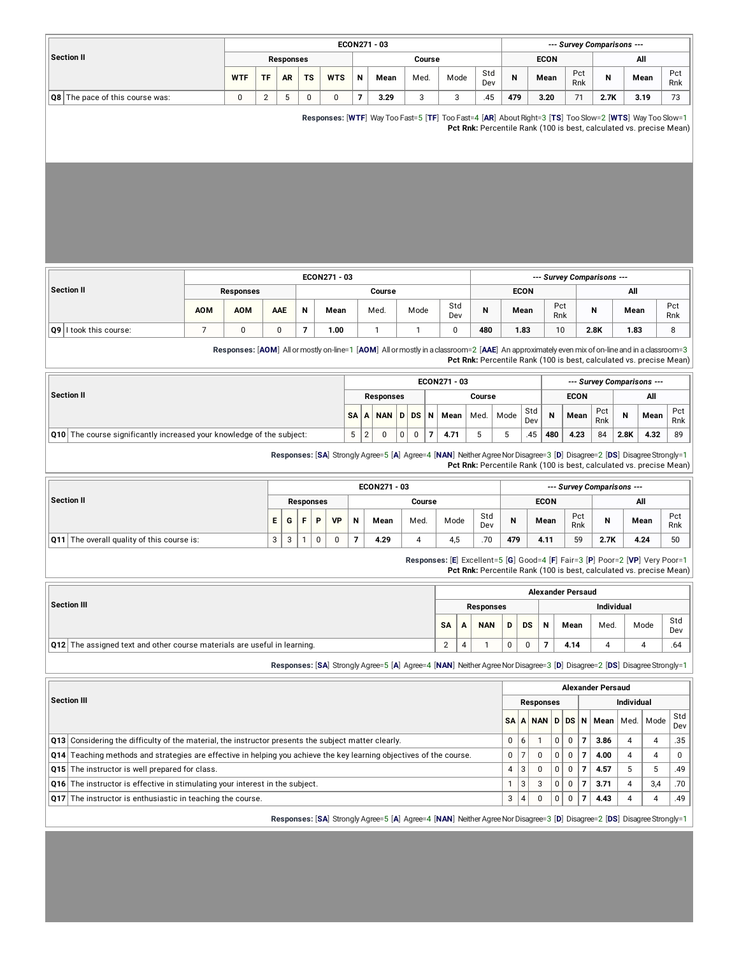|                                                                                                                                            |                                                                                                                                               |                |                  |                           |              | ECON271 - 03            |                                                                                                                         |                                                                    |                     |                  |                    |                                             |                          |                            | --- Survey Comparisons ---                                                                                                                          |            |          |            |
|--------------------------------------------------------------------------------------------------------------------------------------------|-----------------------------------------------------------------------------------------------------------------------------------------------|----------------|------------------|---------------------------|--------------|-------------------------|-------------------------------------------------------------------------------------------------------------------------|--------------------------------------------------------------------|---------------------|------------------|--------------------|---------------------------------------------|--------------------------|----------------------------|-----------------------------------------------------------------------------------------------------------------------------------------------------|------------|----------|------------|
| <b>Section II</b>                                                                                                                          |                                                                                                                                               |                | <b>Responses</b> |                           |              |                         |                                                                                                                         | Course                                                             |                     |                  |                    |                                             | <b>ECON</b>              |                            |                                                                                                                                                     |            | All      |            |
|                                                                                                                                            | <b>WTF</b>                                                                                                                                    | TF             | AR               | ΤS                        | <b>WTS</b>   | N                       | Mean                                                                                                                    | Med.                                                               | Mode                | Std<br>Dev       | N                  |                                             | Mean                     | Pct                        | N<br>Rnk                                                                                                                                            |            | Mean     | Pct<br>Rnk |
| Q8 The pace of this course was:                                                                                                            | 0                                                                                                                                             | $\overline{2}$ | 5                | 0                         | 0            | $\overline{\mathbf{z}}$ | 3.29                                                                                                                    | 3                                                                  | 3                   | .45              | 479                |                                             | 3.20                     | 71                         | 2.7K                                                                                                                                                |            | 3.19     | 73         |
|                                                                                                                                            |                                                                                                                                               |                |                  |                           |              |                         | Responses: [WTF] Way Too Fast=5 [TF] Too Fast=4 [AR] About Right=3 [TS] Too Slow=2 [WTS] Way Too Slow=1                 |                                                                    |                     |                  |                    |                                             |                          |                            | Pct Rnk: Percentile Rank (100 is best, calculated vs. precise Mean)                                                                                 |            |          |            |
|                                                                                                                                            |                                                                                                                                               |                |                  |                           |              |                         |                                                                                                                         |                                                                    |                     |                  |                    |                                             |                          |                            |                                                                                                                                                     |            |          |            |
|                                                                                                                                            |                                                                                                                                               |                |                  |                           | ECON271 - 03 |                         |                                                                                                                         |                                                                    |                     |                  |                    |                                             |                          |                            | --- Survey Comparisons ---                                                                                                                          |            |          |            |
| <b>Section II</b>                                                                                                                          | <b>Responses</b>                                                                                                                              |                |                  |                           |              |                         | Course                                                                                                                  |                                                                    |                     |                  |                    | <b>ECON</b>                                 |                          |                            |                                                                                                                                                     | All        |          |            |
|                                                                                                                                            | <b>AOM</b><br><b>AOM</b>                                                                                                                      |                | <b>AAE</b>       | N                         | Mean         |                         | Med.                                                                                                                    | Mode                                                               | Std<br>Dev          | N                |                    | Mean                                        | Pct<br>Rnk               |                            | N                                                                                                                                                   | Mean       |          | Pct<br>Rnk |
| Q9 I took this course:                                                                                                                     | $\overline{7}$<br>$\pmb{0}$                                                                                                                   |                | $\pmb{0}$        | $\overline{7}$            | 1.00         |                         | $\mathbf{1}$                                                                                                            | $\mathbf{1}$                                                       | 0                   | 480              |                    | 1.83                                        | 10                       |                            | 2.8K                                                                                                                                                | 1.83       |          | 8          |
|                                                                                                                                            | Responses: [AOM] All or mostly on-line=1 [AOM] All or mostly in a classroom=2 [AAE] An approximately even mix of on-line and in a classroom=3 |                |                  |                           |              |                         |                                                                                                                         |                                                                    |                     |                  |                    |                                             |                          |                            | Pct Rnk: Percentile Rank (100 is best, calculated vs. precise Mean)                                                                                 |            |          |            |
|                                                                                                                                            |                                                                                                                                               |                |                  |                           |              |                         |                                                                                                                         |                                                                    | ECON271 - 03        |                  |                    |                                             |                          |                            | --- Survey Comparisons ---                                                                                                                          |            |          |            |
| <b>Section II</b>                                                                                                                          |                                                                                                                                               |                |                  |                           |              |                         | Responses                                                                                                               |                                                                    | Course              |                  |                    |                                             |                          | <b>ECON</b>                |                                                                                                                                                     |            | All      |            |
|                                                                                                                                            |                                                                                                                                               |                |                  |                           |              | SA<br>А                 | <b>NAN</b><br>D                                                                                                         | DS<br>N                                                            | Mean                | Med.             | Mode               | Std<br>Dev                                  | N                        | Mean                       | Pct<br>Rnk                                                                                                                                          | N          | Mean     | Pct<br>Rnk |
| <b>Q10</b> The course significantly increased your knowledge of the subject:                                                               |                                                                                                                                               |                |                  |                           |              | 5<br>$\overline{2}$     | 0                                                                                                                       | $\mathsf{O}\phantom{0}$<br>$\overline{\phantom{a}}$<br>$\mathbf 0$ | 4.71                | 5                | 5                  | .45                                         | 480                      | 4.23                       | 84                                                                                                                                                  | 2.8K       | 4.32     | 89         |
|                                                                                                                                            |                                                                                                                                               |                |                  |                           |              |                         | Responses: [SA] Strongly Agree=5 [A] Agree=4 [NAN] Neither Agree Nor Disagree=3 [D] Disagree=2 [DS] Disagree Strongly=1 |                                                                    |                     |                  |                    |                                             |                          |                            | Pct Rnk: Percentile Rank (100 is best, calculated vs. precise Mean)                                                                                 |            |          |            |
|                                                                                                                                            |                                                                                                                                               |                |                  |                           |              |                         | ECON271 - 03                                                                                                            |                                                                    |                     |                  |                    |                                             |                          |                            | --- Survey Comparisons ---                                                                                                                          |            |          |            |
| <b>Section II</b>                                                                                                                          |                                                                                                                                               |                |                  | <b>Responses</b>          |              |                         |                                                                                                                         | Course                                                             |                     |                  | <b>ECON</b><br>All |                                             |                          |                            |                                                                                                                                                     |            |          |            |
|                                                                                                                                            |                                                                                                                                               | Е              | G                | F<br>P                    | VP           | N                       | Mean                                                                                                                    | Med.                                                               | Mode                | Std<br>Dev       | N                  |                                             | Mean                     | Pct<br>Rnk                 | N                                                                                                                                                   |            | Mean     | Pct<br>Rnk |
| Q11 The overall quality of this course is:                                                                                                 |                                                                                                                                               | 3              | 3                | $\mathbf{1}$<br>$\pmb{0}$ | 0            | $\overline{7}$          | 4.29                                                                                                                    | $\overline{4}$                                                     | 4,5                 | .70              | 479                |                                             | 4.11                     | 59                         | 2.7K                                                                                                                                                |            | 4.24     | 50         |
|                                                                                                                                            |                                                                                                                                               |                |                  |                           |              |                         |                                                                                                                         |                                                                    |                     |                  |                    |                                             |                          |                            | Responses: [E] Excellent=5 [G] Good=4 [F] Fair=3 [P] Poor=2 [VP] Very Poor=1<br>Pct Rnk: Percentile Rank (100 is best, calculated vs. precise Mean) |            |          |            |
|                                                                                                                                            |                                                                                                                                               |                |                  |                           |              |                         |                                                                                                                         |                                                                    |                     |                  |                    |                                             | <b>Alexander Persaud</b> |                            |                                                                                                                                                     |            |          |            |
| <b>Section III</b>                                                                                                                         |                                                                                                                                               |                |                  |                           |              |                         |                                                                                                                         |                                                                    |                     | <b>Responses</b> |                    |                                             |                          |                            |                                                                                                                                                     | Individual |          |            |
|                                                                                                                                            |                                                                                                                                               |                |                  |                           |              |                         |                                                                                                                         |                                                                    | SA<br>А             | <b>NAN</b>       | D                  | DS                                          | N                        | Mean                       | Med.                                                                                                                                                |            | Mode     | Std<br>Dev |
| <b>Q12</b> The assigned text and other course materials are useful in learning.                                                            |                                                                                                                                               |                |                  |                           |              |                         |                                                                                                                         |                                                                    | $\overline{c}$<br>4 | $\mathbf{1}$     | 0                  | 0                                           | $\overline{7}$           | 4.14                       | 4                                                                                                                                                   |            | 4        | .64        |
|                                                                                                                                            |                                                                                                                                               |                |                  |                           |              |                         | Responses: [SA] Strongly Agree=5 [A] Agree=4 [NAN] Neither Agree Nor Disagree=3 [D] Disagree=2 [DS] Disagree Strongly=1 |                                                                    |                     |                  |                    |                                             |                          |                            |                                                                                                                                                     |            |          |            |
|                                                                                                                                            |                                                                                                                                               |                |                  |                           |              |                         |                                                                                                                         |                                                                    |                     |                  |                    |                                             |                          |                            | <b>Alexander Persaud</b>                                                                                                                            |            |          |            |
| <b>Section III</b>                                                                                                                         |                                                                                                                                               |                |                  |                           |              |                         |                                                                                                                         |                                                                    |                     |                  |                    |                                             | <b>Responses</b>         |                            |                                                                                                                                                     | Individual |          |            |
|                                                                                                                                            |                                                                                                                                               |                |                  |                           |              |                         |                                                                                                                         |                                                                    |                     |                  | SA                 | A                                           | <b>NAND</b>              | DS N                       | Mean                                                                                                                                                | Med.       | Mode     | Std<br>Dev |
| Q13 Considering the difficulty of the material, the instructor presents the subject matter clearly.                                        |                                                                                                                                               |                |                  |                           |              |                         |                                                                                                                         |                                                                    |                     |                  | 0                  | 6<br>$\mathbf{1}$                           | 0                        | 0                          | $\overline{7}$<br>3.86                                                                                                                              | 4          | 4        | .35        |
| Q14 Teaching methods and strategies are effective in helping you achieve the key learning objectives of the course.                        |                                                                                                                                               |                |                  |                           |              |                         |                                                                                                                         |                                                                    |                     |                  | $\mathbf 0$        | $\overline{7}$                              | 0<br>0                   | 0                          | $\overline{7}$<br>4.00                                                                                                                              | 4          | 4        | 0          |
|                                                                                                                                            |                                                                                                                                               |                |                  |                           |              |                         |                                                                                                                         |                                                                    |                     |                  | $\overline{4}$     | $\sqrt{3}$                                  | 0<br>0                   | $\mathbf 0$                | $\overline{7}$<br>4.57                                                                                                                              | 5          | 5        | .49        |
| Q15 The instructor is well prepared for class.                                                                                             |                                                                                                                                               |                |                  |                           |              |                         |                                                                                                                         |                                                                    |                     |                  |                    |                                             |                          |                            |                                                                                                                                                     |            |          |            |
| Q16 The instructor is effective in stimulating your interest in the subject.<br>Q17 The instructor is enthusiastic in teaching the course. |                                                                                                                                               |                |                  |                           |              |                         |                                                                                                                         |                                                                    |                     |                  | $\mathbf{1}$<br>3  | $\ensuremath{\mathsf{3}}$<br>$\overline{4}$ | 0<br>3<br>0<br>0         | $\mathbf 0$<br>$\mathbf 0$ | $\overline{7}$<br>3.71<br>7<br>4.43                                                                                                                 | 4<br>4     | 3,4<br>4 | .70<br>.49 |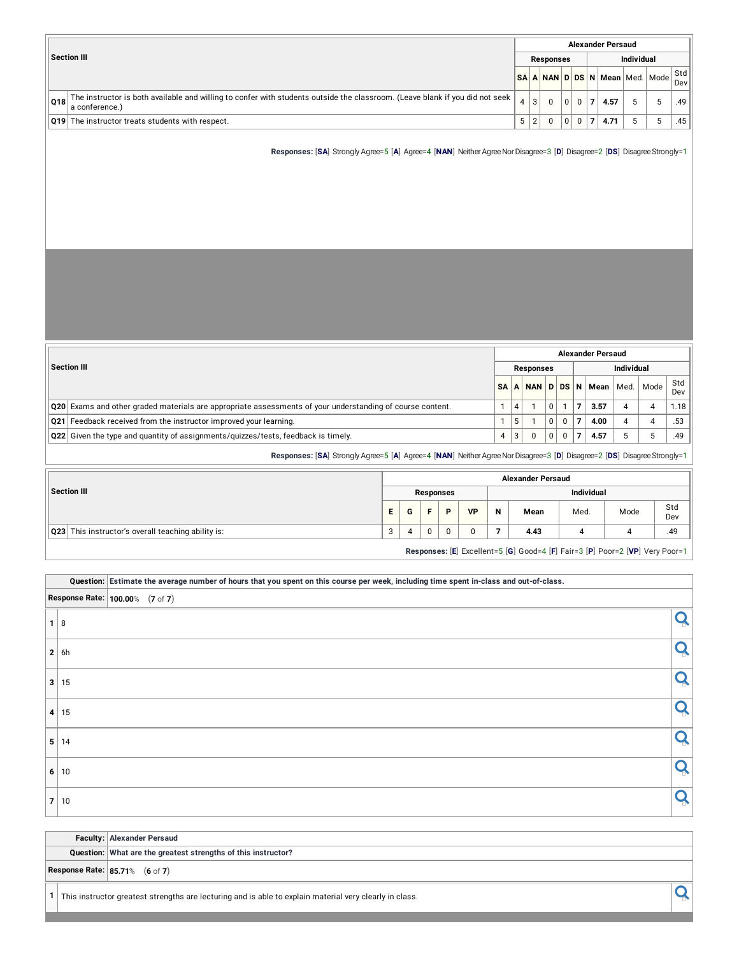|     |                                                                                                                                                |     |                  |   |   | <b>Alexander Persaud</b>                                                       |                   |     |
|-----|------------------------------------------------------------------------------------------------------------------------------------------------|-----|------------------|---|---|--------------------------------------------------------------------------------|-------------------|-----|
|     | Section III                                                                                                                                    |     | <b>Responses</b> |   |   |                                                                                | <b>Individual</b> |     |
|     |                                                                                                                                                |     |                  |   |   | N <mark>SA   A   NAN   D   DS   N   Mean</mark>   Med.   Mode <sup>  Std</sup> |                   | Dev |
| O18 | The instructor is both available and willing to confer with students outside the classroom. (Leave blank if you did not seek<br>a conference.) | 3   |                  |   | 0 | 4.57                                                                           |                   | .49 |
|     | <b>Q19</b> The instructor treats students with respect.                                                                                        | 5 2 |                  | 0 | 0 | 4.71                                                                           |                   | .45 |

**Responses:** [SA] Strongly Agree=5 [A] Agree=4 [NAN] Neither Agree Nor Disagree=3 [D] Disagree=2 [DS] Disagree Strongly=1

|                                                                                                                  |                |   |           |          |          | <b>Alexander Persaud</b> |            |      |            |
|------------------------------------------------------------------------------------------------------------------|----------------|---|-----------|----------|----------|--------------------------|------------|------|------------|
| Section III                                                                                                      |                |   | Responses |          |          |                          | Individual |      |            |
|                                                                                                                  | <b>SA</b>      |   |           |          |          | A NAN D DS N Mean Med.   |            | Mode | Std<br>Dev |
| <b>Q20</b> Exams and other graded materials are appropriate assessments of your understanding of course content. |                | 4 |           | $\Omega$ |          | 3.57                     |            |      | 1.18       |
| Q21 Feedback received from the instructor improved your learning.                                                |                | 5 |           | 0        | 0        | 4.00                     |            |      | .53        |
| $\vert$ Q22 $\vert$ Given the type and quantity of assignments/quizzes/tests, feedback is timely.                | $\overline{4}$ | 3 |           | $\Omega$ | $\Omega$ | 4.57                     |            |      | .49        |

**Responses:** [**SA**] Strongly Agree=5 [**A**] Agree=4 [**NAN**] NeitherAgreeNorDisagree=3 [**D**] Disagree=2 [**DS**] DisagreeStrongly=1

|                                                             |    |   |           |           |                   | <b>Alexander Persaud</b> |      |      |            |  |  |  |
|-------------------------------------------------------------|----|---|-----------|-----------|-------------------|--------------------------|------|------|------------|--|--|--|
| Section III                                                 |    |   | Responses |           | <b>Individual</b> |                          |      |      |            |  |  |  |
|                                                             | Е. | G | Ð         | <b>VP</b> | N                 | Mean                     | Med. | Mode | Std<br>Dev |  |  |  |
| $\sqrt{Q23}$ This instructor's overall teaching ability is: | 3  |   |           |           |                   | 4.43                     |      |      | .49        |  |  |  |
|                                                             |    |   |           |           |                   |                          |      |      |            |  |  |  |

**Responses:** [**E**] Excellent=5 [**G**] Good=4 [**F**] Fair=3 [**P**] Poor=2 [**VP**] Very Poor=1

|                |            | Question: Estimate the average number of hours that you spent on this course per week, including time spent in-class and out-of-class. |  |
|----------------|------------|----------------------------------------------------------------------------------------------------------------------------------------|--|
|                |            | <b>Response Rate:</b> $100.00\%$ (7 of 7)                                                                                              |  |
| $\mathbf{1}$   | 8          |                                                                                                                                        |  |
|                | 2   6h     |                                                                                                                                        |  |
|                | 3 15       |                                                                                                                                        |  |
|                | 4 15       |                                                                                                                                        |  |
|                | 5 14       |                                                                                                                                        |  |
|                | 6 10       |                                                                                                                                        |  |
| $\overline{7}$ | $\vert$ 10 |                                                                                                                                        |  |

|  | <b>Faculty: Alexander Persaud</b>                                                                       |  |
|--|---------------------------------------------------------------------------------------------------------|--|
|  | Question: What are the greatest strengths of this instructor?                                           |  |
|  | <b>Response Rate: 85.71%</b> (6 of 7)                                                                   |  |
|  | This instructor greatest strengths are lecturing and is able to explain material very clearly in class. |  |